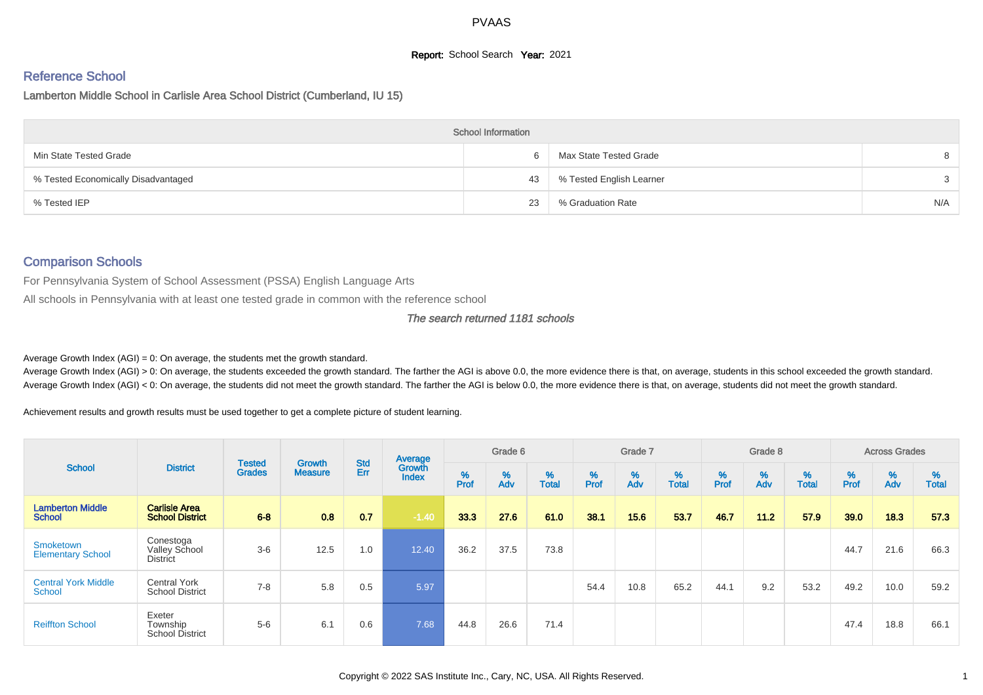# **Report:** School Search **Year:** 2021

# Reference School

Lamberton Middle School in Carlisle Area School District (Cumberland, IU 15)

|                                     | <b>School Information</b> |                          |     |
|-------------------------------------|---------------------------|--------------------------|-----|
| Min State Tested Grade              | 6                         | Max State Tested Grade   |     |
| % Tested Economically Disadvantaged | 43                        | % Tested English Learner | 3   |
| % Tested IEP                        | 23                        | % Graduation Rate        | N/A |

#### Comparison Schools

For Pennsylvania System of School Assessment (PSSA) English Language Arts

All schools in Pennsylvania with at least one tested grade in common with the reference school

#### The search returned 1181 schools

Average Growth Index  $(AGI) = 0$ : On average, the students met the growth standard.

Average Growth Index (AGI) > 0: On average, the students exceeded the growth standard. The farther the AGI is above 0.0, the more evidence there is that, on average, students in this school exceeded the growth standard. Average Growth Index (AGI) < 0: On average, the students did not meet the growth standard. The farther the AGI is below 0.0, the more evidence there is that, on average, students did not meet the growth standard.

Achievement results and growth results must be used together to get a complete picture of student learning.

| <b>School</b>                            |                                                      |                                |                                 | <b>Std</b> | Average                |           | Grade 6  |                   |                  | Grade 7  |                   |        | Grade 8  |                   |          | <b>Across Grades</b> |                   |
|------------------------------------------|------------------------------------------------------|--------------------------------|---------------------------------|------------|------------------------|-----------|----------|-------------------|------------------|----------|-------------------|--------|----------|-------------------|----------|----------------------|-------------------|
|                                          | <b>District</b>                                      | <b>Tested</b><br><b>Grades</b> | <b>Growth</b><br><b>Measure</b> | Err        | Growth<br><b>Index</b> | %<br>Prof | %<br>Adv | %<br><b>Total</b> | %<br><b>Prof</b> | %<br>Adv | %<br><b>Total</b> | % Pref | %<br>Adv | %<br><b>Total</b> | $%$ Prof | %<br>Adv             | %<br><b>Total</b> |
| <b>Lamberton Middle</b><br><b>School</b> | <b>Carlisle Area</b><br><b>School District</b>       | $6 - 8$                        | 0.8                             | 0.7        | $-1.40$                | 33.3      | 27.6     | 61.0              | 38.1             | 15.6     | 53.7              | 46.7   | 11.2     | 57.9              | 39.0     | 18.3                 | 57.3              |
| Smoketown<br><b>Elementary School</b>    | Conestoga<br><b>Valley School</b><br><b>District</b> | $3-6$                          | 12.5                            | 1.0        | 12.40                  | 36.2      | 37.5     | 73.8              |                  |          |                   |        |          |                   | 44.7     | 21.6                 | 66.3              |
| <b>Central York Middle</b><br>School     | <b>Central York</b><br><b>School District</b>        | $7 - 8$                        | 5.8                             | 0.5        | 5.97                   |           |          |                   | 54.4             | 10.8     | 65.2              | 44.1   | 9.2      | 53.2              | 49.2     | 10.0                 | 59.2              |
| <b>Reiffton School</b>                   | Exeter<br>Township<br><b>School District</b>         | $5-6$                          | 6.1                             | 0.6        | 7.68                   | 44.8      | 26.6     | 71.4              |                  |          |                   |        |          |                   | 47.4     | 18.8                 | 66.1              |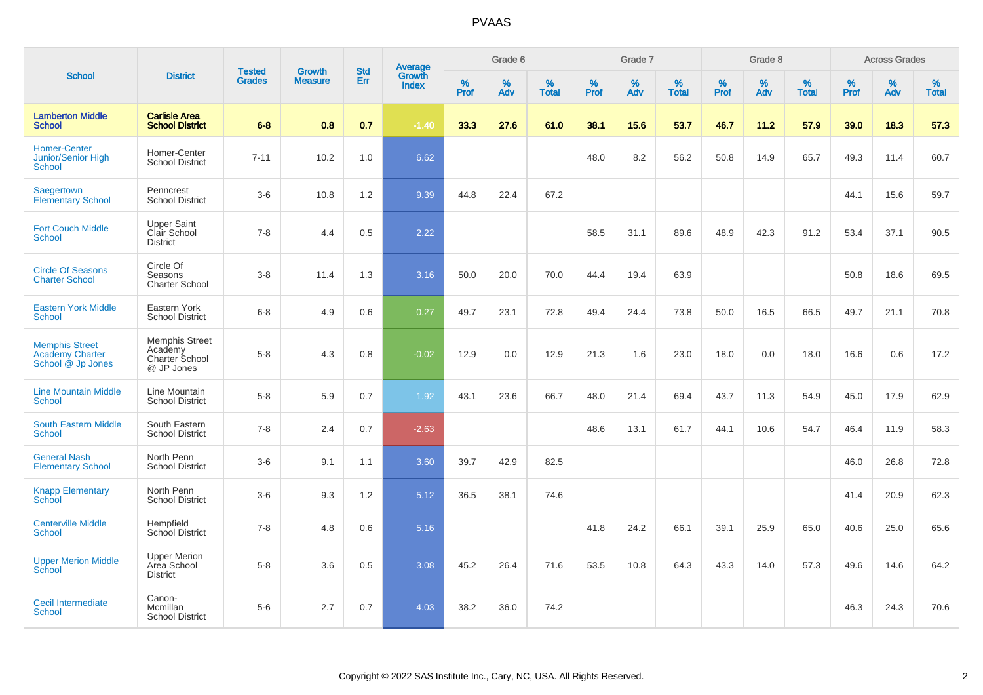|                                                                      |                                                                  |                         |                                 |                   |                                          |           | Grade 6  |                   |           | Grade 7  |                   |           | Grade 8  |                   |           | <b>Across Grades</b> |                   |
|----------------------------------------------------------------------|------------------------------------------------------------------|-------------------------|---------------------------------|-------------------|------------------------------------------|-----------|----------|-------------------|-----------|----------|-------------------|-----------|----------|-------------------|-----------|----------------------|-------------------|
| <b>School</b>                                                        | <b>District</b>                                                  | Tested<br><b>Grades</b> | <b>Growth</b><br><b>Measure</b> | <b>Std</b><br>Err | <b>Average</b><br>Growth<br><b>Index</b> | %<br>Prof | %<br>Adv | %<br><b>Total</b> | %<br>Prof | %<br>Adv | %<br><b>Total</b> | %<br>Prof | %<br>Adv | %<br><b>Total</b> | %<br>Prof | $\%$<br>Adv          | %<br><b>Total</b> |
| <b>Lamberton Middle</b><br><b>School</b>                             | <b>Carlisle Area</b><br><b>School District</b>                   | $6 - 8$                 | 0.8                             | 0.7               | $-1.40$                                  | 33.3      | 27.6     | 61.0              | 38.1      | 15.6     | 53.7              | 46.7      | 11.2     | 57.9              | 39.0      | 18.3                 | 57.3              |
| Homer-Center<br><b>Junior/Senior High</b><br>School                  | Homer-Center<br><b>School District</b>                           | $7 - 11$                | 10.2                            | 1.0               | 6.62                                     |           |          |                   | 48.0      | 8.2      | 56.2              | 50.8      | 14.9     | 65.7              | 49.3      | 11.4                 | 60.7              |
| Saegertown<br><b>Elementary School</b>                               | Penncrest<br><b>School District</b>                              | $3-6$                   | 10.8                            | 1.2               | 9.39                                     | 44.8      | 22.4     | 67.2              |           |          |                   |           |          |                   | 44.1      | 15.6                 | 59.7              |
| <b>Fort Couch Middle</b><br>School                                   | <b>Upper Saint</b><br>Clair School<br><b>District</b>            | $7 - 8$                 | 4.4                             | 0.5               | 2.22                                     |           |          |                   | 58.5      | 31.1     | 89.6              | 48.9      | 42.3     | 91.2              | 53.4      | 37.1                 | 90.5              |
| <b>Circle Of Seasons</b><br><b>Charter School</b>                    | Circle Of<br>Seasons<br><b>Charter School</b>                    | $3 - 8$                 | 11.4                            | 1.3               | 3.16                                     | 50.0      | 20.0     | 70.0              | 44.4      | 19.4     | 63.9              |           |          |                   | 50.8      | 18.6                 | 69.5              |
| <b>Eastern York Middle</b><br><b>School</b>                          | Eastern York<br><b>School District</b>                           | $6 - 8$                 | 4.9                             | 0.6               | 0.27                                     | 49.7      | 23.1     | 72.8              | 49.4      | 24.4     | 73.8              | 50.0      | 16.5     | 66.5              | 49.7      | 21.1                 | 70.8              |
| <b>Memphis Street</b><br><b>Academy Charter</b><br>School @ Jp Jones | <b>Memphis Street</b><br>Academy<br>Charter School<br>@ JP Jones | $5-8$                   | 4.3                             | 0.8               | $-0.02$                                  | 12.9      | 0.0      | 12.9              | 21.3      | 1.6      | 23.0              | 18.0      | 0.0      | 18.0              | 16.6      | 0.6                  | 17.2              |
| <b>Line Mountain Middle</b><br><b>School</b>                         | Line Mountain<br><b>School District</b>                          | $5-8$                   | 5.9                             | 0.7               | 1.92                                     | 43.1      | 23.6     | 66.7              | 48.0      | 21.4     | 69.4              | 43.7      | 11.3     | 54.9              | 45.0      | 17.9                 | 62.9              |
| <b>South Eastern Middle</b><br>School                                | South Eastern<br><b>School District</b>                          | $7 - 8$                 | 2.4                             | 0.7               | $-2.63$                                  |           |          |                   | 48.6      | 13.1     | 61.7              | 44.1      | 10.6     | 54.7              | 46.4      | 11.9                 | 58.3              |
| <b>General Nash</b><br><b>Elementary School</b>                      | North Penn<br><b>School District</b>                             | $3-6$                   | 9.1                             | 1.1               | 3.60                                     | 39.7      | 42.9     | 82.5              |           |          |                   |           |          |                   | 46.0      | 26.8                 | 72.8              |
| <b>Knapp Elementary</b><br>School                                    | North Penn<br><b>School District</b>                             | $3-6$                   | 9.3                             | 1.2               | 5.12                                     | 36.5      | 38.1     | 74.6              |           |          |                   |           |          |                   | 41.4      | 20.9                 | 62.3              |
| <b>Centerville Middle</b><br>School                                  | Hempfield<br>School District                                     | $7 - 8$                 | 4.8                             | 0.6               | 5.16                                     |           |          |                   | 41.8      | 24.2     | 66.1              | 39.1      | 25.9     | 65.0              | 40.6      | 25.0                 | 65.6              |
| <b>Upper Merion Middle</b><br>School                                 | <b>Upper Merion</b><br>Area School<br><b>District</b>            | $5-8$                   | 3.6                             | 0.5               | 3.08                                     | 45.2      | 26.4     | 71.6              | 53.5      | 10.8     | 64.3              | 43.3      | 14.0     | 57.3              | 49.6      | 14.6                 | 64.2              |
| <b>Cecil Intermediate</b><br><b>School</b>                           | Canon-<br>Mcmillan<br><b>School District</b>                     | $5-6$                   | 2.7                             | 0.7               | 4.03                                     | 38.2      | 36.0     | 74.2              |           |          |                   |           |          |                   | 46.3      | 24.3                 | 70.6              |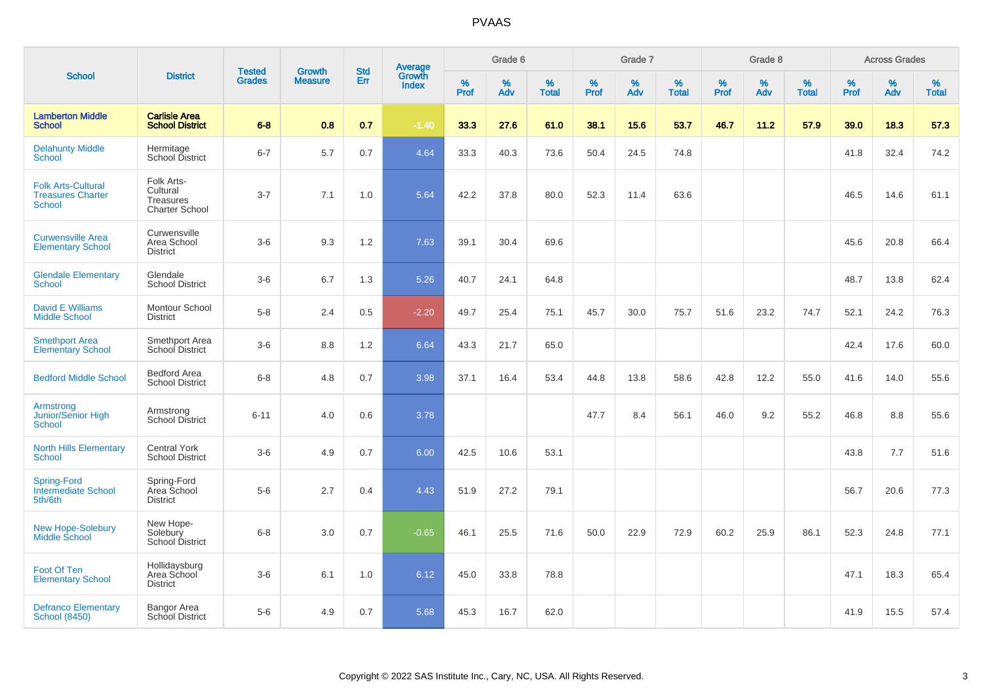|                                                                        |                                                              | <b>Tested</b> | <b>Growth</b>  | <b>Std</b> |                                          |           | Grade 6  |                   |           | Grade 7  |                   |           | Grade 8  |                   |              | <b>Across Grades</b> |                   |
|------------------------------------------------------------------------|--------------------------------------------------------------|---------------|----------------|------------|------------------------------------------|-----------|----------|-------------------|-----------|----------|-------------------|-----------|----------|-------------------|--------------|----------------------|-------------------|
| <b>School</b>                                                          | <b>District</b>                                              | <b>Grades</b> | <b>Measure</b> | Err        | <b>Average</b><br>Growth<br><b>Index</b> | %<br>Prof | %<br>Adv | %<br><b>Total</b> | %<br>Prof | %<br>Adv | %<br><b>Total</b> | %<br>Prof | %<br>Adv | %<br><b>Total</b> | $\%$<br>Prof | %<br>Adv             | %<br><b>Total</b> |
| <b>Lamberton Middle</b><br><b>School</b>                               | <b>Carlisle Area</b><br><b>School District</b>               | $6 - 8$       | 0.8            | 0.7        | $-1.40$                                  | 33.3      | 27.6     | 61.0              | 38.1      | 15.6     | 53.7              | 46.7      | 11.2     | 57.9              | 39.0         | 18.3                 | 57.3              |
| <b>Delahunty Middle</b><br><b>School</b>                               | Hermitage<br>School District                                 | $6 - 7$       | 5.7            | 0.7        | 4.64                                     | 33.3      | 40.3     | 73.6              | 50.4      | 24.5     | 74.8              |           |          |                   | 41.8         | 32.4                 | 74.2              |
| <b>Folk Arts-Cultural</b><br><b>Treasures Charter</b><br><b>School</b> | Folk Arts-<br>Cultural<br>Treasures<br><b>Charter School</b> | $3 - 7$       | 7.1            | 1.0        | 5.64                                     | 42.2      | 37.8     | 80.0              | 52.3      | 11.4     | 63.6              |           |          |                   | 46.5         | 14.6                 | 61.1              |
| <b>Curwensville Area</b><br><b>Elementary School</b>                   | Curwensville<br>Area School<br><b>District</b>               | $3-6$         | 9.3            | 1.2        | 7.63                                     | 39.1      | 30.4     | 69.6              |           |          |                   |           |          |                   | 45.6         | 20.8                 | 66.4              |
| <b>Glendale Elementary</b><br><b>School</b>                            | Glendale<br><b>School District</b>                           | $3-6$         | 6.7            | 1.3        | 5.26                                     | 40.7      | 24.1     | 64.8              |           |          |                   |           |          |                   | 48.7         | 13.8                 | 62.4              |
| <b>David E Williams</b><br><b>Middle School</b>                        | Montour School<br><b>District</b>                            | $5-8$         | 2.4            | 0.5        | $-2.20$                                  | 49.7      | 25.4     | 75.1              | 45.7      | 30.0     | 75.7              | 51.6      | 23.2     | 74.7              | 52.1         | 24.2                 | 76.3              |
| <b>Smethport Area</b><br>Elementary School                             | Smethport Area<br>School District                            | $3-6$         | 8.8            | 1.2        | 6.64                                     | 43.3      | 21.7     | 65.0              |           |          |                   |           |          |                   | 42.4         | 17.6                 | 60.0              |
| <b>Bedford Middle School</b>                                           | Bedford Area<br><b>School District</b>                       | $6 - 8$       | 4.8            | 0.7        | 3.98                                     | 37.1      | 16.4     | 53.4              | 44.8      | 13.8     | 58.6              | 42.8      | 12.2     | 55.0              | 41.6         | 14.0                 | 55.6              |
| Armstrong<br>Junior/Senior High<br>School                              | Armstrong<br><b>School District</b>                          | $6 - 11$      | 4.0            | 0.6        | 3.78                                     |           |          |                   | 47.7      | 8.4      | 56.1              | 46.0      | 9.2      | 55.2              | 46.8         | 8.8                  | 55.6              |
| <b>North Hills Elementary</b><br><b>School</b>                         | <b>Central York</b><br><b>School District</b>                | $3-6$         | 4.9            | 0.7        | 6.00                                     | 42.5      | 10.6     | 53.1              |           |          |                   |           |          |                   | 43.8         | 7.7                  | 51.6              |
| Spring-Ford<br><b>Intermediate School</b><br>5th/6th                   | Spring-Ford<br>Area School<br><b>District</b>                | $5-6$         | 2.7            | 0.4        | 4.43                                     | 51.9      | 27.2     | 79.1              |           |          |                   |           |          |                   | 56.7         | 20.6                 | 77.3              |
| <b>New Hope-Solebury</b><br>Middle School                              | New Hope-<br>Solebury<br>School District                     | $6-8$         | 3.0            | 0.7        | $-0.65$                                  | 46.1      | 25.5     | 71.6              | 50.0      | 22.9     | 72.9              | 60.2      | 25.9     | 86.1              | 52.3         | 24.8                 | 77.1              |
| Foot Of Ten<br><b>Elementary School</b>                                | Hollidaysburg<br>Area School<br><b>District</b>              | $3-6$         | 6.1            | 1.0        | 6.12                                     | 45.0      | 33.8     | 78.8              |           |          |                   |           |          |                   | 47.1         | 18.3                 | 65.4              |
| <b>Defranco Elementary</b><br><b>School (8450)</b>                     | Bangor Area<br>School District                               | $5-6$         | 4.9            | 0.7        | 5.68                                     | 45.3      | 16.7     | 62.0              |           |          |                   |           |          |                   | 41.9         | 15.5                 | 57.4              |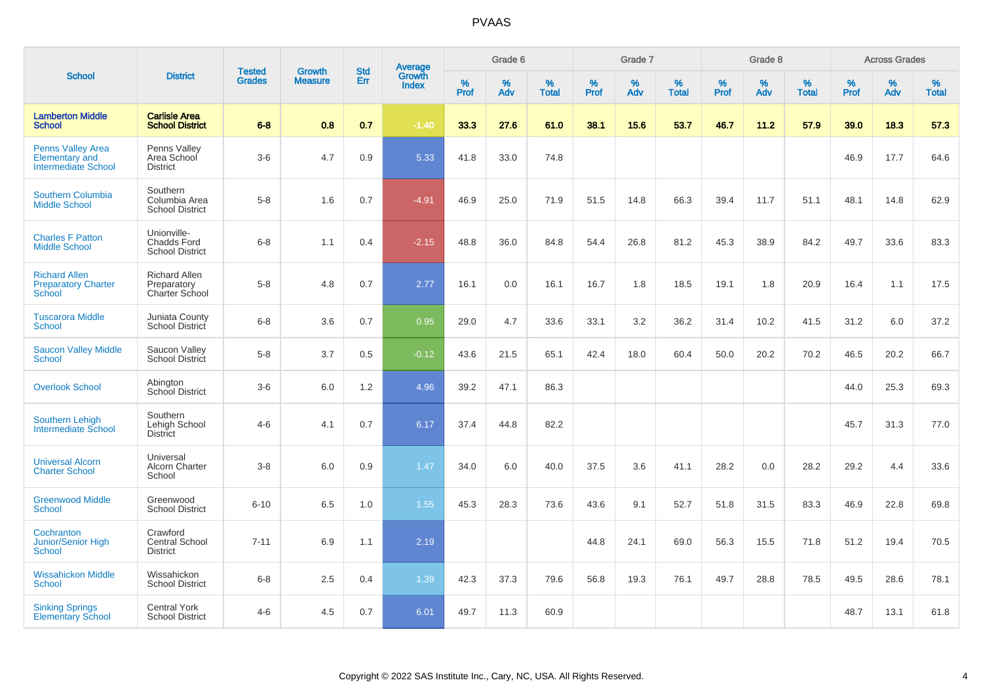|                                                                                 |                                                             |                                | <b>Growth</b>  | <b>Std</b> |                                          |              | Grade 6     |                   |           | Grade 7     |                      |              | Grade 8  |                   |              | <b>Across Grades</b> |                   |
|---------------------------------------------------------------------------------|-------------------------------------------------------------|--------------------------------|----------------|------------|------------------------------------------|--------------|-------------|-------------------|-----------|-------------|----------------------|--------------|----------|-------------------|--------------|----------------------|-------------------|
| <b>School</b>                                                                   | <b>District</b>                                             | <b>Tested</b><br><b>Grades</b> | <b>Measure</b> | <b>Err</b> | <b>Average</b><br>Growth<br><b>Index</b> | $\%$<br>Prof | $\%$<br>Adv | %<br><b>Total</b> | %<br>Prof | $\%$<br>Adv | $\%$<br><b>Total</b> | $\%$<br>Prof | %<br>Adv | %<br><b>Total</b> | $\%$<br>Prof | $\%$<br>Adv          | %<br><b>Total</b> |
| <b>Lamberton Middle</b><br><b>School</b>                                        | <b>Carlisle Area</b><br><b>School District</b>              | $6 - 8$                        | 0.8            | 0.7        | $-1.40$                                  | 33.3         | 27.6        | 61.0              | 38.1      | 15.6        | 53.7                 | 46.7         | 11.2     | 57.9              | 39.0         | 18.3                 | 57.3              |
| <b>Penns Valley Area</b><br><b>Elementary and</b><br><b>Intermediate School</b> | Penns Vallev<br>Area School<br><b>District</b>              | $3-6$                          | 4.7            | 0.9        | 5.33                                     | 41.8         | 33.0        | 74.8              |           |             |                      |              |          |                   | 46.9         | 17.7                 | 64.6              |
| Southern Columbia<br><b>Middle School</b>                                       | Southern<br>Columbia Area<br><b>School District</b>         | $5 - 8$                        | 1.6            | 0.7        | $-4.91$                                  | 46.9         | 25.0        | 71.9              | 51.5      | 14.8        | 66.3                 | 39.4         | 11.7     | 51.1              | 48.1         | 14.8                 | 62.9              |
| <b>Charles F Patton</b><br><b>Middle School</b>                                 | Unionville-<br><b>Chadds Ford</b><br><b>School District</b> | $6-8$                          | 1.1            | 0.4        | $-2.15$                                  | 48.8         | 36.0        | 84.8              | 54.4      | 26.8        | 81.2                 | 45.3         | 38.9     | 84.2              | 49.7         | 33.6                 | 83.3              |
| <b>Richard Allen</b><br><b>Preparatory Charter</b><br><b>School</b>             | <b>Richard Allen</b><br>Preparatory<br>Charter School       | $5-8$                          | 4.8            | 0.7        | 2.77                                     | 16.1         | 0.0         | 16.1              | 16.7      | 1.8         | 18.5                 | 19.1         | 1.8      | 20.9              | 16.4         | 1.1                  | 17.5              |
| <b>Tuscarora Middle</b><br><b>School</b>                                        | Juniata County<br>School District                           | $6 - 8$                        | 3.6            | 0.7        | 0.95                                     | 29.0         | 4.7         | 33.6              | 33.1      | 3.2         | 36.2                 | 31.4         | 10.2     | 41.5              | 31.2         | 6.0                  | 37.2              |
| <b>Saucon Valley Middle</b><br><b>School</b>                                    | Saucon Valley<br>School District                            | $5 - 8$                        | 3.7            | 0.5        | $-0.12$                                  | 43.6         | 21.5        | 65.1              | 42.4      | 18.0        | 60.4                 | 50.0         | 20.2     | 70.2              | 46.5         | 20.2                 | 66.7              |
| <b>Overlook School</b>                                                          | Abington<br>School District                                 | $3-6$                          | 6.0            | 1.2        | 4.96                                     | 39.2         | 47.1        | 86.3              |           |             |                      |              |          |                   | 44.0         | 25.3                 | 69.3              |
| <b>Southern Lehigh</b><br>Intermediate School                                   | Southern<br>Lehigh School<br><b>District</b>                | $4-6$                          | 4.1            | 0.7        | 6.17                                     | 37.4         | 44.8        | 82.2              |           |             |                      |              |          |                   | 45.7         | 31.3                 | 77.0              |
| <b>Universal Alcorn</b><br><b>Charter School</b>                                | Universal<br>Alcorn Charter<br>School                       | $3 - 8$                        | 6.0            | 0.9        | 1.47                                     | 34.0         | 6.0         | 40.0              | 37.5      | 3.6         | 41.1                 | 28.2         | 0.0      | 28.2              | 29.2         | 4.4                  | 33.6              |
| <b>Greenwood Middle</b><br><b>School</b>                                        | Greenwood<br><b>School District</b>                         | $6 - 10$                       | 6.5            | 1.0        | 1.55                                     | 45.3         | 28.3        | 73.6              | 43.6      | 9.1         | 52.7                 | 51.8         | 31.5     | 83.3              | 46.9         | 22.8                 | 69.8              |
| Cochranton<br><b>Junior/Senior High</b><br><b>School</b>                        | Crawford<br>Central School<br><b>District</b>               | $7 - 11$                       | 6.9            | 1.1        | 2.19                                     |              |             |                   | 44.8      | 24.1        | 69.0                 | 56.3         | 15.5     | 71.8              | 51.2         | 19.4                 | 70.5              |
| <b>Wissahickon Middle</b><br>School                                             | Wissahickon<br><b>School District</b>                       | $6 - 8$                        | 2.5            | 0.4        | 1.39                                     | 42.3         | 37.3        | 79.6              | 56.8      | 19.3        | 76.1                 | 49.7         | 28.8     | 78.5              | 49.5         | 28.6                 | 78.1              |
| <b>Sinking Springs</b><br><b>Elementary School</b>                              | <b>Central York</b><br><b>School District</b>               | $4 - 6$                        | 4.5            | 0.7        | 6.01                                     | 49.7         | 11.3        | 60.9              |           |             |                      |              |          |                   | 48.7         | 13.1                 | 61.8              |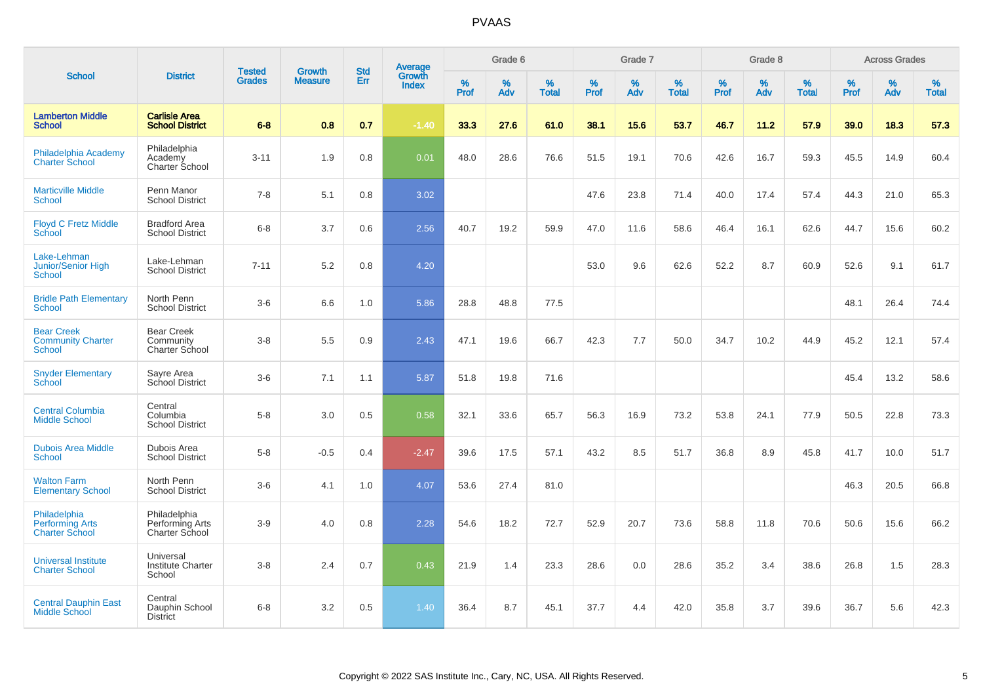| <b>School</b>                                                   |                                                   | <b>Tested</b> | <b>Growth</b>  | <b>Std</b> |                                          |                  | Grade 6  |                   |           | Grade 7  |                   |           | Grade 8  |                   |           | <b>Across Grades</b> |                   |
|-----------------------------------------------------------------|---------------------------------------------------|---------------|----------------|------------|------------------------------------------|------------------|----------|-------------------|-----------|----------|-------------------|-----------|----------|-------------------|-----------|----------------------|-------------------|
|                                                                 | <b>District</b>                                   | <b>Grades</b> | <b>Measure</b> | Err        | <b>Average</b><br>Growth<br><b>Index</b> | %<br><b>Prof</b> | %<br>Adv | %<br><b>Total</b> | %<br>Prof | %<br>Adv | %<br><b>Total</b> | %<br>Prof | %<br>Adv | %<br><b>Total</b> | %<br>Prof | %<br>Adv             | %<br><b>Total</b> |
| <b>Lamberton Middle</b><br><b>School</b>                        | <b>Carlisle Area</b><br><b>School District</b>    | $6 - 8$       | 0.8            | 0.7        | $-1.40$                                  | 33.3             | 27.6     | 61.0              | 38.1      | 15.6     | 53.7              | 46.7      | 11.2     | 57.9              | 39.0      | 18.3                 | 57.3              |
| Philadelphia Academy<br><b>Charter School</b>                   | Philadelphia<br>Academy<br>Charter School         | $3 - 11$      | 1.9            | 0.8        | 0.01                                     | 48.0             | 28.6     | 76.6              | 51.5      | 19.1     | 70.6              | 42.6      | 16.7     | 59.3              | 45.5      | 14.9                 | 60.4              |
| <b>Marticville Middle</b><br><b>School</b>                      | Penn Manor<br><b>School District</b>              | $7 - 8$       | 5.1            | 0.8        | 3.02                                     |                  |          |                   | 47.6      | 23.8     | 71.4              | 40.0      | 17.4     | 57.4              | 44.3      | 21.0                 | 65.3              |
| <b>Floyd C Fretz Middle</b><br>School                           | <b>Bradford Area</b><br><b>School District</b>    | $6 - 8$       | 3.7            | 0.6        | 2.56                                     | 40.7             | 19.2     | 59.9              | 47.0      | 11.6     | 58.6              | 46.4      | 16.1     | 62.6              | 44.7      | 15.6                 | 60.2              |
| Lake-Lehman<br>Junior/Senior High<br>School                     | Lake-Lehman<br><b>School District</b>             | $7 - 11$      | 5.2            | 0.8        | 4.20                                     |                  |          |                   | 53.0      | 9.6      | 62.6              | 52.2      | 8.7      | 60.9              | 52.6      | 9.1                  | 61.7              |
| <b>Bridle Path Elementary</b><br><b>School</b>                  | North Penn<br><b>School District</b>              | $3-6$         | 6.6            | 1.0        | 5.86                                     | 28.8             | 48.8     | 77.5              |           |          |                   |           |          |                   | 48.1      | 26.4                 | 74.4              |
| <b>Bear Creek</b><br><b>Community Charter</b><br><b>School</b>  | <b>Bear Creek</b><br>Community<br>Charter School  | $3 - 8$       | 5.5            | 0.9        | 2.43                                     | 47.1             | 19.6     | 66.7              | 42.3      | 7.7      | 50.0              | 34.7      | 10.2     | 44.9              | 45.2      | 12.1                 | 57.4              |
| <b>Snyder Elementary</b><br>School                              | Sayre Area<br>School District                     | $3-6$         | 7.1            | 1.1        | 5.87                                     | 51.8             | 19.8     | 71.6              |           |          |                   |           |          |                   | 45.4      | 13.2                 | 58.6              |
| <b>Central Columbia</b><br><b>Middle School</b>                 | Central<br>Columbia<br><b>School District</b>     | $5-8$         | 3.0            | 0.5        | 0.58                                     | 32.1             | 33.6     | 65.7              | 56.3      | 16.9     | 73.2              | 53.8      | 24.1     | 77.9              | 50.5      | 22.8                 | 73.3              |
| <b>Dubois Area Middle</b><br><b>School</b>                      | Dubois Area<br><b>School District</b>             | $5 - 8$       | $-0.5$         | 0.4        | $-2.47$                                  | 39.6             | 17.5     | 57.1              | 43.2      | 8.5      | 51.7              | 36.8      | 8.9      | 45.8              | 41.7      | 10.0                 | 51.7              |
| <b>Walton Farm</b><br><b>Elementary School</b>                  | North Penn<br><b>School District</b>              | $3-6$         | 4.1            | 1.0        | 4.07                                     | 53.6             | 27.4     | 81.0              |           |          |                   |           |          |                   | 46.3      | 20.5                 | 66.8              |
| Philadelphia<br><b>Performing Arts</b><br><b>Charter School</b> | Philadelphia<br>Performing Arts<br>Charter School | $3-9$         | 4.0            | 0.8        | 2.28                                     | 54.6             | 18.2     | 72.7              | 52.9      | 20.7     | 73.6              | 58.8      | 11.8     | 70.6              | 50.6      | 15.6                 | 66.2              |
| <b>Universal Institute</b><br><b>Charter School</b>             | Universal<br><b>Institute Charter</b><br>School   | $3 - 8$       | 2.4            | 0.7        | 0.43                                     | 21.9             | 1.4      | 23.3              | 28.6      | 0.0      | 28.6              | 35.2      | 3.4      | 38.6              | 26.8      | 1.5                  | 28.3              |
| <b>Central Dauphin East</b><br><b>Middle School</b>             | Central<br>Dauphin School<br><b>District</b>      | $6 - 8$       | 3.2            | 0.5        | 1.40                                     | 36.4             | 8.7      | 45.1              | 37.7      | 4.4      | 42.0              | 35.8      | 3.7      | 39.6              | 36.7      | 5.6                  | 42.3              |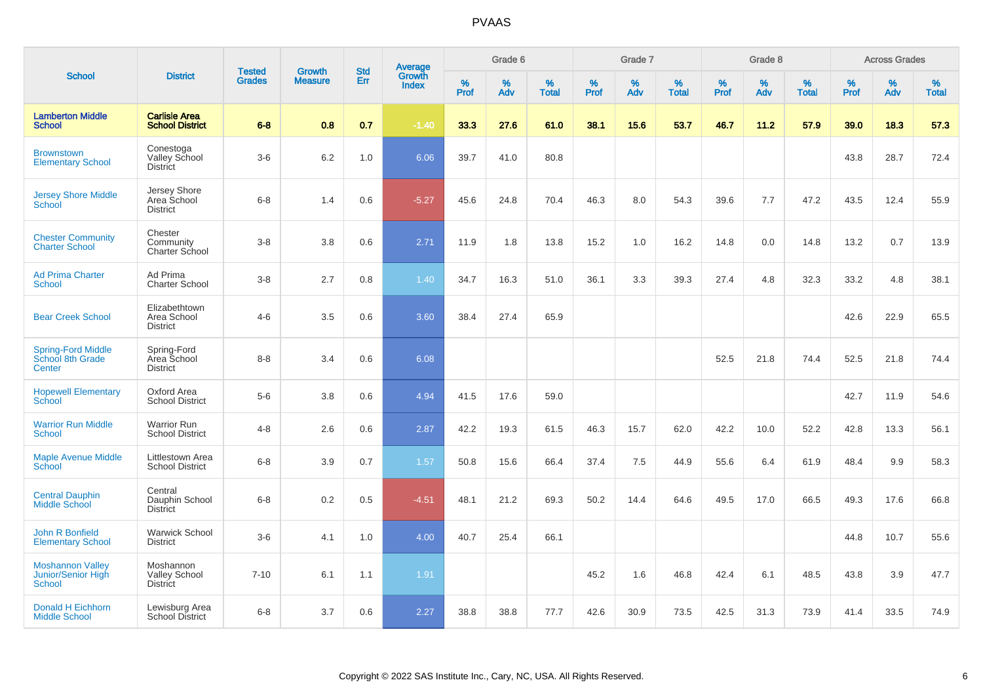|                                                         |                                                      |                                |                          | <b>Std</b> |                                          |                  | Grade 6  |                   |           | Grade 7  |                   |           | Grade 8  |                   |              | <b>Across Grades</b> |                   |
|---------------------------------------------------------|------------------------------------------------------|--------------------------------|--------------------------|------------|------------------------------------------|------------------|----------|-------------------|-----------|----------|-------------------|-----------|----------|-------------------|--------------|----------------------|-------------------|
| <b>School</b>                                           | <b>District</b>                                      | <b>Tested</b><br><b>Grades</b> | Growth<br><b>Measure</b> | Err        | <b>Average</b><br>Growth<br><b>Index</b> | %<br><b>Prof</b> | %<br>Adv | %<br><b>Total</b> | %<br>Prof | %<br>Adv | %<br><b>Total</b> | %<br>Prof | %<br>Adv | %<br><b>Total</b> | $\%$<br>Prof | %<br>Adv             | %<br><b>Total</b> |
| <b>Lamberton Middle</b><br><b>School</b>                | <b>Carlisle Area</b><br><b>School District</b>       | $6 - 8$                        | 0.8                      | 0.7        | $-1.40$                                  | 33.3             | 27.6     | 61.0              | 38.1      | 15.6     | 53.7              | 46.7      | 11.2     | 57.9              | 39.0         | 18.3                 | 57.3              |
| <b>Brownstown</b><br><b>Elementary School</b>           | Conestoga<br>Valley School<br><b>District</b>        | $3-6$                          | 6.2                      | 1.0        | 6.06                                     | 39.7             | 41.0     | 80.8              |           |          |                   |           |          |                   | 43.8         | 28.7                 | 72.4              |
| <b>Jersey Shore Middle</b><br>School                    | Jersey Shore<br>Area School<br><b>District</b>       | $6 - 8$                        | 1.4                      | 0.6        | $-5.27$                                  | 45.6             | 24.8     | 70.4              | 46.3      | 8.0      | 54.3              | 39.6      | 7.7      | 47.2              | 43.5         | 12.4                 | 55.9              |
| <b>Chester Community</b><br><b>Charter School</b>       | Chester<br>Community<br>Charter School               | $3-8$                          | 3.8                      | 0.6        | 2.71                                     | 11.9             | 1.8      | 13.8              | 15.2      | 1.0      | 16.2              | 14.8      | 0.0      | 14.8              | 13.2         | 0.7                  | 13.9              |
| <b>Ad Prima Charter</b><br>School                       | Ad Prima<br><b>Charter School</b>                    | $3-8$                          | 2.7                      | 0.8        | 1.40                                     | 34.7             | 16.3     | 51.0              | 36.1      | 3.3      | 39.3              | 27.4      | 4.8      | 32.3              | 33.2         | 4.8                  | 38.1              |
| <b>Bear Creek School</b>                                | Elizabethtown<br>Area School<br><b>District</b>      | $4 - 6$                        | 3.5                      | 0.6        | 3.60                                     | 38.4             | 27.4     | 65.9              |           |          |                   |           |          |                   | 42.6         | 22.9                 | 65.5              |
| <b>Spring-Ford Middle</b><br>School 8th Grade<br>Center | Spring-Ford<br>Area School<br><b>District</b>        | $8 - 8$                        | 3.4                      | 0.6        | 6.08                                     |                  |          |                   |           |          |                   | 52.5      | 21.8     | 74.4              | 52.5         | 21.8                 | 74.4              |
| <b>Hopewell Elementary</b><br>School                    | Oxford Area<br><b>School District</b>                | $5-6$                          | 3.8                      | 0.6        | 4.94                                     | 41.5             | 17.6     | 59.0              |           |          |                   |           |          |                   | 42.7         | 11.9                 | 54.6              |
| <b>Warrior Run Middle</b><br><b>School</b>              | <b>Warrior Run</b><br><b>School District</b>         | $4 - 8$                        | 2.6                      | 0.6        | 2.87                                     | 42.2             | 19.3     | 61.5              | 46.3      | 15.7     | 62.0              | 42.2      | 10.0     | 52.2              | 42.8         | 13.3                 | 56.1              |
| <b>Maple Avenue Middle</b><br><b>School</b>             | Littlestown Area<br><b>School District</b>           | $6 - 8$                        | 3.9                      | 0.7        | 1.57                                     | 50.8             | 15.6     | 66.4              | 37.4      | 7.5      | 44.9              | 55.6      | 6.4      | 61.9              | 48.4         | 9.9                  | 58.3              |
| <b>Central Dauphin</b><br><b>Middle School</b>          | Central<br>Dauphin School<br><b>District</b>         | $6 - 8$                        | 0.2                      | 0.5        | $-4.51$                                  | 48.1             | 21.2     | 69.3              | 50.2      | 14.4     | 64.6              | 49.5      | 17.0     | 66.5              | 49.3         | 17.6                 | 66.8              |
| <b>John R Bonfield</b><br><b>Elementary School</b>      | <b>Warwick School</b><br><b>District</b>             | $3-6$                          | 4.1                      | 1.0        | 4.00                                     | 40.7             | 25.4     | 66.1              |           |          |                   |           |          |                   | 44.8         | 10.7                 | 55.6              |
| <b>Moshannon Valley</b><br>Junior/Senior High<br>School | Moshannon<br><b>Valley School</b><br><b>District</b> | $7 - 10$                       | 6.1                      | 1.1        | 1.91                                     |                  |          |                   | 45.2      | 1.6      | 46.8              | 42.4      | 6.1      | 48.5              | 43.8         | 3.9                  | 47.7              |
| <b>Donald H Eichhorn</b><br><b>Middle School</b>        | Lewisburg Area<br><b>School District</b>             | $6-8$                          | 3.7                      | 0.6        | 2.27                                     | 38.8             | 38.8     | 77.7              | 42.6      | 30.9     | 73.5              | 42.5      | 31.3     | 73.9              | 41.4         | 33.5                 | 74.9              |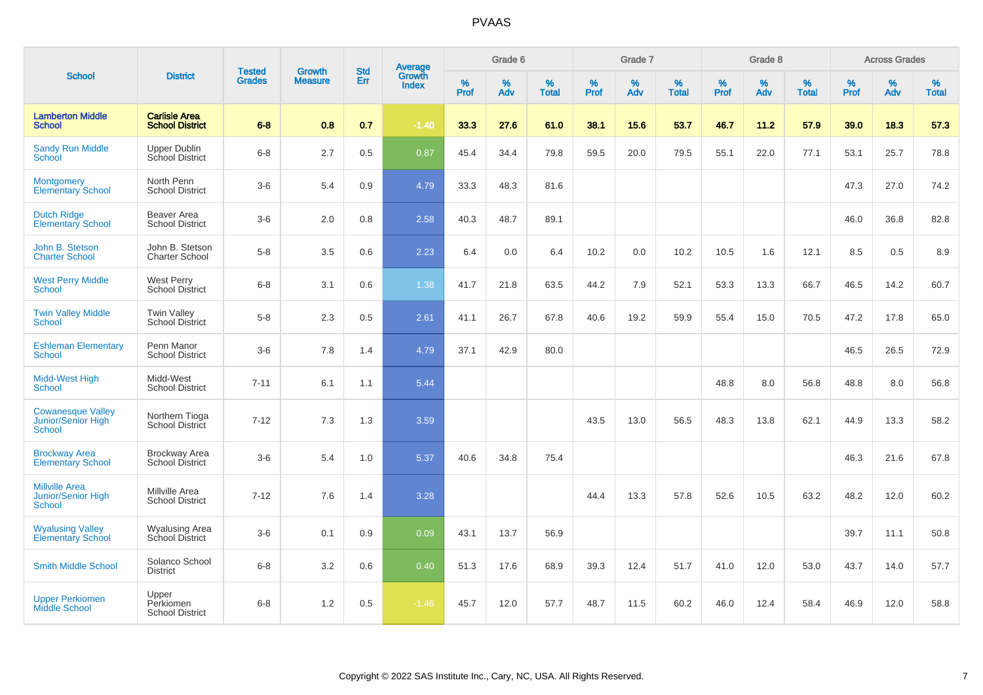|                                                                 |                                                |                                |                                 | <b>Std</b> |                                          |                  | Grade 6  |                   |           | Grade 7  |                   |           | Grade 8  |                   |           | <b>Across Grades</b> |                   |
|-----------------------------------------------------------------|------------------------------------------------|--------------------------------|---------------------------------|------------|------------------------------------------|------------------|----------|-------------------|-----------|----------|-------------------|-----------|----------|-------------------|-----------|----------------------|-------------------|
| <b>School</b>                                                   | <b>District</b>                                | <b>Tested</b><br><b>Grades</b> | <b>Growth</b><br><b>Measure</b> | Err        | <b>Average</b><br>Growth<br><b>Index</b> | %<br><b>Prof</b> | %<br>Adv | %<br><b>Total</b> | %<br>Prof | %<br>Adv | %<br><b>Total</b> | %<br>Prof | %<br>Adv | %<br><b>Total</b> | %<br>Prof | %<br>Adv             | %<br><b>Total</b> |
| <b>Lamberton Middle</b><br><b>School</b>                        | <b>Carlisle Area</b><br><b>School District</b> | $6 - 8$                        | 0.8                             | 0.7        | $-1.40$                                  | 33.3             | 27.6     | 61.0              | 38.1      | 15.6     | 53.7              | 46.7      | 11.2     | 57.9              | 39.0      | 18.3                 | 57.3              |
| <b>Sandy Run Middle</b><br>School                               | <b>Upper Dublin</b><br>School District         | $6 - 8$                        | 2.7                             | 0.5        | 0.87                                     | 45.4             | 34.4     | 79.8              | 59.5      | 20.0     | 79.5              | 55.1      | 22.0     | 77.1              | 53.1      | 25.7                 | 78.8              |
| <b>Montgomery</b><br><b>Elementary School</b>                   | North Penn<br><b>School District</b>           | $3-6$                          | 5.4                             | 0.9        | 4.79                                     | 33.3             | 48.3     | 81.6              |           |          |                   |           |          |                   | 47.3      | 27.0                 | 74.2              |
| <b>Dutch Ridge</b><br><b>Elementary School</b>                  | Beaver Area<br><b>School District</b>          | $3-6$                          | 2.0                             | 0.8        | 2.58                                     | 40.3             | 48.7     | 89.1              |           |          |                   |           |          |                   | 46.0      | 36.8                 | 82.8              |
| John B. Stetson<br><b>Charter School</b>                        | John B. Stetson<br>Charter School              | $5-8$                          | 3.5                             | 0.6        | 2.23                                     | 6.4              | 0.0      | 6.4               | 10.2      | 0.0      | 10.2              | 10.5      | 1.6      | 12.1              | 8.5       | 0.5                  | 8.9               |
| <b>West Perry Middle</b><br>School                              | <b>West Perry</b><br><b>School District</b>    | $6-8$                          | 3.1                             | 0.6        | 1.38                                     | 41.7             | 21.8     | 63.5              | 44.2      | 7.9      | 52.1              | 53.3      | 13.3     | 66.7              | 46.5      | 14.2                 | 60.7              |
| <b>Twin Valley Middle</b><br><b>School</b>                      | <b>Twin Valley</b><br><b>School District</b>   | $5-8$                          | 2.3                             | 0.5        | 2.61                                     | 41.1             | 26.7     | 67.8              | 40.6      | 19.2     | 59.9              | 55.4      | 15.0     | 70.5              | 47.2      | 17.8                 | 65.0              |
| <b>Eshleman Elementary</b><br><b>School</b>                     | Penn Manor<br><b>School District</b>           | $3-6$                          | 7.8                             | 1.4        | 4.79                                     | 37.1             | 42.9     | 80.0              |           |          |                   |           |          |                   | 46.5      | 26.5                 | 72.9              |
| Midd-West High<br>School                                        | Midd-West<br><b>School District</b>            | $7 - 11$                       | 6.1                             | 1.1        | 5.44                                     |                  |          |                   |           |          |                   | 48.8      | 8.0      | 56.8              | 48.8      | 8.0                  | 56.8              |
| <b>Cowanesque Valley</b><br>Junior/Senior High<br><b>School</b> | Northern Tioga<br><b>School District</b>       | $7 - 12$                       | 7.3                             | 1.3        | 3.59                                     |                  |          |                   | 43.5      | 13.0     | 56.5              | 48.3      | 13.8     | 62.1              | 44.9      | 13.3                 | 58.2              |
| <b>Brockway Area</b><br><b>Elementary School</b>                | <b>Brockway Area</b><br><b>School District</b> | $3-6$                          | 5.4                             | 1.0        | 5.37                                     | 40.6             | 34.8     | 75.4              |           |          |                   |           |          |                   | 46.3      | 21.6                 | 67.8              |
| <b>Millville Area</b><br>Junior/Senior High<br>School           | Millville Area<br><b>School District</b>       | $7 - 12$                       | 7.6                             | 1.4        | 3.28                                     |                  |          |                   | 44.4      | 13.3     | 57.8              | 52.6      | 10.5     | 63.2              | 48.2      | 12.0                 | 60.2              |
| <b>Wyalusing Valley</b><br><b>Elementary School</b>             | <b>Wyalusing Area</b><br>School District       | $3-6$                          | 0.1                             | 0.9        | 0.09                                     | 43.1             | 13.7     | 56.9              |           |          |                   |           |          |                   | 39.7      | 11.1                 | 50.8              |
| <b>Smith Middle School</b>                                      | Solanco School<br><b>District</b>              | $6 - 8$                        | 3.2                             | 0.6        | 0.40                                     | 51.3             | 17.6     | 68.9              | 39.3      | 12.4     | 51.7              | 41.0      | 12.0     | 53.0              | 43.7      | 14.0                 | 57.7              |
| <b>Upper Perkiomen</b><br><b>Middle School</b>                  | Upper<br>Perkiomen<br><b>School District</b>   | $6 - 8$                        | 1.2                             | 0.5        | $-1.46$                                  | 45.7             | 12.0     | 57.7              | 48.7      | 11.5     | 60.2              | 46.0      | 12.4     | 58.4              | 46.9      | 12.0                 | 58.8              |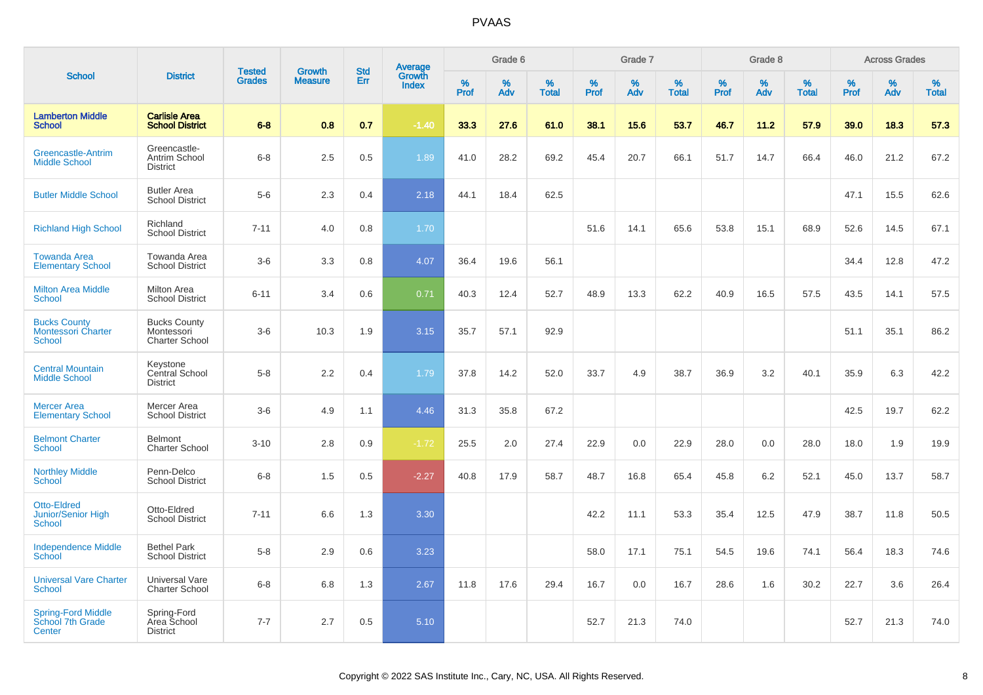|                                                            |                                                            | <b>Tested</b> | Growth         | <b>Std</b> |                                          |           | Grade 6  |                   |           | Grade 7  |                   |           | Grade 8  |                   |           | <b>Across Grades</b> |                   |
|------------------------------------------------------------|------------------------------------------------------------|---------------|----------------|------------|------------------------------------------|-----------|----------|-------------------|-----------|----------|-------------------|-----------|----------|-------------------|-----------|----------------------|-------------------|
| <b>School</b>                                              | <b>District</b>                                            | <b>Grades</b> | <b>Measure</b> | Err        | <b>Average</b><br>Growth<br><b>Index</b> | %<br>Prof | %<br>Adv | %<br><b>Total</b> | %<br>Prof | %<br>Adv | %<br><b>Total</b> | %<br>Prof | %<br>Adv | %<br><b>Total</b> | %<br>Prof | %<br>Adv             | %<br><b>Total</b> |
| <b>Lamberton Middle</b><br><b>School</b>                   | <b>Carlisle Area</b><br><b>School District</b>             | $6 - 8$       | 0.8            | 0.7        | $-1.40$                                  | 33.3      | 27.6     | 61.0              | 38.1      | 15.6     | 53.7              | 46.7      | 11.2     | 57.9              | 39.0      | 18.3                 | 57.3              |
| <b>Greencastle-Antrim</b><br><b>Middle School</b>          | Greencastle-<br>Antrim School<br><b>District</b>           | $6 - 8$       | 2.5            | 0.5        | 1.89                                     | 41.0      | 28.2     | 69.2              | 45.4      | 20.7     | 66.1              | 51.7      | 14.7     | 66.4              | 46.0      | 21.2                 | 67.2              |
| <b>Butler Middle School</b>                                | <b>Butler Area</b><br><b>School District</b>               | $5-6$         | 2.3            | 0.4        | 2.18                                     | 44.1      | 18.4     | 62.5              |           |          |                   |           |          |                   | 47.1      | 15.5                 | 62.6              |
| <b>Richland High School</b>                                | Richland<br><b>School District</b>                         | $7 - 11$      | 4.0            | 0.8        | 1.70                                     |           |          |                   | 51.6      | 14.1     | 65.6              | 53.8      | 15.1     | 68.9              | 52.6      | 14.5                 | 67.1              |
| <b>Towanda Area</b><br><b>Elementary School</b>            | Towanda Area<br><b>School District</b>                     | $3-6$         | 3.3            | 0.8        | 4.07                                     | 36.4      | 19.6     | 56.1              |           |          |                   |           |          |                   | 34.4      | 12.8                 | 47.2              |
| <b>Milton Area Middle</b><br><b>School</b>                 | <b>Milton Area</b><br><b>School District</b>               | $6 - 11$      | 3.4            | 0.6        | 0.71                                     | 40.3      | 12.4     | 52.7              | 48.9      | 13.3     | 62.2              | 40.9      | 16.5     | 57.5              | 43.5      | 14.1                 | 57.5              |
| <b>Bucks County</b><br><b>Montessori Charter</b><br>School | <b>Bucks County</b><br>Montessori<br><b>Charter School</b> | $3-6$         | 10.3           | 1.9        | 3.15                                     | 35.7      | 57.1     | 92.9              |           |          |                   |           |          |                   | 51.1      | 35.1                 | 86.2              |
| <b>Central Mountain</b><br><b>Middle School</b>            | Keystone<br>Central School<br><b>District</b>              | $5-8$         | 2.2            | 0.4        | 1.79                                     | 37.8      | 14.2     | 52.0              | 33.7      | 4.9      | 38.7              | 36.9      | 3.2      | 40.1              | 35.9      | 6.3                  | 42.2              |
| <b>Mercer Area</b><br><b>Elementary School</b>             | Mercer Area<br><b>School District</b>                      | $3-6$         | 4.9            | 1.1        | 4.46                                     | 31.3      | 35.8     | 67.2              |           |          |                   |           |          |                   | 42.5      | 19.7                 | 62.2              |
| <b>Belmont Charter</b><br><b>School</b>                    | <b>Belmont</b><br><b>Charter School</b>                    | $3 - 10$      | 2.8            | 0.9        | $-1.72$                                  | 25.5      | 2.0      | 27.4              | 22.9      | 0.0      | 22.9              | 28.0      | 0.0      | 28.0              | 18.0      | 1.9                  | 19.9              |
| <b>Northley Middle</b><br><b>School</b>                    | Penn-Delco<br><b>School District</b>                       | $6 - 8$       | 1.5            | 0.5        | $-2.27$                                  | 40.8      | 17.9     | 58.7              | 48.7      | 16.8     | 65.4              | 45.8      | 6.2      | 52.1              | 45.0      | 13.7                 | 58.7              |
| <b>Otto-Eldred</b><br>Junior/Senior High<br><b>School</b>  | Otto-Eldred<br><b>School District</b>                      | $7 - 11$      | 6.6            | 1.3        | 3.30                                     |           |          |                   | 42.2      | 11.1     | 53.3              | 35.4      | 12.5     | 47.9              | 38.7      | 11.8                 | 50.5              |
| <b>Independence Middle</b><br>School                       | <b>Bethel Park</b><br><b>School District</b>               | $5-8$         | 2.9            | 0.6        | 3.23                                     |           |          |                   | 58.0      | 17.1     | 75.1              | 54.5      | 19.6     | 74.1              | 56.4      | 18.3                 | 74.6              |
| <b>Universal Vare Charter</b><br><b>School</b>             | Universal Vare<br><b>Charter School</b>                    | $6 - 8$       | 6.8            | 1.3        | 2.67                                     | 11.8      | 17.6     | 29.4              | 16.7      | 0.0      | 16.7              | 28.6      | 1.6      | 30.2              | 22.7      | 3.6                  | 26.4              |
| <b>Spring-Ford Middle</b><br>School 7th Grade<br>Center    | Spring-Ford<br>Area School<br><b>District</b>              | $7 - 7$       | 2.7            | 0.5        | 5.10                                     |           |          |                   | 52.7      | 21.3     | 74.0              |           |          |                   | 52.7      | 21.3                 | 74.0              |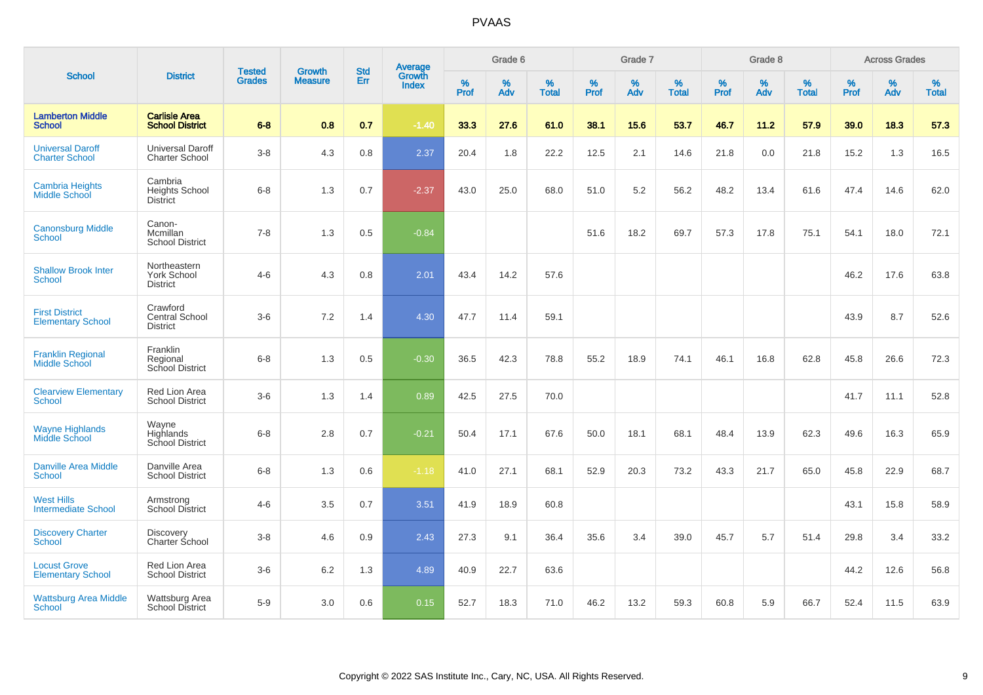| <b>School</b>                                     |                                                       |                                |                                 | <b>Std</b> |                                          |           | Grade 6     |                   |           | Grade 7  |                   |           | Grade 8  |                   |              | <b>Across Grades</b> |                   |
|---------------------------------------------------|-------------------------------------------------------|--------------------------------|---------------------------------|------------|------------------------------------------|-----------|-------------|-------------------|-----------|----------|-------------------|-----------|----------|-------------------|--------------|----------------------|-------------------|
|                                                   | <b>District</b>                                       | <b>Tested</b><br><b>Grades</b> | <b>Growth</b><br><b>Measure</b> | Err        | <b>Average</b><br>Growth<br><b>Index</b> | %<br>Prof | $\%$<br>Adv | %<br><b>Total</b> | %<br>Prof | %<br>Adv | %<br><b>Total</b> | %<br>Prof | %<br>Adv | %<br><b>Total</b> | $\%$<br>Prof | $\%$<br>Adv          | %<br><b>Total</b> |
| <b>Lamberton Middle</b><br><b>School</b>          | <b>Carlisle Area</b><br><b>School District</b>        | $6 - 8$                        | 0.8                             | 0.7        | $-1.40$                                  | 33.3      | 27.6        | 61.0              | 38.1      | 15.6     | 53.7              | 46.7      | 11.2     | 57.9              | 39.0         | 18.3                 | 57.3              |
| <b>Universal Daroff</b><br><b>Charter School</b>  | <b>Universal Daroff</b><br><b>Charter School</b>      | $3-8$                          | 4.3                             | 0.8        | 2.37                                     | 20.4      | 1.8         | 22.2              | 12.5      | 2.1      | 14.6              | 21.8      | 0.0      | 21.8              | 15.2         | 1.3                  | 16.5              |
| <b>Cambria Heights</b><br><b>Middle School</b>    | Cambria<br><b>Heights School</b><br><b>District</b>   | $6 - 8$                        | 1.3                             | 0.7        | $-2.37$                                  | 43.0      | 25.0        | 68.0              | 51.0      | 5.2      | 56.2              | 48.2      | 13.4     | 61.6              | 47.4         | 14.6                 | 62.0              |
| <b>Canonsburg Middle</b><br>School                | Canon-<br>Mcmillan<br><b>School District</b>          | $7 - 8$                        | 1.3                             | 0.5        | $-0.84$                                  |           |             |                   | 51.6      | 18.2     | 69.7              | 57.3      | 17.8     | 75.1              | 54.1         | 18.0                 | 72.1              |
| <b>Shallow Brook Inter</b><br><b>School</b>       | Northeastern<br><b>York School</b><br><b>District</b> | $4 - 6$                        | 4.3                             | 0.8        | 2.01                                     | 43.4      | 14.2        | 57.6              |           |          |                   |           |          |                   | 46.2         | 17.6                 | 63.8              |
| <b>First District</b><br><b>Elementary School</b> | Crawford<br>Central School<br><b>District</b>         | $3-6$                          | 7.2                             | 1.4        | 4.30                                     | 47.7      | 11.4        | 59.1              |           |          |                   |           |          |                   | 43.9         | 8.7                  | 52.6              |
| <b>Franklin Regional</b><br><b>Middle School</b>  | Franklin<br>Regional<br>School District               | $6 - 8$                        | 1.3                             | 0.5        | $-0.30$                                  | 36.5      | 42.3        | 78.8              | 55.2      | 18.9     | 74.1              | 46.1      | 16.8     | 62.8              | 45.8         | 26.6                 | 72.3              |
| <b>Clearview Elementary</b><br><b>School</b>      | Red Lion Area<br><b>School District</b>               | $3-6$                          | 1.3                             | 1.4        | 0.89                                     | 42.5      | 27.5        | 70.0              |           |          |                   |           |          |                   | 41.7         | 11.1                 | 52.8              |
| <b>Wayne Highlands</b><br>Middle School           | Wayne<br>Highlands<br>School District                 | $6 - 8$                        | 2.8                             | 0.7        | $-0.21$                                  | 50.4      | 17.1        | 67.6              | 50.0      | 18.1     | 68.1              | 48.4      | 13.9     | 62.3              | 49.6         | 16.3                 | 65.9              |
| <b>Danville Area Middle</b><br><b>School</b>      | Danville Area<br><b>School District</b>               | $6 - 8$                        | 1.3                             | 0.6        | $-1.18$                                  | 41.0      | 27.1        | 68.1              | 52.9      | 20.3     | 73.2              | 43.3      | 21.7     | 65.0              | 45.8         | 22.9                 | 68.7              |
| <b>West Hills</b><br><b>Intermediate School</b>   | Armstrong<br>School District                          | $4 - 6$                        | 3.5                             | 0.7        | 3.51                                     | 41.9      | 18.9        | 60.8              |           |          |                   |           |          |                   | 43.1         | 15.8                 | 58.9              |
| <b>Discovery Charter</b><br><b>School</b>         | Discovery<br>Charter School                           | $3-8$                          | 4.6                             | 0.9        | 2.43                                     | 27.3      | 9.1         | 36.4              | 35.6      | 3.4      | 39.0              | 45.7      | 5.7      | 51.4              | 29.8         | 3.4                  | 33.2              |
| <b>Locust Grove</b><br><b>Elementary School</b>   | Red Lion Area<br><b>School District</b>               | $3-6$                          | 6.2                             | 1.3        | 4.89                                     | 40.9      | 22.7        | 63.6              |           |          |                   |           |          |                   | 44.2         | 12.6                 | 56.8              |
| <b>Wattsburg Area Middle</b><br><b>School</b>     | Wattsburg Area<br><b>School District</b>              | $5-9$                          | 3.0                             | 0.6        | 0.15                                     | 52.7      | 18.3        | 71.0              | 46.2      | 13.2     | 59.3              | 60.8      | 5.9      | 66.7              | 52.4         | 11.5                 | 63.9              |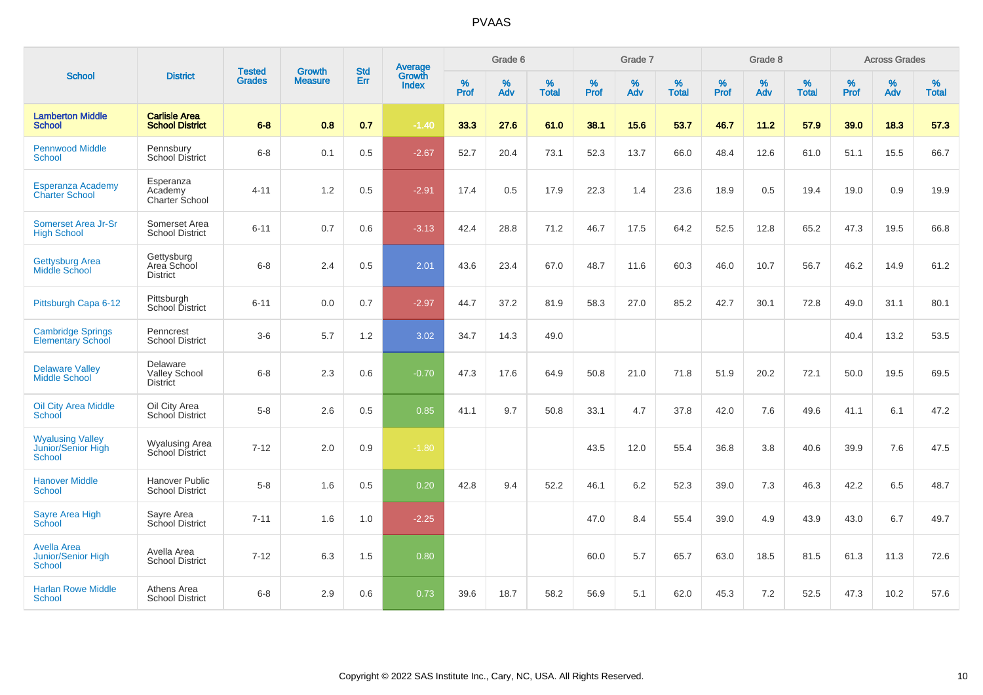|                                                                  |                                                     |                                |                                 | <b>Std</b> | Average                |                  | Grade 6  |                   |                  | Grade 7  |                   |                  | Grade 8  |                   |           | <b>Across Grades</b> |                   |
|------------------------------------------------------------------|-----------------------------------------------------|--------------------------------|---------------------------------|------------|------------------------|------------------|----------|-------------------|------------------|----------|-------------------|------------------|----------|-------------------|-----------|----------------------|-------------------|
| <b>School</b>                                                    | <b>District</b>                                     | <b>Tested</b><br><b>Grades</b> | <b>Growth</b><br><b>Measure</b> | Err        | Growth<br><b>Index</b> | %<br><b>Prof</b> | %<br>Adv | %<br><b>Total</b> | %<br><b>Prof</b> | %<br>Adv | %<br><b>Total</b> | %<br><b>Prof</b> | %<br>Adv | %<br><b>Total</b> | %<br>Prof | %<br>Adv             | %<br><b>Total</b> |
| <b>Lamberton Middle</b><br><b>School</b>                         | <b>Carlisle Area</b><br><b>School District</b>      | $6 - 8$                        | 0.8                             | 0.7        | $-1.40$                | 33.3             | 27.6     | 61.0              | 38.1             | 15.6     | 53.7              | 46.7             | 11.2     | 57.9              | 39.0      | 18.3                 | 57.3              |
| <b>Pennwood Middle</b><br><b>School</b>                          | Pennsbury<br><b>School District</b>                 | $6 - 8$                        | 0.1                             | 0.5        | $-2.67$                | 52.7             | 20.4     | 73.1              | 52.3             | 13.7     | 66.0              | 48.4             | 12.6     | 61.0              | 51.1      | 15.5                 | 66.7              |
| <b>Esperanza Academy</b><br><b>Charter School</b>                | Esperanza<br>Academy<br>Charter School              | $4 - 11$                       | $1.2$                           | 0.5        | $-2.91$                | 17.4             | 0.5      | 17.9              | 22.3             | 1.4      | 23.6              | 18.9             | 0.5      | 19.4              | 19.0      | 0.9                  | 19.9              |
| Somerset Area Jr-Sr<br><b>High School</b>                        | Somerset Area<br><b>School District</b>             | $6 - 11$                       | 0.7                             | 0.6        | $-3.13$                | 42.4             | 28.8     | 71.2              | 46.7             | 17.5     | 64.2              | 52.5             | 12.8     | 65.2              | 47.3      | 19.5                 | 66.8              |
| <b>Gettysburg Area</b><br><b>Middle School</b>                   | Gettysburg<br>Area School<br><b>District</b>        | $6 - 8$                        | 2.4                             | 0.5        | 2.01                   | 43.6             | 23.4     | 67.0              | 48.7             | 11.6     | 60.3              | 46.0             | 10.7     | 56.7              | 46.2      | 14.9                 | 61.2              |
| Pittsburgh Capa 6-12                                             | Pittsburgh<br>School District                       | $6 - 11$                       | $0.0\,$                         | 0.7        | $-2.97$                | 44.7             | 37.2     | 81.9              | 58.3             | 27.0     | 85.2              | 42.7             | 30.1     | 72.8              | 49.0      | 31.1                 | 80.1              |
| <b>Cambridge Springs</b><br><b>Elementary School</b>             | Penncrest<br><b>School District</b>                 | $3-6$                          | 5.7                             | 1.2        | 3.02                   | 34.7             | 14.3     | 49.0              |                  |          |                   |                  |          |                   | 40.4      | 13.2                 | 53.5              |
| <b>Delaware Valley</b><br><b>Middle School</b>                   | Delaware<br><b>Valley School</b><br><b>District</b> | $6 - 8$                        | 2.3                             | 0.6        | $-0.70$                | 47.3             | 17.6     | 64.9              | 50.8             | 21.0     | 71.8              | 51.9             | 20.2     | 72.1              | 50.0      | 19.5                 | 69.5              |
| <b>Oil City Area Middle</b><br>School                            | Oil City Area<br>School District                    | $5-8$                          | 2.6                             | 0.5        | 0.85                   | 41.1             | 9.7      | 50.8              | 33.1             | 4.7      | 37.8              | 42.0             | 7.6      | 49.6              | 41.1      | 6.1                  | 47.2              |
| <b>Wyalusing Valley</b><br>Junior/Senior High<br><b>School</b>   | <b>Wyalusing Area</b><br>School District            | $7 - 12$                       | 2.0                             | 0.9        | $-1.80$                |                  |          |                   | 43.5             | 12.0     | 55.4              | 36.8             | 3.8      | 40.6              | 39.9      | 7.6                  | 47.5              |
| <b>Hanover Middle</b><br><b>School</b>                           | <b>Hanover Public</b><br><b>School District</b>     | $5-8$                          | 1.6                             | 0.5        | 0.20                   | 42.8             | 9.4      | 52.2              | 46.1             | 6.2      | 52.3              | 39.0             | 7.3      | 46.3              | 42.2      | 6.5                  | 48.7              |
| <b>Sayre Area High</b><br>School                                 | Sayre Area<br>School District                       | $7 - 11$                       | 1.6                             | 1.0        | $-2.25$                |                  |          |                   | 47.0             | 8.4      | 55.4              | 39.0             | 4.9      | 43.9              | 43.0      | 6.7                  | 49.7              |
| <b>Avella Area</b><br><b>Junior/Senior High</b><br><b>School</b> | Avella Area<br><b>School District</b>               | $7 - 12$                       | 6.3                             | 1.5        | 0.80                   |                  |          |                   | 60.0             | 5.7      | 65.7              | 63.0             | 18.5     | 81.5              | 61.3      | 11.3                 | 72.6              |
| <b>Harlan Rowe Middle</b><br><b>School</b>                       | Athens Area<br><b>School District</b>               | $6 - 8$                        | 2.9                             | 0.6        | 0.73                   | 39.6             | 18.7     | 58.2              | 56.9             | 5.1      | 62.0              | 45.3             | 7.2      | 52.5              | 47.3      | 10.2                 | 57.6              |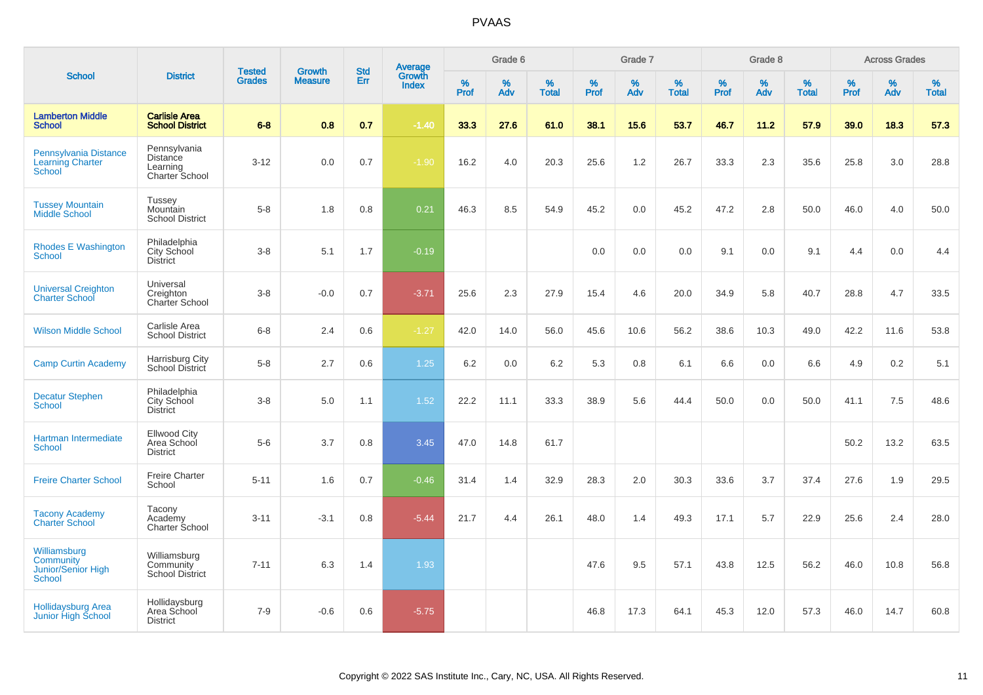|                                                                   |                                                               |                                | <b>Growth</b>  | <b>Std</b> |                                          |                     | Grade 6  |                   |              | Grade 7     |                   |           | Grade 8  |                   |              | <b>Across Grades</b> |                   |
|-------------------------------------------------------------------|---------------------------------------------------------------|--------------------------------|----------------|------------|------------------------------------------|---------------------|----------|-------------------|--------------|-------------|-------------------|-----------|----------|-------------------|--------------|----------------------|-------------------|
| <b>School</b>                                                     | <b>District</b>                                               | <b>Tested</b><br><b>Grades</b> | <b>Measure</b> | Err        | <b>Average</b><br>Growth<br><b>Index</b> | $\%$<br><b>Prof</b> | %<br>Adv | %<br><b>Total</b> | $\%$<br>Prof | $\%$<br>Adv | %<br><b>Total</b> | %<br>Prof | %<br>Adv | %<br><b>Total</b> | $\%$<br>Prof | $\%$<br>Adv          | %<br><b>Total</b> |
| <b>Lamberton Middle</b><br><b>School</b>                          | <b>Carlisle Area</b><br><b>School District</b>                | $6 - 8$                        | 0.8            | 0.7        | $-1.40$                                  | 33.3                | 27.6     | 61.0              | 38.1         | 15.6        | 53.7              | 46.7      | 11.2     | 57.9              | 39.0         | 18.3                 | 57.3              |
| Pennsylvania Distance<br><b>Learning Charter</b><br><b>School</b> | Pennsylvania<br><b>Distance</b><br>Learning<br>Charter School | $3 - 12$                       | 0.0            | 0.7        | $-1.90$                                  | 16.2                | 4.0      | 20.3              | 25.6         | 1.2         | 26.7              | 33.3      | 2.3      | 35.6              | 25.8         | 3.0                  | 28.8              |
| <b>Tussey Mountain</b><br><b>Middle School</b>                    | Tussey<br>Mountain<br><b>School District</b>                  | $5-8$                          | 1.8            | 0.8        | 0.21                                     | 46.3                | 8.5      | 54.9              | 45.2         | 0.0         | 45.2              | 47.2      | 2.8      | 50.0              | 46.0         | 4.0                  | 50.0              |
| <b>Rhodes E Washington</b><br>School                              | Philadelphia<br>City School<br><b>District</b>                | $3 - 8$                        | 5.1            | 1.7        | $-0.19$                                  |                     |          |                   | 0.0          | 0.0         | 0.0               | 9.1       | 0.0      | 9.1               | 4.4          | 0.0                  | 4.4               |
| <b>Universal Creighton</b><br><b>Charter School</b>               | Universal<br>Creighton<br>Charter School                      | $3 - 8$                        | $-0.0$         | 0.7        | $-3.71$                                  | 25.6                | 2.3      | 27.9              | 15.4         | 4.6         | 20.0              | 34.9      | 5.8      | 40.7              | 28.8         | 4.7                  | 33.5              |
| <b>Wilson Middle School</b>                                       | Carlisle Area<br><b>School District</b>                       | $6 - 8$                        | 2.4            | 0.6        | $-1.27$                                  | 42.0                | 14.0     | 56.0              | 45.6         | 10.6        | 56.2              | 38.6      | 10.3     | 49.0              | 42.2         | 11.6                 | 53.8              |
| <b>Camp Curtin Academy</b>                                        | Harrisburg City<br>School District                            | $5-8$                          | 2.7            | 0.6        | 1.25                                     | 6.2                 | 0.0      | 6.2               | 5.3          | 0.8         | 6.1               | 6.6       | 0.0      | 6.6               | 4.9          | 0.2                  | 5.1               |
| <b>Decatur Stephen</b><br>School                                  | Philadelphia<br>City School<br><b>District</b>                | $3 - 8$                        | 5.0            | 1.1        | 1.52                                     | 22.2                | 11.1     | 33.3              | 38.9         | 5.6         | 44.4              | 50.0      | 0.0      | 50.0              | 41.1         | 7.5                  | 48.6              |
| Hartman Intermediate<br><b>School</b>                             | <b>Ellwood City</b><br>Area School<br><b>District</b>         | $5-6$                          | 3.7            | 0.8        | 3.45                                     | 47.0                | 14.8     | 61.7              |              |             |                   |           |          |                   | 50.2         | 13.2                 | 63.5              |
| <b>Freire Charter School</b>                                      | <b>Freire Charter</b><br>School                               | $5 - 11$                       | 1.6            | 0.7        | $-0.46$                                  | 31.4                | 1.4      | 32.9              | 28.3         | 2.0         | 30.3              | 33.6      | 3.7      | 37.4              | 27.6         | 1.9                  | 29.5              |
| <b>Tacony Academy</b><br><b>Charter School</b>                    | Tacony<br>Academy<br>Charter School                           | $3 - 11$                       | $-3.1$         | 0.8        | $-5.44$                                  | 21.7                | 4.4      | 26.1              | 48.0         | 1.4         | 49.3              | 17.1      | 5.7      | 22.9              | 25.6         | 2.4                  | 28.0              |
| Williamsburg<br>Community<br>Junior/Senior High<br><b>School</b>  | Williamsburg<br>Community<br><b>School District</b>           | $7 - 11$                       | 6.3            | 1.4        | 1.93                                     |                     |          |                   | 47.6         | 9.5         | 57.1              | 43.8      | 12.5     | 56.2              | 46.0         | 10.8                 | 56.8              |
| <b>Hollidaysburg Area</b><br>Junior High School                   | Hollidaysburg<br>Area School<br><b>District</b>               | $7 - 9$                        | $-0.6$         | 0.6        | $-5.75$                                  |                     |          |                   | 46.8         | 17.3        | 64.1              | 45.3      | 12.0     | 57.3              | 46.0         | 14.7                 | 60.8              |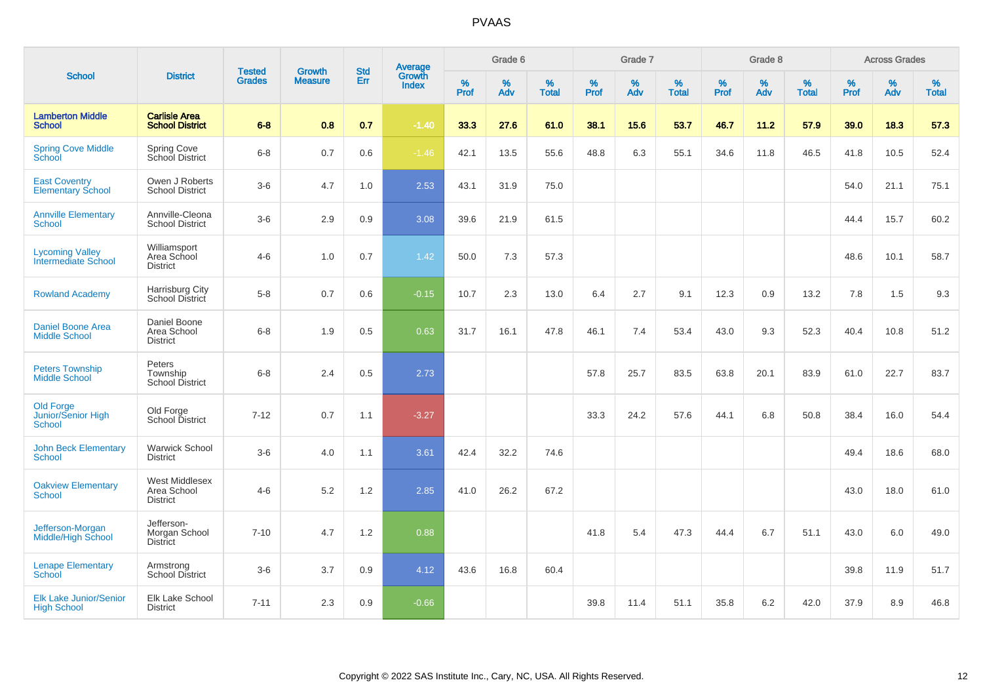|                                                         |                                                         |                                | <b>Growth</b>  |                   |                                          |                  | Grade 6     |                   |           | Grade 7  |                   |           | Grade 8  |                   |              | <b>Across Grades</b> |                   |
|---------------------------------------------------------|---------------------------------------------------------|--------------------------------|----------------|-------------------|------------------------------------------|------------------|-------------|-------------------|-----------|----------|-------------------|-----------|----------|-------------------|--------------|----------------------|-------------------|
| <b>School</b>                                           | <b>District</b>                                         | <b>Tested</b><br><b>Grades</b> | <b>Measure</b> | <b>Std</b><br>Err | <b>Average</b><br>Growth<br><b>Index</b> | %<br><b>Prof</b> | $\%$<br>Adv | %<br><b>Total</b> | %<br>Prof | %<br>Adv | %<br><b>Total</b> | %<br>Prof | %<br>Adv | %<br><b>Total</b> | $\%$<br>Prof | $\%$<br>Adv          | %<br><b>Total</b> |
| <b>Lamberton Middle</b><br><b>School</b>                | <b>Carlisle Area</b><br><b>School District</b>          | $6 - 8$                        | 0.8            | 0.7               | $-1.40$                                  | 33.3             | 27.6        | 61.0              | 38.1      | 15.6     | 53.7              | 46.7      | 11.2     | 57.9              | 39.0         | 18.3                 | 57.3              |
| <b>Spring Cove Middle</b><br>School                     | Spring Cove<br>School District                          | $6 - 8$                        | 0.7            | 0.6               | $-1.46$                                  | 42.1             | 13.5        | 55.6              | 48.8      | 6.3      | 55.1              | 34.6      | 11.8     | 46.5              | 41.8         | 10.5                 | 52.4              |
| <b>East Coventry</b><br><b>Elementary School</b>        | Owen J Roberts<br><b>School District</b>                | $3-6$                          | 4.7            | 1.0               | 2.53                                     | 43.1             | 31.9        | 75.0              |           |          |                   |           |          |                   | 54.0         | 21.1                 | 75.1              |
| <b>Annville Elementary</b><br>School                    | Annville-Cleona<br><b>School District</b>               | $3-6$                          | 2.9            | 0.9               | 3.08                                     | 39.6             | 21.9        | 61.5              |           |          |                   |           |          |                   | 44.4         | 15.7                 | 60.2              |
| <b>Lycoming Valley</b><br>Intermediate School           | Williamsport<br>Area School<br><b>District</b>          | $4 - 6$                        | 1.0            | 0.7               | 1.42                                     | 50.0             | 7.3         | 57.3              |           |          |                   |           |          |                   | 48.6         | 10.1                 | 58.7              |
| <b>Rowland Academy</b>                                  | Harrisburg City<br><b>School District</b>               | $5 - 8$                        | 0.7            | 0.6               | $-0.15$                                  | 10.7             | 2.3         | 13.0              | 6.4       | 2.7      | 9.1               | 12.3      | 0.9      | 13.2              | 7.8          | 1.5                  | 9.3               |
| Daniel Boone Area<br><b>Middle School</b>               | Daniel Boone<br>Area School<br><b>District</b>          | $6 - 8$                        | 1.9            | 0.5               | 0.63                                     | 31.7             | 16.1        | 47.8              | 46.1      | 7.4      | 53.4              | 43.0      | 9.3      | 52.3              | 40.4         | 10.8                 | 51.2              |
| <b>Peters Township</b><br><b>Middle School</b>          | Peters<br>Township<br>School District                   | $6 - 8$                        | 2.4            | 0.5               | 2.73                                     |                  |             |                   | 57.8      | 25.7     | 83.5              | 63.8      | 20.1     | 83.9              | 61.0         | 22.7                 | 83.7              |
| <b>Old Forge</b><br>Junior/Senior High<br><b>School</b> | Old Forge<br>School District                            | $7 - 12$                       | 0.7            | 1.1               | $-3.27$                                  |                  |             |                   | 33.3      | 24.2     | 57.6              | 44.1      | 6.8      | 50.8              | 38.4         | 16.0                 | 54.4              |
| <b>John Beck Elementary</b><br><b>School</b>            | <b>Warwick School</b><br><b>District</b>                | $3-6$                          | 4.0            | 1.1               | 3.61                                     | 42.4             | 32.2        | 74.6              |           |          |                   |           |          |                   | 49.4         | 18.6                 | 68.0              |
| <b>Oakview Elementary</b><br><b>School</b>              | <b>West Middlesex</b><br>Area School<br><b>District</b> | $4 - 6$                        | 5.2            | 1.2               | 2.85                                     | 41.0             | 26.2        | 67.2              |           |          |                   |           |          |                   | 43.0         | 18.0                 | 61.0              |
| Jefferson-Morgan<br><b>Middle/High School</b>           | Jefferson-<br>Morgan School<br><b>District</b>          | $7 - 10$                       | 4.7            | $1.2$             | 0.88                                     |                  |             |                   | 41.8      | 5.4      | 47.3              | 44.4      | 6.7      | 51.1              | 43.0         | 6.0                  | 49.0              |
| <b>Lenape Elementary</b><br>School                      | Armstrong<br>School District                            | $3-6$                          | 3.7            | 0.9               | 4.12                                     | 43.6             | 16.8        | 60.4              |           |          |                   |           |          |                   | 39.8         | 11.9                 | 51.7              |
| <b>Elk Lake Junior/Senior</b><br><b>High School</b>     | Elk Lake School<br><b>District</b>                      | $7 - 11$                       | 2.3            | 0.9               | $-0.66$                                  |                  |             |                   | 39.8      | 11.4     | 51.1              | 35.8      | 6.2      | 42.0              | 37.9         | 8.9                  | 46.8              |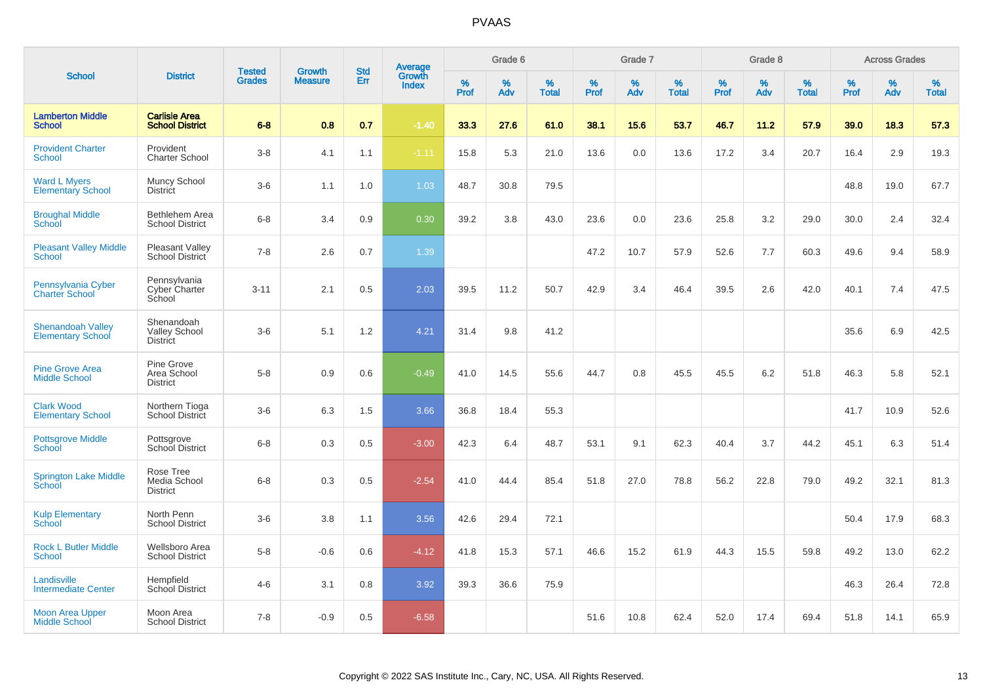|                                                      |                                                       | <b>Tested</b> | <b>Growth</b>  | <b>Std</b> |                                          |                  | Grade 6  |                   |              | Grade 7     |                   |           | Grade 8  |                   |           | <b>Across Grades</b> |                   |
|------------------------------------------------------|-------------------------------------------------------|---------------|----------------|------------|------------------------------------------|------------------|----------|-------------------|--------------|-------------|-------------------|-----------|----------|-------------------|-----------|----------------------|-------------------|
| <b>School</b>                                        | <b>District</b>                                       | <b>Grades</b> | <b>Measure</b> | Err        | <b>Average</b><br>Growth<br><b>Index</b> | %<br><b>Prof</b> | %<br>Adv | %<br><b>Total</b> | $\%$<br>Prof | $\%$<br>Adv | %<br><b>Total</b> | %<br>Prof | %<br>Adv | %<br><b>Total</b> | %<br>Prof | $\%$<br>Adv          | %<br><b>Total</b> |
| <b>Lamberton Middle</b><br><b>School</b>             | <b>Carlisle Area</b><br><b>School District</b>        | $6 - 8$       | 0.8            | 0.7        | $-1.40$                                  | 33.3             | 27.6     | 61.0              | 38.1         | 15.6        | 53.7              | 46.7      | 11.2     | 57.9              | 39.0      | 18.3                 | 57.3              |
| <b>Provident Charter</b><br>School                   | Provident<br><b>Charter School</b>                    | $3 - 8$       | 4.1            | 1.1        | $-1.11$                                  | 15.8             | 5.3      | 21.0              | 13.6         | 0.0         | 13.6              | 17.2      | 3.4      | 20.7              | 16.4      | 2.9                  | 19.3              |
| <b>Ward L Myers</b><br><b>Elementary School</b>      | Muncy School<br>District                              | $3-6$         | 1.1            | 1.0        | 1.03                                     | 48.7             | 30.8     | 79.5              |              |             |                   |           |          |                   | 48.8      | 19.0                 | 67.7              |
| <b>Broughal Middle</b><br><b>School</b>              | Bethlehem Area<br><b>School District</b>              | $6 - 8$       | 3.4            | 0.9        | 0.30                                     | 39.2             | 3.8      | 43.0              | 23.6         | 0.0         | 23.6              | 25.8      | 3.2      | 29.0              | 30.0      | 2.4                  | 32.4              |
| <b>Pleasant Valley Middle</b><br>School              | <b>Pleasant Valley</b><br>School District             | $7 - 8$       | 2.6            | 0.7        | 1.39                                     |                  |          |                   | 47.2         | 10.7        | 57.9              | 52.6      | 7.7      | 60.3              | 49.6      | 9.4                  | 58.9              |
| Pennsylvania Cyber<br><b>Charter School</b>          | Pennsylvania<br>Cyber Charter<br>School               | $3 - 11$      | 2.1            | 0.5        | 2.03                                     | 39.5             | 11.2     | 50.7              | 42.9         | 3.4         | 46.4              | 39.5      | 2.6      | 42.0              | 40.1      | 7.4                  | 47.5              |
| <b>Shenandoah Valley</b><br><b>Elementary School</b> | Shenandoah<br><b>Valley School</b><br><b>District</b> | $3-6$         | 5.1            | 1.2        | 4.21                                     | 31.4             | 9.8      | 41.2              |              |             |                   |           |          |                   | 35.6      | 6.9                  | 42.5              |
| <b>Pine Grove Area</b><br><b>Middle School</b>       | Pine Grove<br>Area School<br><b>District</b>          | $5-8$         | 0.9            | 0.6        | $-0.49$                                  | 41.0             | 14.5     | 55.6              | 44.7         | 0.8         | 45.5              | 45.5      | 6.2      | 51.8              | 46.3      | 5.8                  | 52.1              |
| <b>Clark Wood</b><br><b>Elementary School</b>        | Northern Tioga<br><b>School District</b>              | $3-6$         | 6.3            | 1.5        | 3.66                                     | 36.8             | 18.4     | 55.3              |              |             |                   |           |          |                   | 41.7      | 10.9                 | 52.6              |
| <b>Pottsgrove Middle</b><br>School                   | Pottsgrove<br>School District                         | $6 - 8$       | 0.3            | 0.5        | $-3.00$                                  | 42.3             | 6.4      | 48.7              | 53.1         | 9.1         | 62.3              | 40.4      | 3.7      | 44.2              | 45.1      | 6.3                  | 51.4              |
| <b>Springton Lake Middle</b><br>School               | Rose Tree<br>Media School<br><b>District</b>          | $6-8$         | 0.3            | 0.5        | $-2.54$                                  | 41.0             | 44.4     | 85.4              | 51.8         | 27.0        | 78.8              | 56.2      | 22.8     | 79.0              | 49.2      | 32.1                 | 81.3              |
| <b>Kulp Elementary</b><br>School                     | North Penn<br><b>School District</b>                  | $3-6$         | 3.8            | 1.1        | 3.56                                     | 42.6             | 29.4     | 72.1              |              |             |                   |           |          |                   | 50.4      | 17.9                 | 68.3              |
| <b>Rock L Butler Middle</b><br><b>School</b>         | Wellsboro Area<br><b>School District</b>              | $5-8$         | $-0.6$         | 0.6        | $-4.12$                                  | 41.8             | 15.3     | 57.1              | 46.6         | 15.2        | 61.9              | 44.3      | 15.5     | 59.8              | 49.2      | 13.0                 | 62.2              |
| Landisville<br><b>Intermediate Center</b>            | Hempfield<br><b>School District</b>                   | $4 - 6$       | 3.1            | 0.8        | 3.92                                     | 39.3             | 36.6     | 75.9              |              |             |                   |           |          |                   | 46.3      | 26.4                 | 72.8              |
| <b>Moon Area Upper</b><br><b>Middle School</b>       | Moon Area<br><b>School District</b>                   | $7 - 8$       | $-0.9$         | 0.5        | $-6.58$                                  |                  |          |                   | 51.6         | 10.8        | 62.4              | 52.0      | 17.4     | 69.4              | 51.8      | 14.1                 | 65.9              |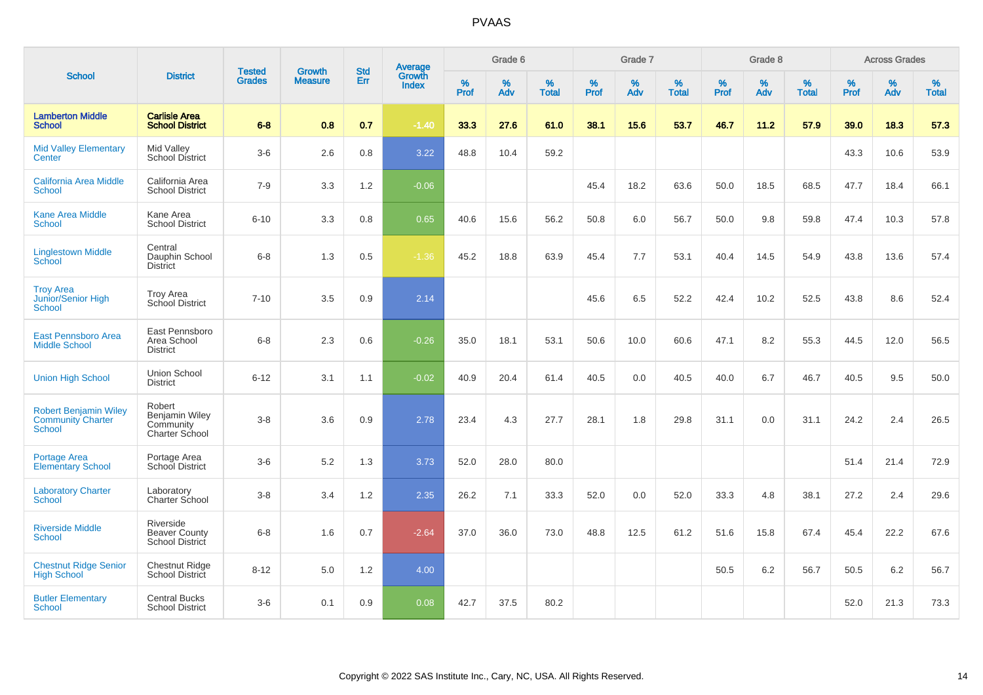|                                                                           |                                                                |                                | <b>Growth</b>  | <b>Std</b> |                                          |                  | Grade 6     |                   |           | Grade 7  |                   |           | Grade 8  |                   |              | <b>Across Grades</b> |                   |
|---------------------------------------------------------------------------|----------------------------------------------------------------|--------------------------------|----------------|------------|------------------------------------------|------------------|-------------|-------------------|-----------|----------|-------------------|-----------|----------|-------------------|--------------|----------------------|-------------------|
| <b>School</b>                                                             | <b>District</b>                                                | <b>Tested</b><br><b>Grades</b> | <b>Measure</b> | Err        | <b>Average</b><br>Growth<br><b>Index</b> | %<br><b>Prof</b> | $\%$<br>Adv | %<br><b>Total</b> | %<br>Prof | %<br>Adv | %<br><b>Total</b> | %<br>Prof | %<br>Adv | %<br><b>Total</b> | $\%$<br>Prof | $\%$<br>Adv          | %<br><b>Total</b> |
| <b>Lamberton Middle</b><br><b>School</b>                                  | <b>Carlisle Area</b><br><b>School District</b>                 | $6 - 8$                        | 0.8            | 0.7        | $-1.40$                                  | 33.3             | 27.6        | 61.0              | 38.1      | 15.6     | 53.7              | 46.7      | 11.2     | 57.9              | 39.0         | 18.3                 | 57.3              |
| <b>Mid Valley Elementary</b><br>Center                                    | Mid Valley<br><b>School District</b>                           | $3-6$                          | 2.6            | 0.8        | 3.22                                     | 48.8             | 10.4        | 59.2              |           |          |                   |           |          |                   | 43.3         | 10.6                 | 53.9              |
| California Area Middle<br><b>School</b>                                   | California Area<br><b>School District</b>                      | $7 - 9$                        | 3.3            | 1.2        | $-0.06$                                  |                  |             |                   | 45.4      | 18.2     | 63.6              | 50.0      | 18.5     | 68.5              | 47.7         | 18.4                 | 66.1              |
| <b>Kane Area Middle</b><br>School                                         | Kane Area<br><b>School District</b>                            | $6 - 10$                       | 3.3            | 0.8        | 0.65                                     | 40.6             | 15.6        | 56.2              | 50.8      | 6.0      | 56.7              | 50.0      | 9.8      | 59.8              | 47.4         | 10.3                 | 57.8              |
| <b>Linglestown Middle</b><br>School                                       | Central<br>Dauphin School<br><b>District</b>                   | $6 - 8$                        | 1.3            | 0.5        | $-1.36$                                  | 45.2             | 18.8        | 63.9              | 45.4      | 7.7      | 53.1              | 40.4      | 14.5     | 54.9              | 43.8         | 13.6                 | 57.4              |
| <b>Troy Area</b><br>Junior/Senior High<br><b>School</b>                   | <b>Troy Area</b><br>School District                            | $7 - 10$                       | 3.5            | 0.9        | 2.14                                     |                  |             |                   | 45.6      | 6.5      | 52.2              | 42.4      | 10.2     | 52.5              | 43.8         | 8.6                  | 52.4              |
| East Pennsboro Area<br><b>Middle School</b>                               | East Pennsboro<br>Area School<br><b>District</b>               | $6 - 8$                        | 2.3            | 0.6        | $-0.26$                                  | 35.0             | 18.1        | 53.1              | 50.6      | 10.0     | 60.6              | 47.1      | 8.2      | 55.3              | 44.5         | 12.0                 | 56.5              |
| <b>Union High School</b>                                                  | Union School<br><b>District</b>                                | $6 - 12$                       | 3.1            | 1.1        | $-0.02$                                  | 40.9             | 20.4        | 61.4              | 40.5      | 0.0      | 40.5              | 40.0      | 6.7      | 46.7              | 40.5         | 9.5                  | 50.0              |
| <b>Robert Benjamin Wiley</b><br><b>Community Charter</b><br><b>School</b> | Robert<br>Benjamin Wiley<br>Community<br><b>Charter School</b> | $3-8$                          | 3.6            | 0.9        | 2.78                                     | 23.4             | 4.3         | 27.7              | 28.1      | 1.8      | 29.8              | 31.1      | 0.0      | 31.1              | 24.2         | 2.4                  | 26.5              |
| <b>Portage Area</b><br><b>Elementary School</b>                           | Portage Area<br>School District                                | $3-6$                          | 5.2            | 1.3        | 3.73                                     | 52.0             | 28.0        | 80.0              |           |          |                   |           |          |                   | 51.4         | 21.4                 | 72.9              |
| <b>Laboratory Charter</b><br><b>School</b>                                | Laboratory<br>Charter School                                   | $3-8$                          | 3.4            | 1.2        | 2.35                                     | 26.2             | 7.1         | 33.3              | 52.0      | 0.0      | 52.0              | 33.3      | 4.8      | 38.1              | 27.2         | 2.4                  | 29.6              |
| <b>Riverside Middle</b><br><b>School</b>                                  | Riverside<br><b>Beaver County</b><br><b>School District</b>    | $6 - 8$                        | 1.6            | 0.7        | $-2.64$                                  | 37.0             | 36.0        | 73.0              | 48.8      | 12.5     | 61.2              | 51.6      | 15.8     | 67.4              | 45.4         | 22.2                 | 67.6              |
| <b>Chestnut Ridge Senior</b><br><b>High School</b>                        | Chestnut Ridge<br>School District                              | $8 - 12$                       | 5.0            | 1.2        | 4.00                                     |                  |             |                   |           |          |                   | 50.5      | 6.2      | 56.7              | 50.5         | 6.2                  | 56.7              |
| <b>Butler Elementary</b><br><b>School</b>                                 | <b>Central Bucks</b><br><b>School District</b>                 | $3-6$                          | 0.1            | 0.9        | 0.08                                     | 42.7             | 37.5        | 80.2              |           |          |                   |           |          |                   | 52.0         | 21.3                 | 73.3              |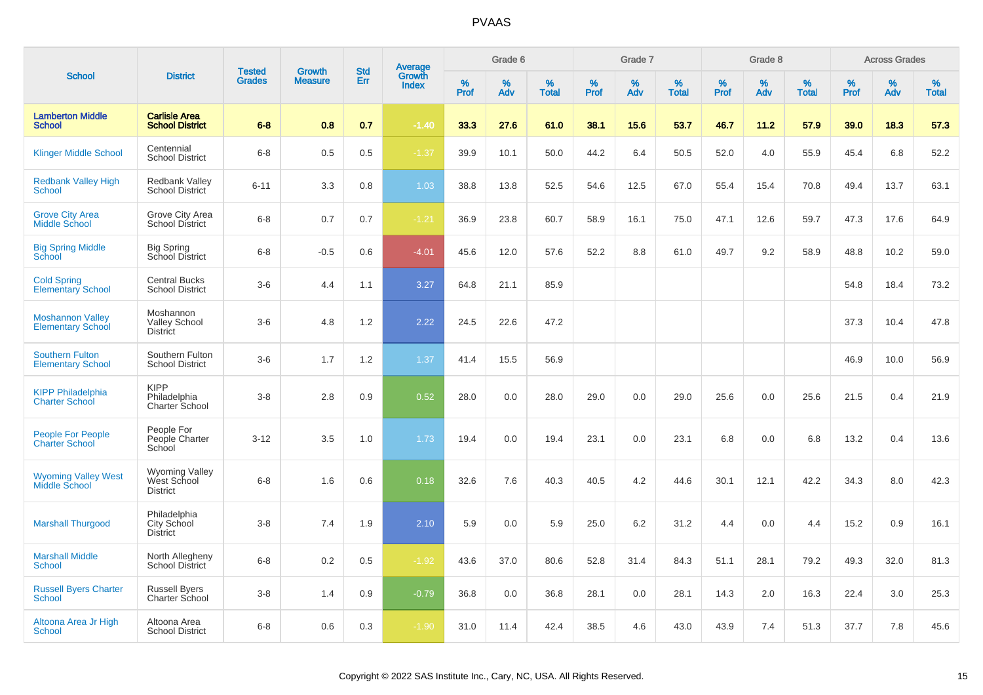|                                                     |                                                         |                                |                                 |                   |                                          |           | Grade 6     |                   |           | Grade 7  |                   |           | Grade 8  |                   |           | <b>Across Grades</b> |                   |
|-----------------------------------------------------|---------------------------------------------------------|--------------------------------|---------------------------------|-------------------|------------------------------------------|-----------|-------------|-------------------|-----------|----------|-------------------|-----------|----------|-------------------|-----------|----------------------|-------------------|
| <b>School</b>                                       | <b>District</b>                                         | <b>Tested</b><br><b>Grades</b> | <b>Growth</b><br><b>Measure</b> | <b>Std</b><br>Err | <b>Average</b><br>Growth<br><b>Index</b> | %<br>Prof | $\%$<br>Adv | %<br><b>Total</b> | %<br>Prof | %<br>Adv | %<br><b>Total</b> | %<br>Prof | %<br>Adv | %<br><b>Total</b> | %<br>Prof | %<br>Adv             | %<br><b>Total</b> |
| <b>Lamberton Middle</b><br><b>School</b>            | <b>Carlisle Area</b><br><b>School District</b>          | $6 - 8$                        | 0.8                             | 0.7               | $-1.40$                                  | 33.3      | 27.6        | 61.0              | 38.1      | 15.6     | 53.7              | 46.7      | 11.2     | 57.9              | 39.0      | 18.3                 | 57.3              |
| <b>Klinger Middle School</b>                        | Centennial<br><b>School District</b>                    | $6 - 8$                        | 0.5                             | 0.5               | $-1.37$                                  | 39.9      | 10.1        | 50.0              | 44.2      | 6.4      | 50.5              | 52.0      | 4.0      | 55.9              | 45.4      | 6.8                  | 52.2              |
| <b>Redbank Valley High</b><br>School                | <b>Redbank Valley</b><br><b>School District</b>         | $6 - 11$                       | 3.3                             | 0.8               | 1.03                                     | 38.8      | 13.8        | 52.5              | 54.6      | 12.5     | 67.0              | 55.4      | 15.4     | 70.8              | 49.4      | 13.7                 | 63.1              |
| <b>Grove City Area</b><br><b>Middle School</b>      | Grove City Area<br><b>School District</b>               | $6 - 8$                        | 0.7                             | 0.7               | $-1.21$                                  | 36.9      | 23.8        | 60.7              | 58.9      | 16.1     | 75.0              | 47.1      | 12.6     | 59.7              | 47.3      | 17.6                 | 64.9              |
| <b>Big Spring Middle</b><br>School                  | <b>Big Spring</b><br>School District                    | $6 - 8$                        | $-0.5$                          | 0.6               | $-4.01$                                  | 45.6      | 12.0        | 57.6              | 52.2      | 8.8      | 61.0              | 49.7      | 9.2      | 58.9              | 48.8      | 10.2                 | 59.0              |
| <b>Cold Spring</b><br>Elementary School             | <b>Central Bucks</b><br><b>School District</b>          | $3-6$                          | 4.4                             | 1.1               | 3.27                                     | 64.8      | 21.1        | 85.9              |           |          |                   |           |          |                   | 54.8      | 18.4                 | 73.2              |
| <b>Moshannon Valley</b><br><b>Elementary School</b> | Moshannon<br><b>Valley School</b><br><b>District</b>    | $3-6$                          | 4.8                             | 1.2               | 2.22                                     | 24.5      | 22.6        | 47.2              |           |          |                   |           |          |                   | 37.3      | 10.4                 | 47.8              |
| <b>Southern Fulton</b><br><b>Elementary School</b>  | Southern Fulton<br><b>School District</b>               | $3-6$                          | 1.7                             | 1.2               | 1.37                                     | 41.4      | 15.5        | 56.9              |           |          |                   |           |          |                   | 46.9      | 10.0                 | 56.9              |
| <b>KIPP Philadelphia</b><br><b>Charter School</b>   | <b>KIPP</b><br>Philadelphia<br>Charter School           | $3-8$                          | 2.8                             | 0.9               | 0.52                                     | 28.0      | 0.0         | 28.0              | 29.0      | 0.0      | 29.0              | 25.6      | 0.0      | 25.6              | 21.5      | 0.4                  | 21.9              |
| <b>People For People</b><br><b>Charter School</b>   | People For<br>People Charter<br>School                  | $3 - 12$                       | 3.5                             | 1.0               | 1.73                                     | 19.4      | 0.0         | 19.4              | 23.1      | 0.0      | 23.1              | 6.8       | 0.0      | 6.8               | 13.2      | 0.4                  | 13.6              |
| <b>Wyoming Valley West</b><br><b>Middle School</b>  | <b>Wyoming Valley</b><br>West School<br><b>District</b> | $6 - 8$                        | 1.6                             | 0.6               | 0.18                                     | 32.6      | 7.6         | 40.3              | 40.5      | 4.2      | 44.6              | 30.1      | 12.1     | 42.2              | 34.3      | 8.0                  | 42.3              |
| <b>Marshall Thurgood</b>                            | Philadelphia<br>City School<br><b>District</b>          | $3 - 8$                        | 7.4                             | 1.9               | 2.10                                     | 5.9       | 0.0         | 5.9               | 25.0      | 6.2      | 31.2              | 4.4       | 0.0      | 4.4               | 15.2      | 0.9                  | 16.1              |
| <b>Marshall Middle</b><br>School                    | North Allegheny<br>School District                      | $6 - 8$                        | 0.2                             | 0.5               | $-1.92$                                  | 43.6      | 37.0        | 80.6              | 52.8      | 31.4     | 84.3              | 51.1      | 28.1     | 79.2              | 49.3      | 32.0                 | 81.3              |
| <b>Russell Byers Charter</b><br><b>School</b>       | <b>Russell Byers</b><br>Charter School                  | $3 - 8$                        | 1.4                             | 0.9               | $-0.79$                                  | 36.8      | 0.0         | 36.8              | 28.1      | 0.0      | 28.1              | 14.3      | 2.0      | 16.3              | 22.4      | 3.0                  | 25.3              |
| Altoona Area Jr High<br>School                      | Altoona Area<br><b>School District</b>                  | $6 - 8$                        | 0.6                             | 0.3               | $-1.90$                                  | 31.0      | 11.4        | 42.4              | 38.5      | 4.6      | 43.0              | 43.9      | 7.4      | 51.3              | 37.7      | 7.8                  | 45.6              |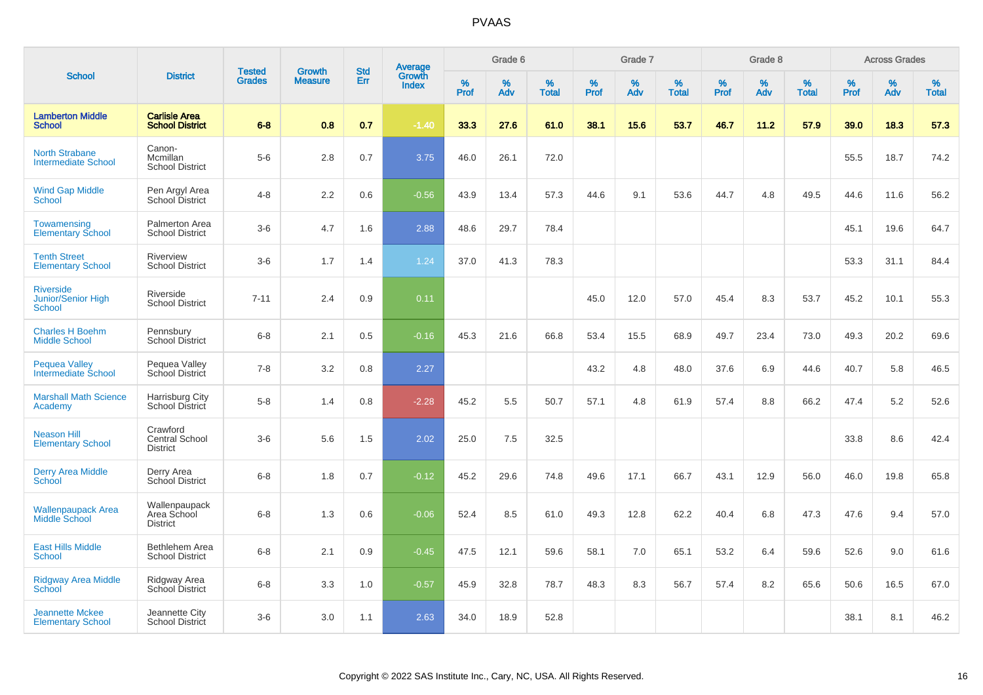|                                                     |                                                 |                                | <b>Growth</b>  | <b>Std</b> |                                          |           | Grade 6     |                   |           | Grade 7     |                   |           | Grade 8  |                   |              | <b>Across Grades</b> |                   |
|-----------------------------------------------------|-------------------------------------------------|--------------------------------|----------------|------------|------------------------------------------|-----------|-------------|-------------------|-----------|-------------|-------------------|-----------|----------|-------------------|--------------|----------------------|-------------------|
| <b>School</b>                                       | <b>District</b>                                 | <b>Tested</b><br><b>Grades</b> | <b>Measure</b> | Err        | <b>Average</b><br>Growth<br><b>Index</b> | %<br>Prof | $\%$<br>Adv | %<br><b>Total</b> | %<br>Prof | $\%$<br>Adv | %<br><b>Total</b> | %<br>Prof | %<br>Adv | %<br><b>Total</b> | $\%$<br>Prof | $\%$<br>Adv          | %<br><b>Total</b> |
| <b>Lamberton Middle</b><br><b>School</b>            | <b>Carlisle Area</b><br><b>School District</b>  | $6 - 8$                        | 0.8            | 0.7        | $-1.40$                                  | 33.3      | 27.6        | 61.0              | 38.1      | 15.6        | 53.7              | 46.7      | 11.2     | 57.9              | 39.0         | 18.3                 | 57.3              |
| <b>North Strabane</b><br><b>Intermediate School</b> | Canon-<br>Mcmillan<br><b>School District</b>    | $5-6$                          | 2.8            | 0.7        | 3.75                                     | 46.0      | 26.1        | 72.0              |           |             |                   |           |          |                   | 55.5         | 18.7                 | 74.2              |
| <b>Wind Gap Middle</b><br><b>School</b>             | Pen Argyl Area<br>School District               | $4 - 8$                        | 2.2            | 0.6        | $-0.56$                                  | 43.9      | 13.4        | 57.3              | 44.6      | 9.1         | 53.6              | 44.7      | 4.8      | 49.5              | 44.6         | 11.6                 | 56.2              |
| <b>Towamensing</b><br><b>Elementary School</b>      | Palmerton Area<br><b>School District</b>        | $3-6$                          | 4.7            | 1.6        | 2.88                                     | 48.6      | 29.7        | 78.4              |           |             |                   |           |          |                   | 45.1         | 19.6                 | 64.7              |
| <b>Tenth Street</b><br><b>Elementary School</b>     | Riverview<br><b>School District</b>             | $3-6$                          | 1.7            | 1.4        | 1.24                                     | 37.0      | 41.3        | 78.3              |           |             |                   |           |          |                   | 53.3         | 31.1                 | 84.4              |
| <b>Riverside</b><br>Junior/Senior High<br>School    | Riverside<br><b>School District</b>             | $7 - 11$                       | 2.4            | 0.9        | 0.11                                     |           |             |                   | 45.0      | 12.0        | 57.0              | 45.4      | 8.3      | 53.7              | 45.2         | 10.1                 | 55.3              |
| <b>Charles H Boehm</b><br><b>Middle School</b>      | Pennsbury<br><b>School District</b>             | $6 - 8$                        | 2.1            | 0.5        | $-0.16$                                  | 45.3      | 21.6        | 66.8              | 53.4      | 15.5        | 68.9              | 49.7      | 23.4     | 73.0              | 49.3         | 20.2                 | 69.6              |
| <b>Pequea Valley</b><br>Intermediate School         | Pequea Valley<br>School District                | $7 - 8$                        | 3.2            | 0.8        | 2.27                                     |           |             |                   | 43.2      | 4.8         | 48.0              | 37.6      | 6.9      | 44.6              | 40.7         | 5.8                  | 46.5              |
| <b>Marshall Math Science</b><br>Academy             | Harrisburg City<br><b>School District</b>       | $5 - 8$                        | 1.4            | 0.8        | $-2.28$                                  | 45.2      | 5.5         | 50.7              | 57.1      | 4.8         | 61.9              | 57.4      | 8.8      | 66.2              | 47.4         | 5.2                  | 52.6              |
| <b>Neason Hill</b><br><b>Elementary School</b>      | Crawford<br>Central School<br><b>District</b>   | $3-6$                          | 5.6            | 1.5        | 2.02                                     | 25.0      | 7.5         | 32.5              |           |             |                   |           |          |                   | 33.8         | 8.6                  | 42.4              |
| <b>Derry Area Middle</b><br>School                  | Derry Area<br>School District                   | $6 - 8$                        | 1.8            | 0.7        | $-0.12$                                  | 45.2      | 29.6        | 74.8              | 49.6      | 17.1        | 66.7              | 43.1      | 12.9     | 56.0              | 46.0         | 19.8                 | 65.8              |
| <b>Wallenpaupack Area</b><br>Middle School          | Wallenpaupack<br>Area School<br><b>District</b> | $6 - 8$                        | 1.3            | 0.6        | $-0.06$                                  | 52.4      | 8.5         | 61.0              | 49.3      | 12.8        | 62.2              | 40.4      | 6.8      | 47.3              | 47.6         | 9.4                  | 57.0              |
| <b>East Hills Middle</b><br><b>School</b>           | Bethlehem Area<br><b>School District</b>        | $6 - 8$                        | 2.1            | 0.9        | $-0.45$                                  | 47.5      | 12.1        | 59.6              | 58.1      | 7.0         | 65.1              | 53.2      | 6.4      | 59.6              | 52.6         | 9.0                  | 61.6              |
| <b>Ridgway Area Middle</b><br><b>School</b>         | Ridgway Area<br>School District                 | $6 - 8$                        | 3.3            | 1.0        | $-0.57$                                  | 45.9      | 32.8        | 78.7              | 48.3      | 8.3         | 56.7              | 57.4      | 8.2      | 65.6              | 50.6         | 16.5                 | 67.0              |
| <b>Jeannette Mckee</b><br><b>Elementary School</b>  | Jeannette City<br>School District               | $3-6$                          | 3.0            | 1.1        | 2.63                                     | 34.0      | 18.9        | 52.8              |           |             |                   |           |          |                   | 38.1         | 8.1                  | 46.2              |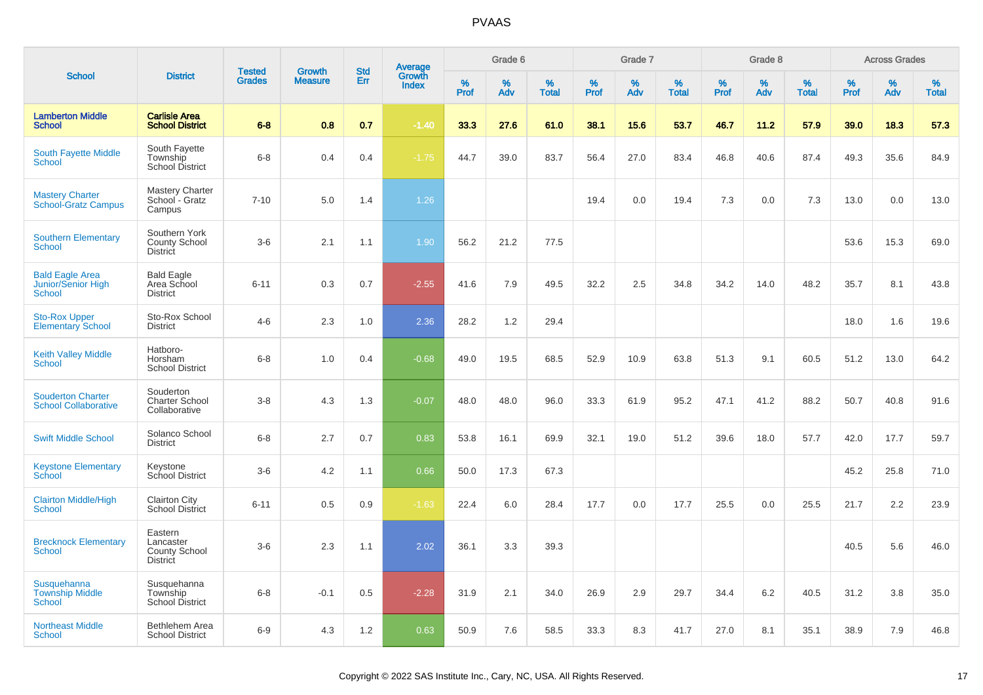|                                                         |                                                          |                                |                                 | <b>Std</b> |                                          |                  | Grade 6  |                   |           | Grade 7  |                   |           | Grade 8  |                   |           | <b>Across Grades</b> |                   |
|---------------------------------------------------------|----------------------------------------------------------|--------------------------------|---------------------------------|------------|------------------------------------------|------------------|----------|-------------------|-----------|----------|-------------------|-----------|----------|-------------------|-----------|----------------------|-------------------|
| <b>School</b>                                           | <b>District</b>                                          | <b>Tested</b><br><b>Grades</b> | <b>Growth</b><br><b>Measure</b> | Err        | <b>Average</b><br>Growth<br><b>Index</b> | %<br><b>Prof</b> | %<br>Adv | %<br><b>Total</b> | %<br>Prof | %<br>Adv | %<br><b>Total</b> | %<br>Prof | %<br>Adv | %<br><b>Total</b> | %<br>Prof | %<br>Adv             | %<br><b>Total</b> |
| <b>Lamberton Middle</b><br><b>School</b>                | <b>Carlisle Area</b><br><b>School District</b>           | $6 - 8$                        | 0.8                             | 0.7        | $-1.40$                                  | 33.3             | 27.6     | 61.0              | 38.1      | 15.6     | 53.7              | 46.7      | 11.2     | 57.9              | 39.0      | 18.3                 | 57.3              |
| <b>South Fayette Middle</b><br><b>School</b>            | South Fayette<br>Township<br>School District             | $6 - 8$                        | 0.4                             | 0.4        | $-1.75$                                  | 44.7             | 39.0     | 83.7              | 56.4      | 27.0     | 83.4              | 46.8      | 40.6     | 87.4              | 49.3      | 35.6                 | 84.9              |
| <b>Mastery Charter</b><br><b>School-Gratz Campus</b>    | <b>Mastery Charter</b><br>School - Gratz<br>Campus       | $7 - 10$                       | 5.0                             | 1.4        | 1.26                                     |                  |          |                   | 19.4      | 0.0      | 19.4              | 7.3       | 0.0      | 7.3               | 13.0      | 0.0                  | 13.0              |
| <b>Southern Elementary</b><br><b>School</b>             | Southern York<br>County School<br><b>District</b>        | $3-6$                          | 2.1                             | 1.1        | 1.90                                     | 56.2             | 21.2     | 77.5              |           |          |                   |           |          |                   | 53.6      | 15.3                 | 69.0              |
| <b>Bald Eagle Area</b><br>Junior/Senior High<br>School  | <b>Bald Eagle</b><br>Area School<br><b>District</b>      | $6 - 11$                       | 0.3                             | 0.7        | $-2.55$                                  | 41.6             | 7.9      | 49.5              | 32.2      | 2.5      | 34.8              | 34.2      | 14.0     | 48.2              | 35.7      | 8.1                  | 43.8              |
| <b>Sto-Rox Upper</b><br><b>Elementary School</b>        | Sto-Rox School<br><b>District</b>                        | $4-6$                          | 2.3                             | 1.0        | 2.36                                     | 28.2             | 1.2      | 29.4              |           |          |                   |           |          |                   | 18.0      | 1.6                  | 19.6              |
| <b>Keith Valley Middle</b><br><b>School</b>             | Hatboro-<br>Horsham<br><b>School District</b>            | $6-8$                          | 1.0                             | 0.4        | $-0.68$                                  | 49.0             | 19.5     | 68.5              | 52.9      | 10.9     | 63.8              | 51.3      | 9.1      | 60.5              | 51.2      | 13.0                 | 64.2              |
| <b>Souderton Charter</b><br><b>School Collaborative</b> | Souderton<br><b>Charter School</b><br>Collaborative      | $3 - 8$                        | 4.3                             | 1.3        | $-0.07$                                  | 48.0             | 48.0     | 96.0              | 33.3      | 61.9     | 95.2              | 47.1      | 41.2     | 88.2              | 50.7      | 40.8                 | 91.6              |
| <b>Swift Middle School</b>                              | Solanco School<br><b>District</b>                        | $6 - 8$                        | 2.7                             | 0.7        | 0.83                                     | 53.8             | 16.1     | 69.9              | 32.1      | 19.0     | 51.2              | 39.6      | 18.0     | 57.7              | 42.0      | 17.7                 | 59.7              |
| <b>Keystone Elementary</b><br>School                    | Keystone<br>School District                              | $3-6$                          | 4.2                             | 1.1        | 0.66                                     | 50.0             | 17.3     | 67.3              |           |          |                   |           |          |                   | 45.2      | 25.8                 | 71.0              |
| <b>Clairton Middle/High</b><br><b>School</b>            | <b>Clairton City</b><br><b>School District</b>           | $6 - 11$                       | 0.5                             | 0.9        | $-1.63$                                  | 22.4             | 6.0      | 28.4              | 17.7      | 0.0      | 17.7              | 25.5      | 0.0      | 25.5              | 21.7      | 2.2                  | 23.9              |
| <b>Brecknock Elementary</b><br><b>School</b>            | Eastern<br>Lancaster<br>County School<br><b>District</b> | $3-6$                          | 2.3                             | 1.1        | 2.02                                     | 36.1             | 3.3      | 39.3              |           |          |                   |           |          |                   | 40.5      | 5.6                  | 46.0              |
| Susquehanna<br><b>Township Middle</b><br><b>School</b>  | Susquehanna<br>Township<br>School District               | $6 - 8$                        | $-0.1$                          | 0.5        | $-2.28$                                  | 31.9             | 2.1      | 34.0              | 26.9      | 2.9      | 29.7              | 34.4      | 6.2      | 40.5              | 31.2      | 3.8                  | 35.0              |
| <b>Northeast Middle</b><br><b>School</b>                | Bethlehem Area<br><b>School District</b>                 | $6-9$                          | 4.3                             | 1.2        | 0.63                                     | 50.9             | 7.6      | 58.5              | 33.3      | 8.3      | 41.7              | 27.0      | 8.1      | 35.1              | 38.9      | 7.9                  | 46.8              |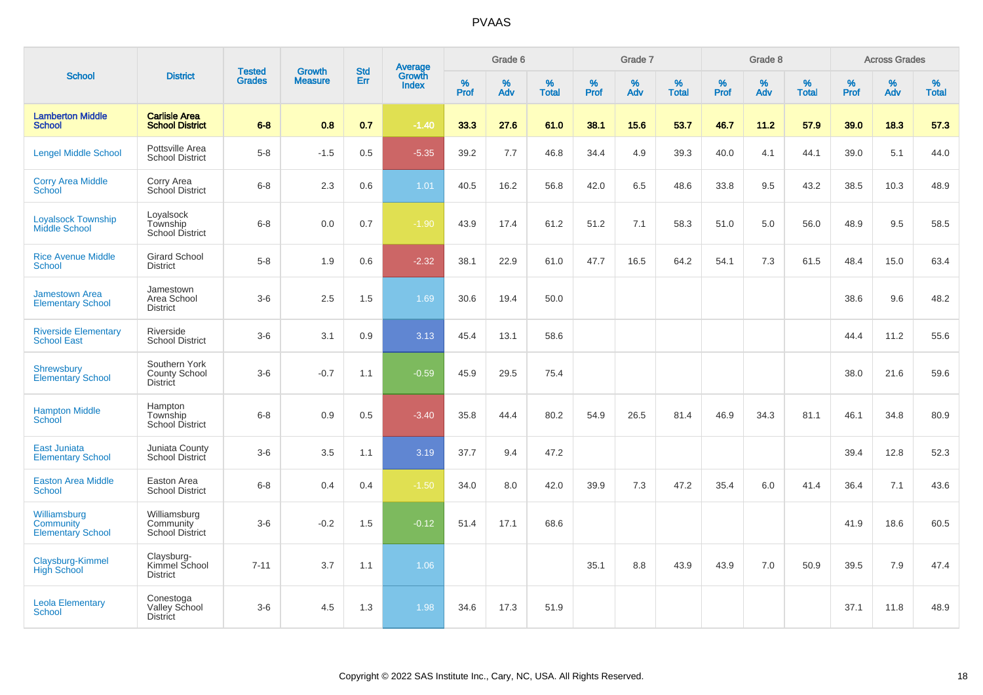|                                                              |                                                      |                                |                                 | <b>Std</b> |                                          |              | Grade 6     |                      |              | Grade 7     |                   |              | Grade 8     |                      |              | <b>Across Grades</b> |                   |
|--------------------------------------------------------------|------------------------------------------------------|--------------------------------|---------------------------------|------------|------------------------------------------|--------------|-------------|----------------------|--------------|-------------|-------------------|--------------|-------------|----------------------|--------------|----------------------|-------------------|
| <b>School</b>                                                | <b>District</b>                                      | <b>Tested</b><br><b>Grades</b> | <b>Growth</b><br><b>Measure</b> | Err        | <b>Average</b><br>Growth<br><b>Index</b> | $\%$<br>Prof | $\%$<br>Adv | $\%$<br><b>Total</b> | $\%$<br>Prof | $\%$<br>Adv | %<br><b>Total</b> | $\%$<br>Prof | $\%$<br>Adv | $\%$<br><b>Total</b> | $\%$<br>Prof | $\%$<br>Adv          | %<br><b>Total</b> |
| <b>Lamberton Middle</b><br><b>School</b>                     | <b>Carlisle Area</b><br><b>School District</b>       | $6-8$                          | 0.8                             | 0.7        | $-1.40$                                  | 33.3         | 27.6        | 61.0                 | 38.1         | 15.6        | 53.7              | 46.7         | 11.2        | 57.9                 | 39.0         | 18.3                 | 57.3              |
| <b>Lengel Middle School</b>                                  | Pottsville Area<br><b>School District</b>            | $5-8$                          | $-1.5$                          | 0.5        | $-5.35$                                  | 39.2         | 7.7         | 46.8                 | 34.4         | 4.9         | 39.3              | 40.0         | 4.1         | 44.1                 | 39.0         | 5.1                  | 44.0              |
| <b>Corry Area Middle</b><br>School                           | Corry Area<br>School District                        | $6 - 8$                        | 2.3                             | 0.6        | 1.01                                     | 40.5         | 16.2        | 56.8                 | 42.0         | 6.5         | 48.6              | 33.8         | 9.5         | 43.2                 | 38.5         | 10.3                 | 48.9              |
| <b>Loyalsock Township</b><br><b>Middle School</b>            | Loyalsock<br>Township<br>School District             | $6 - 8$                        | 0.0                             | 0.7        | $-1.90$                                  | 43.9         | 17.4        | 61.2                 | 51.2         | 7.1         | 58.3              | 51.0         | 5.0         | 56.0                 | 48.9         | 9.5                  | 58.5              |
| <b>Rice Avenue Middle</b><br><b>School</b>                   | <b>Girard School</b><br><b>District</b>              | $5 - 8$                        | 1.9                             | 0.6        | $-2.32$                                  | 38.1         | 22.9        | 61.0                 | 47.7         | 16.5        | 64.2              | 54.1         | 7.3         | 61.5                 | 48.4         | 15.0                 | 63.4              |
| <b>Jamestown Area</b><br><b>Elementary School</b>            | Jamestown<br>Area School<br><b>District</b>          | $3-6$                          | 2.5                             | 1.5        | 1.69                                     | 30.6         | 19.4        | 50.0                 |              |             |                   |              |             |                      | 38.6         | 9.6                  | 48.2              |
| <b>Riverside Elementary</b><br><b>School East</b>            | Riverside<br><b>School District</b>                  | $3-6$                          | 3.1                             | 0.9        | 3.13                                     | 45.4         | 13.1        | 58.6                 |              |             |                   |              |             |                      | 44.4         | 11.2                 | 55.6              |
| <b>Shrewsbury</b><br><b>Elementary School</b>                | Southern York<br>County School<br><b>District</b>    | $3-6$                          | $-0.7$                          | 1.1        | $-0.59$                                  | 45.9         | 29.5        | 75.4                 |              |             |                   |              |             |                      | 38.0         | 21.6                 | 59.6              |
| <b>Hampton Middle</b><br><b>School</b>                       | Hampton<br>Township<br>School District               | $6 - 8$                        | 0.9                             | 0.5        | $-3.40$                                  | 35.8         | 44.4        | 80.2                 | 54.9         | 26.5        | 81.4              | 46.9         | 34.3        | 81.1                 | 46.1         | 34.8                 | 80.9              |
| <b>East Juniata</b><br><b>Elementary School</b>              | Juniata County<br>School District                    | $3-6$                          | 3.5                             | 1.1        | 3.19                                     | 37.7         | 9.4         | 47.2                 |              |             |                   |              |             |                      | 39.4         | 12.8                 | 52.3              |
| <b>Easton Area Middle</b><br><b>School</b>                   | Easton Area<br><b>School District</b>                | $6-8$                          | 0.4                             | 0.4        | $-1.50$                                  | 34.0         | 8.0         | 42.0                 | 39.9         | 7.3         | 47.2              | 35.4         | 6.0         | 41.4                 | 36.4         | 7.1                  | 43.6              |
| Williamsburg<br><b>Community</b><br><b>Elementary School</b> | Williamsburg<br>Community<br><b>School District</b>  | $3-6$                          | $-0.2$                          | 1.5        | $-0.12$                                  | 51.4         | 17.1        | 68.6                 |              |             |                   |              |             |                      | 41.9         | 18.6                 | 60.5              |
| Claysburg-Kimmel<br><b>High School</b>                       | Claysburg-<br>Kimmel School<br><b>District</b>       | $7 - 11$                       | 3.7                             | 1.1        | 1.06                                     |              |             |                      | 35.1         | 8.8         | 43.9              | 43.9         | 7.0         | 50.9                 | 39.5         | 7.9                  | 47.4              |
| <b>Leola Elementary</b><br><b>School</b>                     | Conestoga<br><b>Valley School</b><br><b>District</b> | $3-6$                          | 4.5                             | 1.3        | 1.98                                     | 34.6         | 17.3        | 51.9                 |              |             |                   |              |             |                      | 37.1         | 11.8                 | 48.9              |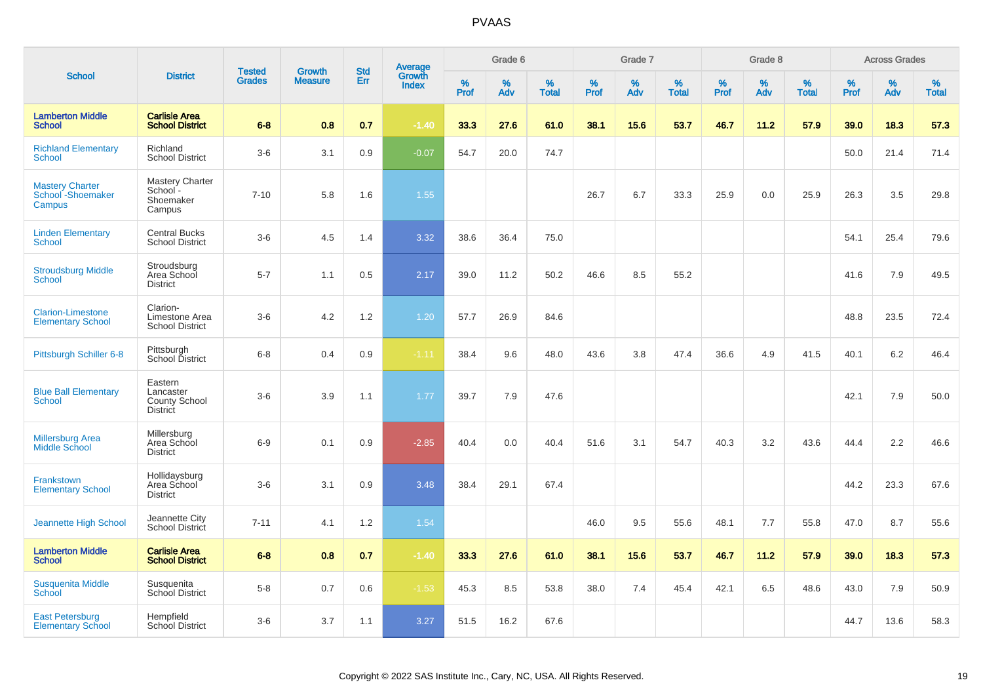|                                                        |                                                      |                                | <b>Growth</b>  | <b>Std</b> |                                          |                     | Grade 6     |                   |                     | Grade 7  |                   |                     | Grade 8     |                   |              | <b>Across Grades</b> |                   |
|--------------------------------------------------------|------------------------------------------------------|--------------------------------|----------------|------------|------------------------------------------|---------------------|-------------|-------------------|---------------------|----------|-------------------|---------------------|-------------|-------------------|--------------|----------------------|-------------------|
| <b>School</b>                                          | <b>District</b>                                      | <b>Tested</b><br><b>Grades</b> | <b>Measure</b> | Err        | <b>Average</b><br>Growth<br><b>Index</b> | $\%$<br><b>Prof</b> | $\%$<br>Adv | %<br><b>Total</b> | $\%$<br><b>Prof</b> | %<br>Adv | %<br><b>Total</b> | $\%$<br><b>Prof</b> | $\%$<br>Adv | %<br><b>Total</b> | $\%$<br>Prof | $\%$<br>Adv          | %<br><b>Total</b> |
| <b>Lamberton Middle</b><br><b>School</b>               | <b>Carlisle Area</b><br><b>School District</b>       | $6 - 8$                        | 0.8            | 0.7        | $-1.40$                                  | 33.3                | 27.6        | 61.0              | 38.1                | 15.6     | 53.7              | 46.7                | 11.2        | 57.9              | 39.0         | 18.3                 | 57.3              |
| <b>Richland Elementary</b><br><b>School</b>            | Richland<br><b>School District</b>                   | $3-6$                          | 3.1            | 0.9        | $-0.07$                                  | 54.7                | 20.0        | 74.7              |                     |          |                   |                     |             |                   | 50.0         | 21.4                 | 71.4              |
| <b>Mastery Charter</b><br>School - Shoemaker<br>Campus | Mastery Charter<br>School-<br>Shoemaker<br>Campus    | $7 - 10$                       | 5.8            | 1.6        | 1.55                                     |                     |             |                   | 26.7                | 6.7      | 33.3              | 25.9                | 0.0         | 25.9              | 26.3         | 3.5                  | 29.8              |
| <b>Linden Elementary</b><br><b>School</b>              | <b>Central Bucks</b><br><b>School District</b>       | $3-6$                          | 4.5            | 1.4        | 3.32                                     | 38.6                | 36.4        | 75.0              |                     |          |                   |                     |             |                   | 54.1         | 25.4                 | 79.6              |
| <b>Stroudsburg Middle</b><br><b>School</b>             | Stroudsburg<br>Area School<br><b>District</b>        | $5 - 7$                        | 1.1            | 0.5        | 2.17                                     | 39.0                | 11.2        | 50.2              | 46.6                | 8.5      | 55.2              |                     |             |                   | 41.6         | 7.9                  | 49.5              |
| <b>Clarion-Limestone</b><br><b>Elementary School</b>   | Clarion-<br>Limestone Area<br><b>School District</b> | $3-6$                          | 4.2            | 1.2        | 1.20                                     | 57.7                | 26.9        | 84.6              |                     |          |                   |                     |             |                   | 48.8         | 23.5                 | 72.4              |
| Pittsburgh Schiller 6-8                                | Pittsburgh<br>School District                        | $6-8$                          | 0.4            | 0.9        | $-1.11$                                  | 38.4                | 9.6         | 48.0              | 43.6                | 3.8      | 47.4              | 36.6                | 4.9         | 41.5              | 40.1         | 6.2                  | 46.4              |
| <b>Blue Ball Elementary</b><br><b>School</b>           | Eastern<br>Lancaster<br>County School<br>District    | $3-6$                          | 3.9            | 1.1        | 1.77                                     | 39.7                | 7.9         | 47.6              |                     |          |                   |                     |             |                   | 42.1         | 7.9                  | 50.0              |
| <b>Millersburg Area</b><br><b>Middle School</b>        | Millersburg<br>Area School<br><b>District</b>        | $6-9$                          | 0.1            | 0.9        | $-2.85$                                  | 40.4                | 0.0         | 40.4              | 51.6                | 3.1      | 54.7              | 40.3                | 3.2         | 43.6              | 44.4         | 2.2                  | 46.6              |
| Frankstown<br><b>Elementary School</b>                 | Hollidaysburg<br>Area School<br><b>District</b>      | $3-6$                          | 3.1            | 0.9        | 3.48                                     | 38.4                | 29.1        | 67.4              |                     |          |                   |                     |             |                   | 44.2         | 23.3                 | 67.6              |
| <b>Jeannette High School</b>                           | Jeannette City<br>School District                    | $7 - 11$                       | 4.1            | 1.2        | 1.54                                     |                     |             |                   | 46.0                | 9.5      | 55.6              | 48.1                | 7.7         | 55.8              | 47.0         | 8.7                  | 55.6              |
| <b>Lamberton Middle</b><br><b>School</b>               | <b>Carlisle Area</b><br><b>School District</b>       | $6 - 8$                        | 0.8            | 0.7        | $-1.40$                                  | 33.3                | 27.6        | 61.0              | 38.1                | 15.6     | 53.7              | 46.7                | 11.2        | 57.9              | 39.0         | 18.3                 | 57.3              |
| <b>Susquenita Middle</b><br>School                     | Susquenita<br>School District                        | $5 - 8$                        | 0.7            | 0.6        | $-1.53$                                  | 45.3                | 8.5         | 53.8              | 38.0                | 7.4      | 45.4              | 42.1                | 6.5         | 48.6              | 43.0         | 7.9                  | 50.9              |
| <b>East Petersburg</b><br><b>Elementary School</b>     | Hempfield<br>School District                         | $3-6$                          | 3.7            | 1.1        | 3.27                                     | 51.5                | 16.2        | 67.6              |                     |          |                   |                     |             |                   | 44.7         | 13.6                 | 58.3              |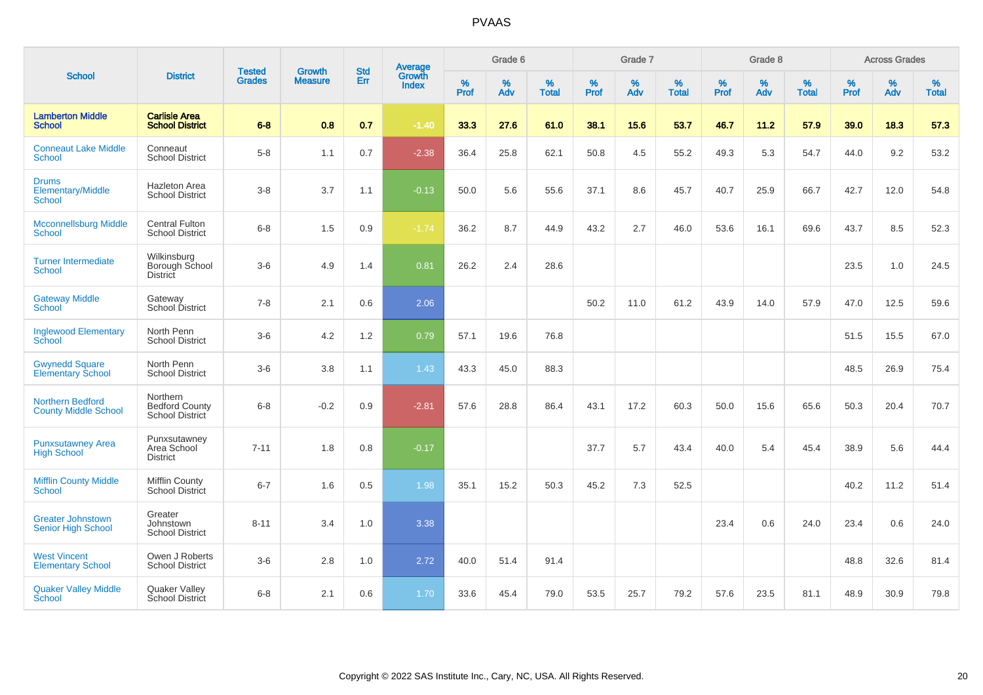|                                                        |                                                             |                                |                                 | <b>Std</b> |                                          |                  | Grade 6  |                   |                  | Grade 7  |                   |                  | Grade 8  |                   |           | <b>Across Grades</b> |                   |
|--------------------------------------------------------|-------------------------------------------------------------|--------------------------------|---------------------------------|------------|------------------------------------------|------------------|----------|-------------------|------------------|----------|-------------------|------------------|----------|-------------------|-----------|----------------------|-------------------|
| <b>School</b>                                          | <b>District</b>                                             | <b>Tested</b><br><b>Grades</b> | <b>Growth</b><br><b>Measure</b> | Err        | <b>Average</b><br>Growth<br><b>Index</b> | %<br><b>Prof</b> | %<br>Adv | %<br><b>Total</b> | %<br><b>Prof</b> | %<br>Adv | %<br><b>Total</b> | %<br><b>Prof</b> | %<br>Adv | %<br><b>Total</b> | %<br>Prof | %<br>Adv             | %<br><b>Total</b> |
| <b>Lamberton Middle</b><br><b>School</b>               | <b>Carlisle Area</b><br><b>School District</b>              | $6 - 8$                        | 0.8                             | 0.7        | $-1.40$                                  | 33.3             | 27.6     | 61.0              | 38.1             | 15.6     | 53.7              | 46.7             | 11.2     | 57.9              | 39.0      | 18.3                 | 57.3              |
| <b>Conneaut Lake Middle</b><br><b>School</b>           | Conneaut<br><b>School District</b>                          | $5-8$                          | 1.1                             | 0.7        | $-2.38$                                  | 36.4             | 25.8     | 62.1              | 50.8             | 4.5      | 55.2              | 49.3             | 5.3      | 54.7              | 44.0      | 9.2                  | 53.2              |
| <b>Drums</b><br>Elementary/Middle<br><b>School</b>     | Hazleton Area<br><b>School District</b>                     | $3-8$                          | 3.7                             | 1.1        | $-0.13$                                  | 50.0             | 5.6      | 55.6              | 37.1             | 8.6      | 45.7              | 40.7             | 25.9     | 66.7              | 42.7      | 12.0                 | 54.8              |
| <b>Mcconnellsburg Middle</b><br>School                 | <b>Central Fulton</b><br><b>School District</b>             | $6 - 8$                        | 1.5                             | 0.9        | $-1.74$                                  | 36.2             | 8.7      | 44.9              | 43.2             | 2.7      | 46.0              | 53.6             | 16.1     | 69.6              | 43.7      | 8.5                  | 52.3              |
| <b>Turner Intermediate</b><br><b>School</b>            | Wilkinsburg<br>Borough School<br><b>District</b>            | $3-6$                          | 4.9                             | 1.4        | 0.81                                     | 26.2             | 2.4      | 28.6              |                  |          |                   |                  |          |                   | 23.5      | 1.0                  | 24.5              |
| <b>Gateway Middle</b><br><b>School</b>                 | Gateway<br>School District                                  | $7 - 8$                        | 2.1                             | 0.6        | 2.06                                     |                  |          |                   | 50.2             | 11.0     | 61.2              | 43.9             | 14.0     | 57.9              | 47.0      | 12.5                 | 59.6              |
| <b>Inglewood Elementary</b><br>School                  | North Penn<br><b>School District</b>                        | $3-6$                          | 4.2                             | 1.2        | 0.79                                     | 57.1             | 19.6     | 76.8              |                  |          |                   |                  |          |                   | 51.5      | 15.5                 | 67.0              |
| <b>Gwynedd Square</b><br><b>Elementary School</b>      | North Penn<br><b>School District</b>                        | $3-6$                          | 3.8                             | 1.1        | 1.43                                     | 43.3             | 45.0     | 88.3              |                  |          |                   |                  |          |                   | 48.5      | 26.9                 | 75.4              |
| <b>Northern Bedford</b><br><b>County Middle School</b> | Northern<br><b>Bedford County</b><br><b>School District</b> | $6 - 8$                        | $-0.2$                          | 0.9        | $-2.81$                                  | 57.6             | 28.8     | 86.4              | 43.1             | 17.2     | 60.3              | 50.0             | 15.6     | 65.6              | 50.3      | 20.4                 | 70.7              |
| <b>Punxsutawney Area</b><br><b>High School</b>         | Punxsutawney<br>Area School<br><b>District</b>              | $7 - 11$                       | 1.8                             | 0.8        | $-0.17$                                  |                  |          |                   | 37.7             | 5.7      | 43.4              | 40.0             | 5.4      | 45.4              | 38.9      | 5.6                  | 44.4              |
| <b>Mifflin County Middle</b><br>School                 | <b>Mifflin County</b><br><b>School District</b>             | $6 - 7$                        | 1.6                             | 0.5        | 1.98                                     | 35.1             | 15.2     | 50.3              | 45.2             | 7.3      | 52.5              |                  |          |                   | 40.2      | 11.2                 | 51.4              |
| <b>Greater Johnstown</b><br><b>Senior High School</b>  | Greater<br>Johnstown<br><b>School District</b>              | $8 - 11$                       | 3.4                             | 1.0        | 3.38                                     |                  |          |                   |                  |          |                   | 23.4             | 0.6      | 24.0              | 23.4      | 0.6                  | 24.0              |
| <b>West Vincent</b><br><b>Elementary School</b>        | Owen J Roberts<br><b>School District</b>                    | $3-6$                          | 2.8                             | 1.0        | 2.72                                     | 40.0             | 51.4     | 91.4              |                  |          |                   |                  |          |                   | 48.8      | 32.6                 | 81.4              |
| <b>Quaker Valley Middle</b><br>School                  | Quaker Valley<br>School District                            | $6 - 8$                        | 2.1                             | 0.6        | 1.70                                     | 33.6             | 45.4     | 79.0              | 53.5             | 25.7     | 79.2              | 57.6             | 23.5     | 81.1              | 48.9      | 30.9                 | 79.8              |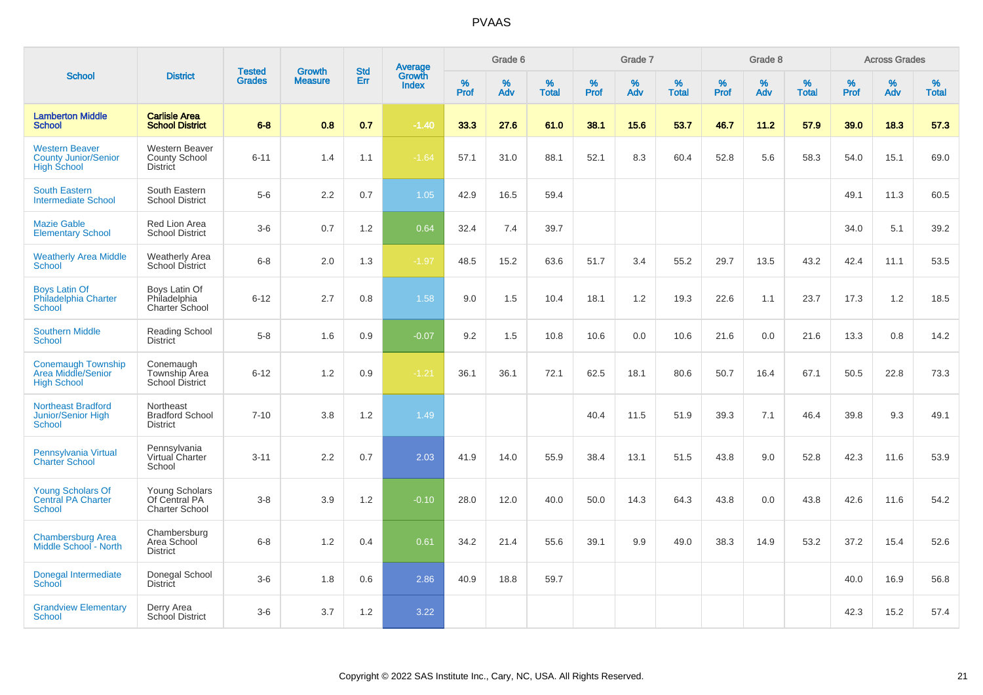|                                                                            |                                                                  |                                | <b>Growth</b>  | <b>Std</b> |                                          |                  | Grade 6     |                   |              | Grade 7     |                      |              | Grade 8  |                   |              | <b>Across Grades</b> |                   |
|----------------------------------------------------------------------------|------------------------------------------------------------------|--------------------------------|----------------|------------|------------------------------------------|------------------|-------------|-------------------|--------------|-------------|----------------------|--------------|----------|-------------------|--------------|----------------------|-------------------|
| <b>School</b>                                                              | <b>District</b>                                                  | <b>Tested</b><br><b>Grades</b> | <b>Measure</b> | Err        | <b>Average</b><br>Growth<br><b>Index</b> | %<br><b>Prof</b> | $\%$<br>Adv | %<br><b>Total</b> | $\%$<br>Prof | $\%$<br>Adv | $\%$<br><b>Total</b> | $\%$<br>Prof | %<br>Adv | %<br><b>Total</b> | $\%$<br>Prof | $\%$<br>Adv          | %<br><b>Total</b> |
| <b>Lamberton Middle</b><br><b>School</b>                                   | <b>Carlisle Area</b><br><b>School District</b>                   | $6 - 8$                        | 0.8            | 0.7        | $-1.40$                                  | 33.3             | 27.6        | 61.0              | 38.1         | 15.6        | 53.7                 | 46.7         | 11.2     | 57.9              | 39.0         | 18.3                 | 57.3              |
| <b>Western Beaver</b><br><b>County Junior/Senior</b><br><b>High School</b> | <b>Western Beaver</b><br><b>County School</b><br><b>District</b> | $6 - 11$                       | 1.4            | 1.1        | $-1.64$                                  | 57.1             | 31.0        | 88.1              | 52.1         | 8.3         | 60.4                 | 52.8         | 5.6      | 58.3              | 54.0         | 15.1                 | 69.0              |
| <b>South Eastern</b><br><b>Intermediate School</b>                         | South Eastern<br><b>School District</b>                          | $5-6$                          | 2.2            | 0.7        | 1.05                                     | 42.9             | 16.5        | 59.4              |              |             |                      |              |          |                   | 49.1         | 11.3                 | 60.5              |
| <b>Mazie Gable</b><br><b>Elementary School</b>                             | Red Lion Area<br><b>School District</b>                          | $3-6$                          | 0.7            | 1.2        | 0.64                                     | 32.4             | 7.4         | 39.7              |              |             |                      |              |          |                   | 34.0         | 5.1                  | 39.2              |
| <b>Weatherly Area Middle</b><br><b>School</b>                              | <b>Weatherly Area</b><br><b>School District</b>                  | $6-8$                          | 2.0            | 1.3        | $-1.97$                                  | 48.5             | 15.2        | 63.6              | 51.7         | 3.4         | 55.2                 | 29.7         | 13.5     | 43.2              | 42.4         | 11.1                 | 53.5              |
| <b>Boys Latin Of</b><br>Philadelphia Charter<br><b>School</b>              | Boys Latin Of<br>Philadelphia<br>Charter School                  | $6 - 12$                       | 2.7            | 0.8        | 1.58                                     | 9.0              | 1.5         | 10.4              | 18.1         | 1.2         | 19.3                 | 22.6         | 1.1      | 23.7              | 17.3         | 1.2                  | 18.5              |
| <b>Southern Middle</b><br><b>School</b>                                    | Reading School<br>District                                       | $5-8$                          | 1.6            | 0.9        | $-0.07$                                  | 9.2              | 1.5         | 10.8              | 10.6         | 0.0         | 10.6                 | 21.6         | 0.0      | 21.6              | 13.3         | 0.8                  | 14.2              |
| <b>Conemaugh Township</b><br>Area Middle/Senior<br><b>High School</b>      | Conemaugh<br>Township Area<br><b>School District</b>             | $6 - 12$                       | 1.2            | 0.9        | $-1.21$                                  | 36.1             | 36.1        | 72.1              | 62.5         | 18.1        | 80.6                 | 50.7         | 16.4     | 67.1              | 50.5         | 22.8                 | 73.3              |
| <b>Northeast Bradford</b><br>Junior/Senior High<br><b>School</b>           | Northeast<br><b>Bradford School</b><br><b>District</b>           | $7 - 10$                       | 3.8            | 1.2        | 1.49                                     |                  |             |                   | 40.4         | 11.5        | 51.9                 | 39.3         | 7.1      | 46.4              | 39.8         | 9.3                  | 49.1              |
| Pennsylvania Virtual<br><b>Charter School</b>                              | Pennsylvania<br>Virtual Charter<br>School                        | $3 - 11$                       | 2.2            | 0.7        | 2.03                                     | 41.9             | 14.0        | 55.9              | 38.4         | 13.1        | 51.5                 | 43.8         | 9.0      | 52.8              | 42.3         | 11.6                 | 53.9              |
| <b>Young Scholars Of</b><br><b>Central PA Charter</b><br>School            | Young Scholars<br>Of Central PA<br><b>Charter School</b>         | $3-8$                          | 3.9            | 1.2        | $-0.10$                                  | 28.0             | 12.0        | 40.0              | 50.0         | 14.3        | 64.3                 | 43.8         | 0.0      | 43.8              | 42.6         | 11.6                 | 54.2              |
| <b>Chambersburg Area</b><br>Middle School - North                          | Chambersburg<br>Area School<br><b>District</b>                   | $6-8$                          | 1.2            | 0.4        | 0.61                                     | 34.2             | 21.4        | 55.6              | 39.1         | 9.9         | 49.0                 | 38.3         | 14.9     | 53.2              | 37.2         | 15.4                 | 52.6              |
| Donegal Intermediate<br>School                                             | Donegal School<br><b>District</b>                                | $3-6$                          | 1.8            | 0.6        | 2.86                                     | 40.9             | 18.8        | 59.7              |              |             |                      |              |          |                   | 40.0         | 16.9                 | 56.8              |
| <b>Grandview Elementary</b><br>School                                      | Derry Area<br>School District                                    | $3-6$                          | 3.7            | 1.2        | 3.22                                     |                  |             |                   |              |             |                      |              |          |                   | 42.3         | 15.2                 | 57.4              |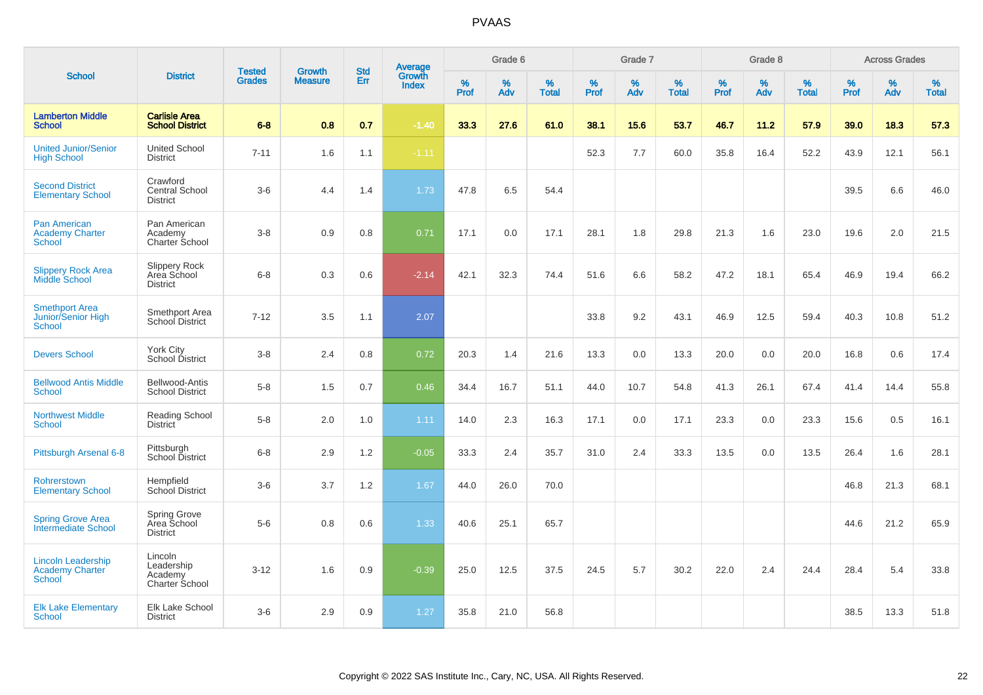|                                                                      |                                                           |                                |                                 | <b>Std</b> |                                          |           | Grade 6  |                   |           | Grade 7  |                   |           | Grade 8  |                   |              | <b>Across Grades</b> |                   |
|----------------------------------------------------------------------|-----------------------------------------------------------|--------------------------------|---------------------------------|------------|------------------------------------------|-----------|----------|-------------------|-----------|----------|-------------------|-----------|----------|-------------------|--------------|----------------------|-------------------|
| <b>School</b>                                                        | <b>District</b>                                           | <b>Tested</b><br><b>Grades</b> | <b>Growth</b><br><b>Measure</b> | Err        | <b>Average</b><br>Growth<br><b>Index</b> | %<br>Prof | %<br>Adv | %<br><b>Total</b> | %<br>Prof | %<br>Adv | %<br><b>Total</b> | %<br>Prof | %<br>Adv | %<br><b>Total</b> | $\%$<br>Prof | $\%$<br>Adv          | %<br><b>Total</b> |
| <b>Lamberton Middle</b><br><b>School</b>                             | <b>Carlisle Area</b><br><b>School District</b>            | $6 - 8$                        | 0.8                             | 0.7        | $-1.40$                                  | 33.3      | 27.6     | 61.0              | 38.1      | 15.6     | 53.7              | 46.7      | 11.2     | 57.9              | 39.0         | 18.3                 | 57.3              |
| <b>United Junior/Senior</b><br><b>High School</b>                    | <b>United School</b><br><b>District</b>                   | $7 - 11$                       | 1.6                             | 1.1        | $-1.11$                                  |           |          |                   | 52.3      | 7.7      | 60.0              | 35.8      | 16.4     | 52.2              | 43.9         | 12.1                 | 56.1              |
| <b>Second District</b><br><b>Elementary School</b>                   | Crawford<br>Central School<br><b>District</b>             | $3-6$                          | 4.4                             | 1.4        | 1.73                                     | 47.8      | 6.5      | 54.4              |           |          |                   |           |          |                   | 39.5         | 6.6                  | 46.0              |
| Pan American<br><b>Academy Charter</b><br>School                     | Pan American<br>Academy<br>Charter School                 | $3 - 8$                        | 0.9                             | 0.8        | 0.71                                     | 17.1      | 0.0      | 17.1              | 28.1      | 1.8      | 29.8              | 21.3      | 1.6      | 23.0              | 19.6         | 2.0                  | 21.5              |
| <b>Slippery Rock Area</b><br>Middle School                           | <b>Slippery Rock</b><br>Area School<br><b>District</b>    | $6-8$                          | 0.3                             | 0.6        | $-2.14$                                  | 42.1      | 32.3     | 74.4              | 51.6      | 6.6      | 58.2              | 47.2      | 18.1     | 65.4              | 46.9         | 19.4                 | 66.2              |
| <b>Smethport Area</b><br>Junior/Senior High<br><b>School</b>         | Smethport Area<br>School District                         | $7 - 12$                       | 3.5                             | 1.1        | 2.07                                     |           |          |                   | 33.8      | 9.2      | 43.1              | 46.9      | 12.5     | 59.4              | 40.3         | 10.8                 | 51.2              |
| <b>Devers School</b>                                                 | York City<br>School District                              | $3 - 8$                        | 2.4                             | 0.8        | 0.72                                     | 20.3      | 1.4      | 21.6              | 13.3      | 0.0      | 13.3              | 20.0      | 0.0      | 20.0              | 16.8         | 0.6                  | 17.4              |
| <b>Bellwood Antis Middle</b><br><b>School</b>                        | Bellwood-Antis<br><b>School District</b>                  | $5-8$                          | 1.5                             | 0.7        | 0.46                                     | 34.4      | 16.7     | 51.1              | 44.0      | 10.7     | 54.8              | 41.3      | 26.1     | 67.4              | 41.4         | 14.4                 | 55.8              |
| <b>Northwest Middle</b><br><b>School</b>                             | <b>Reading School</b><br><b>District</b>                  | $5-8$                          | 2.0                             | 1.0        | 1.11                                     | 14.0      | 2.3      | 16.3              | 17.1      | 0.0      | 17.1              | 23.3      | 0.0      | 23.3              | 15.6         | 0.5                  | 16.1              |
| Pittsburgh Arsenal 6-8                                               | Pittsburgh<br>School District                             | $6-8$                          | 2.9                             | 1.2        | $-0.05$                                  | 33.3      | 2.4      | 35.7              | 31.0      | 2.4      | 33.3              | 13.5      | 0.0      | 13.5              | 26.4         | 1.6                  | 28.1              |
| Rohrerstown<br><b>Elementary School</b>                              | Hempfield<br><b>School District</b>                       | $3-6$                          | 3.7                             | 1.2        | 1.67                                     | 44.0      | 26.0     | 70.0              |           |          |                   |           |          |                   | 46.8         | 21.3                 | 68.1              |
| <b>Spring Grove Area</b><br>Intermediate School                      | Spring Grove<br>Area School<br><b>District</b>            | $5-6$                          | 0.8                             | 0.6        | 1.33                                     | 40.6      | 25.1     | 65.7              |           |          |                   |           |          |                   | 44.6         | 21.2                 | 65.9              |
| <b>Lincoln Leadership</b><br><b>Academy Charter</b><br><b>School</b> | Lincoln<br>Leadership<br>Academy<br><b>Charter School</b> | $3 - 12$                       | 1.6                             | 0.9        | $-0.39$                                  | 25.0      | 12.5     | 37.5              | 24.5      | 5.7      | 30.2              | 22.0      | 2.4      | 24.4              | 28.4         | 5.4                  | 33.8              |
| <b>Elk Lake Elementary</b><br>School                                 | Elk Lake School<br><b>District</b>                        | $3-6$                          | 2.9                             | 0.9        | 1.27                                     | 35.8      | 21.0     | 56.8              |           |          |                   |           |          |                   | 38.5         | 13.3                 | 51.8              |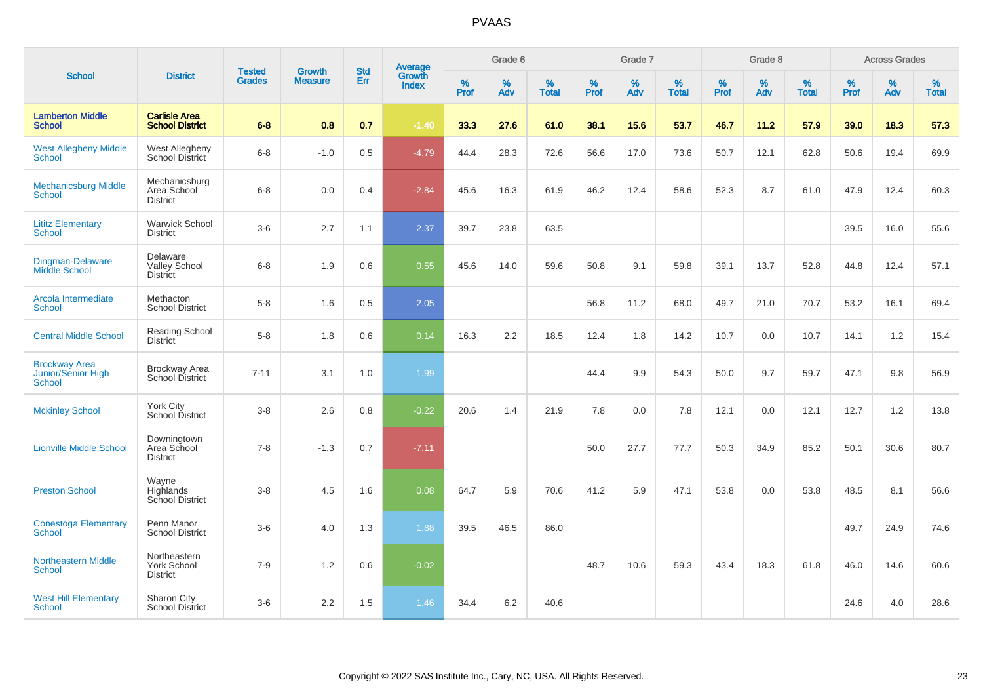|                                                                    |                                                       |                                |                                 | <b>Std</b> |                                          |           | Grade 6  |                   |                  | Grade 7  |                   |           | Grade 8  |                   |              | <b>Across Grades</b> |                   |
|--------------------------------------------------------------------|-------------------------------------------------------|--------------------------------|---------------------------------|------------|------------------------------------------|-----------|----------|-------------------|------------------|----------|-------------------|-----------|----------|-------------------|--------------|----------------------|-------------------|
| <b>School</b>                                                      | <b>District</b>                                       | <b>Tested</b><br><b>Grades</b> | <b>Growth</b><br><b>Measure</b> | Err        | <b>Average</b><br>Growth<br><b>Index</b> | %<br>Prof | %<br>Adv | %<br><b>Total</b> | %<br><b>Prof</b> | %<br>Adv | %<br><b>Total</b> | %<br>Prof | %<br>Adv | %<br><b>Total</b> | $\%$<br>Prof | $\%$<br>Adv          | %<br><b>Total</b> |
| <b>Lamberton Middle</b><br><b>School</b>                           | <b>Carlisle Area</b><br><b>School District</b>        | $6 - 8$                        | 0.8                             | 0.7        | $-1.40$                                  | 33.3      | 27.6     | 61.0              | 38.1             | 15.6     | 53.7              | 46.7      | 11.2     | 57.9              | 39.0         | 18.3                 | 57.3              |
| <b>West Allegheny Middle</b><br><b>School</b>                      | West Allegheny<br>School District                     | $6 - 8$                        | $-1.0$                          | 0.5        | $-4.79$                                  | 44.4      | 28.3     | 72.6              | 56.6             | 17.0     | 73.6              | 50.7      | 12.1     | 62.8              | 50.6         | 19.4                 | 69.9              |
| <b>Mechanicsburg Middle</b><br><b>School</b>                       | Mechanicsburg<br>Area School<br><b>District</b>       | $6 - 8$                        | 0.0                             | 0.4        | $-2.84$                                  | 45.6      | 16.3     | 61.9              | 46.2             | 12.4     | 58.6              | 52.3      | 8.7      | 61.0              | 47.9         | 12.4                 | 60.3              |
| <b>Lititz Elementary</b><br><b>School</b>                          | <b>Warwick School</b><br><b>District</b>              | $3-6$                          | 2.7                             | 1.1        | 2.37                                     | 39.7      | 23.8     | 63.5              |                  |          |                   |           |          |                   | 39.5         | 16.0                 | 55.6              |
| Dingman-Delaware<br>Middle School                                  | Delaware<br><b>Valley School</b><br><b>District</b>   | $6 - 8$                        | 1.9                             | 0.6        | 0.55                                     | 45.6      | 14.0     | 59.6              | 50.8             | 9.1      | 59.8              | 39.1      | 13.7     | 52.8              | 44.8         | 12.4                 | 57.1              |
| Arcola Intermediate<br><b>School</b>                               | Methacton<br><b>School District</b>                   | $5-8$                          | 1.6                             | 0.5        | 2.05                                     |           |          |                   | 56.8             | 11.2     | 68.0              | 49.7      | 21.0     | 70.7              | 53.2         | 16.1                 | 69.4              |
| <b>Central Middle School</b>                                       | Reading School<br><b>District</b>                     | $5-8$                          | 1.8                             | 0.6        | 0.14                                     | 16.3      | 2.2      | 18.5              | 12.4             | 1.8      | 14.2              | 10.7      | 0.0      | 10.7              | 14.1         | 1.2                  | 15.4              |
| <b>Brockway Area</b><br><b>Junior/Senior High</b><br><b>School</b> | <b>Brockway Area</b><br>School District               | $7 - 11$                       | 3.1                             | 1.0        | 1.99                                     |           |          |                   | 44.4             | 9.9      | 54.3              | 50.0      | 9.7      | 59.7              | 47.1         | 9.8                  | 56.9              |
| <b>Mckinley School</b>                                             | <b>York City</b><br>School District                   | $3-8$                          | 2.6                             | 0.8        | $-0.22$                                  | 20.6      | 1.4      | 21.9              | 7.8              | 0.0      | 7.8               | 12.1      | 0.0      | 12.1              | 12.7         | 1.2                  | 13.8              |
| <b>Lionville Middle School</b>                                     | Downingtown<br>Area School<br><b>District</b>         | $7 - 8$                        | $-1.3$                          | 0.7        | $-7.11$                                  |           |          |                   | 50.0             | 27.7     | 77.7              | 50.3      | 34.9     | 85.2              | 50.1         | 30.6                 | 80.7              |
| <b>Preston School</b>                                              | Wayne<br>Highlands<br>School District                 | $3-8$                          | 4.5                             | 1.6        | 0.08                                     | 64.7      | 5.9      | 70.6              | 41.2             | 5.9      | 47.1              | 53.8      | 0.0      | 53.8              | 48.5         | 8.1                  | 56.6              |
| <b>Conestoga Elementary</b><br><b>School</b>                       | Penn Manor<br><b>School District</b>                  | $3-6$                          | 4.0                             | 1.3        | 1.88                                     | 39.5      | 46.5     | 86.0              |                  |          |                   |           |          |                   | 49.7         | 24.9                 | 74.6              |
| <b>Northeastern Middle</b><br>School                               | Northeastern<br><b>York School</b><br><b>District</b> | $7 - 9$                        | 1.2                             | 0.6        | $-0.02$                                  |           |          |                   | 48.7             | 10.6     | 59.3              | 43.4      | 18.3     | 61.8              | 46.0         | 14.6                 | 60.6              |
| <b>West Hill Elementary</b><br><b>School</b>                       | Sharon City<br><b>School District</b>                 | $3-6$                          | 2.2                             | 1.5        | 1.46                                     | 34.4      | 6.2      | 40.6              |                  |          |                   |           |          |                   | 24.6         | 4.0                  | 28.6              |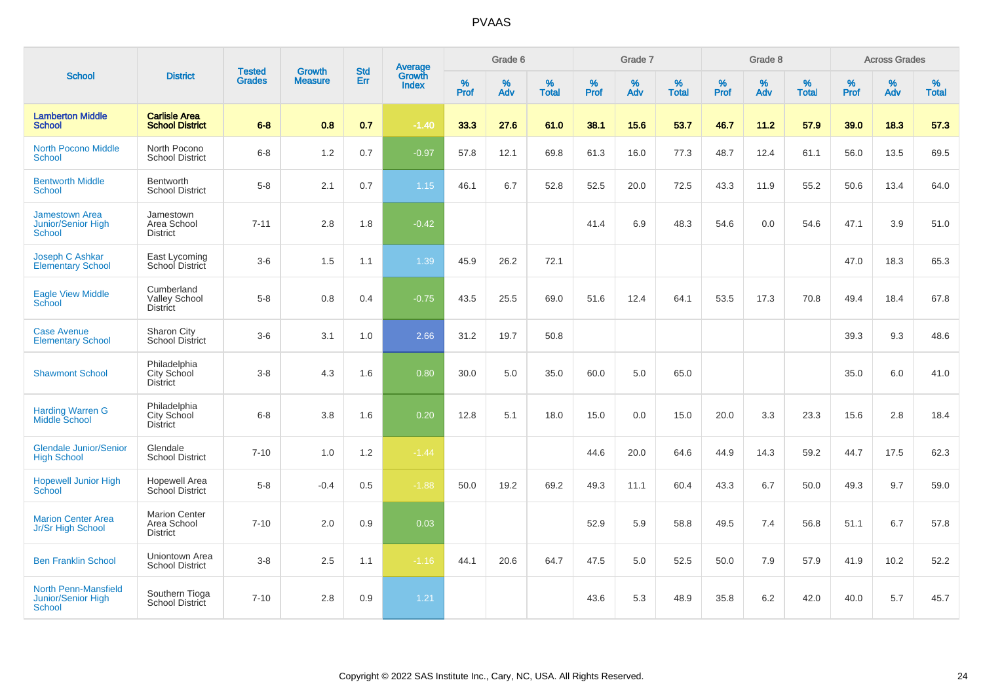| <b>School</b>                                                      |                                                        |                                |                                 | <b>Std</b> |                                          |           | Grade 6     |                   |           | Grade 7  |                   |           | Grade 8  |                   |           | <b>Across Grades</b> |                   |
|--------------------------------------------------------------------|--------------------------------------------------------|--------------------------------|---------------------------------|------------|------------------------------------------|-----------|-------------|-------------------|-----------|----------|-------------------|-----------|----------|-------------------|-----------|----------------------|-------------------|
|                                                                    | <b>District</b>                                        | <b>Tested</b><br><b>Grades</b> | <b>Growth</b><br><b>Measure</b> | Err        | <b>Average</b><br>Growth<br><b>Index</b> | %<br>Prof | $\%$<br>Adv | %<br><b>Total</b> | %<br>Prof | %<br>Adv | %<br><b>Total</b> | %<br>Prof | %<br>Adv | %<br><b>Total</b> | %<br>Prof | %<br>Adv             | %<br><b>Total</b> |
| <b>Lamberton Middle</b><br><b>School</b>                           | <b>Carlisle Area</b><br><b>School District</b>         | $6 - 8$                        | 0.8                             | 0.7        | $-1.40$                                  | 33.3      | 27.6        | 61.0              | 38.1      | 15.6     | 53.7              | 46.7      | 11.2     | 57.9              | 39.0      | 18.3                 | 57.3              |
| <b>North Pocono Middle</b><br><b>School</b>                        | North Pocono<br><b>School District</b>                 | $6 - 8$                        | 1.2                             | 0.7        | $-0.97$                                  | 57.8      | 12.1        | 69.8              | 61.3      | 16.0     | 77.3              | 48.7      | 12.4     | 61.1              | 56.0      | 13.5                 | 69.5              |
| <b>Bentworth Middle</b><br><b>School</b>                           | Bentworth<br><b>School District</b>                    | $5 - 8$                        | 2.1                             | 0.7        | 1.15                                     | 46.1      | 6.7         | 52.8              | 52.5      | 20.0     | 72.5              | 43.3      | 11.9     | 55.2              | 50.6      | 13.4                 | 64.0              |
| <b>Jamestown Area</b><br>Junior/Senior High<br><b>School</b>       | Jamestown<br>Area School<br><b>District</b>            | $7 - 11$                       | 2.8                             | 1.8        | $-0.42$                                  |           |             |                   | 41.4      | 6.9      | 48.3              | 54.6      | 0.0      | 54.6              | 47.1      | 3.9                  | 51.0              |
| Joseph C Ashkar<br><b>Elementary School</b>                        | East Lycoming<br>School District                       | $3-6$                          | 1.5                             | 1.1        | 1.39                                     | 45.9      | 26.2        | 72.1              |           |          |                   |           |          |                   | 47.0      | 18.3                 | 65.3              |
| <b>Eagle View Middle</b><br>School                                 | Cumberland<br>Valley School<br><b>District</b>         | $5-8$                          | 0.8                             | 0.4        | $-0.75$                                  | 43.5      | 25.5        | 69.0              | 51.6      | 12.4     | 64.1              | 53.5      | 17.3     | 70.8              | 49.4      | 18.4                 | 67.8              |
| <b>Case Avenue</b><br><b>Elementary School</b>                     | Sharon City<br><b>School District</b>                  | $3-6$                          | 3.1                             | 1.0        | 2.66                                     | 31.2      | 19.7        | 50.8              |           |          |                   |           |          |                   | 39.3      | 9.3                  | 48.6              |
| <b>Shawmont School</b>                                             | Philadelphia<br>City School<br><b>District</b>         | $3 - 8$                        | 4.3                             | 1.6        | 0.80                                     | 30.0      | 5.0         | 35.0              | 60.0      | 5.0      | 65.0              |           |          |                   | 35.0      | 6.0                  | 41.0              |
| <b>Harding Warren G</b><br><b>Middle School</b>                    | Philadelphia<br>City School<br><b>District</b>         | $6 - 8$                        | 3.8                             | 1.6        | 0.20                                     | 12.8      | 5.1         | 18.0              | 15.0      | 0.0      | 15.0              | 20.0      | 3.3      | 23.3              | 15.6      | 2.8                  | 18.4              |
| <b>Glendale Junior/Senior</b><br><b>High School</b>                | Glendale<br><b>School District</b>                     | $7 - 10$                       | 1.0                             | 1.2        | $-1.44$                                  |           |             |                   | 44.6      | 20.0     | 64.6              | 44.9      | 14.3     | 59.2              | 44.7      | 17.5                 | 62.3              |
| <b>Hopewell Junior High</b><br>School                              | Hopewell Area<br>School District                       | $5-8$                          | $-0.4$                          | 0.5        | $-1.88$                                  | 50.0      | 19.2        | 69.2              | 49.3      | 11.1     | 60.4              | 43.3      | 6.7      | 50.0              | 49.3      | 9.7                  | 59.0              |
| <b>Marion Center Area</b><br>Jr/Sr High School                     | <b>Marion Center</b><br>Area School<br><b>District</b> | $7 - 10$                       | 2.0                             | 0.9        | 0.03                                     |           |             |                   | 52.9      | 5.9      | 58.8              | 49.5      | 7.4      | 56.8              | 51.1      | 6.7                  | 57.8              |
| <b>Ben Franklin School</b>                                         | Uniontown Area<br><b>School District</b>               | $3 - 8$                        | 2.5                             | 1.1        | $-1.16$                                  | 44.1      | 20.6        | 64.7              | 47.5      | 5.0      | 52.5              | 50.0      | 7.9      | 57.9              | 41.9      | 10.2                 | 52.2              |
| <b>North Penn-Mansfield</b><br>Junior/Senior High<br><b>School</b> | Southern Tioga<br><b>School District</b>               | $7 - 10$                       | 2.8                             | 0.9        | 1.21                                     |           |             |                   | 43.6      | 5.3      | 48.9              | 35.8      | 6.2      | 42.0              | 40.0      | 5.7                  | 45.7              |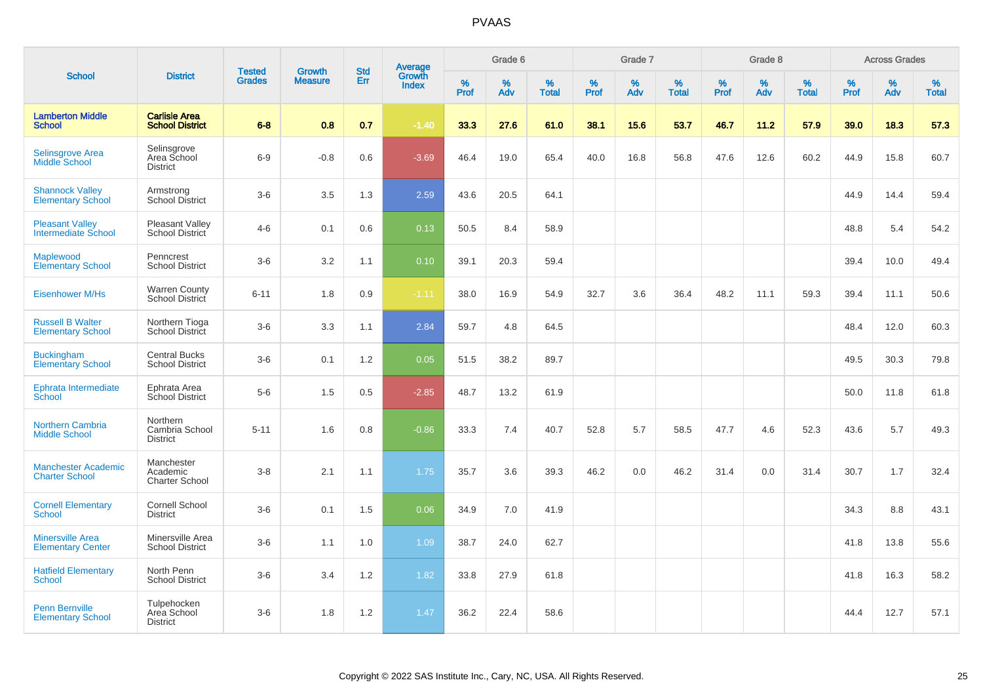|                                                      |                                                 |                                |                          | <b>Std</b> |                                          |                     | Grade 6     |                   |              | Grade 7  |                      |           | Grade 8  |                   |              | <b>Across Grades</b> |                   |
|------------------------------------------------------|-------------------------------------------------|--------------------------------|--------------------------|------------|------------------------------------------|---------------------|-------------|-------------------|--------------|----------|----------------------|-----------|----------|-------------------|--------------|----------------------|-------------------|
| <b>School</b>                                        | <b>District</b>                                 | <b>Tested</b><br><b>Grades</b> | Growth<br><b>Measure</b> | Err        | <b>Average</b><br>Growth<br><b>Index</b> | $\%$<br><b>Prof</b> | $\%$<br>Adv | %<br><b>Total</b> | $\%$<br>Prof | %<br>Adv | $\%$<br><b>Total</b> | %<br>Prof | %<br>Adv | %<br><b>Total</b> | $\%$<br>Prof | $\%$<br>Adv          | %<br><b>Total</b> |
| <b>Lamberton Middle</b><br><b>School</b>             | <b>Carlisle Area</b><br><b>School District</b>  | $6 - 8$                        | 0.8                      | 0.7        | $-1.40$                                  | 33.3                | 27.6        | 61.0              | 38.1         | 15.6     | 53.7                 | 46.7      | 11.2     | 57.9              | 39.0         | 18.3                 | 57.3              |
| <b>Selinsgrove Area</b><br>Middle School             | Selinsgrove<br>Area School<br><b>District</b>   | $6-9$                          | $-0.8$                   | 0.6        | $-3.69$                                  | 46.4                | 19.0        | 65.4              | 40.0         | 16.8     | 56.8                 | 47.6      | 12.6     | 60.2              | 44.9         | 15.8                 | 60.7              |
| <b>Shannock Valley</b><br><b>Elementary School</b>   | Armstrong<br>School District                    | $3-6$                          | 3.5                      | 1.3        | 2.59                                     | 43.6                | 20.5        | 64.1              |              |          |                      |           |          |                   | 44.9         | 14.4                 | 59.4              |
| <b>Pleasant Valley</b><br><b>Intermediate School</b> | Pleasant Valley<br>School District              | $4 - 6$                        | 0.1                      | 0.6        | 0.13                                     | 50.5                | 8.4         | 58.9              |              |          |                      |           |          |                   | 48.8         | 5.4                  | 54.2              |
| Maplewood<br><b>Elementary School</b>                | Penncrest<br><b>School District</b>             | $3-6$                          | 3.2                      | 1.1        | 0.10                                     | 39.1                | 20.3        | 59.4              |              |          |                      |           |          |                   | 39.4         | 10.0                 | 49.4              |
| <b>Eisenhower M/Hs</b>                               | <b>Warren County</b><br>School District         | $6 - 11$                       | 1.8                      | 0.9        | $-1.11$                                  | 38.0                | 16.9        | 54.9              | 32.7         | 3.6      | 36.4                 | 48.2      | 11.1     | 59.3              | 39.4         | 11.1                 | 50.6              |
| <b>Russell B Walter</b><br><b>Elementary School</b>  | Northern Tioga<br>School District               | $3-6$                          | 3.3                      | 1.1        | 2.84                                     | 59.7                | 4.8         | 64.5              |              |          |                      |           |          |                   | 48.4         | 12.0                 | 60.3              |
| <b>Buckingham</b><br><b>Elementary School</b>        | <b>Central Bucks</b><br><b>School District</b>  | $3-6$                          | 0.1                      | 1.2        | 0.05                                     | 51.5                | 38.2        | 89.7              |              |          |                      |           |          |                   | 49.5         | 30.3                 | 79.8              |
| Ephrata Intermediate<br>School                       | Ephrata Area<br>School District                 | $5-6$                          | 1.5                      | 0.5        | $-2.85$                                  | 48.7                | 13.2        | 61.9              |              |          |                      |           |          |                   | 50.0         | 11.8                 | 61.8              |
| <b>Northern Cambria</b><br><b>Middle School</b>      | Northern<br>Cambria School<br><b>District</b>   | $5 - 11$                       | 1.6                      | 0.8        | $-0.86$                                  | 33.3                | 7.4         | 40.7              | 52.8         | 5.7      | 58.5                 | 47.7      | 4.6      | 52.3              | 43.6         | 5.7                  | 49.3              |
| <b>Manchester Academic</b><br><b>Charter School</b>  | Manchester<br>Academic<br><b>Charter School</b> | $3-8$                          | 2.1                      | 1.1        | 1.75                                     | 35.7                | 3.6         | 39.3              | 46.2         | 0.0      | 46.2                 | 31.4      | 0.0      | 31.4              | 30.7         | 1.7                  | 32.4              |
| <b>Cornell Elementary</b><br><b>School</b>           | Cornell School<br><b>District</b>               | $3-6$                          | 0.1                      | 1.5        | 0.06                                     | 34.9                | 7.0         | 41.9              |              |          |                      |           |          |                   | 34.3         | 8.8                  | 43.1              |
| <b>Minersville Area</b><br><b>Elementary Center</b>  | Minersville Area<br><b>School District</b>      | $3-6$                          | 1.1                      | 1.0        | 1.09                                     | 38.7                | 24.0        | 62.7              |              |          |                      |           |          |                   | 41.8         | 13.8                 | 55.6              |
| <b>Hatfield Elementary</b><br><b>School</b>          | North Penn<br><b>School District</b>            | $3-6$                          | 3.4                      | 1.2        | 1.82                                     | 33.8                | 27.9        | 61.8              |              |          |                      |           |          |                   | 41.8         | 16.3                 | 58.2              |
| <b>Penn Bernville</b><br><b>Elementary School</b>    | Tulpehocken<br>Area School<br><b>District</b>   | $3-6$                          | 1.8                      | 1.2        | 1.47                                     | 36.2                | 22.4        | 58.6              |              |          |                      |           |          |                   | 44.4         | 12.7                 | 57.1              |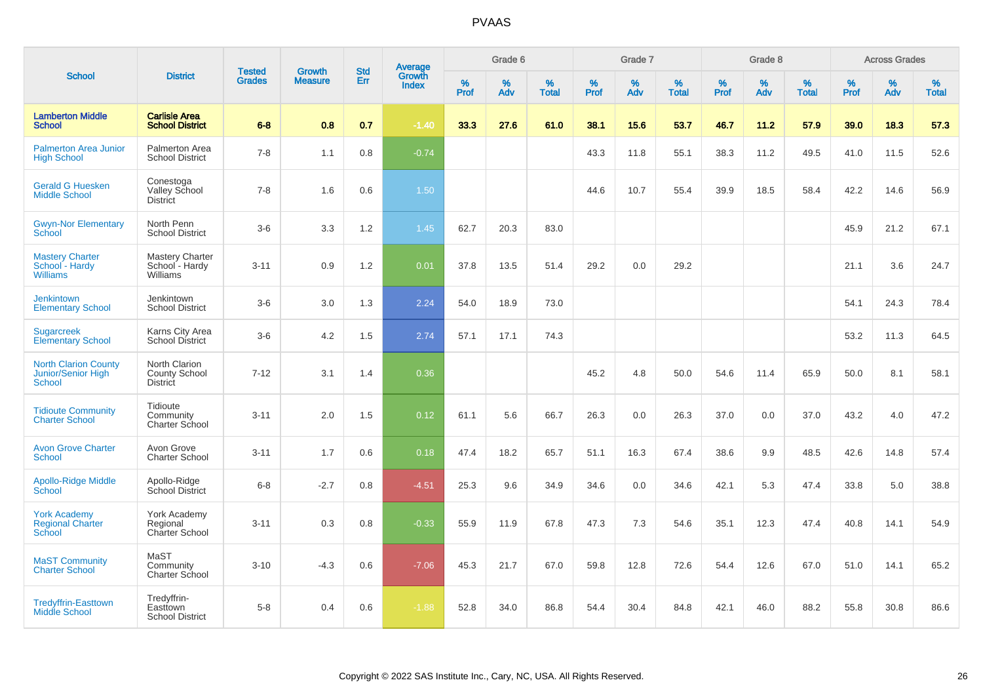| <b>School</b>                                                      |                                                          | <b>Tested</b> | Growth         | <b>Std</b> |                                          |           | Grade 6  |                   |           | Grade 7  |                   |           | Grade 8  |                   |           | <b>Across Grades</b> |                   |
|--------------------------------------------------------------------|----------------------------------------------------------|---------------|----------------|------------|------------------------------------------|-----------|----------|-------------------|-----------|----------|-------------------|-----------|----------|-------------------|-----------|----------------------|-------------------|
|                                                                    | <b>District</b>                                          | <b>Grades</b> | <b>Measure</b> | Err        | <b>Average</b><br>Growth<br><b>Index</b> | %<br>Prof | %<br>Adv | %<br><b>Total</b> | %<br>Prof | %<br>Adv | %<br><b>Total</b> | %<br>Prof | %<br>Adv | %<br><b>Total</b> | %<br>Prof | %<br>Adv             | %<br><b>Total</b> |
| <b>Lamberton Middle</b><br><b>School</b>                           | <b>Carlisle Area</b><br><b>School District</b>           | $6 - 8$       | 0.8            | 0.7        | $-1.40$                                  | 33.3      | 27.6     | 61.0              | 38.1      | 15.6     | 53.7              | 46.7      | 11.2     | 57.9              | 39.0      | 18.3                 | 57.3              |
| <b>Palmerton Area Junior</b><br><b>High School</b>                 | Palmerton Area<br><b>School District</b>                 | $7 - 8$       | 1.1            | 0.8        | $-0.74$                                  |           |          |                   | 43.3      | 11.8     | 55.1              | 38.3      | 11.2     | 49.5              | 41.0      | 11.5                 | 52.6              |
| <b>Gerald G Huesken</b><br><b>Middle School</b>                    | Conestoga<br>Valley School<br><b>District</b>            | $7 - 8$       | 1.6            | 0.6        | 1.50                                     |           |          |                   | 44.6      | 10.7     | 55.4              | 39.9      | 18.5     | 58.4              | 42.2      | 14.6                 | 56.9              |
| <b>Gwyn-Nor Elementary</b><br>School                               | North Penn<br><b>School District</b>                     | $3-6$         | 3.3            | 1.2        | 1.45                                     | 62.7      | 20.3     | 83.0              |           |          |                   |           |          |                   | 45.9      | 21.2                 | 67.1              |
| <b>Mastery Charter</b><br>School - Hardy<br><b>Williams</b>        | <b>Mastery Charter</b><br>School - Hardy<br>Williams     | $3 - 11$      | 0.9            | 1.2        | 0.01                                     | 37.8      | 13.5     | 51.4              | 29.2      | 0.0      | 29.2              |           |          |                   | 21.1      | 3.6                  | 24.7              |
| <b>Jenkintown</b><br><b>Elementary School</b>                      | Jenkintown<br><b>School District</b>                     | $3-6$         | 3.0            | 1.3        | 2.24                                     | 54.0      | 18.9     | 73.0              |           |          |                   |           |          |                   | 54.1      | 24.3                 | 78.4              |
| <b>Sugarcreek</b><br><b>Elementary School</b>                      | Karns City Area<br><b>School District</b>                | $3-6$         | 4.2            | 1.5        | 2.74                                     | 57.1      | 17.1     | 74.3              |           |          |                   |           |          |                   | 53.2      | 11.3                 | 64.5              |
| <b>North Clarion County</b><br>Junior/Senior High<br><b>School</b> | North Clarion<br><b>County School</b><br><b>District</b> | $7 - 12$      | 3.1            | 1.4        | 0.36                                     |           |          |                   | 45.2      | 4.8      | 50.0              | 54.6      | 11.4     | 65.9              | 50.0      | 8.1                  | 58.1              |
| <b>Tidioute Community</b><br><b>Charter School</b>                 | Tidioute<br>Community<br>Charter School                  | $3 - 11$      | 2.0            | 1.5        | 0.12                                     | 61.1      | 5.6      | 66.7              | 26.3      | 0.0      | 26.3              | 37.0      | 0.0      | 37.0              | 43.2      | 4.0                  | 47.2              |
| <b>Avon Grove Charter</b><br>School                                | Avon Grove<br><b>Charter School</b>                      | $3 - 11$      | 1.7            | 0.6        | 0.18                                     | 47.4      | 18.2     | 65.7              | 51.1      | 16.3     | 67.4              | 38.6      | 9.9      | 48.5              | 42.6      | 14.8                 | 57.4              |
| <b>Apollo-Ridge Middle</b><br>School                               | Apollo-Ridge<br><b>School District</b>                   | $6 - 8$       | $-2.7$         | 0.8        | $-4.51$                                  | 25.3      | 9.6      | 34.9              | 34.6      | 0.0      | 34.6              | 42.1      | 5.3      | 47.4              | 33.8      | 5.0                  | 38.8              |
| <b>York Academy</b><br><b>Regional Charter</b><br><b>School</b>    | York Academy<br>Regional<br>Charter School               | $3 - 11$      | 0.3            | 0.8        | $-0.33$                                  | 55.9      | 11.9     | 67.8              | 47.3      | 7.3      | 54.6              | 35.1      | 12.3     | 47.4              | 40.8      | 14.1                 | 54.9              |
| <b>MaST Community</b><br><b>Charter School</b>                     | MaST<br>Community<br>Charter School                      | $3 - 10$      | $-4.3$         | 0.6        | $-7.06$                                  | 45.3      | 21.7     | 67.0              | 59.8      | 12.8     | 72.6              | 54.4      | 12.6     | 67.0              | 51.0      | 14.1                 | 65.2              |
| <b>Tredyffrin-Easttown</b><br><b>Middle School</b>                 | Tredyffrin-<br>Easttown<br><b>School District</b>        | $5-8$         | 0.4            | 0.6        | $-1.88$                                  | 52.8      | 34.0     | 86.8              | 54.4      | 30.4     | 84.8              | 42.1      | 46.0     | 88.2              | 55.8      | 30.8                 | 86.6              |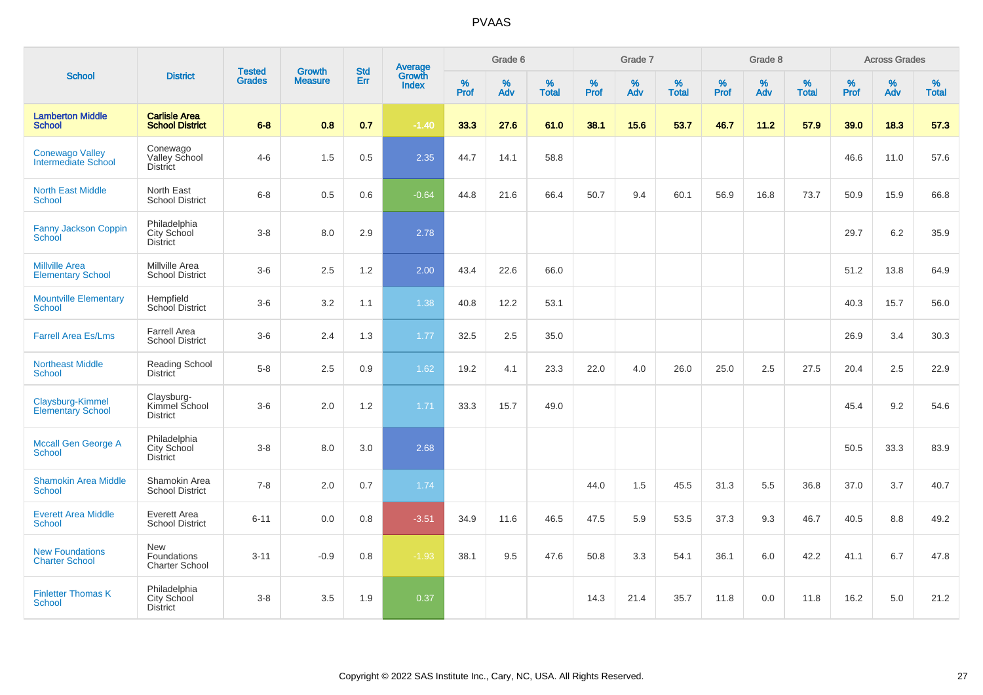|                                                   |                                                       | <b>Tested</b> | <b>Growth</b>  | <b>Std</b> |                                          |                  | Grade 6  |                   |                     | Grade 7  |                   |              | Grade 8  |                   |              | <b>Across Grades</b> |                   |
|---------------------------------------------------|-------------------------------------------------------|---------------|----------------|------------|------------------------------------------|------------------|----------|-------------------|---------------------|----------|-------------------|--------------|----------|-------------------|--------------|----------------------|-------------------|
| <b>School</b>                                     | <b>District</b>                                       | <b>Grades</b> | <b>Measure</b> | Err        | <b>Average</b><br>Growth<br><b>Index</b> | %<br><b>Prof</b> | %<br>Adv | %<br><b>Total</b> | $\%$<br><b>Prof</b> | %<br>Adv | %<br><b>Total</b> | $\%$<br>Prof | %<br>Adv | %<br><b>Total</b> | $\%$<br>Prof | $\%$<br>Adv          | %<br><b>Total</b> |
| <b>Lamberton Middle</b><br><b>School</b>          | <b>Carlisle Area</b><br><b>School District</b>        | $6 - 8$       | 0.8            | 0.7        | $-1.40$                                  | 33.3             | 27.6     | 61.0              | 38.1                | 15.6     | 53.7              | 46.7         | 11.2     | 57.9              | 39.0         | 18.3                 | 57.3              |
| <b>Conewago Valley</b><br>Intermediate School     | Conewago<br>Valley School<br><b>District</b>          | $4 - 6$       | 1.5            | 0.5        | 2.35                                     | 44.7             | 14.1     | 58.8              |                     |          |                   |              |          |                   | 46.6         | 11.0                 | 57.6              |
| <b>North East Middle</b><br><b>School</b>         | North East<br><b>School District</b>                  | $6 - 8$       | 0.5            | 0.6        | $-0.64$                                  | 44.8             | 21.6     | 66.4              | 50.7                | 9.4      | 60.1              | 56.9         | 16.8     | 73.7              | 50.9         | 15.9                 | 66.8              |
| Fanny Jackson Coppin<br><b>School</b>             | Philadelphia<br>City School<br>District               | $3 - 8$       | 8.0            | 2.9        | 2.78                                     |                  |          |                   |                     |          |                   |              |          |                   | 29.7         | $6.2\,$              | 35.9              |
| <b>Millville Area</b><br><b>Elementary School</b> | Millville Area<br><b>School District</b>              | $3-6$         | 2.5            | 1.2        | 2.00                                     | 43.4             | 22.6     | 66.0              |                     |          |                   |              |          |                   | 51.2         | 13.8                 | 64.9              |
| <b>Mountville Elementary</b><br><b>School</b>     | Hempfield<br>School District                          | $3-6$         | 3.2            | 1.1        | 1.38                                     | 40.8             | 12.2     | 53.1              |                     |          |                   |              |          |                   | 40.3         | 15.7                 | 56.0              |
| <b>Farrell Area Es/Lms</b>                        | <b>Farrell Area</b><br><b>School District</b>         | $3-6$         | 2.4            | 1.3        | 1.77                                     | 32.5             | 2.5      | 35.0              |                     |          |                   |              |          |                   | 26.9         | 3.4                  | 30.3              |
| <b>Northeast Middle</b><br><b>School</b>          | <b>Reading School</b><br><b>District</b>              | $5-8$         | 2.5            | 0.9        | 1.62                                     | 19.2             | 4.1      | 23.3              | 22.0                | 4.0      | 26.0              | 25.0         | 2.5      | 27.5              | 20.4         | 2.5                  | 22.9              |
| Claysburg-Kimmel<br><b>Elementary School</b>      | Claysburg-<br>Kimmel School<br><b>District</b>        | $3-6$         | 2.0            | 1.2        | 1.71                                     | 33.3             | 15.7     | 49.0              |                     |          |                   |              |          |                   | 45.4         | 9.2                  | 54.6              |
| <b>Mccall Gen George A</b><br><b>School</b>       | Philadelphia<br>City School<br>District               | $3 - 8$       | 8.0            | 3.0        | 2.68                                     |                  |          |                   |                     |          |                   |              |          |                   | 50.5         | 33.3                 | 83.9              |
| <b>Shamokin Area Middle</b><br><b>School</b>      | Shamokin Area<br><b>School District</b>               | $7 - 8$       | 2.0            | 0.7        | 1.74                                     |                  |          |                   | 44.0                | 1.5      | 45.5              | 31.3         | 5.5      | 36.8              | 37.0         | 3.7                  | 40.7              |
| <b>Everett Area Middle</b><br><b>School</b>       | Everett Area<br><b>School District</b>                | $6 - 11$      | 0.0            | 0.8        | $-3.51$                                  | 34.9             | 11.6     | 46.5              | 47.5                | 5.9      | 53.5              | 37.3         | 9.3      | 46.7              | 40.5         | 8.8                  | 49.2              |
| <b>New Foundations</b><br><b>Charter School</b>   | New<br>Foundations<br><b>Charter School</b>           | $3 - 11$      | $-0.9$         | 0.8        | $-1.93$                                  | 38.1             | 9.5      | 47.6              | 50.8                | 3.3      | 54.1              | 36.1         | 6.0      | 42.2              | 41.1         | 6.7                  | 47.8              |
| <b>Finletter Thomas K</b><br><b>School</b>        | Philadelphia<br><b>City School</b><br><b>District</b> | $3 - 8$       | 3.5            | 1.9        | 0.37                                     |                  |          |                   | 14.3                | 21.4     | 35.7              | 11.8         | 0.0      | 11.8              | 16.2         | 5.0                  | 21.2              |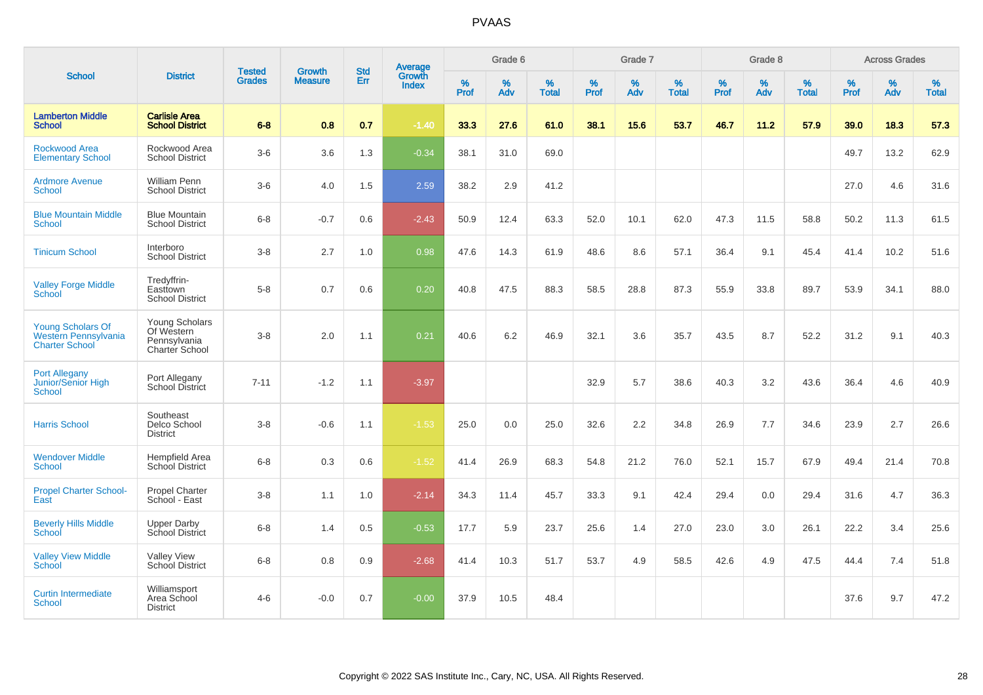| <b>School</b>                                                                    |                                                                |                                |                                 |                   |                                          |           | Grade 6  |                   |           | Grade 7          |                   |           | Grade 8  |                   |           | <b>Across Grades</b> |                   |
|----------------------------------------------------------------------------------|----------------------------------------------------------------|--------------------------------|---------------------------------|-------------------|------------------------------------------|-----------|----------|-------------------|-----------|------------------|-------------------|-----------|----------|-------------------|-----------|----------------------|-------------------|
|                                                                                  | <b>District</b>                                                | <b>Tested</b><br><b>Grades</b> | <b>Growth</b><br><b>Measure</b> | <b>Std</b><br>Err | <b>Average</b><br>Growth<br><b>Index</b> | %<br>Prof | %<br>Adv | %<br><b>Total</b> | %<br>Prof | %<br>Adv         | %<br><b>Total</b> | %<br>Prof | %<br>Adv | %<br><b>Total</b> | %<br>Prof | $\%$<br>Adv          | %<br><b>Total</b> |
| <b>Lamberton Middle</b><br><b>School</b>                                         | <b>Carlisle Area</b><br><b>School District</b>                 | $6 - 8$                        | 0.8                             | 0.7               | $-1.40$                                  | 33.3      | 27.6     | 61.0              | 38.1      | 15.6             | 53.7              | 46.7      | 11.2     | 57.9              | 39.0      | 18.3                 | 57.3              |
| Rockwood Area<br><b>Elementary School</b>                                        | Rockwood Area<br><b>School District</b>                        | $3-6$                          | 3.6                             | 1.3               | $-0.34$                                  | 38.1      | 31.0     | 69.0              |           |                  |                   |           |          |                   | 49.7      | 13.2                 | 62.9              |
| <b>Ardmore Avenue</b><br><b>School</b>                                           | William Penn<br><b>School District</b>                         | $3-6$                          | 4.0                             | 1.5               | 2.59                                     | 38.2      | 2.9      | 41.2              |           |                  |                   |           |          |                   | 27.0      | 4.6                  | 31.6              |
| <b>Blue Mountain Middle</b><br><b>School</b>                                     | <b>Blue Mountain</b><br><b>School District</b>                 | $6-8$                          | $-0.7$                          | 0.6               | $-2.43$                                  | 50.9      | 12.4     | 63.3              | 52.0      | 10.1             | 62.0              | 47.3      | 11.5     | 58.8              | 50.2      | 11.3                 | 61.5              |
| <b>Tinicum School</b>                                                            | Interboro<br><b>School District</b>                            | $3 - 8$                        | 2.7                             | 1.0               | 0.98                                     | 47.6      | 14.3     | 61.9              | 48.6      | 8.6              | 57.1              | 36.4      | 9.1      | 45.4              | 41.4      | 10.2                 | 51.6              |
| <b>Valley Forge Middle</b><br>School                                             | Tredyffrin-<br>Easttown<br><b>School District</b>              | $5 - 8$                        | 0.7                             | 0.6               | 0.20                                     | 40.8      | 47.5     | 88.3              | 58.5      | 28.8             | 87.3              | 55.9      | 33.8     | 89.7              | 53.9      | 34.1                 | 88.0              |
| <b>Young Scholars Of</b><br><b>Western Pennsylvania</b><br><b>Charter School</b> | Young Scholars<br>Of Western<br>Pennsylvania<br>Charter School | $3-8$                          | 2.0                             | 1.1               | 0.21                                     | 40.6      | 6.2      | 46.9              | 32.1      | 3.6              | 35.7              | 43.5      | 8.7      | 52.2              | 31.2      | 9.1                  | 40.3              |
| <b>Port Allegany</b><br><b>Junior/Senior High</b><br>School                      | Port Allegany<br>School District                               | $7 - 11$                       | $-1.2$                          | 1.1               | $-3.97$                                  |           |          |                   | 32.9      | 5.7              | 38.6              | 40.3      | 3.2      | 43.6              | 36.4      | 4.6                  | 40.9              |
| <b>Harris School</b>                                                             | Southeast<br>Delco School<br><b>District</b>                   | $3 - 8$                        | $-0.6$                          | 1.1               | $-1.53$                                  | 25.0      | 0.0      | 25.0              | 32.6      | $2.2\phantom{0}$ | 34.8              | 26.9      | 7.7      | 34.6              | 23.9      | 2.7                  | 26.6              |
| <b>Wendover Middle</b><br><b>School</b>                                          | Hempfield Area<br>School District                              | $6 - 8$                        | 0.3                             | 0.6               | $-1.52$                                  | 41.4      | 26.9     | 68.3              | 54.8      | 21.2             | 76.0              | 52.1      | 15.7     | 67.9              | 49.4      | 21.4                 | 70.8              |
| <b>Propel Charter School-</b><br>East                                            | Propel Charter<br>School - East                                | $3 - 8$                        | 1.1                             | 1.0               | $-2.14$                                  | 34.3      | 11.4     | 45.7              | 33.3      | 9.1              | 42.4              | 29.4      | 0.0      | 29.4              | 31.6      | 4.7                  | 36.3              |
| <b>Beverly Hills Middle</b><br>School                                            | <b>Upper Darby</b><br>School District                          | $6 - 8$                        | 1.4                             | 0.5               | $-0.53$                                  | 17.7      | 5.9      | 23.7              | 25.6      | 1.4              | 27.0              | 23.0      | 3.0      | 26.1              | 22.2      | 3.4                  | 25.6              |
| <b>Valley View Middle</b><br>School                                              | <b>Valley View</b><br><b>School District</b>                   | $6 - 8$                        | 0.8                             | 0.9               | $-2.68$                                  | 41.4      | 10.3     | 51.7              | 53.7      | 4.9              | 58.5              | 42.6      | 4.9      | 47.5              | 44.4      | 7.4                  | 51.8              |
| <b>Curtin Intermediate</b><br>School                                             | Williamsport<br>Area School<br><b>District</b>                 | $4 - 6$                        | $-0.0$                          | 0.7               | $-0.00$                                  | 37.9      | 10.5     | 48.4              |           |                  |                   |           |          |                   | 37.6      | 9.7                  | 47.2              |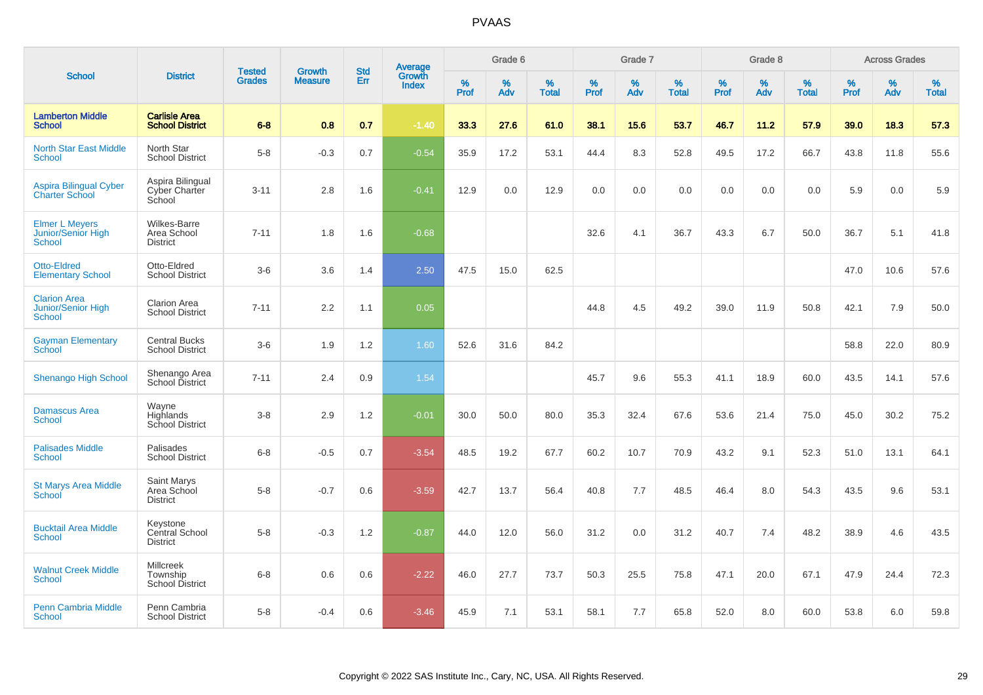| <b>School</b>                                                       |                                                       |                                |                                 |                   |                                          |           | Grade 6  |                   |           | Grade 7  |                   |           | Grade 8  |                   |              | <b>Across Grades</b> |                   |
|---------------------------------------------------------------------|-------------------------------------------------------|--------------------------------|---------------------------------|-------------------|------------------------------------------|-----------|----------|-------------------|-----------|----------|-------------------|-----------|----------|-------------------|--------------|----------------------|-------------------|
|                                                                     | <b>District</b>                                       | <b>Tested</b><br><b>Grades</b> | <b>Growth</b><br><b>Measure</b> | <b>Std</b><br>Err | <b>Average</b><br>Growth<br><b>Index</b> | %<br>Prof | %<br>Adv | %<br><b>Total</b> | %<br>Prof | %<br>Adv | %<br><b>Total</b> | %<br>Prof | %<br>Adv | %<br><b>Total</b> | $\%$<br>Prof | %<br>Adv             | %<br><b>Total</b> |
| <b>Lamberton Middle</b><br><b>School</b>                            | <b>Carlisle Area</b><br><b>School District</b>        | $6 - 8$                        | 0.8                             | 0.7               | $-1.40$                                  | 33.3      | 27.6     | 61.0              | 38.1      | 15.6     | 53.7              | 46.7      | 11.2     | 57.9              | 39.0         | 18.3                 | 57.3              |
| <b>North Star East Middle</b><br><b>School</b>                      | North Star<br><b>School District</b>                  | $5 - 8$                        | $-0.3$                          | 0.7               | $-0.54$                                  | 35.9      | 17.2     | 53.1              | 44.4      | 8.3      | 52.8              | 49.5      | 17.2     | 66.7              | 43.8         | 11.8                 | 55.6              |
| <b>Aspira Bilingual Cyber</b><br><b>Charter School</b>              | Aspira Bilingual<br>Cyber Charter<br>School           | $3 - 11$                       | 2.8                             | 1.6               | $-0.41$                                  | 12.9      | 0.0      | 12.9              | 0.0       | 0.0      | 0.0               | 0.0       | 0.0      | 0.0               | 5.9          | 0.0                  | 5.9               |
| <b>Elmer L Meyers</b><br><b>Junior/Senior High</b><br><b>School</b> | <b>Wilkes-Barre</b><br>Area School<br><b>District</b> | $7 - 11$                       | 1.8                             | 1.6               | $-0.68$                                  |           |          |                   | 32.6      | 4.1      | 36.7              | 43.3      | 6.7      | 50.0              | 36.7         | 5.1                  | 41.8              |
| <b>Otto-Eldred</b><br><b>Elementary School</b>                      | Otto-Eldred<br><b>School District</b>                 | $3-6$                          | 3.6                             | 1.4               | 2.50                                     | 47.5      | 15.0     | 62.5              |           |          |                   |           |          |                   | 47.0         | 10.6                 | 57.6              |
| <b>Clarion Area</b><br>Junior/Senior High<br><b>School</b>          | <b>Clarion Area</b><br><b>School District</b>         | $7 - 11$                       | 2.2                             | 1.1               | 0.05                                     |           |          |                   | 44.8      | 4.5      | 49.2              | 39.0      | 11.9     | 50.8              | 42.1         | 7.9                  | 50.0              |
| <b>Gayman Elementary</b><br>School                                  | <b>Central Bucks</b><br><b>School District</b>        | $3-6$                          | 1.9                             | 1.2               | 1.60                                     | 52.6      | 31.6     | 84.2              |           |          |                   |           |          |                   | 58.8         | 22.0                 | 80.9              |
| <b>Shenango High School</b>                                         | Shenango Area<br>School District                      | $7 - 11$                       | 2.4                             | 0.9               | 1.54                                     |           |          |                   | 45.7      | 9.6      | 55.3              | 41.1      | 18.9     | 60.0              | 43.5         | 14.1                 | 57.6              |
| <b>Damascus Area</b><br><b>School</b>                               | Wayne<br>Highlands<br>School District                 | $3 - 8$                        | 2.9                             | 1.2               | $-0.01$                                  | 30.0      | 50.0     | 80.0              | 35.3      | 32.4     | 67.6              | 53.6      | 21.4     | 75.0              | 45.0         | 30.2                 | 75.2              |
| <b>Palisades Middle</b><br>School                                   | Palisades<br><b>School District</b>                   | $6 - 8$                        | $-0.5$                          | 0.7               | $-3.54$                                  | 48.5      | 19.2     | 67.7              | 60.2      | 10.7     | 70.9              | 43.2      | 9.1      | 52.3              | 51.0         | 13.1                 | 64.1              |
| <b>St Marys Area Middle</b><br>School                               | <b>Saint Marys</b><br>Area School<br><b>District</b>  | $5-8$                          | $-0.7$                          | 0.6               | $-3.59$                                  | 42.7      | 13.7     | 56.4              | 40.8      | 7.7      | 48.5              | 46.4      | 8.0      | 54.3              | 43.5         | 9.6                  | 53.1              |
| <b>Bucktail Area Middle</b><br><b>School</b>                        | Keystone<br>Central School<br><b>District</b>         | $5 - 8$                        | $-0.3$                          | 1.2               | $-0.87$                                  | 44.0      | 12.0     | 56.0              | 31.2      | 0.0      | 31.2              | 40.7      | 7.4      | 48.2              | 38.9         | 4.6                  | 43.5              |
| <b>Walnut Creek Middle</b><br><b>School</b>                         | Millcreek<br>Township<br><b>School District</b>       | $6 - 8$                        | 0.6                             | 0.6               | $-2.22$                                  | 46.0      | 27.7     | 73.7              | 50.3      | 25.5     | 75.8              | 47.1      | 20.0     | 67.1              | 47.9         | 24.4                 | 72.3              |
| <b>Penn Cambria Middle</b><br><b>School</b>                         | Penn Cambria<br><b>School District</b>                | $5-8$                          | $-0.4$                          | 0.6               | $-3.46$                                  | 45.9      | 7.1      | 53.1              | 58.1      | 7.7      | 65.8              | 52.0      | 8.0      | 60.0              | 53.8         | 6.0                  | 59.8              |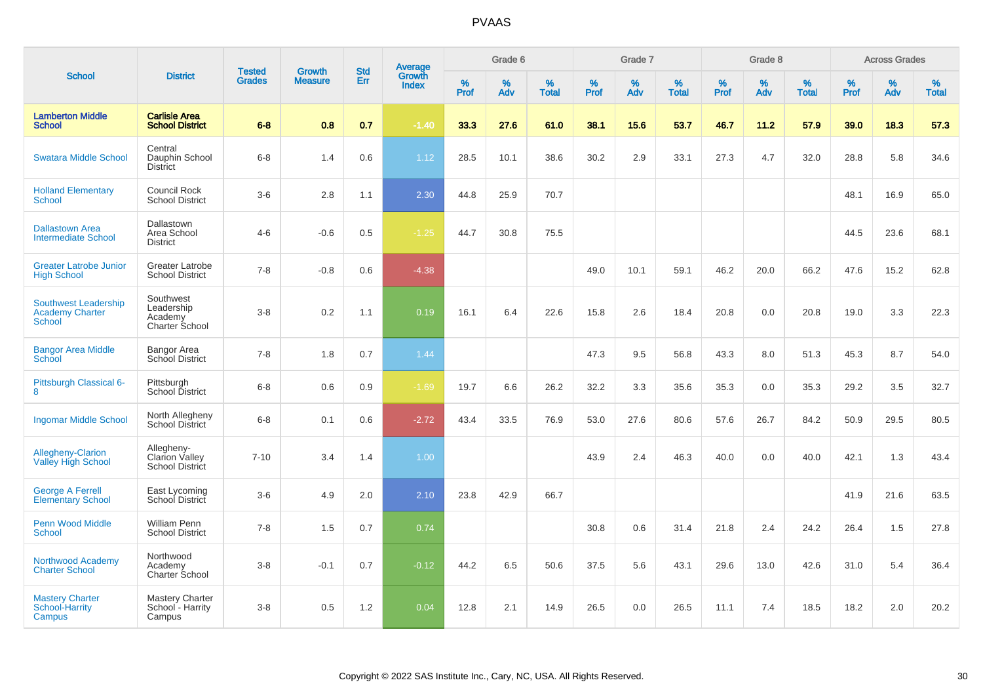| <b>School</b>                                                   |                                                        |                                |                                 |                   |                                          |           | Grade 6  |                   |           | Grade 7  |                   |           | Grade 8  |                   |              | <b>Across Grades</b> |                   |
|-----------------------------------------------------------------|--------------------------------------------------------|--------------------------------|---------------------------------|-------------------|------------------------------------------|-----------|----------|-------------------|-----------|----------|-------------------|-----------|----------|-------------------|--------------|----------------------|-------------------|
|                                                                 | <b>District</b>                                        | <b>Tested</b><br><b>Grades</b> | <b>Growth</b><br><b>Measure</b> | <b>Std</b><br>Err | <b>Average</b><br>Growth<br><b>Index</b> | %<br>Prof | %<br>Adv | %<br><b>Total</b> | %<br>Prof | %<br>Adv | %<br><b>Total</b> | %<br>Prof | %<br>Adv | %<br><b>Total</b> | $\%$<br>Prof | $\%$<br>Adv          | %<br><b>Total</b> |
| <b>Lamberton Middle</b><br><b>School</b>                        | <b>Carlisle Area</b><br><b>School District</b>         | $6 - 8$                        | 0.8                             | 0.7               | $-1.40$                                  | 33.3      | 27.6     | 61.0              | 38.1      | 15.6     | 53.7              | 46.7      | 11.2     | 57.9              | 39.0         | 18.3                 | 57.3              |
| <b>Swatara Middle School</b>                                    | Central<br>Dauphin School<br><b>District</b>           | $6 - 8$                        | 1.4                             | 0.6               | 1.12                                     | 28.5      | 10.1     | 38.6              | 30.2      | 2.9      | 33.1              | 27.3      | 4.7      | 32.0              | 28.8         | 5.8                  | 34.6              |
| <b>Holland Elementary</b><br><b>School</b>                      | Council Rock<br><b>School District</b>                 | $3-6$                          | 2.8                             | 1.1               | 2.30                                     | 44.8      | 25.9     | 70.7              |           |          |                   |           |          |                   | 48.1         | 16.9                 | 65.0              |
| <b>Dallastown Area</b><br><b>Intermediate School</b>            | Dallastown<br>Area School<br><b>District</b>           | $4 - 6$                        | $-0.6$                          | 0.5               | $-1.25$                                  | 44.7      | 30.8     | 75.5              |           |          |                   |           |          |                   | 44.5         | 23.6                 | 68.1              |
| <b>Greater Latrobe Junior</b><br><b>High School</b>             | <b>Greater Latrobe</b><br><b>School District</b>       | $7 - 8$                        | $-0.8$                          | 0.6               | $-4.38$                                  |           |          |                   | 49.0      | 10.1     | 59.1              | 46.2      | 20.0     | 66.2              | 47.6         | 15.2                 | 62.8              |
| Southwest Leadership<br><b>Academy Charter</b><br><b>School</b> | Southwest<br>Leadership<br>Academy<br>Charter School   | $3 - 8$                        | 0.2                             | 1.1               | 0.19                                     | 16.1      | 6.4      | 22.6              | 15.8      | 2.6      | 18.4              | 20.8      | 0.0      | 20.8              | 19.0         | 3.3                  | 22.3              |
| <b>Bangor Area Middle</b><br><b>School</b>                      | <b>Bangor Area</b><br>School District                  | $7 - 8$                        | 1.8                             | 0.7               | 1.44                                     |           |          |                   | 47.3      | 9.5      | 56.8              | 43.3      | 8.0      | 51.3              | 45.3         | 8.7                  | 54.0              |
| Pittsburgh Classical 6-<br>8                                    | Pittsburgh<br>School District                          | $6-8$                          | 0.6                             | 0.9               | $-1.69$                                  | 19.7      | 6.6      | 26.2              | 32.2      | 3.3      | 35.6              | 35.3      | 0.0      | 35.3              | 29.2         | 3.5                  | 32.7              |
| <b>Ingomar Middle School</b>                                    | North Allegheny<br><b>School District</b>              | $6 - 8$                        | 0.1                             | 0.6               | $-2.72$                                  | 43.4      | 33.5     | 76.9              | 53.0      | 27.6     | 80.6              | 57.6      | 26.7     | 84.2              | 50.9         | 29.5                 | 80.5              |
| <b>Allegheny-Clarion</b><br>Valley High School                  | Allegheny-<br>Clarion Valley<br><b>School District</b> | $7 - 10$                       | 3.4                             | 1.4               | 1.00                                     |           |          |                   | 43.9      | 2.4      | 46.3              | 40.0      | 0.0      | 40.0              | 42.1         | 1.3                  | 43.4              |
| <b>George A Ferrell</b><br><b>Elementary School</b>             | East Lycoming<br>School District                       | $3-6$                          | 4.9                             | 2.0               | 2.10                                     | 23.8      | 42.9     | 66.7              |           |          |                   |           |          |                   | 41.9         | 21.6                 | 63.5              |
| <b>Penn Wood Middle</b><br><b>School</b>                        | <b>William Penn</b><br><b>School District</b>          | $7 - 8$                        | 1.5                             | 0.7               | 0.74                                     |           |          |                   | 30.8      | 0.6      | 31.4              | 21.8      | 2.4      | 24.2              | 26.4         | 1.5                  | 27.8              |
| Northwood Academy<br><b>Charter School</b>                      | Northwood<br>Academy<br><b>Charter School</b>          | $3 - 8$                        | $-0.1$                          | 0.7               | $-0.12$                                  | 44.2      | 6.5      | 50.6              | 37.5      | 5.6      | 43.1              | 29.6      | 13.0     | 42.6              | 31.0         | 5.4                  | 36.4              |
| <b>Mastery Charter</b><br><b>School-Harrity</b><br>Campus       | <b>Mastery Charter</b><br>School - Harrity<br>Campus   | $3 - 8$                        | 0.5                             | 1.2               | 0.04                                     | 12.8      | 2.1      | 14.9              | 26.5      | 0.0      | 26.5              | 11.1      | 7.4      | 18.5              | 18.2         | 2.0                  | 20.2              |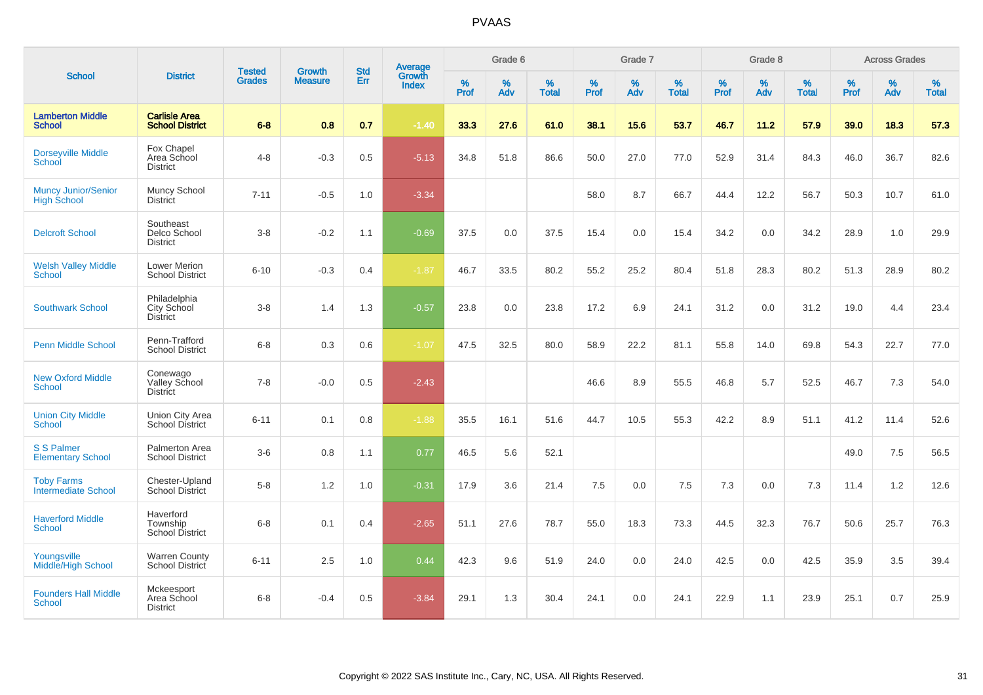| <b>School</b>                                    |                                                |                                | <b>Growth</b>  | <b>Std</b> |                                          |                  | Grade 6     |                   |           | Grade 7  |                   |           | Grade 8  |                   |              | <b>Across Grades</b> |                   |
|--------------------------------------------------|------------------------------------------------|--------------------------------|----------------|------------|------------------------------------------|------------------|-------------|-------------------|-----------|----------|-------------------|-----------|----------|-------------------|--------------|----------------------|-------------------|
|                                                  | <b>District</b>                                | <b>Tested</b><br><b>Grades</b> | <b>Measure</b> | Err        | <b>Average</b><br>Growth<br><b>Index</b> | %<br><b>Prof</b> | $\%$<br>Adv | %<br><b>Total</b> | %<br>Prof | %<br>Adv | %<br><b>Total</b> | %<br>Prof | %<br>Adv | %<br><b>Total</b> | $\%$<br>Prof | $\%$<br>Adv          | %<br><b>Total</b> |
| <b>Lamberton Middle</b><br><b>School</b>         | <b>Carlisle Area</b><br><b>School District</b> | $6 - 8$                        | 0.8            | 0.7        | $-1.40$                                  | 33.3             | 27.6        | 61.0              | 38.1      | 15.6     | 53.7              | 46.7      | 11.2     | 57.9              | 39.0         | 18.3                 | 57.3              |
| <b>Dorseyville Middle</b><br>School              | Fox Chapel<br>Area School<br><b>District</b>   | $4 - 8$                        | $-0.3$         | 0.5        | $-5.13$                                  | 34.8             | 51.8        | 86.6              | 50.0      | 27.0     | 77.0              | 52.9      | 31.4     | 84.3              | 46.0         | 36.7                 | 82.6              |
| <b>Muncy Junior/Senior</b><br><b>High School</b> | Muncy School<br><b>District</b>                | $7 - 11$                       | $-0.5$         | 1.0        | $-3.34$                                  |                  |             |                   | 58.0      | 8.7      | 66.7              | 44.4      | 12.2     | 56.7              | 50.3         | 10.7                 | 61.0              |
| <b>Delcroft School</b>                           | Southeast<br>Delco School<br><b>District</b>   | $3-8$                          | $-0.2$         | 1.1        | $-0.69$                                  | 37.5             | 0.0         | 37.5              | 15.4      | 0.0      | 15.4              | 34.2      | 0.0      | 34.2              | 28.9         | 1.0                  | 29.9              |
| <b>Welsh Valley Middle</b><br><b>School</b>      | Lower Merion<br><b>School District</b>         | $6 - 10$                       | $-0.3$         | 0.4        | $-1.87$                                  | 46.7             | 33.5        | 80.2              | 55.2      | 25.2     | 80.4              | 51.8      | 28.3     | 80.2              | 51.3         | 28.9                 | 80.2              |
| <b>Southwark School</b>                          | Philadelphia<br>City School<br><b>District</b> | $3-8$                          | 1.4            | 1.3        | $-0.57$                                  | 23.8             | 0.0         | 23.8              | 17.2      | 6.9      | 24.1              | 31.2      | 0.0      | 31.2              | 19.0         | 4.4                  | 23.4              |
| <b>Penn Middle School</b>                        | Penn-Trafford<br><b>School District</b>        | $6 - 8$                        | 0.3            | 0.6        | $-1.07$                                  | 47.5             | 32.5        | 80.0              | 58.9      | 22.2     | 81.1              | 55.8      | 14.0     | 69.8              | 54.3         | 22.7                 | 77.0              |
| <b>New Oxford Middle</b><br><b>School</b>        | Conewago<br>Valley School<br><b>District</b>   | $7 - 8$                        | $-0.0$         | 0.5        | $-2.43$                                  |                  |             |                   | 46.6      | 8.9      | 55.5              | 46.8      | 5.7      | 52.5              | 46.7         | 7.3                  | 54.0              |
| <b>Union City Middle</b><br>School               | Union City Area<br>School District             | $6 - 11$                       | 0.1            | 0.8        | $-1.88$                                  | 35.5             | 16.1        | 51.6              | 44.7      | 10.5     | 55.3              | 42.2      | 8.9      | 51.1              | 41.2         | 11.4                 | 52.6              |
| <b>S S Palmer</b><br><b>Elementary School</b>    | Palmerton Area<br><b>School District</b>       | $3-6$                          | 0.8            | 1.1        | 0.77                                     | 46.5             | 5.6         | 52.1              |           |          |                   |           |          |                   | 49.0         | 7.5                  | 56.5              |
| <b>Toby Farms</b><br><b>Intermediate School</b>  | Chester-Upland<br><b>School District</b>       | $5-8$                          | 1.2            | 1.0        | $-0.31$                                  | 17.9             | 3.6         | 21.4              | 7.5       | 0.0      | 7.5               | 7.3       | 0.0      | 7.3               | 11.4         | 1.2                  | 12.6              |
| <b>Haverford Middle</b><br>School                | Haverford<br>Township<br>School District       | $6 - 8$                        | 0.1            | 0.4        | $-2.65$                                  | 51.1             | 27.6        | 78.7              | 55.0      | 18.3     | 73.3              | 44.5      | 32.3     | 76.7              | 50.6         | 25.7                 | 76.3              |
| Youngsville<br>Middle/High School                | <b>Warren County</b><br>School District        | $6 - 11$                       | 2.5            | 1.0        | 0.44                                     | 42.3             | 9.6         | 51.9              | 24.0      | 0.0      | 24.0              | 42.5      | 0.0      | 42.5              | 35.9         | 3.5                  | 39.4              |
| <b>Founders Hall Middle</b><br>School            | Mckeesport<br>Area School<br><b>District</b>   | $6 - 8$                        | $-0.4$         | 0.5        | $-3.84$                                  | 29.1             | 1.3         | 30.4              | 24.1      | 0.0      | 24.1              | 22.9      | 1.1      | 23.9              | 25.1         | 0.7                  | 25.9              |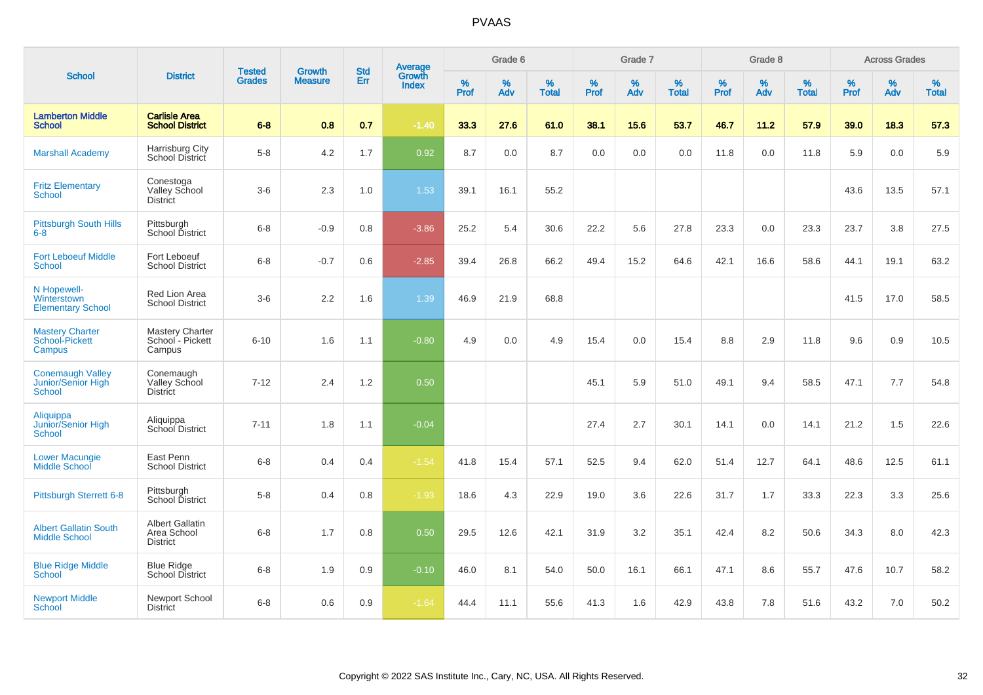| <b>School</b>                                           |                                                          |                                | <b>Growth</b>  | <b>Std</b> |                                          |           | Grade 6  |                   |           | Grade 7     |                   |           | Grade 8  |                   |           | <b>Across Grades</b> |                   |
|---------------------------------------------------------|----------------------------------------------------------|--------------------------------|----------------|------------|------------------------------------------|-----------|----------|-------------------|-----------|-------------|-------------------|-----------|----------|-------------------|-----------|----------------------|-------------------|
|                                                         | <b>District</b>                                          | <b>Tested</b><br><b>Grades</b> | <b>Measure</b> | <b>Err</b> | <b>Average</b><br>Growth<br><b>Index</b> | %<br>Prof | %<br>Adv | %<br><b>Total</b> | %<br>Prof | $\%$<br>Adv | %<br><b>Total</b> | %<br>Prof | %<br>Adv | %<br><b>Total</b> | %<br>Prof | $\%$<br>Adv          | %<br><b>Total</b> |
| <b>Lamberton Middle</b><br><b>School</b>                | <b>Carlisle Area</b><br><b>School District</b>           | $6 - 8$                        | 0.8            | 0.7        | $-1.40$                                  | 33.3      | 27.6     | 61.0              | 38.1      | 15.6        | 53.7              | 46.7      | 11.2     | 57.9              | 39.0      | 18.3                 | 57.3              |
| <b>Marshall Academy</b>                                 | Harrisburg City<br>School District                       | $5-8$                          | 4.2            | 1.7        | 0.92                                     | 8.7       | 0.0      | 8.7               | 0.0       | 0.0         | 0.0               | 11.8      | 0.0      | 11.8              | 5.9       | 0.0                  | 5.9               |
| <b>Fritz Elementary</b><br><b>School</b>                | Conestoga<br>Valley School<br><b>District</b>            | $3-6$                          | 2.3            | 1.0        | 1.53                                     | 39.1      | 16.1     | 55.2              |           |             |                   |           |          |                   | 43.6      | 13.5                 | 57.1              |
| <b>Pittsburgh South Hills</b><br>$6 - 8$                | Pittsburgh<br>School District                            | $6 - 8$                        | $-0.9$         | 0.8        | $-3.86$                                  | 25.2      | 5.4      | 30.6              | 22.2      | 5.6         | 27.8              | 23.3      | 0.0      | 23.3              | 23.7      | 3.8                  | 27.5              |
| <b>Fort Leboeuf Middle</b><br><b>School</b>             | Fort Leboeuf<br><b>School District</b>                   | $6 - 8$                        | $-0.7$         | 0.6        | $-2.85$                                  | 39.4      | 26.8     | 66.2              | 49.4      | 15.2        | 64.6              | 42.1      | 16.6     | 58.6              | 44.1      | 19.1                 | 63.2              |
| N Hopewell-<br>Winterstown<br><b>Elementary School</b>  | Red Lion Area<br><b>School District</b>                  | $3-6$                          | 2.2            | 1.6        | 1.39                                     | 46.9      | 21.9     | 68.8              |           |             |                   |           |          |                   | 41.5      | 17.0                 | 58.5              |
| <b>Mastery Charter</b><br>School-Pickett<br>Campus      | <b>Mastery Charter</b><br>School - Pickett<br>Campus     | $6 - 10$                       | 1.6            | 1.1        | $-0.80$                                  | 4.9       | 0.0      | 4.9               | 15.4      | 0.0         | 15.4              | 8.8       | 2.9      | 11.8              | 9.6       | 0.9                  | 10.5              |
| <b>Conemaugh Valley</b><br>Junior/Senior High<br>School | Conemaugh<br>Valley School<br><b>District</b>            | $7 - 12$                       | 2.4            | 1.2        | 0.50                                     |           |          |                   | 45.1      | 5.9         | 51.0              | 49.1      | 9.4      | 58.5              | 47.1      | 7.7                  | 54.8              |
| Aliquippa<br>Junior/Senior High<br><b>School</b>        | Aliquippa<br>School District                             | $7 - 11$                       | 1.8            | 1.1        | $-0.04$                                  |           |          |                   | 27.4      | 2.7         | 30.1              | 14.1      | 0.0      | 14.1              | 21.2      | 1.5                  | 22.6              |
| <b>Lower Macungie</b><br><b>Middle School</b>           | East Penn<br><b>School District</b>                      | $6 - 8$                        | 0.4            | 0.4        | $-1.54$                                  | 41.8      | 15.4     | 57.1              | 52.5      | 9.4         | 62.0              | 51.4      | 12.7     | 64.1              | 48.6      | 12.5                 | 61.1              |
| <b>Pittsburgh Sterrett 6-8</b>                          | Pittsburgh<br>School District                            | $5-8$                          | 0.4            | 0.8        | $-1.93$                                  | 18.6      | 4.3      | 22.9              | 19.0      | 3.6         | 22.6              | 31.7      | 1.7      | 33.3              | 22.3      | 3.3                  | 25.6              |
| <b>Albert Gallatin South</b><br><b>Middle School</b>    | <b>Albert Gallatin</b><br>Area School<br><b>District</b> | $6 - 8$                        | 1.7            | 0.8        | 0.50                                     | 29.5      | 12.6     | 42.1              | 31.9      | 3.2         | 35.1              | 42.4      | 8.2      | 50.6              | 34.3      | 8.0                  | 42.3              |
| <b>Blue Ridge Middle</b><br>School                      | <b>Blue Ridge</b><br><b>School District</b>              | $6 - 8$                        | 1.9            | 0.9        | $-0.10$                                  | 46.0      | 8.1      | 54.0              | 50.0      | 16.1        | 66.1              | 47.1      | 8.6      | 55.7              | 47.6      | 10.7                 | 58.2              |
| <b>Newport Middle</b><br><b>School</b>                  | Newport School<br><b>District</b>                        | $6 - 8$                        | 0.6            | 0.9        | $-1.64$                                  | 44.4      | 11.1     | 55.6              | 41.3      | 1.6         | 42.9              | 43.8      | 7.8      | 51.6              | 43.2      | 7.0                  | 50.2              |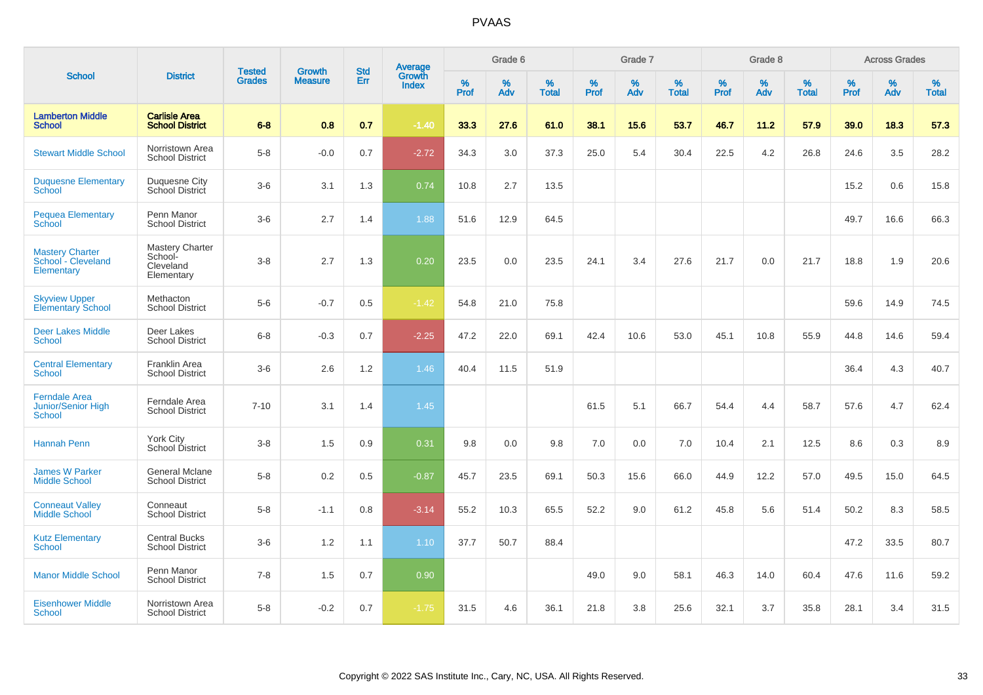| <b>School</b>                                                     |                                                              |                                |                                 | <b>Std</b> |                                          |                  | Grade 6     |                      |           | Grade 7  |                   |           | Grade 8  |                   |              | <b>Across Grades</b> |                   |
|-------------------------------------------------------------------|--------------------------------------------------------------|--------------------------------|---------------------------------|------------|------------------------------------------|------------------|-------------|----------------------|-----------|----------|-------------------|-----------|----------|-------------------|--------------|----------------------|-------------------|
|                                                                   | <b>District</b>                                              | <b>Tested</b><br><b>Grades</b> | <b>Growth</b><br><b>Measure</b> | Err        | <b>Average</b><br>Growth<br><b>Index</b> | %<br><b>Prof</b> | $\%$<br>Adv | $\%$<br><b>Total</b> | %<br>Prof | %<br>Adv | %<br><b>Total</b> | %<br>Prof | %<br>Adv | %<br><b>Total</b> | $\%$<br>Prof | $\%$<br>Adv          | %<br><b>Total</b> |
| <b>Lamberton Middle</b><br><b>School</b>                          | <b>Carlisle Area</b><br><b>School District</b>               | $6 - 8$                        | 0.8                             | 0.7        | $-1.40$                                  | 33.3             | 27.6        | 61.0                 | 38.1      | 15.6     | 53.7              | 46.7      | 11.2     | 57.9              | 39.0         | 18.3                 | 57.3              |
| <b>Stewart Middle School</b>                                      | Norristown Area<br><b>School District</b>                    | $5-8$                          | $-0.0$                          | 0.7        | $-2.72$                                  | 34.3             | 3.0         | 37.3                 | 25.0      | 5.4      | 30.4              | 22.5      | 4.2      | 26.8              | 24.6         | 3.5                  | 28.2              |
| <b>Duquesne Elementary</b><br>School                              | Duquesne City<br>School District                             | $3-6$                          | 3.1                             | 1.3        | 0.74                                     | 10.8             | 2.7         | 13.5                 |           |          |                   |           |          |                   | 15.2         | 0.6                  | 15.8              |
| <b>Pequea Elementary</b><br><b>School</b>                         | Penn Manor<br><b>School District</b>                         | $3-6$                          | 2.7                             | 1.4        | 1.88                                     | 51.6             | 12.9        | 64.5                 |           |          |                   |           |          |                   | 49.7         | 16.6                 | 66.3              |
| <b>Mastery Charter</b><br>School - Cleveland<br><b>Elementary</b> | <b>Mastery Charter</b><br>School-<br>Cleveland<br>Elementary | $3-8$                          | 2.7                             | 1.3        | 0.20                                     | 23.5             | 0.0         | 23.5                 | 24.1      | 3.4      | 27.6              | 21.7      | 0.0      | 21.7              | 18.8         | 1.9                  | 20.6              |
| <b>Skyview Upper</b><br><b>Elementary School</b>                  | Methacton<br><b>School District</b>                          | $5-6$                          | $-0.7$                          | 0.5        | $-1.42$                                  | 54.8             | 21.0        | 75.8                 |           |          |                   |           |          |                   | 59.6         | 14.9                 | 74.5              |
| <b>Deer Lakes Middle</b><br><b>School</b>                         | Deer Lakes<br><b>School District</b>                         | $6 - 8$                        | $-0.3$                          | 0.7        | $-2.25$                                  | 47.2             | 22.0        | 69.1                 | 42.4      | 10.6     | 53.0              | 45.1      | 10.8     | 55.9              | 44.8         | 14.6                 | 59.4              |
| <b>Central Elementary</b><br><b>School</b>                        | Franklin Area<br><b>School District</b>                      | $3-6$                          | 2.6                             | 1.2        | 1.46                                     | 40.4             | 11.5        | 51.9                 |           |          |                   |           |          |                   | 36.4         | 4.3                  | 40.7              |
| <b>Ferndale Area</b><br>Junior/Senior High<br><b>School</b>       | Ferndale Area<br><b>School District</b>                      | $7 - 10$                       | 3.1                             | 1.4        | 1.45                                     |                  |             |                      | 61.5      | 5.1      | 66.7              | 54.4      | 4.4      | 58.7              | 57.6         | 4.7                  | 62.4              |
| <b>Hannah Penn</b>                                                | York City<br>School District                                 | $3 - 8$                        | 1.5                             | 0.9        | 0.31                                     | 9.8              | 0.0         | 9.8                  | 7.0       | 0.0      | 7.0               | 10.4      | 2.1      | 12.5              | 8.6          | 0.3                  | 8.9               |
| <b>James W Parker</b><br><b>Middle School</b>                     | <b>General Mclane</b><br><b>School District</b>              | $5-8$                          | 0.2                             | 0.5        | $-0.87$                                  | 45.7             | 23.5        | 69.1                 | 50.3      | 15.6     | 66.0              | 44.9      | 12.2     | 57.0              | 49.5         | 15.0                 | 64.5              |
| <b>Conneaut Valley</b><br><b>Middle School</b>                    | Conneaut<br><b>School District</b>                           | $5 - 8$                        | $-1.1$                          | 0.8        | $-3.14$                                  | 55.2             | 10.3        | 65.5                 | 52.2      | 9.0      | 61.2              | 45.8      | 5.6      | 51.4              | 50.2         | 8.3                  | 58.5              |
| <b>Kutz Elementary</b><br><b>School</b>                           | <b>Central Bucks</b><br><b>School District</b>               | $3-6$                          | 1.2                             | 1.1        | 1.10                                     | 37.7             | 50.7        | 88.4                 |           |          |                   |           |          |                   | 47.2         | 33.5                 | 80.7              |
| <b>Manor Middle School</b>                                        | Penn Manor<br><b>School District</b>                         | $7 - 8$                        | 1.5                             | 0.7        | 0.90                                     |                  |             |                      | 49.0      | 9.0      | 58.1              | 46.3      | 14.0     | 60.4              | 47.6         | 11.6                 | 59.2              |
| <b>Eisenhower Middle</b><br><b>School</b>                         | Norristown Area<br><b>School District</b>                    | $5-8$                          | $-0.2$                          | 0.7        | $-1.75$                                  | 31.5             | 4.6         | 36.1                 | 21.8      | 3.8      | 25.6              | 32.1      | 3.7      | 35.8              | 28.1         | 3.4                  | 31.5              |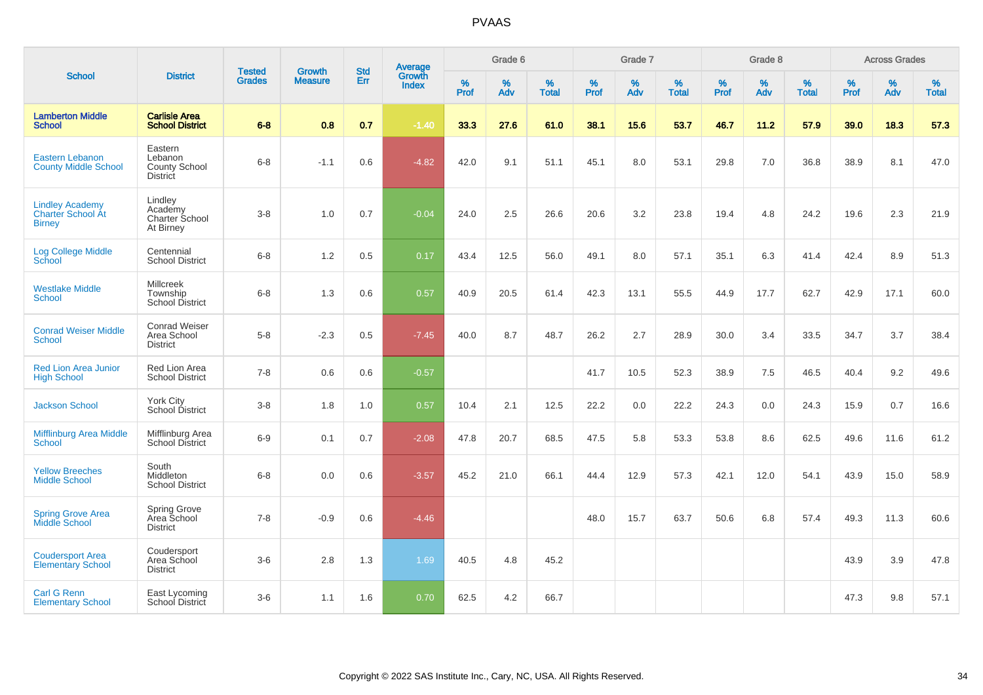| <b>School</b>                                                       |                                                        |                                |                                 | <b>Std</b> |                                          |           | Grade 6  |                   |           | Grade 7  |                   |           | Grade 8  |                   |              | <b>Across Grades</b> |                   |
|---------------------------------------------------------------------|--------------------------------------------------------|--------------------------------|---------------------------------|------------|------------------------------------------|-----------|----------|-------------------|-----------|----------|-------------------|-----------|----------|-------------------|--------------|----------------------|-------------------|
|                                                                     | <b>District</b>                                        | <b>Tested</b><br><b>Grades</b> | <b>Growth</b><br><b>Measure</b> | Err        | <b>Average</b><br>Growth<br><b>Index</b> | %<br>Prof | %<br>Adv | %<br><b>Total</b> | %<br>Prof | %<br>Adv | %<br><b>Total</b> | %<br>Prof | %<br>Adv | %<br><b>Total</b> | $\%$<br>Prof | $\%$<br>Adv          | %<br><b>Total</b> |
| <b>Lamberton Middle</b><br><b>School</b>                            | <b>Carlisle Area</b><br><b>School District</b>         | $6 - 8$                        | 0.8                             | 0.7        | $-1.40$                                  | 33.3      | 27.6     | 61.0              | 38.1      | 15.6     | 53.7              | 46.7      | 11.2     | 57.9              | 39.0         | 18.3                 | 57.3              |
| Eastern Lebanon<br><b>County Middle School</b>                      | Eastern<br>Lebanon<br>County School<br><b>District</b> | $6 - 8$                        | $-1.1$                          | 0.6        | $-4.82$                                  | 42.0      | 9.1      | 51.1              | 45.1      | 8.0      | 53.1              | 29.8      | 7.0      | 36.8              | 38.9         | 8.1                  | 47.0              |
| <b>Lindley Academy</b><br><b>Charter School At</b><br><b>Birney</b> | Lindley<br>Academy<br>Charter School<br>At Birney      | $3-8$                          | 1.0                             | 0.7        | $-0.04$                                  | 24.0      | 2.5      | 26.6              | 20.6      | 3.2      | 23.8              | 19.4      | 4.8      | 24.2              | 19.6         | 2.3                  | 21.9              |
| <b>Log College Middle</b><br><b>School</b>                          | Centennial<br><b>School District</b>                   | $6 - 8$                        | 1.2                             | 0.5        | 0.17                                     | 43.4      | 12.5     | 56.0              | 49.1      | 8.0      | 57.1              | 35.1      | 6.3      | 41.4              | 42.4         | 8.9                  | 51.3              |
| <b>Westlake Middle</b><br><b>School</b>                             | <b>Millcreek</b><br>Township<br>School District        | $6 - 8$                        | 1.3                             | 0.6        | 0.57                                     | 40.9      | 20.5     | 61.4              | 42.3      | 13.1     | 55.5              | 44.9      | 17.7     | 62.7              | 42.9         | 17.1                 | 60.0              |
| <b>Conrad Weiser Middle</b><br><b>School</b>                        | <b>Conrad Weiser</b><br>Area School<br><b>District</b> | $5-8$                          | $-2.3$                          | 0.5        | $-7.45$                                  | 40.0      | 8.7      | 48.7              | 26.2      | 2.7      | 28.9              | 30.0      | 3.4      | 33.5              | 34.7         | 3.7                  | 38.4              |
| <b>Red Lion Area Junior</b><br><b>High School</b>                   | Red Lion Area<br><b>School District</b>                | $7 - 8$                        | 0.6                             | 0.6        | $-0.57$                                  |           |          |                   | 41.7      | 10.5     | 52.3              | 38.9      | 7.5      | 46.5              | 40.4         | 9.2                  | 49.6              |
| <b>Jackson School</b>                                               | York City<br>School District                           | $3-8$                          | 1.8                             | 1.0        | 0.57                                     | 10.4      | 2.1      | 12.5              | 22.2      | 0.0      | 22.2              | 24.3      | 0.0      | 24.3              | 15.9         | 0.7                  | 16.6              |
| <b>Mifflinburg Area Middle</b><br>School                            | Mifflinburg Area<br><b>School District</b>             | $6-9$                          | 0.1                             | 0.7        | $-2.08$                                  | 47.8      | 20.7     | 68.5              | 47.5      | 5.8      | 53.3              | 53.8      | 8.6      | 62.5              | 49.6         | 11.6                 | 61.2              |
| <b>Yellow Breeches</b><br><b>Middle School</b>                      | South<br>Middleton<br><b>School District</b>           | $6 - 8$                        | 0.0                             | 0.6        | $-3.57$                                  | 45.2      | 21.0     | 66.1              | 44.4      | 12.9     | 57.3              | 42.1      | 12.0     | 54.1              | 43.9         | 15.0                 | 58.9              |
| <b>Spring Grove Area</b><br>Middle School                           | <b>Spring Grove</b><br>Area School<br><b>District</b>  | $7 - 8$                        | $-0.9$                          | 0.6        | $-4.46$                                  |           |          |                   | 48.0      | 15.7     | 63.7              | 50.6      | 6.8      | 57.4              | 49.3         | 11.3                 | 60.6              |
| <b>Coudersport Area</b><br><b>Elementary School</b>                 | Coudersport<br>Area School<br><b>District</b>          | $3-6$                          | 2.8                             | 1.3        | 1.69                                     | 40.5      | 4.8      | 45.2              |           |          |                   |           |          |                   | 43.9         | 3.9                  | 47.8              |
| <b>Carl G Renn</b><br><b>Elementary School</b>                      | East Lycoming<br>School District                       | $3-6$                          | 1.1                             | 1.6        | 0.70                                     | 62.5      | 4.2      | 66.7              |           |          |                   |           |          |                   | 47.3         | 9.8                  | 57.1              |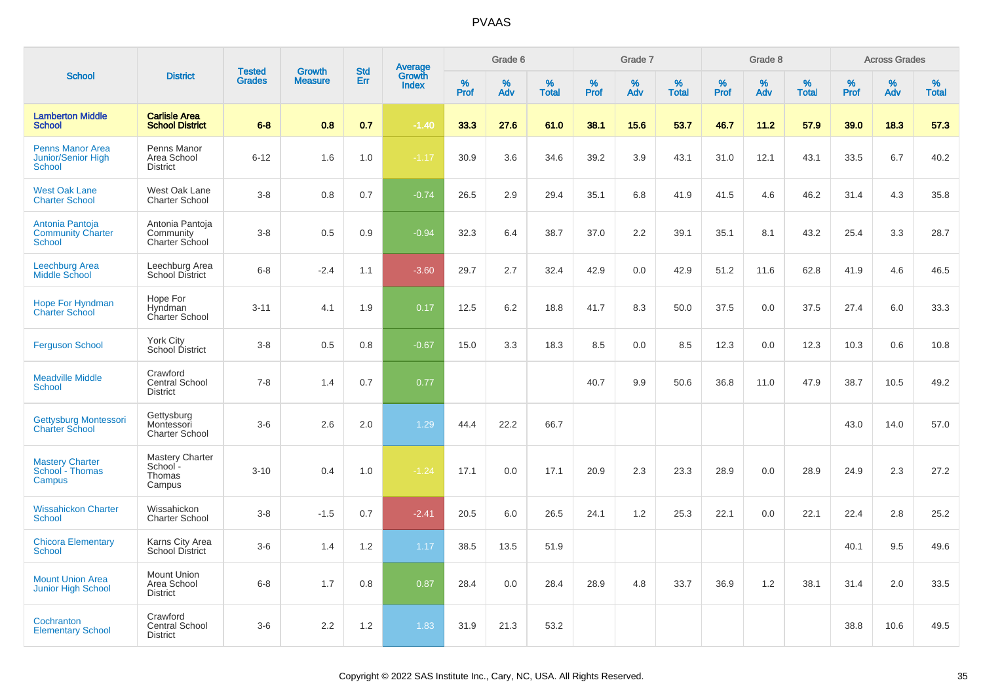| <b>School</b>                                                         |                                                        |                                |                                 | <b>Std</b> |                                          |                  | Grade 6     |                   |                     | Grade 7     |                   |              | Grade 8  |                   |              | <b>Across Grades</b> |                   |
|-----------------------------------------------------------------------|--------------------------------------------------------|--------------------------------|---------------------------------|------------|------------------------------------------|------------------|-------------|-------------------|---------------------|-------------|-------------------|--------------|----------|-------------------|--------------|----------------------|-------------------|
|                                                                       | <b>District</b>                                        | <b>Tested</b><br><b>Grades</b> | <b>Growth</b><br><b>Measure</b> | Err        | <b>Average</b><br>Growth<br><b>Index</b> | %<br><b>Prof</b> | $\%$<br>Adv | %<br><b>Total</b> | $\%$<br><b>Prof</b> | $\%$<br>Adv | %<br><b>Total</b> | $\%$<br>Prof | %<br>Adv | %<br><b>Total</b> | $\%$<br>Prof | %<br>Adv             | %<br><b>Total</b> |
| <b>Lamberton Middle</b><br><b>School</b>                              | <b>Carlisle Area</b><br><b>School District</b>         | $6 - 8$                        | 0.8                             | 0.7        | $-1.40$                                  | 33.3             | 27.6        | 61.0              | 38.1                | 15.6        | 53.7              | 46.7         | 11.2     | 57.9              | 39.0         | 18.3                 | 57.3              |
| <b>Penns Manor Area</b><br><b>Junior/Senior High</b><br><b>School</b> | Penns Manor<br>Area School<br><b>District</b>          | $6 - 12$                       | 1.6                             | 1.0        | $-1.17$                                  | 30.9             | 3.6         | 34.6              | 39.2                | 3.9         | 43.1              | 31.0         | 12.1     | 43.1              | 33.5         | 6.7                  | 40.2              |
| <b>West Oak Lane</b><br><b>Charter School</b>                         | West Oak Lane<br><b>Charter School</b>                 | $3 - 8$                        | 0.8                             | 0.7        | $-0.74$                                  | 26.5             | 2.9         | 29.4              | 35.1                | 6.8         | 41.9              | 41.5         | 4.6      | 46.2              | 31.4         | 4.3                  | 35.8              |
| Antonia Pantoja<br><b>Community Charter</b><br>School                 | Antonia Pantoja<br>Community<br>Charter School         | $3 - 8$                        | 0.5                             | 0.9        | $-0.94$                                  | 32.3             | 6.4         | 38.7              | 37.0                | 2.2         | 39.1              | 35.1         | 8.1      | 43.2              | 25.4         | 3.3                  | 28.7              |
| Leechburg Area<br>Middle School                                       | Leechburg Area<br>School District                      | $6 - 8$                        | $-2.4$                          | 1.1        | $-3.60$                                  | 29.7             | 2.7         | 32.4              | 42.9                | 0.0         | 42.9              | 51.2         | 11.6     | 62.8              | 41.9         | 4.6                  | 46.5              |
| <b>Hope For Hyndman</b><br><b>Charter School</b>                      | Hope For<br>Hyndman<br>Charter School                  | $3 - 11$                       | 4.1                             | 1.9        | 0.17                                     | 12.5             | 6.2         | 18.8              | 41.7                | 8.3         | 50.0              | 37.5         | 0.0      | 37.5              | 27.4         | 6.0                  | 33.3              |
| <b>Ferguson School</b>                                                | York City<br>School District                           | $3 - 8$                        | 0.5                             | 0.8        | $-0.67$                                  | 15.0             | 3.3         | 18.3              | 8.5                 | 0.0         | 8.5               | 12.3         | 0.0      | 12.3              | 10.3         | 0.6                  | 10.8              |
| <b>Meadville Middle</b><br>School                                     | Crawford<br>Central School<br><b>District</b>          | $7 - 8$                        | 1.4                             | 0.7        | 0.77                                     |                  |             |                   | 40.7                | 9.9         | 50.6              | 36.8         | 11.0     | 47.9              | 38.7         | 10.5                 | 49.2              |
| Gettysburg Montessori<br><b>Charter School</b>                        | Gettysburg<br>Montessori<br>Charter School             | $3-6$                          | 2.6                             | 2.0        | 1.29                                     | 44.4             | 22.2        | 66.7              |                     |             |                   |              |          |                   | 43.0         | 14.0                 | 57.0              |
| <b>Mastery Charter</b><br>School - Thomas<br>Campus                   | <b>Mastery Charter</b><br>School -<br>Thomas<br>Campus | $3 - 10$                       | 0.4                             | 1.0        | $-1.24$                                  | 17.1             | 0.0         | 17.1              | 20.9                | 2.3         | 23.3              | 28.9         | 0.0      | 28.9              | 24.9         | 2.3                  | 27.2              |
| <b>Wissahickon Charter</b><br><b>School</b>                           | Wissahickon<br><b>Charter School</b>                   | $3 - 8$                        | $-1.5$                          | 0.7        | $-2.41$                                  | 20.5             | 6.0         | 26.5              | 24.1                | 1.2         | 25.3              | 22.1         | 0.0      | 22.1              | 22.4         | 2.8                  | 25.2              |
| <b>Chicora Elementary</b><br>School                                   | Karns City Area<br><b>School District</b>              | $3-6$                          | 1.4                             | 1.2        | 1.17                                     | 38.5             | 13.5        | 51.9              |                     |             |                   |              |          |                   | 40.1         | 9.5                  | 49.6              |
| <b>Mount Union Area</b><br><b>Junior High School</b>                  | Mount Union<br>Area School<br><b>District</b>          | $6 - 8$                        | 1.7                             | 0.8        | 0.87                                     | 28.4             | 0.0         | 28.4              | 28.9                | 4.8         | 33.7              | 36.9         | 1.2      | 38.1              | 31.4         | 2.0                  | 33.5              |
| Cochranton<br><b>Elementary School</b>                                | Crawford<br>Central School<br><b>District</b>          | $3-6$                          | 2.2                             | 1.2        | 1.83                                     | 31.9             | 21.3        | 53.2              |                     |             |                   |              |          |                   | 38.8         | 10.6                 | 49.5              |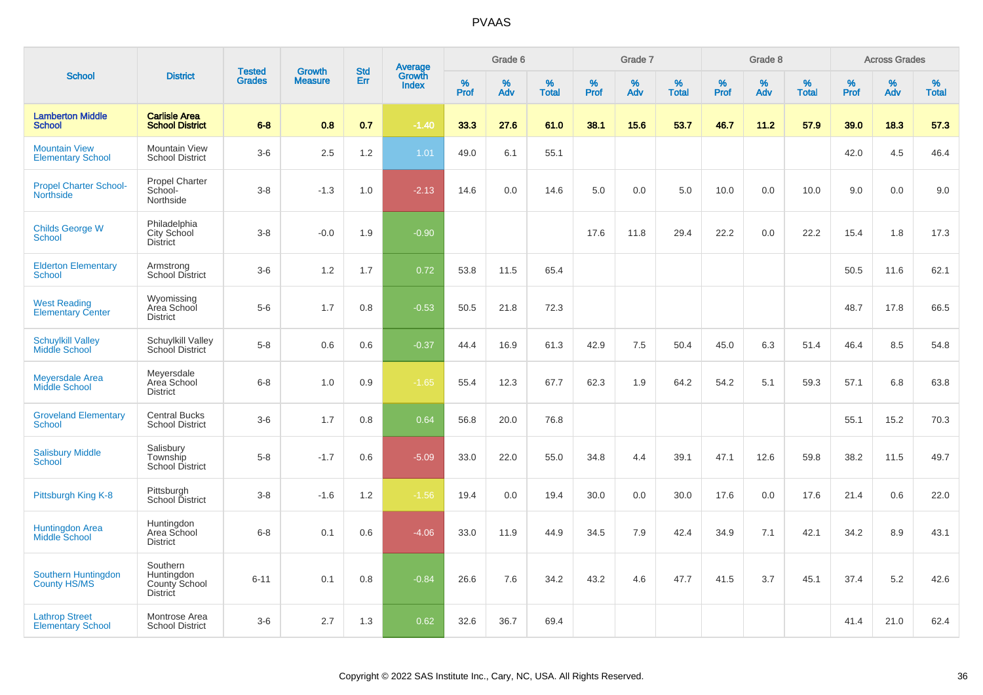| <b>School</b>                                     | <b>District</b>                                            | <b>Tested</b><br><b>Grades</b> | <b>Growth</b><br><b>Measure</b> | <b>Std</b><br>Err | <b>Average</b><br>Growth<br><b>Index</b> | Grade 6   |             |                   | Grade 7      |             |                      | Grade 8      |          |                   | <b>Across Grades</b> |             |                   |
|---------------------------------------------------|------------------------------------------------------------|--------------------------------|---------------------------------|-------------------|------------------------------------------|-----------|-------------|-------------------|--------------|-------------|----------------------|--------------|----------|-------------------|----------------------|-------------|-------------------|
|                                                   |                                                            |                                |                                 |                   |                                          | %<br>Prof | $\%$<br>Adv | %<br><b>Total</b> | $\%$<br>Prof | $\%$<br>Adv | $\%$<br><b>Total</b> | $\%$<br>Prof | %<br>Adv | %<br><b>Total</b> | $\%$<br>Prof         | $\%$<br>Adv | %<br><b>Total</b> |
| <b>Lamberton Middle</b><br><b>School</b>          | <b>Carlisle Area</b><br><b>School District</b>             | $6 - 8$                        | 0.8                             | 0.7               | $-1.40$                                  | 33.3      | 27.6        | 61.0              | 38.1         | 15.6        | 53.7                 | 46.7         | 11.2     | 57.9              | 39.0                 | 18.3        | 57.3              |
| <b>Mountain View</b><br><b>Elementary School</b>  | <b>Mountain View</b><br><b>School District</b>             | $3-6$                          | 2.5                             | 1.2               | 1.01                                     | 49.0      | 6.1         | 55.1              |              |             |                      |              |          |                   | 42.0                 | 4.5         | 46.4              |
| <b>Propel Charter School-</b><br><b>Northside</b> | <b>Propel Charter</b><br>School-<br>Northside              | $3 - 8$                        | $-1.3$                          | 1.0               | $-2.13$                                  | 14.6      | 0.0         | 14.6              | 5.0          | 0.0         | 5.0                  | 10.0         | 0.0      | 10.0              | 9.0                  | 0.0         | 9.0               |
| <b>Childs George W</b><br>School                  | Philadelphia<br>City School<br><b>District</b>             | $3 - 8$                        | $-0.0$                          | 1.9               | $-0.90$                                  |           |             |                   | 17.6         | 11.8        | 29.4                 | 22.2         | 0.0      | 22.2              | 15.4                 | 1.8         | 17.3              |
| <b>Elderton Elementary</b><br><b>School</b>       | Armstrong<br><b>School District</b>                        | $3-6$                          | 1.2                             | 1.7               | 0.72                                     | 53.8      | 11.5        | 65.4              |              |             |                      |              |          |                   | 50.5                 | 11.6        | 62.1              |
| <b>West Reading</b><br><b>Elementary Center</b>   | Wyomissing<br>Area School<br><b>District</b>               | $5-6$                          | 1.7                             | 0.8               | $-0.53$                                  | 50.5      | 21.8        | 72.3              |              |             |                      |              |          |                   | 48.7                 | 17.8        | 66.5              |
| <b>Schuylkill Valley</b><br>Middle School         | Schuylkill Valley<br>School District                       | $5-8$                          | 0.6                             | 0.6               | $-0.37$                                  | 44.4      | 16.9        | 61.3              | 42.9         | 7.5         | 50.4                 | 45.0         | 6.3      | 51.4              | 46.4                 | 8.5         | 54.8              |
| <b>Meyersdale Area</b><br>Middle School           | Meyersdale<br>Area School<br><b>District</b>               | $6 - 8$                        | 1.0                             | 0.9               | $-1.65$                                  | 55.4      | 12.3        | 67.7              | 62.3         | 1.9         | 64.2                 | 54.2         | 5.1      | 59.3              | 57.1                 | 6.8         | 63.8              |
| <b>Groveland Elementary</b><br>School             | <b>Central Bucks</b><br><b>School District</b>             | $3-6$                          | 1.7                             | 0.8               | 0.64                                     | 56.8      | 20.0        | 76.8              |              |             |                      |              |          |                   | 55.1                 | 15.2        | 70.3              |
| <b>Salisbury Middle</b><br>School                 | Salisbury<br>Township<br><b>School District</b>            | $5-8$                          | $-1.7$                          | 0.6               | $-5.09$                                  | 33.0      | 22.0        | 55.0              | 34.8         | 4.4         | 39.1                 | 47.1         | 12.6     | 59.8              | 38.2                 | 11.5        | 49.7              |
| Pittsburgh King K-8                               | Pittsburgh<br>School District                              | $3-8$                          | $-1.6$                          | 1.2               | $-1.56$                                  | 19.4      | 0.0         | 19.4              | 30.0         | 0.0         | 30.0                 | 17.6         | 0.0      | 17.6              | 21.4                 | 0.6         | 22.0              |
| Huntingdon Area<br><b>Middle School</b>           | Huntingdon<br>Area School<br><b>District</b>               | $6 - 8$                        | 0.1                             | 0.6               | $-4.06$                                  | 33.0      | 11.9        | 44.9              | 34.5         | 7.9         | 42.4                 | 34.9         | 7.1      | 42.1              | 34.2                 | 8.9         | 43.1              |
| Southern Huntingdon<br><b>County HS/MS</b>        | Southern<br>Huntingdon<br>County School<br><b>District</b> | $6 - 11$                       | 0.1                             | 0.8               | $-0.84$                                  | 26.6      | 7.6         | 34.2              | 43.2         | 4.6         | 47.7                 | 41.5         | 3.7      | 45.1              | 37.4                 | 5.2         | 42.6              |
| <b>Lathrop Street</b><br><b>Elementary School</b> | Montrose Area<br><b>School District</b>                    | $3-6$                          | 2.7                             | 1.3               | 0.62                                     | 32.6      | 36.7        | 69.4              |              |             |                      |              |          |                   | 41.4                 | 21.0        | 62.4              |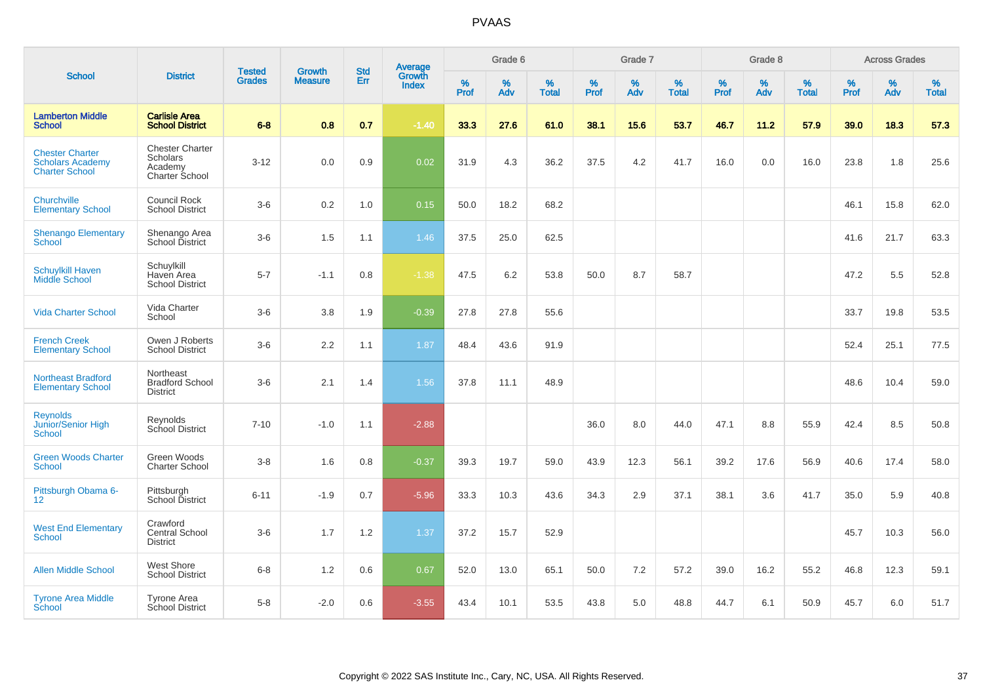|                                                                            |                                                                        |                                |                                 |                   |                                          |                  | Grade 6  |                   |           | Grade 7     |                   |           | Grade 8  |                   |           | <b>Across Grades</b> |                   |
|----------------------------------------------------------------------------|------------------------------------------------------------------------|--------------------------------|---------------------------------|-------------------|------------------------------------------|------------------|----------|-------------------|-----------|-------------|-------------------|-----------|----------|-------------------|-----------|----------------------|-------------------|
| <b>School</b>                                                              | <b>District</b>                                                        | <b>Tested</b><br><b>Grades</b> | <b>Growth</b><br><b>Measure</b> | <b>Std</b><br>Err | <b>Average</b><br>Growth<br><b>Index</b> | %<br><b>Prof</b> | %<br>Adv | %<br><b>Total</b> | %<br>Prof | $\%$<br>Adv | %<br><b>Total</b> | %<br>Prof | %<br>Adv | %<br><b>Total</b> | %<br>Prof | $\%$<br>Adv          | %<br><b>Total</b> |
| <b>Lamberton Middle</b><br><b>School</b>                                   | <b>Carlisle Area</b><br><b>School District</b>                         | $6 - 8$                        | 0.8                             | 0.7               | $-1.40$                                  | 33.3             | 27.6     | 61.0              | 38.1      | 15.6        | 53.7              | 46.7      | 11.2     | 57.9              | 39.0      | 18.3                 | 57.3              |
| <b>Chester Charter</b><br><b>Scholars Academy</b><br><b>Charter School</b> | <b>Chester Charter</b><br><b>Scholars</b><br>Academy<br>Charter School | $3 - 12$                       | 0.0                             | 0.9               | 0.02                                     | 31.9             | 4.3      | 36.2              | 37.5      | 4.2         | 41.7              | 16.0      | 0.0      | 16.0              | 23.8      | 1.8                  | 25.6              |
| Churchville<br><b>Elementary School</b>                                    | <b>Council Rock</b><br><b>School District</b>                          | $3-6$                          | 0.2                             | 1.0               | 0.15                                     | 50.0             | 18.2     | 68.2              |           |             |                   |           |          |                   | 46.1      | 15.8                 | 62.0              |
| <b>Shenango Elementary</b><br><b>School</b>                                | Shenango Area<br>School District                                       | $3-6$                          | 1.5                             | 1.1               | 1.46                                     | 37.5             | 25.0     | 62.5              |           |             |                   |           |          |                   | 41.6      | 21.7                 | 63.3              |
| <b>Schuylkill Haven</b><br><b>Middle School</b>                            | Schuylkill<br>Haven Area<br><b>School District</b>                     | $5 - 7$                        | $-1.1$                          | $0.8\,$           | $-1.38$                                  | 47.5             | 6.2      | 53.8              | 50.0      | 8.7         | 58.7              |           |          |                   | 47.2      | 5.5                  | 52.8              |
| <b>Vida Charter School</b>                                                 | Vida Charter<br>School                                                 | $3-6$                          | 3.8                             | 1.9               | $-0.39$                                  | 27.8             | 27.8     | 55.6              |           |             |                   |           |          |                   | 33.7      | 19.8                 | 53.5              |
| <b>French Creek</b><br><b>Elementary School</b>                            | Owen J Roberts<br><b>School District</b>                               | $3-6$                          | 2.2                             | 1.1               | 1.87                                     | 48.4             | 43.6     | 91.9              |           |             |                   |           |          |                   | 52.4      | 25.1                 | 77.5              |
| <b>Northeast Bradford</b><br><b>Elementary School</b>                      | Northeast<br><b>Bradford School</b><br><b>District</b>                 | $3-6$                          | 2.1                             | 1.4               | 1.56                                     | 37.8             | 11.1     | 48.9              |           |             |                   |           |          |                   | 48.6      | 10.4                 | 59.0              |
| <b>Reynolds</b><br>Junior/Senior High<br>School                            | Reynolds<br>School District                                            | $7 - 10$                       | $-1.0$                          | 1.1               | $-2.88$                                  |                  |          |                   | 36.0      | 8.0         | 44.0              | 47.1      | 8.8      | 55.9              | 42.4      | 8.5                  | 50.8              |
| <b>Green Woods Charter</b><br><b>School</b>                                | Green Woods<br>Charter School                                          | $3 - 8$                        | 1.6                             | 0.8               | $-0.37$                                  | 39.3             | 19.7     | 59.0              | 43.9      | 12.3        | 56.1              | 39.2      | 17.6     | 56.9              | 40.6      | 17.4                 | 58.0              |
| Pittsburgh Obama 6-<br>$12 \overline{ }$                                   | Pittsburgh<br>School District                                          | $6 - 11$                       | $-1.9$                          | 0.7               | $-5.96$                                  | 33.3             | 10.3     | 43.6              | 34.3      | 2.9         | 37.1              | 38.1      | 3.6      | 41.7              | 35.0      | 5.9                  | 40.8              |
| <b>West End Elementary</b><br>School                                       | Crawford<br>Central School<br><b>District</b>                          | $3-6$                          | 1.7                             | 1.2               | 1.37                                     | 37.2             | 15.7     | 52.9              |           |             |                   |           |          |                   | 45.7      | 10.3                 | 56.0              |
| <b>Allen Middle School</b>                                                 | <b>West Shore</b><br><b>School District</b>                            | $6 - 8$                        | 1.2                             | 0.6               | 0.67                                     | 52.0             | 13.0     | 65.1              | 50.0      | 7.2         | 57.2              | 39.0      | 16.2     | 55.2              | 46.8      | 12.3                 | 59.1              |
| <b>Tyrone Area Middle</b><br>School                                        | <b>Tyrone Area</b><br><b>School District</b>                           | $5-8$                          | $-2.0$                          | 0.6               | $-3.55$                                  | 43.4             | 10.1     | 53.5              | 43.8      | 5.0         | 48.8              | 44.7      | 6.1      | 50.9              | 45.7      | 6.0                  | 51.7              |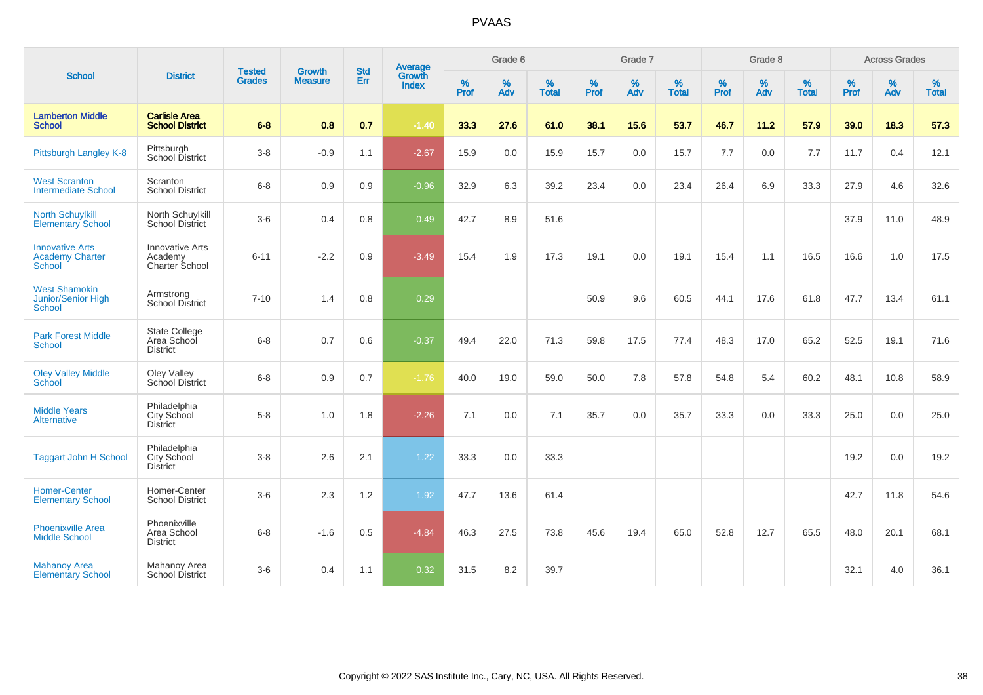|                                                                    |                                                        | <b>Tested</b> | <b>Growth</b>  | <b>Std</b> | Average                |                     | Grade 6     |                   |              | Grade 7  |                   |              | Grade 8  |                   |              | <b>Across Grades</b> |                   |
|--------------------------------------------------------------------|--------------------------------------------------------|---------------|----------------|------------|------------------------|---------------------|-------------|-------------------|--------------|----------|-------------------|--------------|----------|-------------------|--------------|----------------------|-------------------|
| <b>School</b>                                                      | <b>District</b>                                        | <b>Grades</b> | <b>Measure</b> | Err        | Growth<br><b>Index</b> | $\%$<br><b>Prof</b> | $\%$<br>Adv | %<br><b>Total</b> | $\%$<br>Prof | %<br>Adv | %<br><b>Total</b> | $\%$<br>Prof | %<br>Adv | %<br><b>Total</b> | $\%$<br>Prof | $\%$<br>Adv          | %<br><b>Total</b> |
| <b>Lamberton Middle</b><br><b>School</b>                           | <b>Carlisle Area</b><br><b>School District</b>         | $6 - 8$       | 0.8            | 0.7        | $-1.40$                | 33.3                | 27.6        | 61.0              | 38.1         | 15.6     | 53.7              | 46.7         | 11.2     | 57.9              | 39.0         | 18.3                 | 57.3              |
| Pittsburgh Langley K-8                                             | Pittsburgh<br>School District                          | $3-8$         | $-0.9$         | 1.1        | $-2.67$                | 15.9                | 0.0         | 15.9              | 15.7         | 0.0      | 15.7              | 7.7          | 0.0      | 7.7               | 11.7         | 0.4                  | 12.1              |
| <b>West Scranton</b><br><b>Intermediate School</b>                 | Scranton<br><b>School District</b>                     | $6 - 8$       | 0.9            | 0.9        | $-0.96$                | 32.9                | 6.3         | 39.2              | 23.4         | 0.0      | 23.4              | 26.4         | 6.9      | 33.3              | 27.9         | 4.6                  | 32.6              |
| <b>North Schuylkill</b><br><b>Elementary School</b>                | North Schuylkill<br><b>School District</b>             | $3-6$         | 0.4            | 0.8        | 0.49                   | 42.7                | 8.9         | 51.6              |              |          |                   |              |          |                   | 37.9         | 11.0                 | 48.9              |
| <b>Innovative Arts</b><br><b>Academy Charter</b><br><b>School</b>  | <b>Innovative Arts</b><br>Academy<br>Charter School    | $6 - 11$      | $-2.2$         | 0.9        | $-3.49$                | 15.4                | 1.9         | 17.3              | 19.1         | 0.0      | 19.1              | 15.4         | 1.1      | 16.5              | 16.6         | 1.0                  | 17.5              |
| <b>West Shamokin</b><br><b>Junior/Senior High</b><br><b>School</b> | Armstrong<br>School District                           | $7 - 10$      | 1.4            | 0.8        | 0.29                   |                     |             |                   | 50.9         | 9.6      | 60.5              | 44.1         | 17.6     | 61.8              | 47.7         | 13.4                 | 61.1              |
| <b>Park Forest Middle</b><br><b>School</b>                         | <b>State College</b><br>Area School<br><b>District</b> | $6 - 8$       | 0.7            | 0.6        | $-0.37$                | 49.4                | 22.0        | 71.3              | 59.8         | 17.5     | 77.4              | 48.3         | 17.0     | 65.2              | 52.5         | 19.1                 | 71.6              |
| <b>Oley Valley Middle</b><br><b>School</b>                         | Oley Valley<br>School District                         | $6 - 8$       | 0.9            | 0.7        | $-1.76$                | 40.0                | 19.0        | 59.0              | 50.0         | 7.8      | 57.8              | 54.8         | 5.4      | 60.2              | 48.1         | 10.8                 | 58.9              |
| <b>Middle Years</b><br><b>Alternative</b>                          | Philadelphia<br>City School<br>District                | $5-8$         | 1.0            | 1.8        | $-2.26$                | 7.1                 | 0.0         | 7.1               | 35.7         | 0.0      | 35.7              | 33.3         | 0.0      | 33.3              | 25.0         | 0.0                  | 25.0              |
| <b>Taggart John H School</b>                                       | Philadelphia<br>City School<br><b>District</b>         | $3-8$         | 2.6            | 2.1        | 1.22                   | 33.3                | 0.0         | 33.3              |              |          |                   |              |          |                   | 19.2         | 0.0                  | 19.2              |
| <b>Homer-Center</b><br><b>Elementary School</b>                    | Homer-Center<br><b>School District</b>                 | $3-6$         | 2.3            | 1.2        | 1.92                   | 47.7                | 13.6        | 61.4              |              |          |                   |              |          |                   | 42.7         | 11.8                 | 54.6              |
| <b>Phoenixville Area</b><br><b>Middle School</b>                   | Phoenixville<br>Area School<br><b>District</b>         | $6 - 8$       | $-1.6$         | 0.5        | $-4.84$                | 46.3                | 27.5        | 73.8              | 45.6         | 19.4     | 65.0              | 52.8         | 12.7     | 65.5              | 48.0         | 20.1                 | 68.1              |
| <b>Mahanov Area</b><br><b>Elementary School</b>                    | Mahanoy Area<br>School District                        | $3-6$         | 0.4            | 1.1        | 0.32                   | 31.5                | 8.2         | 39.7              |              |          |                   |              |          |                   | 32.1         | 4.0                  | 36.1              |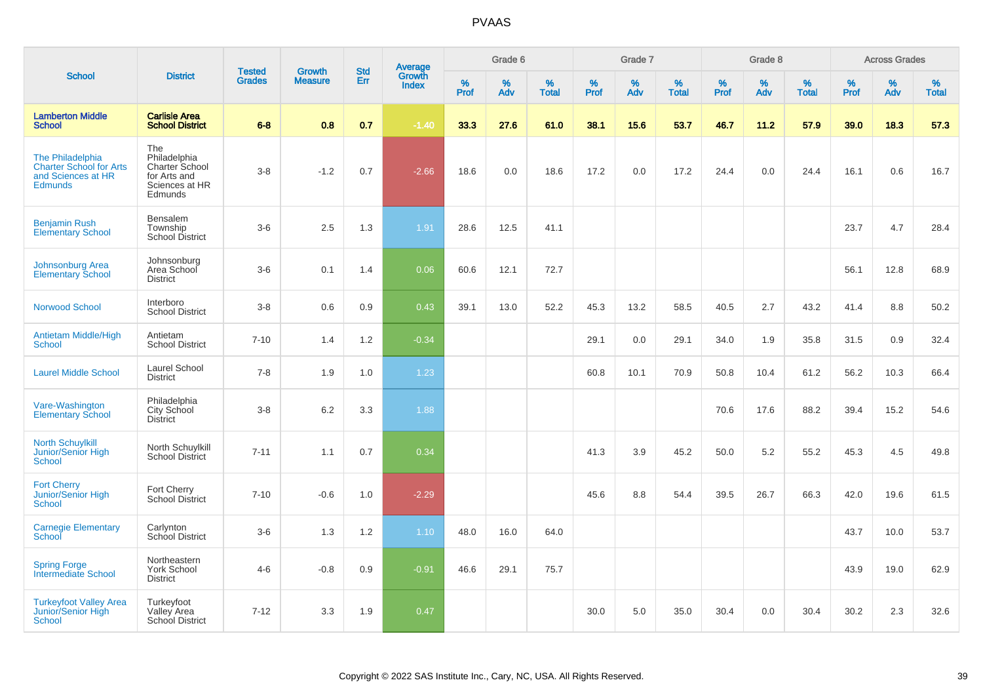|                                                                                            |                                                                                    |                                |                                 | <b>Std</b> |                                          |                     | Grade 6     |                   |              | Grade 7  |                      |           | Grade 8  |                   |              | <b>Across Grades</b> |                   |
|--------------------------------------------------------------------------------------------|------------------------------------------------------------------------------------|--------------------------------|---------------------------------|------------|------------------------------------------|---------------------|-------------|-------------------|--------------|----------|----------------------|-----------|----------|-------------------|--------------|----------------------|-------------------|
| <b>School</b>                                                                              | <b>District</b>                                                                    | <b>Tested</b><br><b>Grades</b> | <b>Growth</b><br><b>Measure</b> | Err        | <b>Average</b><br>Growth<br><b>Index</b> | $\%$<br><b>Prof</b> | $\%$<br>Adv | %<br><b>Total</b> | $\%$<br>Prof | %<br>Adv | $\%$<br><b>Total</b> | %<br>Prof | %<br>Adv | %<br><b>Total</b> | $\%$<br>Prof | $\%$<br>Adv          | %<br><b>Total</b> |
| <b>Lamberton Middle</b><br><b>School</b>                                                   | <b>Carlisle Area</b><br><b>School District</b>                                     | $6 - 8$                        | 0.8                             | 0.7        | $-1.40$                                  | 33.3                | 27.6        | 61.0              | 38.1         | 15.6     | 53.7                 | 46.7      | 11.2     | 57.9              | 39.0         | 18.3                 | 57.3              |
| The Philadelphia<br><b>Charter School for Arts</b><br>and Sciences at HR<br><b>Edmunds</b> | The<br>Philadelphia<br>Charter School<br>for Arts and<br>Sciences at HR<br>Edmunds | $3-8$                          | $-1.2$                          | 0.7        | $-2.66$                                  | 18.6                | 0.0         | 18.6              | 17.2         | 0.0      | 17.2                 | 24.4      | 0.0      | 24.4              | 16.1         | 0.6                  | 16.7              |
| <b>Benjamin Rush</b><br><b>Elementary School</b>                                           | Bensalem<br>Township<br><b>School District</b>                                     | $3-6$                          | 2.5                             | 1.3        | 1.91                                     | 28.6                | 12.5        | 41.1              |              |          |                      |           |          |                   | 23.7         | 4.7                  | 28.4              |
| <b>Johnsonburg Area</b><br><b>Elementary School</b>                                        | Johnsonburg<br>Area School<br><b>District</b>                                      | $3-6$                          | 0.1                             | 1.4        | 0.06                                     | 60.6                | 12.1        | 72.7              |              |          |                      |           |          |                   | 56.1         | 12.8                 | 68.9              |
| <b>Norwood School</b>                                                                      | Interboro<br><b>School District</b>                                                | $3 - 8$                        | 0.6                             | 0.9        | 0.43                                     | 39.1                | 13.0        | 52.2              | 45.3         | 13.2     | 58.5                 | 40.5      | 2.7      | 43.2              | 41.4         | 8.8                  | 50.2              |
| <b>Antietam Middle/High</b><br>School                                                      | Antietam<br><b>School District</b>                                                 | $7 - 10$                       | 1.4                             | 1.2        | $-0.34$                                  |                     |             |                   | 29.1         | 0.0      | 29.1                 | 34.0      | 1.9      | 35.8              | 31.5         | 0.9                  | 32.4              |
| <b>Laurel Middle School</b>                                                                | Laurel School<br><b>District</b>                                                   | $7 - 8$                        | 1.9                             | 1.0        | 1.23                                     |                     |             |                   | 60.8         | 10.1     | 70.9                 | 50.8      | 10.4     | 61.2              | 56.2         | 10.3                 | 66.4              |
| Vare-Washington<br><b>Elementary School</b>                                                | Philadelphia<br>City School<br><b>District</b>                                     | $3 - 8$                        | 6.2                             | 3.3        | 1.88                                     |                     |             |                   |              |          |                      | 70.6      | 17.6     | 88.2              | 39.4         | 15.2                 | 54.6              |
| <b>North Schuylkill</b><br><b>Junior/Senior High</b><br>School                             | North Schuylkill<br><b>School District</b>                                         | $7 - 11$                       | 1.1                             | 0.7        | 0.34                                     |                     |             |                   | 41.3         | 3.9      | 45.2                 | 50.0      | 5.2      | 55.2              | 45.3         | 4.5                  | 49.8              |
| <b>Fort Cherry</b><br>Junior/Senior High<br><b>School</b>                                  | Fort Cherry<br><b>School District</b>                                              | $7 - 10$                       | $-0.6$                          | 1.0        | $-2.29$                                  |                     |             |                   | 45.6         | 8.8      | 54.4                 | 39.5      | 26.7     | 66.3              | 42.0         | 19.6                 | 61.5              |
| <b>Carnegie Elementary</b><br>School                                                       | Carlynton<br>School District                                                       | $3-6$                          | 1.3                             | 1.2        | 1.10                                     | 48.0                | 16.0        | 64.0              |              |          |                      |           |          |                   | 43.7         | 10.0                 | 53.7              |
| <b>Spring Forge</b><br>Intermediate School                                                 | Northeastern<br>York School<br><b>District</b>                                     | $4 - 6$                        | $-0.8$                          | 0.9        | $-0.91$                                  | 46.6                | 29.1        | 75.7              |              |          |                      |           |          |                   | 43.9         | 19.0                 | 62.9              |
| <b>Turkeyfoot Valley Area</b><br>Junior/Senior High<br><b>School</b>                       | Turkeyfoot<br>Valley Area<br>School District                                       | $7 - 12$                       | 3.3                             | 1.9        | 0.47                                     |                     |             |                   | 30.0         | 5.0      | 35.0                 | 30.4      | 0.0      | 30.4              | 30.2         | 2.3                  | 32.6              |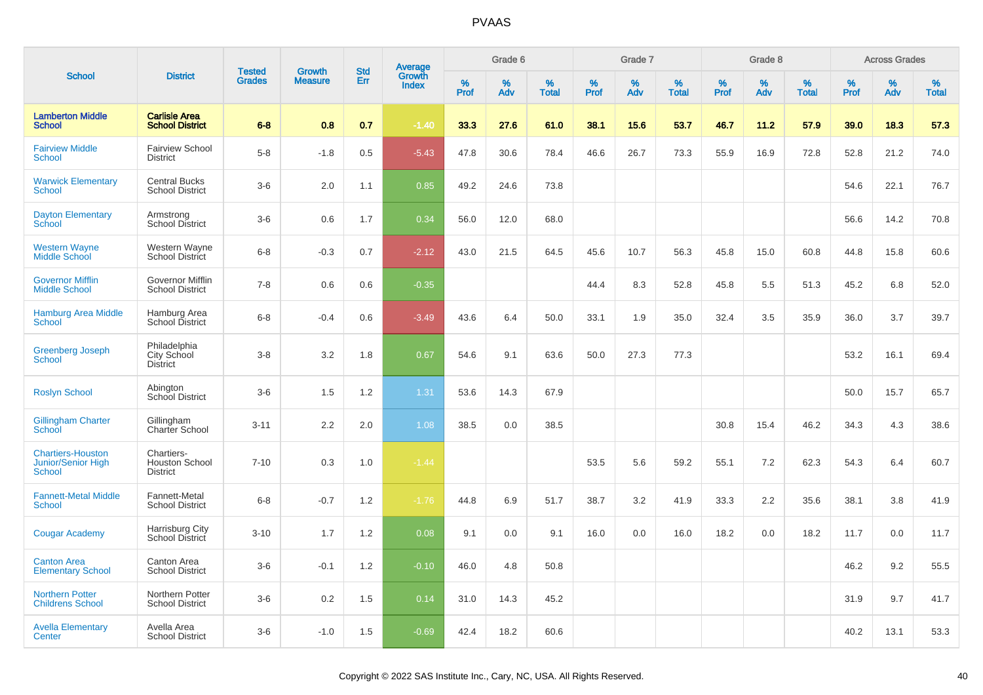|                                                                 |                                                        |                                |                          |                   |                                          |                  | Grade 6     |                   |                  | Grade 7  |                   |           | Grade 8  |                   |           | <b>Across Grades</b> |                   |
|-----------------------------------------------------------------|--------------------------------------------------------|--------------------------------|--------------------------|-------------------|------------------------------------------|------------------|-------------|-------------------|------------------|----------|-------------------|-----------|----------|-------------------|-----------|----------------------|-------------------|
| <b>School</b>                                                   | <b>District</b>                                        | <b>Tested</b><br><b>Grades</b> | Growth<br><b>Measure</b> | <b>Std</b><br>Err | <b>Average</b><br>Growth<br><b>Index</b> | %<br><b>Prof</b> | $\%$<br>Adv | %<br><b>Total</b> | %<br><b>Prof</b> | %<br>Adv | %<br><b>Total</b> | %<br>Prof | %<br>Adv | %<br><b>Total</b> | %<br>Prof | %<br>Adv             | %<br><b>Total</b> |
| <b>Lamberton Middle</b><br><b>School</b>                        | <b>Carlisle Area</b><br><b>School District</b>         | $6 - 8$                        | 0.8                      | 0.7               | $-1.40$                                  | 33.3             | 27.6        | 61.0              | 38.1             | 15.6     | 53.7              | 46.7      | 11.2     | 57.9              | 39.0      | 18.3                 | 57.3              |
| <b>Fairview Middle</b><br>School                                | <b>Fairview School</b><br><b>District</b>              | $5-8$                          | $-1.8$                   | 0.5               | $-5.43$                                  | 47.8             | 30.6        | 78.4              | 46.6             | 26.7     | 73.3              | 55.9      | 16.9     | 72.8              | 52.8      | 21.2                 | 74.0              |
| <b>Warwick Elementary</b><br><b>School</b>                      | <b>Central Bucks</b><br><b>School District</b>         | $3-6$                          | 2.0                      | 1.1               | 0.85                                     | 49.2             | 24.6        | 73.8              |                  |          |                   |           |          |                   | 54.6      | 22.1                 | 76.7              |
| <b>Dayton Elementary</b><br>School                              | Armstrong<br>School District                           | $3-6$                          | 0.6                      | 1.7               | 0.34                                     | 56.0             | 12.0        | 68.0              |                  |          |                   |           |          |                   | 56.6      | 14.2                 | 70.8              |
| <b>Western Wayne</b><br><b>Middle School</b>                    | Western Wayne<br><b>School District</b>                | $6 - 8$                        | $-0.3$                   | 0.7               | $-2.12$                                  | 43.0             | 21.5        | 64.5              | 45.6             | 10.7     | 56.3              | 45.8      | 15.0     | 60.8              | 44.8      | 15.8                 | 60.6              |
| <b>Governor Mifflin</b><br><b>Middle School</b>                 | Governor Mifflin<br><b>School District</b>             | $7 - 8$                        | 0.6                      | 0.6               | $-0.35$                                  |                  |             |                   | 44.4             | 8.3      | 52.8              | 45.8      | 5.5      | 51.3              | 45.2      | 6.8                  | 52.0              |
| <b>Hamburg Area Middle</b><br>School                            | Hamburg Area<br>School District                        | $6 - 8$                        | $-0.4$                   | 0.6               | $-3.49$                                  | 43.6             | 6.4         | 50.0              | 33.1             | 1.9      | 35.0              | 32.4      | 3.5      | 35.9              | 36.0      | 3.7                  | 39.7              |
| <b>Greenberg Joseph</b><br>School                               | Philadelphia<br>City School<br><b>District</b>         | $3 - 8$                        | 3.2                      | 1.8               | 0.67                                     | 54.6             | 9.1         | 63.6              | 50.0             | 27.3     | 77.3              |           |          |                   | 53.2      | 16.1                 | 69.4              |
| <b>Roslyn School</b>                                            | Abington<br>School District                            | $3-6$                          | 1.5                      | 1.2               | 1.31                                     | 53.6             | 14.3        | 67.9              |                  |          |                   |           |          |                   | 50.0      | 15.7                 | 65.7              |
| <b>Gillingham Charter</b><br><b>School</b>                      | Gillingham<br>Charter School                           | $3 - 11$                       | 2.2                      | 2.0               | 1.08                                     | 38.5             | 0.0         | 38.5              |                  |          |                   | 30.8      | 15.4     | 46.2              | 34.3      | 4.3                  | 38.6              |
| <b>Chartiers-Houston</b><br><b>Junior/Senior High</b><br>School | Chartiers-<br><b>Houston School</b><br><b>District</b> | $7 - 10$                       | 0.3                      | 1.0               | $-1.44$                                  |                  |             |                   | 53.5             | 5.6      | 59.2              | 55.1      | 7.2      | 62.3              | 54.3      | 6.4                  | 60.7              |
| <b>Fannett-Metal Middle</b><br><b>School</b>                    | Fannett-Metal<br><b>School District</b>                | $6 - 8$                        | $-0.7$                   | 1.2               | $-1.76$                                  | 44.8             | 6.9         | 51.7              | 38.7             | 3.2      | 41.9              | 33.3      | 2.2      | 35.6              | 38.1      | 3.8                  | 41.9              |
| <b>Cougar Academy</b>                                           | Harrisburg City<br>School District                     | $3 - 10$                       | 1.7                      | 1.2               | 0.08                                     | 9.1              | 0.0         | 9.1               | 16.0             | 0.0      | 16.0              | 18.2      | 0.0      | 18.2              | 11.7      | 0.0                  | 11.7              |
| <b>Canton Area</b><br><b>Elementary School</b>                  | Canton Area<br><b>School District</b>                  | $3-6$                          | $-0.1$                   | 1.2               | $-0.10$                                  | 46.0             | 4.8         | 50.8              |                  |          |                   |           |          |                   | 46.2      | 9.2                  | 55.5              |
| <b>Northern Potter</b><br><b>Childrens School</b>               | Northern Potter<br><b>School District</b>              | $3-6$                          | 0.2                      | 1.5               | 0.14                                     | 31.0             | 14.3        | 45.2              |                  |          |                   |           |          |                   | 31.9      | 9.7                  | 41.7              |
| <b>Avella Elementary</b><br>Center                              | Avella Area<br><b>School District</b>                  | $3-6$                          | $-1.0$                   | 1.5               | $-0.69$                                  | 42.4             | 18.2        | 60.6              |                  |          |                   |           |          |                   | 40.2      | 13.1                 | 53.3              |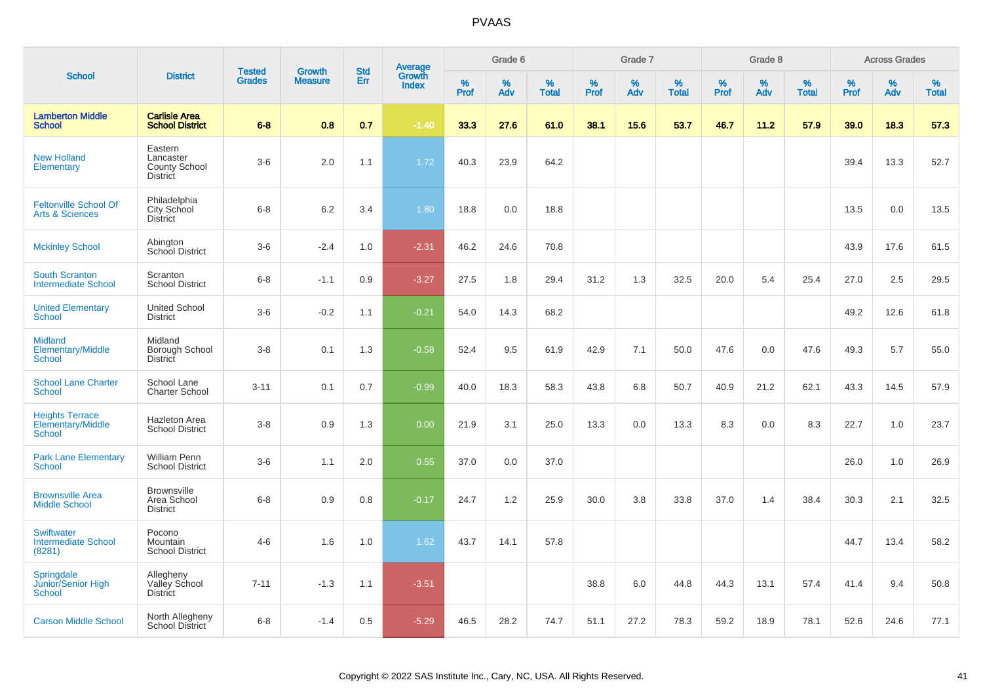| <b>School</b>                                               |                                                          |                                |                                 | <b>Std</b> |                                          |                  | Grade 6     |                   |                  | Grade 7     |                   |              | Grade 8  |                   |              | <b>Across Grades</b> |                   |
|-------------------------------------------------------------|----------------------------------------------------------|--------------------------------|---------------------------------|------------|------------------------------------------|------------------|-------------|-------------------|------------------|-------------|-------------------|--------------|----------|-------------------|--------------|----------------------|-------------------|
|                                                             | <b>District</b>                                          | <b>Tested</b><br><b>Grades</b> | <b>Growth</b><br><b>Measure</b> | Err        | <b>Average</b><br>Growth<br><b>Index</b> | %<br><b>Prof</b> | $\%$<br>Adv | %<br><b>Total</b> | %<br><b>Prof</b> | $\%$<br>Adv | %<br><b>Total</b> | $\%$<br>Prof | %<br>Adv | %<br><b>Total</b> | $\%$<br>Prof | $\%$<br>Adv          | %<br><b>Total</b> |
| <b>Lamberton Middle</b><br><b>School</b>                    | <b>Carlisle Area</b><br><b>School District</b>           | $6 - 8$                        | 0.8                             | 0.7        | $-1.40$                                  | 33.3             | 27.6        | 61.0              | 38.1             | 15.6        | 53.7              | 46.7         | 11.2     | 57.9              | 39.0         | 18.3                 | 57.3              |
| <b>New Holland</b><br>Elementary                            | Eastern<br>Lancaster<br>County School<br><b>District</b> | $3-6$                          | 2.0                             | 1.1        | 1.72                                     | 40.3             | 23.9        | 64.2              |                  |             |                   |              |          |                   | 39.4         | 13.3                 | 52.7              |
| <b>Feltonville School Of</b><br><b>Arts &amp; Sciences</b>  | Philadelphia<br>City School<br><b>District</b>           | $6 - 8$                        | $6.2\,$                         | 3.4        | 1.80                                     | 18.8             | 0.0         | 18.8              |                  |             |                   |              |          |                   | 13.5         | 0.0                  | 13.5              |
| <b>Mckinley School</b>                                      | Abington<br>School District                              | $3-6$                          | $-2.4$                          | 1.0        | $-2.31$                                  | 46.2             | 24.6        | 70.8              |                  |             |                   |              |          |                   | 43.9         | 17.6                 | 61.5              |
| <b>South Scranton</b><br><b>Intermediate School</b>         | Scranton<br><b>School District</b>                       | $6 - 8$                        | $-1.1$                          | 0.9        | $-3.27$                                  | 27.5             | 1.8         | 29.4              | 31.2             | 1.3         | 32.5              | 20.0         | 5.4      | 25.4              | 27.0         | 2.5                  | 29.5              |
| <b>United Elementary</b><br><b>School</b>                   | <b>United School</b><br><b>District</b>                  | $3-6$                          | $-0.2$                          | 1.1        | $-0.21$                                  | 54.0             | 14.3        | 68.2              |                  |             |                   |              |          |                   | 49.2         | 12.6                 | 61.8              |
| <b>Midland</b><br><b>Elementary/Middle</b><br><b>School</b> | Midland<br>Borough School<br>District                    | $3-8$                          | 0.1                             | 1.3        | $-0.58$                                  | 52.4             | 9.5         | 61.9              | 42.9             | 7.1         | 50.0              | 47.6         | 0.0      | 47.6              | 49.3         | 5.7                  | 55.0              |
| <b>School Lane Charter</b><br><b>School</b>                 | School Lane<br><b>Charter School</b>                     | $3 - 11$                       | 0.1                             | 0.7        | $-0.99$                                  | 40.0             | 18.3        | 58.3              | 43.8             | 6.8         | 50.7              | 40.9         | 21.2     | 62.1              | 43.3         | 14.5                 | 57.9              |
| <b>Heights Terrace</b><br>Elementary/Middle<br>School       | <b>Hazleton Area</b><br><b>School District</b>           | $3 - 8$                        | 0.9                             | 1.3        | 0.00                                     | 21.9             | 3.1         | 25.0              | 13.3             | 0.0         | 13.3              | 8.3          | 0.0      | 8.3               | 22.7         | 1.0                  | 23.7              |
| <b>Park Lane Elementary</b><br>School                       | <b>William Penn</b><br><b>School District</b>            | $3-6$                          | 1.1                             | 2.0        | 0.55                                     | 37.0             | 0.0         | 37.0              |                  |             |                   |              |          |                   | 26.0         | 1.0                  | 26.9              |
| <b>Brownsville Area</b><br><b>Middle School</b>             | <b>Brownsville</b><br>Area School<br><b>District</b>     | $6 - 8$                        | 0.9                             | 0.8        | $-0.17$                                  | 24.7             | 1.2         | 25.9              | 30.0             | 3.8         | 33.8              | 37.0         | 1.4      | 38.4              | 30.3         | 2.1                  | 32.5              |
| <b>Swiftwater</b><br><b>Intermediate School</b><br>(8281)   | Pocono<br>Mountain<br><b>School District</b>             | $4 - 6$                        | 1.6                             | 1.0        | 1.62                                     | 43.7             | 14.1        | 57.8              |                  |             |                   |              |          |                   | 44.7         | 13.4                 | 58.2              |
| Springdale<br>Junior/Senior High<br><b>School</b>           | Allegheny<br>Valley School<br><b>District</b>            | $7 - 11$                       | $-1.3$                          | 1.1        | $-3.51$                                  |                  |             |                   | 38.8             | 6.0         | 44.8              | 44.3         | 13.1     | 57.4              | 41.4         | 9.4                  | 50.8              |
| <b>Carson Middle School</b>                                 | North Allegheny<br><b>School District</b>                | $6 - 8$                        | $-1.4$                          | 0.5        | $-5.29$                                  | 46.5             | 28.2        | 74.7              | 51.1             | 27.2        | 78.3              | 59.2         | 18.9     | 78.1              | 52.6         | 24.6                 | 77.1              |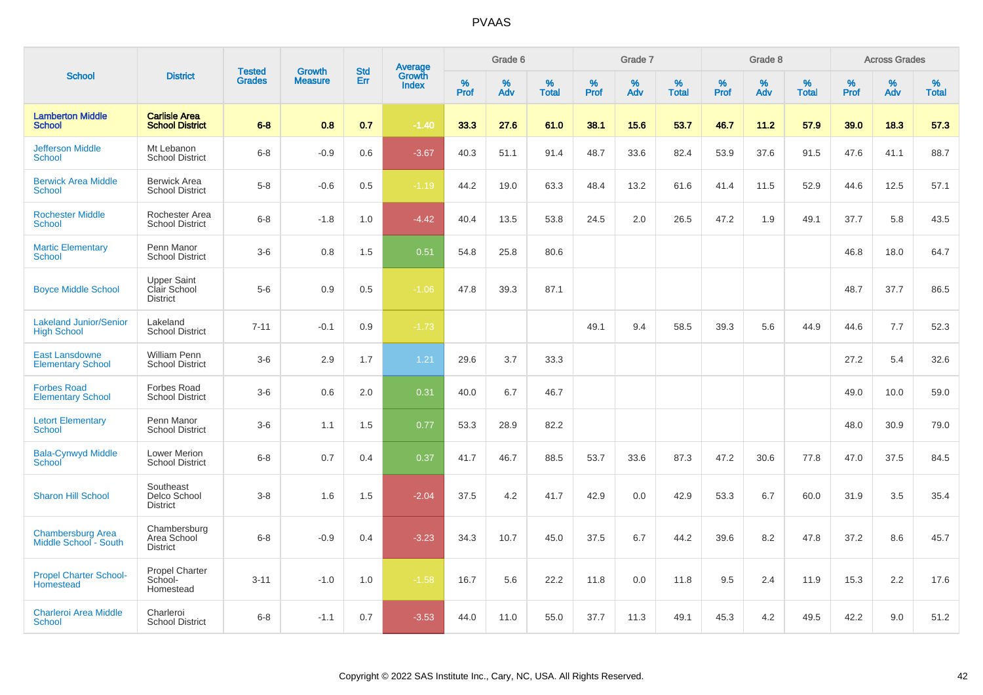|                                                     |                                                |                                | <b>Growth</b>  | <b>Std</b> |                                          |                  | Grade 6     |                   |              | Grade 7  |                   |           | Grade 8  |                   |                     | <b>Across Grades</b> |                   |
|-----------------------------------------------------|------------------------------------------------|--------------------------------|----------------|------------|------------------------------------------|------------------|-------------|-------------------|--------------|----------|-------------------|-----------|----------|-------------------|---------------------|----------------------|-------------------|
| <b>School</b>                                       | <b>District</b>                                | <b>Tested</b><br><b>Grades</b> | <b>Measure</b> | Err        | <b>Average</b><br>Growth<br><b>Index</b> | %<br><b>Prof</b> | $\%$<br>Adv | %<br><b>Total</b> | $\%$<br>Prof | %<br>Adv | %<br><b>Total</b> | %<br>Prof | %<br>Adv | %<br><b>Total</b> | $\%$<br><b>Prof</b> | $\%$<br>Adv          | %<br><b>Total</b> |
| <b>Lamberton Middle</b><br><b>School</b>            | <b>Carlisle Area</b><br><b>School District</b> | $6 - 8$                        | 0.8            | 0.7        | $-1.40$                                  | 33.3             | 27.6        | 61.0              | 38.1         | 15.6     | 53.7              | 46.7      | 11.2     | 57.9              | 39.0                | 18.3                 | 57.3              |
| <b>Jefferson Middle</b><br>School                   | Mt Lebanon<br><b>School District</b>           | $6-8$                          | $-0.9$         | 0.6        | $-3.67$                                  | 40.3             | 51.1        | 91.4              | 48.7         | 33.6     | 82.4              | 53.9      | 37.6     | 91.5              | 47.6                | 41.1                 | 88.7              |
| <b>Berwick Area Middle</b><br><b>School</b>         | <b>Berwick Area</b><br><b>School District</b>  | $5-8$                          | $-0.6$         | 0.5        | $-1.19$                                  | 44.2             | 19.0        | 63.3              | 48.4         | 13.2     | 61.6              | 41.4      | 11.5     | 52.9              | 44.6                | 12.5                 | 57.1              |
| <b>Rochester Middle</b><br><b>School</b>            | Rochester Area<br><b>School District</b>       | $6 - 8$                        | $-1.8$         | 1.0        | $-4.42$                                  | 40.4             | 13.5        | 53.8              | 24.5         | 2.0      | 26.5              | 47.2      | 1.9      | 49.1              | 37.7                | 5.8                  | 43.5              |
| <b>Martic Elementary</b><br>School                  | Penn Manor<br><b>School District</b>           | $3-6$                          | 0.8            | 1.5        | 0.51                                     | 54.8             | 25.8        | 80.6              |              |          |                   |           |          |                   | 46.8                | 18.0                 | 64.7              |
| <b>Boyce Middle School</b>                          | Upper Saint<br>Clair School<br><b>District</b> | $5-6$                          | 0.9            | 0.5        | $-1.06$                                  | 47.8             | 39.3        | 87.1              |              |          |                   |           |          |                   | 48.7                | 37.7                 | 86.5              |
| <b>Lakeland Junior/Senior</b><br><b>High School</b> | Lakeland<br><b>School District</b>             | $7 - 11$                       | $-0.1$         | 0.9        | $-1.73$                                  |                  |             |                   | 49.1         | 9.4      | 58.5              | 39.3      | 5.6      | 44.9              | 44.6                | 7.7                  | 52.3              |
| <b>East Lansdowne</b><br><b>Elementary School</b>   | William Penn<br><b>School District</b>         | $3-6$                          | 2.9            | 1.7        | $1.21$                                   | 29.6             | 3.7         | 33.3              |              |          |                   |           |          |                   | 27.2                | 5.4                  | 32.6              |
| <b>Forbes Road</b><br><b>Elementary School</b>      | <b>Forbes Road</b><br><b>School District</b>   | $3-6$                          | 0.6            | 2.0        | 0.31                                     | 40.0             | 6.7         | 46.7              |              |          |                   |           |          |                   | 49.0                | 10.0                 | 59.0              |
| <b>Letort Elementary</b><br><b>School</b>           | Penn Manor<br><b>School District</b>           | $3-6$                          | 1.1            | 1.5        | 0.77                                     | 53.3             | 28.9        | 82.2              |              |          |                   |           |          |                   | 48.0                | 30.9                 | 79.0              |
| <b>Bala-Cynwyd Middle</b><br>School                 | <b>Lower Merion</b><br><b>School District</b>  | $6 - 8$                        | 0.7            | 0.4        | 0.37                                     | 41.7             | 46.7        | 88.5              | 53.7         | 33.6     | 87.3              | 47.2      | 30.6     | 77.8              | 47.0                | 37.5                 | 84.5              |
| <b>Sharon Hill School</b>                           | Southeast<br>Delco School<br><b>District</b>   | $3-8$                          | 1.6            | 1.5        | $-2.04$                                  | 37.5             | 4.2         | 41.7              | 42.9         | 0.0      | 42.9              | 53.3      | 6.7      | 60.0              | 31.9                | 3.5                  | 35.4              |
| <b>Chambersburg Area</b><br>Middle School - South   | Chambersburg<br>Area School<br><b>District</b> | $6 - 8$                        | $-0.9$         | 0.4        | $-3.23$                                  | 34.3             | 10.7        | 45.0              | 37.5         | 6.7      | 44.2              | 39.6      | 8.2      | 47.8              | 37.2                | 8.6                  | 45.7              |
| <b>Propel Charter School-</b><br>Homestead          | Propel Charter<br>School-<br>Homestead         | $3 - 11$                       | $-1.0$         | 1.0        | $-1.58$                                  | 16.7             | 5.6         | 22.2              | 11.8         | 0.0      | 11.8              | 9.5       | 2.4      | 11.9              | 15.3                | 2.2                  | 17.6              |
| <b>Charleroi Area Middle</b><br><b>School</b>       | Charleroi<br><b>School District</b>            | $6 - 8$                        | $-1.1$         | 0.7        | $-3.53$                                  | 44.0             | 11.0        | 55.0              | 37.7         | 11.3     | 49.1              | 45.3      | 4.2      | 49.5              | 42.2                | 9.0                  | 51.2              |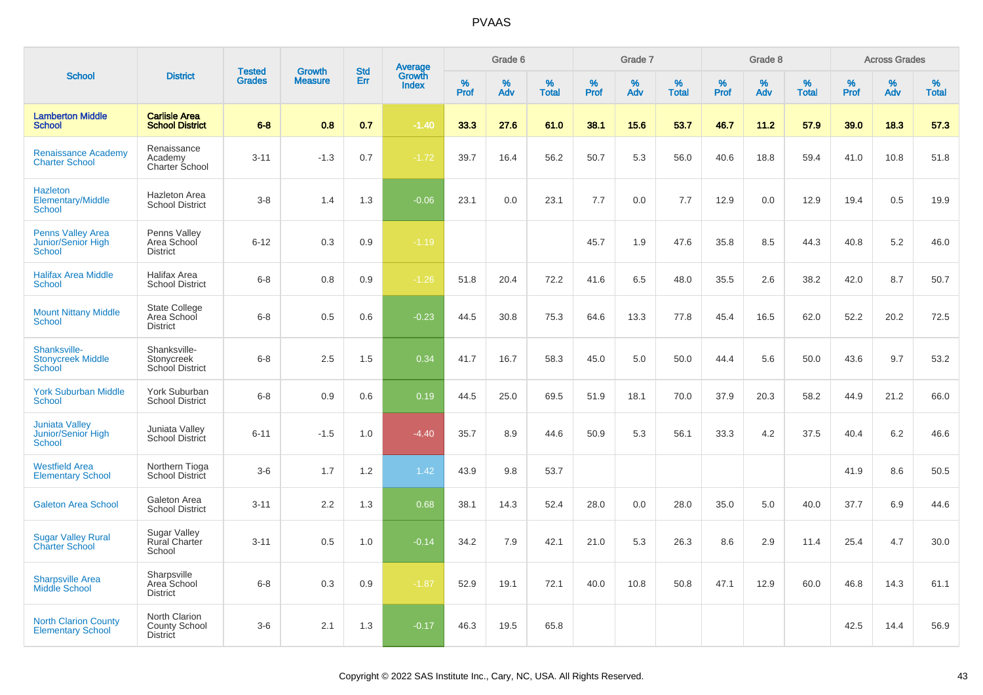|                                                          |                                                          |                                |                                 |                          |                                          |           | Grade 6  |                   |           | Grade 7  |                   |           | Grade 8  |                   |           | <b>Across Grades</b> |                   |
|----------------------------------------------------------|----------------------------------------------------------|--------------------------------|---------------------------------|--------------------------|------------------------------------------|-----------|----------|-------------------|-----------|----------|-------------------|-----------|----------|-------------------|-----------|----------------------|-------------------|
| <b>School</b>                                            | <b>District</b>                                          | <b>Tested</b><br><b>Grades</b> | <b>Growth</b><br><b>Measure</b> | <b>Std</b><br><b>Err</b> | <b>Average</b><br>Growth<br><b>Index</b> | %<br>Prof | %<br>Adv | %<br><b>Total</b> | %<br>Prof | %<br>Adv | %<br><b>Total</b> | %<br>Prof | %<br>Adv | %<br><b>Total</b> | %<br>Prof | %<br>Adv             | %<br><b>Total</b> |
| <b>Lamberton Middle</b><br><b>School</b>                 | <b>Carlisle Area</b><br><b>School District</b>           | $6 - 8$                        | 0.8                             | 0.7                      | $-1.40$                                  | 33.3      | 27.6     | 61.0              | 38.1      | 15.6     | 53.7              | 46.7      | 11.2     | 57.9              | 39.0      | 18.3                 | 57.3              |
| <b>Renaissance Academy</b><br><b>Charter School</b>      | Renaissance<br>Academy<br>Charter School                 | $3 - 11$                       | $-1.3$                          | 0.7                      | $-1.72$                                  | 39.7      | 16.4     | 56.2              | 50.7      | 5.3      | 56.0              | 40.6      | 18.8     | 59.4              | 41.0      | 10.8                 | 51.8              |
| <b>Hazleton</b><br>Elementary/Middle<br>School           | Hazleton Area<br><b>School District</b>                  | $3 - 8$                        | 1.4                             | 1.3                      | $-0.06$                                  | 23.1      | 0.0      | 23.1              | 7.7       | 0.0      | 7.7               | 12.9      | 0.0      | 12.9              | 19.4      | 0.5                  | 19.9              |
| <b>Penns Valley Area</b><br>Junior/Senior High<br>School | Penns Valley<br>Area School<br><b>District</b>           | $6 - 12$                       | 0.3                             | 0.9                      | $-1.19$                                  |           |          |                   | 45.7      | 1.9      | 47.6              | 35.8      | 8.5      | 44.3              | 40.8      | 5.2                  | 46.0              |
| <b>Halifax Area Middle</b><br><b>School</b>              | <b>Halifax Area</b><br><b>School District</b>            | $6 - 8$                        | 0.8                             | 0.9                      | $-1.26$                                  | 51.8      | 20.4     | 72.2              | 41.6      | 6.5      | 48.0              | 35.5      | 2.6      | 38.2              | 42.0      | 8.7                  | 50.7              |
| <b>Mount Nittany Middle</b><br>School                    | <b>State College</b><br>Area School<br><b>District</b>   | $6 - 8$                        | 0.5                             | 0.6                      | $-0.23$                                  | 44.5      | 30.8     | 75.3              | 64.6      | 13.3     | 77.8              | 45.4      | 16.5     | 62.0              | 52.2      | 20.2                 | 72.5              |
| Shanksville-<br><b>Stonycreek Middle</b><br>School       | Shanksville-<br>Stonycreek<br>School District            | $6 - 8$                        | 2.5                             | 1.5                      | 0.34                                     | 41.7      | 16.7     | 58.3              | 45.0      | 5.0      | 50.0              | 44.4      | 5.6      | 50.0              | 43.6      | 9.7                  | 53.2              |
| <b>York Suburban Middle</b><br>School                    | York Suburban<br><b>School District</b>                  | $6 - 8$                        | 0.9                             | 0.6                      | 0.19                                     | 44.5      | 25.0     | 69.5              | 51.9      | 18.1     | 70.0              | 37.9      | 20.3     | 58.2              | 44.9      | 21.2                 | 66.0              |
| <b>Juniata Valley</b><br>Junior/Senior High<br>School    | Juniata Valley<br>School District                        | $6 - 11$                       | $-1.5$                          | 1.0                      | $-4.40$                                  | 35.7      | 8.9      | 44.6              | 50.9      | 5.3      | 56.1              | 33.3      | 4.2      | 37.5              | 40.4      | 6.2                  | 46.6              |
| <b>Westfield Area</b><br><b>Elementary School</b>        | Northern Tioga<br>School District                        | $3-6$                          | 1.7                             | 1.2                      | 1.42                                     | 43.9      | 9.8      | 53.7              |           |          |                   |           |          |                   | 41.9      | 8.6                  | 50.5              |
| <b>Galeton Area School</b>                               | Galeton Area<br><b>School District</b>                   | $3 - 11$                       | 2.2                             | 1.3                      | 0.68                                     | 38.1      | 14.3     | 52.4              | 28.0      | 0.0      | 28.0              | 35.0      | 5.0      | 40.0              | 37.7      | 6.9                  | 44.6              |
| <b>Sugar Valley Rural</b><br><b>Charter School</b>       | <b>Sugar Valley</b><br><b>Rural Charter</b><br>School    | $3 - 11$                       | 0.5                             | 1.0                      | $-0.14$                                  | 34.2      | 7.9      | 42.1              | 21.0      | 5.3      | 26.3              | 8.6       | 2.9      | 11.4              | 25.4      | 4.7                  | 30.0              |
| <b>Sharpsville Area</b><br><b>Middle School</b>          | Sharpsville<br>Area School<br><b>District</b>            | $6 - 8$                        | 0.3                             | 0.9                      | $-1.87$                                  | 52.9      | 19.1     | 72.1              | 40.0      | 10.8     | 50.8              | 47.1      | 12.9     | 60.0              | 46.8      | 14.3                 | 61.1              |
| <b>North Clarion County</b><br><b>Elementary School</b>  | North Clarion<br><b>County School</b><br><b>District</b> | $3-6$                          | 2.1                             | 1.3                      | $-0.17$                                  | 46.3      | 19.5     | 65.8              |           |          |                   |           |          |                   | 42.5      | 14.4                 | 56.9              |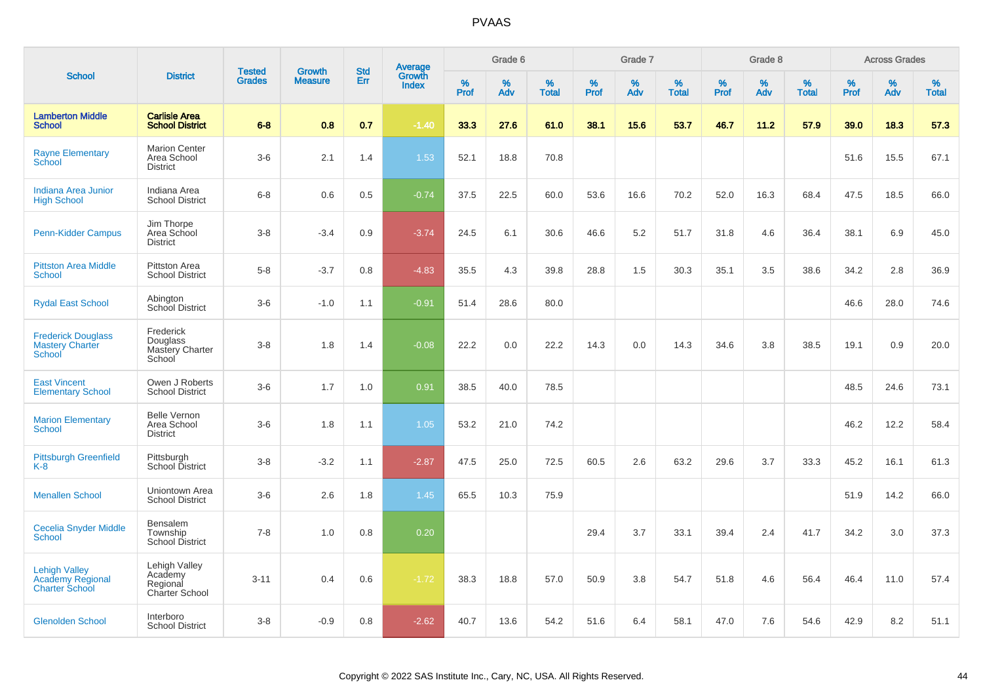|                                                                          |                                                               | <b>Tested</b> | <b>Growth</b>  | <b>Std</b> |                                          |                  | Grade 6     |                   |           | Grade 7     |                   |           | Grade 8  |                   |              | <b>Across Grades</b> |                   |
|--------------------------------------------------------------------------|---------------------------------------------------------------|---------------|----------------|------------|------------------------------------------|------------------|-------------|-------------------|-----------|-------------|-------------------|-----------|----------|-------------------|--------------|----------------------|-------------------|
| <b>School</b>                                                            | <b>District</b>                                               | <b>Grades</b> | <b>Measure</b> | Err        | <b>Average</b><br>Growth<br><b>Index</b> | %<br><b>Prof</b> | $\%$<br>Adv | %<br><b>Total</b> | %<br>Prof | $\%$<br>Adv | %<br><b>Total</b> | %<br>Prof | %<br>Adv | %<br><b>Total</b> | $\%$<br>Prof | $\%$<br>Adv          | %<br><b>Total</b> |
| <b>Lamberton Middle</b><br><b>School</b>                                 | <b>Carlisle Area</b><br><b>School District</b>                | $6 - 8$       | 0.8            | 0.7        | $-1.40$                                  | 33.3             | 27.6        | 61.0              | 38.1      | 15.6        | 53.7              | 46.7      | 11.2     | 57.9              | 39.0         | 18.3                 | 57.3              |
| <b>Rayne Elementary</b><br>School                                        | <b>Marion Center</b><br>Area School<br><b>District</b>        | $3-6$         | 2.1            | 1.4        | 1.53                                     | 52.1             | 18.8        | 70.8              |           |             |                   |           |          |                   | 51.6         | 15.5                 | 67.1              |
| Indiana Area Junior<br><b>High School</b>                                | Indiana Area<br><b>School District</b>                        | $6 - 8$       | 0.6            | 0.5        | $-0.74$                                  | 37.5             | 22.5        | 60.0              | 53.6      | 16.6        | 70.2              | 52.0      | 16.3     | 68.4              | 47.5         | 18.5                 | 66.0              |
| <b>Penn-Kidder Campus</b>                                                | Jim Thorpe<br>Area School<br><b>District</b>                  | $3 - 8$       | $-3.4$         | 0.9        | $-3.74$                                  | 24.5             | 6.1         | 30.6              | 46.6      | 5.2         | 51.7              | 31.8      | 4.6      | 36.4              | 38.1         | 6.9                  | 45.0              |
| <b>Pittston Area Middle</b><br>School                                    | Pittston Area<br><b>School District</b>                       | $5-8$         | $-3.7$         | 0.8        | $-4.83$                                  | 35.5             | 4.3         | 39.8              | 28.8      | 1.5         | 30.3              | 35.1      | 3.5      | 38.6              | 34.2         | 2.8                  | 36.9              |
| <b>Rydal East School</b>                                                 | Abington<br>School District                                   | $3-6$         | $-1.0$         | 1.1        | $-0.91$                                  | 51.4             | 28.6        | 80.0              |           |             |                   |           |          |                   | 46.6         | 28.0                 | 74.6              |
| <b>Frederick Douglass</b><br><b>Mastery Charter</b><br>School            | Frederick<br>Douglass<br>Mastery Charter<br>School            | $3-8$         | 1.8            | 1.4        | $-0.08$                                  | 22.2             | 0.0         | 22.2              | 14.3      | 0.0         | 14.3              | 34.6      | 3.8      | 38.5              | 19.1         | 0.9                  | 20.0              |
| <b>East Vincent</b><br><b>Elementary School</b>                          | Owen J Roberts<br><b>School District</b>                      | $3-6$         | 1.7            | 1.0        | 0.91                                     | 38.5             | 40.0        | 78.5              |           |             |                   |           |          |                   | 48.5         | 24.6                 | 73.1              |
| <b>Marion Elementary</b><br><b>School</b>                                | <b>Belle Vernon</b><br>Area School<br><b>District</b>         | $3-6$         | 1.8            | 1.1        | 1.05                                     | 53.2             | 21.0        | 74.2              |           |             |                   |           |          |                   | 46.2         | 12.2                 | 58.4              |
| <b>Pittsburgh Greenfield</b><br>$K-8$                                    | Pittsburgh<br>School District                                 | $3 - 8$       | $-3.2$         | 1.1        | $-2.87$                                  | 47.5             | 25.0        | 72.5              | 60.5      | 2.6         | 63.2              | 29.6      | 3.7      | 33.3              | 45.2         | 16.1                 | 61.3              |
| <b>Menallen School</b>                                                   | Uniontown Area<br><b>School District</b>                      | $3-6$         | 2.6            | 1.8        | 1.45                                     | 65.5             | 10.3        | 75.9              |           |             |                   |           |          |                   | 51.9         | 14.2                 | 66.0              |
| <b>Cecelia Snyder Middle</b><br><b>School</b>                            | Bensalem<br>Township<br><b>School District</b>                | $7 - 8$       | 1.0            | 0.8        | 0.20                                     |                  |             |                   | 29.4      | 3.7         | 33.1              | 39.4      | 2.4      | 41.7              | 34.2         | 3.0                  | 37.3              |
| <b>Lehigh Valley</b><br><b>Academy Regional</b><br><b>Charter School</b> | Lehigh Valley<br>Academy<br>Regional<br><b>Charter School</b> | $3 - 11$      | 0.4            | 0.6        | $-1.72$                                  | 38.3             | 18.8        | 57.0              | 50.9      | 3.8         | 54.7              | 51.8      | 4.6      | 56.4              | 46.4         | 11.0                 | 57.4              |
| <b>Glenolden School</b>                                                  | Interboro<br><b>School District</b>                           | $3 - 8$       | $-0.9$         | 0.8        | $-2.62$                                  | 40.7             | 13.6        | 54.2              | 51.6      | 6.4         | 58.1              | 47.0      | 7.6      | 54.6              | 42.9         | 8.2                  | 51.1              |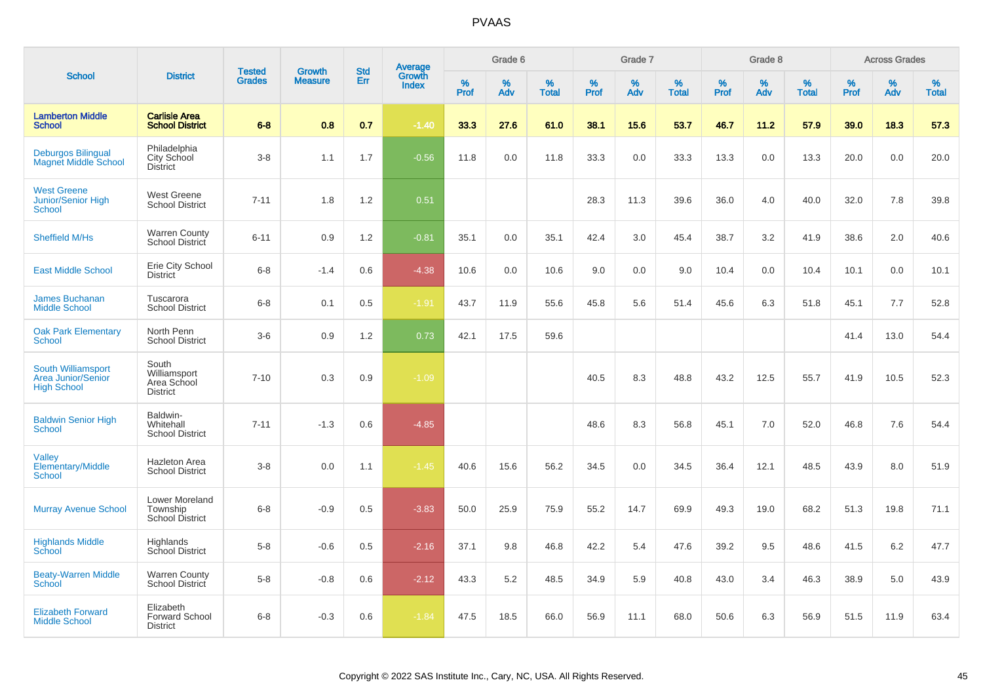|                                                                       |                                                         | <b>Tested</b> | <b>Growth</b>  | <b>Std</b> |                                          |                  | Grade 6     |                   |           | Grade 7  |                   |           | Grade 8  |                   |              | <b>Across Grades</b> |                   |
|-----------------------------------------------------------------------|---------------------------------------------------------|---------------|----------------|------------|------------------------------------------|------------------|-------------|-------------------|-----------|----------|-------------------|-----------|----------|-------------------|--------------|----------------------|-------------------|
| <b>School</b>                                                         | <b>District</b>                                         | <b>Grades</b> | <b>Measure</b> | Err        | <b>Average</b><br>Growth<br><b>Index</b> | %<br><b>Prof</b> | $\%$<br>Adv | %<br><b>Total</b> | %<br>Prof | %<br>Adv | %<br><b>Total</b> | %<br>Prof | %<br>Adv | %<br><b>Total</b> | $\%$<br>Prof | %<br>Adv             | %<br><b>Total</b> |
| <b>Lamberton Middle</b><br><b>School</b>                              | <b>Carlisle Area</b><br><b>School District</b>          | $6 - 8$       | 0.8            | 0.7        | $-1.40$                                  | 33.3             | 27.6        | 61.0              | 38.1      | 15.6     | 53.7              | 46.7      | 11.2     | 57.9              | 39.0         | 18.3                 | 57.3              |
| <b>Deburgos Bilingual</b><br><b>Magnet Middle School</b>              | Philadelphia<br>City School<br><b>District</b>          | $3 - 8$       | 1.1            | 1.7        | $-0.56$                                  | 11.8             | 0.0         | 11.8              | 33.3      | 0.0      | 33.3              | 13.3      | 0.0      | 13.3              | 20.0         | 0.0                  | 20.0              |
| <b>West Greene</b><br><b>Junior/Senior High</b><br><b>School</b>      | West Greene<br><b>School District</b>                   | $7 - 11$      | 1.8            | 1.2        | 0.51                                     |                  |             |                   | 28.3      | 11.3     | 39.6              | 36.0      | 4.0      | 40.0              | 32.0         | 7.8                  | 39.8              |
| <b>Sheffield M/Hs</b>                                                 | <b>Warren County</b><br>School District                 | $6 - 11$      | 0.9            | 1.2        | $-0.81$                                  | 35.1             | 0.0         | 35.1              | 42.4      | 3.0      | 45.4              | 38.7      | 3.2      | 41.9              | 38.6         | 2.0                  | 40.6              |
| <b>East Middle School</b>                                             | Erie City School<br><b>District</b>                     | $6 - 8$       | $-1.4$         | 0.6        | $-4.38$                                  | 10.6             | 0.0         | 10.6              | 9.0       | 0.0      | 9.0               | 10.4      | 0.0      | 10.4              | 10.1         | 0.0                  | 10.1              |
| <b>James Buchanan</b><br><b>Middle School</b>                         | Tuscarora<br><b>School District</b>                     | $6 - 8$       | 0.1            | 0.5        | $-1.91$                                  | 43.7             | 11.9        | 55.6              | 45.8      | 5.6      | 51.4              | 45.6      | 6.3      | 51.8              | 45.1         | 7.7                  | 52.8              |
| <b>Oak Park Elementary</b><br><b>School</b>                           | North Penn<br><b>School District</b>                    | $3-6$         | 0.9            | 1.2        | 0.73                                     | 42.1             | 17.5        | 59.6              |           |          |                   |           |          |                   | 41.4         | 13.0                 | 54.4              |
| South Williamsport<br><b>Area Junior/Senior</b><br><b>High School</b> | South<br>Williamsport<br>Area School<br><b>District</b> | $7 - 10$      | 0.3            | 0.9        | $-1.09$                                  |                  |             |                   | 40.5      | 8.3      | 48.8              | 43.2      | 12.5     | 55.7              | 41.9         | 10.5                 | 52.3              |
| <b>Baldwin Senior High</b><br><b>School</b>                           | Baldwin-<br>Whitehall<br><b>School District</b>         | $7 - 11$      | $-1.3$         | 0.6        | $-4.85$                                  |                  |             |                   | 48.6      | 8.3      | 56.8              | 45.1      | 7.0      | 52.0              | 46.8         | 7.6                  | 54.4              |
| Valley<br>Elementary/Middle<br><b>School</b>                          | <b>Hazleton Area</b><br><b>School District</b>          | $3 - 8$       | 0.0            | 1.1        | $-1.45$                                  | 40.6             | 15.6        | 56.2              | 34.5      | 0.0      | 34.5              | 36.4      | 12.1     | 48.5              | 43.9         | 8.0                  | 51.9              |
| <b>Murray Avenue School</b>                                           | Lower Moreland<br>Township<br><b>School District</b>    | $6 - 8$       | $-0.9$         | 0.5        | $-3.83$                                  | 50.0             | 25.9        | 75.9              | 55.2      | 14.7     | 69.9              | 49.3      | 19.0     | 68.2              | 51.3         | 19.8                 | 71.1              |
| <b>Highlands Middle</b><br>School                                     | Highlands<br>School District                            | $5 - 8$       | $-0.6$         | 0.5        | $-2.16$                                  | 37.1             | 9.8         | 46.8              | 42.2      | 5.4      | 47.6              | 39.2      | 9.5      | 48.6              | 41.5         | 6.2                  | 47.7              |
| <b>Beaty-Warren Middle</b><br><b>School</b>                           | <b>Warren County</b><br>School District                 | $5 - 8$       | $-0.8$         | 0.6        | $-2.12$                                  | 43.3             | 5.2         | 48.5              | 34.9      | 5.9      | 40.8              | 43.0      | 3.4      | 46.3              | 38.9         | 5.0                  | 43.9              |
| <b>Elizabeth Forward</b><br><b>Middle School</b>                      | Elizabeth<br><b>Forward School</b><br><b>District</b>   | $6 - 8$       | $-0.3$         | 0.6        | $-1.84$                                  | 47.5             | 18.5        | 66.0              | 56.9      | 11.1     | 68.0              | 50.6      | 6.3      | 56.9              | 51.5         | 11.9                 | 63.4              |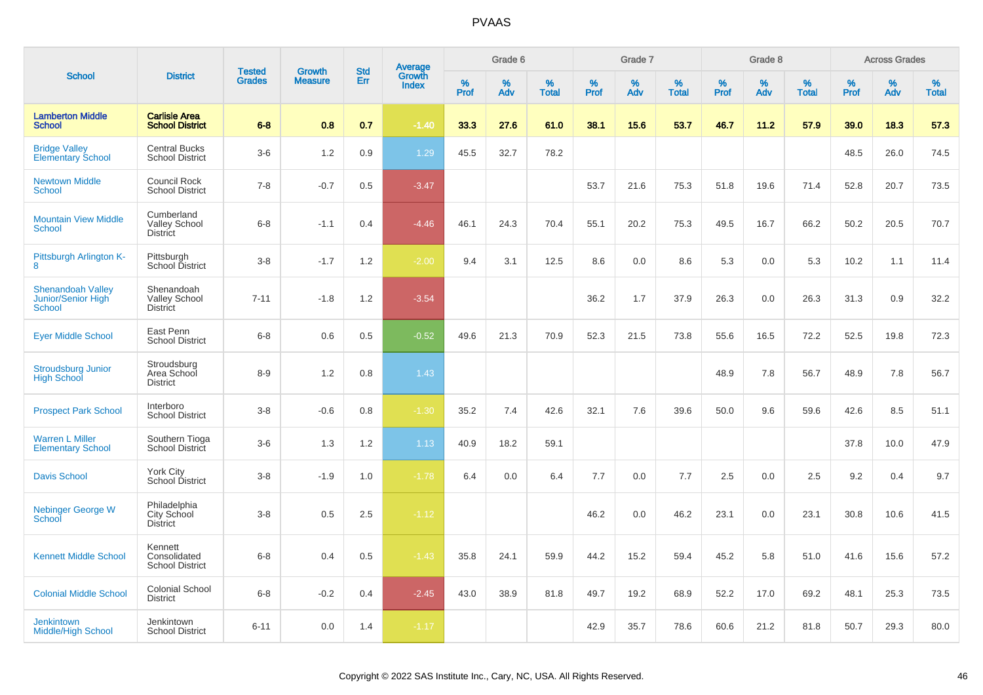|                                                                 |                                                       | <b>Tested</b> | <b>Growth</b>  | <b>Std</b> | <b>Average</b><br>Growth |           | Grade 6  |                   |           | Grade 7  |                   |           | Grade 8  |                   |           | <b>Across Grades</b> |                   |
|-----------------------------------------------------------------|-------------------------------------------------------|---------------|----------------|------------|--------------------------|-----------|----------|-------------------|-----------|----------|-------------------|-----------|----------|-------------------|-----------|----------------------|-------------------|
| <b>School</b>                                                   | <b>District</b>                                       | <b>Grades</b> | <b>Measure</b> | Err        | <b>Index</b>             | %<br>Prof | %<br>Adv | %<br><b>Total</b> | %<br>Prof | %<br>Adv | %<br><b>Total</b> | %<br>Prof | %<br>Adv | %<br><b>Total</b> | %<br>Prof | %<br>Adv             | %<br><b>Total</b> |
| <b>Lamberton Middle</b><br><b>School</b>                        | <b>Carlisle Area</b><br><b>School District</b>        | $6 - 8$       | 0.8            | 0.7        | $-1.40$                  | 33.3      | 27.6     | 61.0              | 38.1      | 15.6     | 53.7              | 46.7      | 11.2     | 57.9              | 39.0      | 18.3                 | 57.3              |
| <b>Bridge Valley</b><br><b>Elementary School</b>                | <b>Central Bucks</b><br><b>School District</b>        | $3-6$         | 1.2            | 0.9        | 1.29                     | 45.5      | 32.7     | 78.2              |           |          |                   |           |          |                   | 48.5      | 26.0                 | 74.5              |
| <b>Newtown Middle</b><br>School                                 | <b>Council Rock</b><br><b>School District</b>         | $7 - 8$       | $-0.7$         | 0.5        | $-3.47$                  |           |          |                   | 53.7      | 21.6     | 75.3              | 51.8      | 19.6     | 71.4              | 52.8      | 20.7                 | 73.5              |
| <b>Mountain View Middle</b><br><b>School</b>                    | Cumberland<br><b>Valley School</b><br><b>District</b> | $6 - 8$       | $-1.1$         | 0.4        | $-4.46$                  | 46.1      | 24.3     | 70.4              | 55.1      | 20.2     | 75.3              | 49.5      | 16.7     | 66.2              | 50.2      | 20.5                 | 70.7              |
| Pittsburgh Arlington K-<br>8                                    | Pittsburgh<br>School District                         | $3 - 8$       | $-1.7$         | 1.2        | $-2.00$                  | 9.4       | 3.1      | 12.5              | 8.6       | 0.0      | 8.6               | 5.3       | 0.0      | 5.3               | 10.2      | 1.1                  | 11.4              |
| <b>Shenandoah Valley</b><br>Junior/Senior High<br><b>School</b> | Shenandoah<br><b>Valley School</b><br><b>District</b> | $7 - 11$      | $-1.8$         | 1.2        | $-3.54$                  |           |          |                   | 36.2      | 1.7      | 37.9              | 26.3      | 0.0      | 26.3              | 31.3      | 0.9                  | 32.2              |
| <b>Eyer Middle School</b>                                       | East Penn<br><b>School District</b>                   | $6 - 8$       | 0.6            | 0.5        | $-0.52$                  | 49.6      | 21.3     | 70.9              | 52.3      | 21.5     | 73.8              | 55.6      | 16.5     | 72.2              | 52.5      | 19.8                 | 72.3              |
| <b>Stroudsburg Junior</b><br><b>High School</b>                 | Stroudsburg<br>Area School<br><b>District</b>         | $8 - 9$       | 1.2            | 0.8        | 1.43                     |           |          |                   |           |          |                   | 48.9      | 7.8      | 56.7              | 48.9      | 7.8                  | 56.7              |
| <b>Prospect Park School</b>                                     | Interboro<br><b>School District</b>                   | $3-8$         | $-0.6$         | 0.8        | $-1.30$                  | 35.2      | 7.4      | 42.6              | 32.1      | 7.6      | 39.6              | 50.0      | 9.6      | 59.6              | 42.6      | 8.5                  | 51.1              |
| <b>Warren L Miller</b><br><b>Elementary School</b>              | Southern Tioga<br>School District                     | $3-6$         | 1.3            | 1.2        | 1.13                     | 40.9      | 18.2     | 59.1              |           |          |                   |           |          |                   | 37.8      | 10.0                 | 47.9              |
| <b>Davis School</b>                                             | York City<br>School District                          | $3 - 8$       | $-1.9$         | 1.0        | $-1.78$                  | 6.4       | 0.0      | 6.4               | 7.7       | 0.0      | 7.7               | 2.5       | 0.0      | 2.5               | 9.2       | 0.4                  | 9.7               |
| <b>Nebinger George W</b><br>School                              | Philadelphia<br>City School<br><b>District</b>        | $3 - 8$       | 0.5            | 2.5        | $-1.12$                  |           |          |                   | 46.2      | 0.0      | 46.2              | 23.1      | 0.0      | 23.1              | 30.8      | 10.6                 | 41.5              |
| <b>Kennett Middle School</b>                                    | Kennett<br>Consolidated<br><b>School District</b>     | $6 - 8$       | 0.4            | 0.5        | $-1.43$                  | 35.8      | 24.1     | 59.9              | 44.2      | 15.2     | 59.4              | 45.2      | 5.8      | 51.0              | 41.6      | 15.6                 | 57.2              |
| <b>Colonial Middle School</b>                                   | <b>Colonial School</b><br><b>District</b>             | $6 - 8$       | $-0.2$         | 0.4        | $-2.45$                  | 43.0      | 38.9     | 81.8              | 49.7      | 19.2     | 68.9              | 52.2      | 17.0     | 69.2              | 48.1      | 25.3                 | 73.5              |
| Jenkintown<br>Middle/High School                                | Jenkintown<br><b>School District</b>                  | $6 - 11$      | 0.0            | 1.4        | $-1.17$                  |           |          |                   | 42.9      | 35.7     | 78.6              | 60.6      | 21.2     | 81.8              | 50.7      | 29.3                 | 80.0              |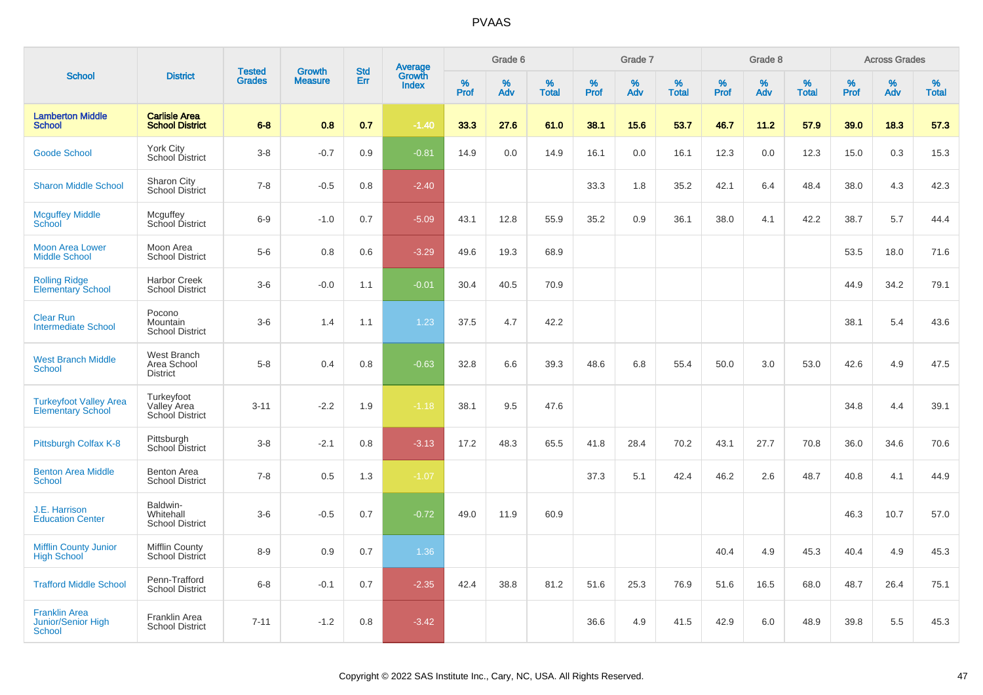|                                                             |                                                     |                                |                                 |                   |                                          |           | Grade 6  |                   |           | Grade 7  |                   |           | Grade 8     |                   |           | <b>Across Grades</b> |                   |
|-------------------------------------------------------------|-----------------------------------------------------|--------------------------------|---------------------------------|-------------------|------------------------------------------|-----------|----------|-------------------|-----------|----------|-------------------|-----------|-------------|-------------------|-----------|----------------------|-------------------|
| <b>School</b>                                               | <b>District</b>                                     | <b>Tested</b><br><b>Grades</b> | <b>Growth</b><br><b>Measure</b> | <b>Std</b><br>Err | <b>Average</b><br>Growth<br><b>Index</b> | %<br>Prof | %<br>Adv | %<br><b>Total</b> | %<br>Prof | %<br>Adv | %<br><b>Total</b> | %<br>Prof | $\%$<br>Adv | %<br><b>Total</b> | %<br>Prof | $\%$<br>Adv          | %<br><b>Total</b> |
| <b>Lamberton Middle</b><br><b>School</b>                    | <b>Carlisle Area</b><br><b>School District</b>      | $6 - 8$                        | 0.8                             | 0.7               | $-1.40$                                  | 33.3      | 27.6     | 61.0              | 38.1      | 15.6     | 53.7              | 46.7      | 11.2        | 57.9              | 39.0      | 18.3                 | 57.3              |
| <b>Goode School</b>                                         | <b>York City</b><br>School District                 | $3 - 8$                        | $-0.7$                          | 0.9               | $-0.81$                                  | 14.9      | 0.0      | 14.9              | 16.1      | 0.0      | 16.1              | 12.3      | 0.0         | 12.3              | 15.0      | 0.3                  | 15.3              |
| <b>Sharon Middle School</b>                                 | Sharon City<br>School District                      | $7 - 8$                        | $-0.5$                          | 0.8               | $-2.40$                                  |           |          |                   | 33.3      | 1.8      | 35.2              | 42.1      | 6.4         | 48.4              | 38.0      | 4.3                  | 42.3              |
| <b>Mcguffey Middle</b><br>School                            | Mcguffey<br>School District                         | $6-9$                          | $-1.0$                          | 0.7               | $-5.09$                                  | 43.1      | 12.8     | 55.9              | 35.2      | 0.9      | 36.1              | 38.0      | 4.1         | 42.2              | 38.7      | 5.7                  | 44.4              |
| <b>Moon Area Lower</b><br><b>Middle School</b>              | Moon Area<br><b>School District</b>                 | $5-6$                          | 0.8                             | 0.6               | $-3.29$                                  | 49.6      | 19.3     | 68.9              |           |          |                   |           |             |                   | 53.5      | 18.0                 | 71.6              |
| <b>Rolling Ridge</b><br><b>Elementary School</b>            | Harbor Creek<br><b>School District</b>              | $3-6$                          | $-0.0$                          | 1.1               | $-0.01$                                  | 30.4      | 40.5     | 70.9              |           |          |                   |           |             |                   | 44.9      | 34.2                 | 79.1              |
| <b>Clear Run</b><br><b>Intermediate School</b>              | Pocono<br>Mountain<br><b>School District</b>        | $3-6$                          | 1.4                             | 1.1               | 1.23                                     | 37.5      | 4.7      | 42.2              |           |          |                   |           |             |                   | 38.1      | 5.4                  | 43.6              |
| <b>West Branch Middle</b><br><b>School</b>                  | West Branch<br>Area School<br><b>District</b>       | $5-8$                          | 0.4                             | 0.8               | $-0.63$                                  | 32.8      | 6.6      | 39.3              | 48.6      | 6.8      | 55.4              | 50.0      | 3.0         | 53.0              | 42.6      | 4.9                  | 47.5              |
| <b>Turkeyfoot Valley Area</b><br><b>Elementary School</b>   | Turkeyfoot<br>Valley Area<br><b>School District</b> | $3 - 11$                       | $-2.2$                          | 1.9               | $-1.18$                                  | 38.1      | 9.5      | 47.6              |           |          |                   |           |             |                   | 34.8      | 4.4                  | 39.1              |
| Pittsburgh Colfax K-8                                       | Pittsburgh<br>School District                       | $3 - 8$                        | $-2.1$                          | 0.8               | $-3.13$                                  | 17.2      | 48.3     | 65.5              | 41.8      | 28.4     | 70.2              | 43.1      | 27.7        | 70.8              | 36.0      | 34.6                 | 70.6              |
| <b>Benton Area Middle</b><br><b>School</b>                  | <b>Benton Area</b><br><b>School District</b>        | $7 - 8$                        | 0.5                             | 1.3               | $-1.07$                                  |           |          |                   | 37.3      | 5.1      | 42.4              | 46.2      | 2.6         | 48.7              | 40.8      | 4.1                  | 44.9              |
| J.E. Harrison<br><b>Education Center</b>                    | Baldwin-<br>Whitehall<br><b>School District</b>     | $3-6$                          | $-0.5$                          | 0.7               | $-0.72$                                  | 49.0      | 11.9     | 60.9              |           |          |                   |           |             |                   | 46.3      | 10.7                 | 57.0              |
| <b>Mifflin County Junior</b><br><b>High School</b>          | <b>Mifflin County</b><br>School District            | $8 - 9$                        | 0.9                             | 0.7               | 1.36                                     |           |          |                   |           |          |                   | 40.4      | 4.9         | 45.3              | 40.4      | 4.9                  | 45.3              |
| <b>Trafford Middle School</b>                               | Penn-Trafford<br><b>School District</b>             | $6 - 8$                        | $-0.1$                          | 0.7               | $-2.35$                                  | 42.4      | 38.8     | 81.2              | 51.6      | 25.3     | 76.9              | 51.6      | 16.5        | 68.0              | 48.7      | 26.4                 | 75.1              |
| <b>Franklin Area</b><br>Junior/Senior High<br><b>School</b> | Franklin Area<br><b>School District</b>             | $7 - 11$                       | $-1.2$                          | 0.8               | $-3.42$                                  |           |          |                   | 36.6      | 4.9      | 41.5              | 42.9      | 6.0         | 48.9              | 39.8      | 5.5                  | 45.3              |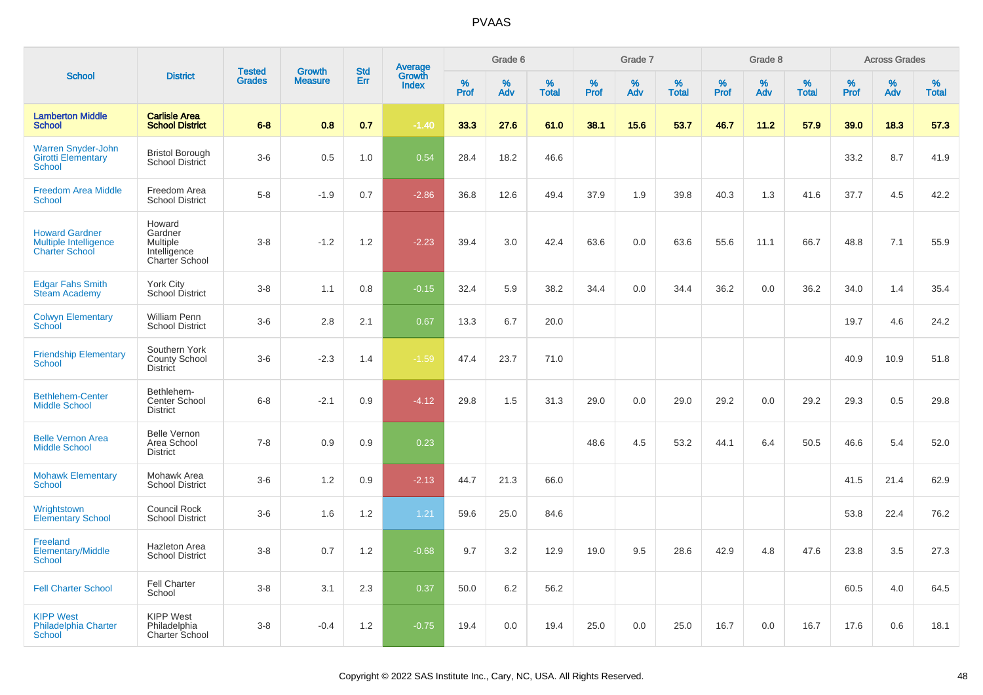|                                                                                |                                                                        |                                |                                 | <b>Std</b> |                                          |                  | Grade 6  |                   |           | Grade 7  |                   |           | Grade 8  |                   |           | <b>Across Grades</b> |                   |
|--------------------------------------------------------------------------------|------------------------------------------------------------------------|--------------------------------|---------------------------------|------------|------------------------------------------|------------------|----------|-------------------|-----------|----------|-------------------|-----------|----------|-------------------|-----------|----------------------|-------------------|
| <b>School</b>                                                                  | <b>District</b>                                                        | <b>Tested</b><br><b>Grades</b> | <b>Growth</b><br><b>Measure</b> | Err        | <b>Average</b><br>Growth<br><b>Index</b> | %<br><b>Prof</b> | %<br>Adv | %<br><b>Total</b> | %<br>Prof | %<br>Adv | %<br><b>Total</b> | %<br>Prof | %<br>Adv | %<br><b>Total</b> | %<br>Prof | %<br>Adv             | %<br><b>Total</b> |
| <b>Lamberton Middle</b><br><b>School</b>                                       | <b>Carlisle Area</b><br><b>School District</b>                         | $6 - 8$                        | 0.8                             | 0.7        | $-1.40$                                  | 33.3             | 27.6     | 61.0              | 38.1      | 15.6     | 53.7              | 46.7      | 11.2     | 57.9              | 39.0      | 18.3                 | 57.3              |
| <b>Warren Snyder-John</b><br><b>Girotti Elementary</b><br><b>School</b>        | <b>Bristol Borough</b><br>School District                              | $3-6$                          | 0.5                             | 1.0        | 0.54                                     | 28.4             | 18.2     | 46.6              |           |          |                   |           |          |                   | 33.2      | 8.7                  | 41.9              |
| <b>Freedom Area Middle</b><br>School                                           | Freedom Area<br><b>School District</b>                                 | $5-8$                          | $-1.9$                          | 0.7        | $-2.86$                                  | 36.8             | 12.6     | 49.4              | 37.9      | 1.9      | 39.8              | 40.3      | 1.3      | 41.6              | 37.7      | 4.5                  | 42.2              |
| <b>Howard Gardner</b><br><b>Multiple Intelligence</b><br><b>Charter School</b> | Howard<br>Gardner<br><b>Multiple</b><br>Intelligence<br>Charter School | $3 - 8$                        | $-1.2$                          | 1.2        | $-2.23$                                  | 39.4             | 3.0      | 42.4              | 63.6      | 0.0      | 63.6              | 55.6      | 11.1     | 66.7              | 48.8      | 7.1                  | 55.9              |
| <b>Edgar Fahs Smith</b><br><b>Steam Academy</b>                                | <b>York City</b><br>School District                                    | $3 - 8$                        | 1.1                             | 0.8        | $-0.15$                                  | 32.4             | 5.9      | 38.2              | 34.4      | 0.0      | 34.4              | 36.2      | 0.0      | 36.2              | 34.0      | 1.4                  | 35.4              |
| <b>Colwyn Elementary</b><br><b>School</b>                                      | <b>William Penn</b><br><b>School District</b>                          | $3-6$                          | 2.8                             | 2.1        | 0.67                                     | 13.3             | 6.7      | 20.0              |           |          |                   |           |          |                   | 19.7      | 4.6                  | 24.2              |
| <b>Friendship Elementary</b><br><b>School</b>                                  | Southern York<br>County School<br><b>District</b>                      | $3-6$                          | $-2.3$                          | 1.4        | $-1.59$                                  | 47.4             | 23.7     | 71.0              |           |          |                   |           |          |                   | 40.9      | 10.9                 | 51.8              |
| <b>Bethlehem-Center</b><br><b>Middle School</b>                                | Bethlehem-<br>Center School<br><b>District</b>                         | $6 - 8$                        | $-2.1$                          | 0.9        | $-4.12$                                  | 29.8             | 1.5      | 31.3              | 29.0      | 0.0      | 29.0              | 29.2      | 0.0      | 29.2              | 29.3      | 0.5                  | 29.8              |
| <b>Belle Vernon Area</b><br><b>Middle School</b>                               | <b>Belle Vernon</b><br>Area School<br><b>District</b>                  | $7 - 8$                        | 0.9                             | 0.9        | 0.23                                     |                  |          |                   | 48.6      | 4.5      | 53.2              | 44.1      | 6.4      | 50.5              | 46.6      | 5.4                  | 52.0              |
| <b>Mohawk Elementary</b><br><b>School</b>                                      | Mohawk Area<br><b>School District</b>                                  | $3-6$                          | 1.2                             | 0.9        | $-2.13$                                  | 44.7             | 21.3     | 66.0              |           |          |                   |           |          |                   | 41.5      | 21.4                 | 62.9              |
| Wrightstown<br><b>Elementary School</b>                                        | Council Rock<br><b>School District</b>                                 | $3-6$                          | 1.6                             | 1.2        | 1.21                                     | 59.6             | 25.0     | 84.6              |           |          |                   |           |          |                   | 53.8      | 22.4                 | 76.2              |
| Freeland<br><b>Elementary/Middle</b><br>School                                 | <b>Hazleton Area</b><br><b>School District</b>                         | $3 - 8$                        | 0.7                             | 1.2        | $-0.68$                                  | 9.7              | 3.2      | 12.9              | 19.0      | 9.5      | 28.6              | 42.9      | 4.8      | 47.6              | 23.8      | 3.5                  | 27.3              |
| <b>Fell Charter School</b>                                                     | <b>Fell Charter</b><br>School                                          | $3 - 8$                        | 3.1                             | 2.3        | 0.37                                     | 50.0             | 6.2      | 56.2              |           |          |                   |           |          |                   | 60.5      | 4.0                  | 64.5              |
| <b>KIPP West</b><br><b>Philadelphia Charter</b><br>School                      | <b>KIPP West</b><br>Philadelphia<br><b>Charter School</b>              | $3 - 8$                        | $-0.4$                          | 1.2        | $-0.75$                                  | 19.4             | 0.0      | 19.4              | 25.0      | 0.0      | 25.0              | 16.7      | 0.0      | 16.7              | 17.6      | 0.6                  | 18.1              |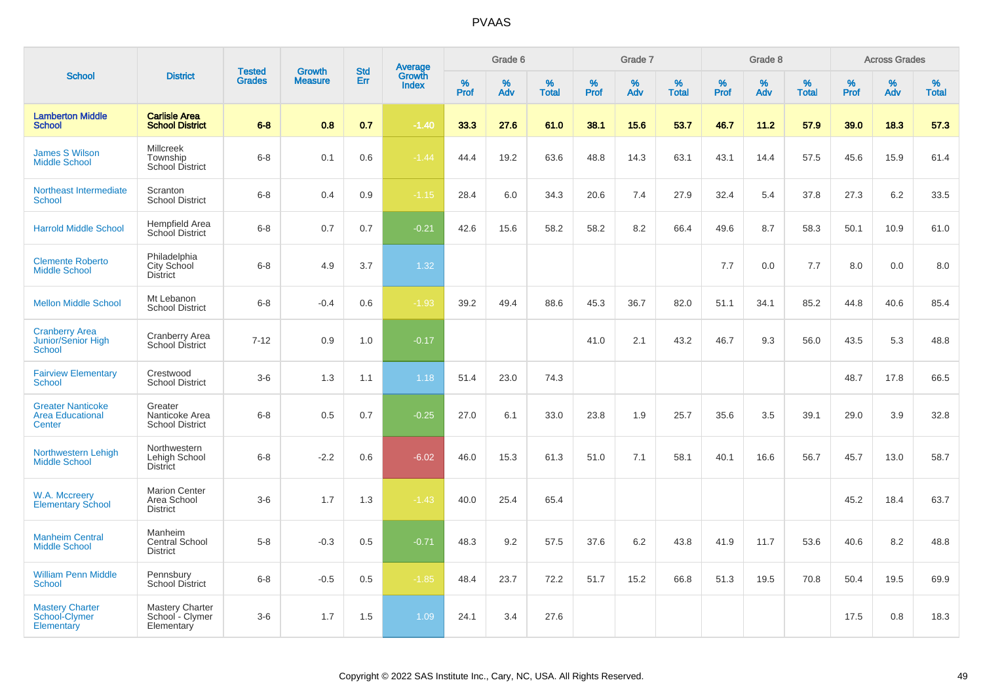|                                                                     |                                                         |                                |                                 |                   |                                          |              | Grade 6  |                   |           | Grade 7     |                   |           | Grade 8  |                   |              | <b>Across Grades</b> |                   |
|---------------------------------------------------------------------|---------------------------------------------------------|--------------------------------|---------------------------------|-------------------|------------------------------------------|--------------|----------|-------------------|-----------|-------------|-------------------|-----------|----------|-------------------|--------------|----------------------|-------------------|
| <b>School</b>                                                       | <b>District</b>                                         | <b>Tested</b><br><b>Grades</b> | <b>Growth</b><br><b>Measure</b> | <b>Std</b><br>Err | <b>Average</b><br>Growth<br><b>Index</b> | $\%$<br>Prof | %<br>Adv | %<br><b>Total</b> | %<br>Prof | $\%$<br>Adv | %<br><b>Total</b> | %<br>Prof | %<br>Adv | %<br><b>Total</b> | $\%$<br>Prof | $\%$<br>Adv          | %<br><b>Total</b> |
| <b>Lamberton Middle</b><br><b>School</b>                            | <b>Carlisle Area</b><br><b>School District</b>          | $6 - 8$                        | 0.8                             | 0.7               | $-1.40$                                  | 33.3         | 27.6     | 61.0              | 38.1      | 15.6        | 53.7              | 46.7      | 11.2     | 57.9              | 39.0         | 18.3                 | 57.3              |
| <b>James S Wilson</b><br><b>Middle School</b>                       | Millcreek<br>Township<br><b>School District</b>         | $6 - 8$                        | 0.1                             | 0.6               | $-1.44$                                  | 44.4         | 19.2     | 63.6              | 48.8      | 14.3        | 63.1              | 43.1      | 14.4     | 57.5              | 45.6         | 15.9                 | 61.4              |
| Northeast Intermediate<br><b>School</b>                             | Scranton<br><b>School District</b>                      | $6 - 8$                        | 0.4                             | 0.9               | $-1.15$                                  | 28.4         | 6.0      | 34.3              | 20.6      | 7.4         | 27.9              | 32.4      | 5.4      | 37.8              | 27.3         | 6.2                  | 33.5              |
| <b>Harrold Middle School</b>                                        | Hempfield Area<br>School District                       | $6 - 8$                        | 0.7                             | 0.7               | $-0.21$                                  | 42.6         | 15.6     | 58.2              | 58.2      | 8.2         | 66.4              | 49.6      | 8.7      | 58.3              | 50.1         | 10.9                 | 61.0              |
| <b>Clemente Roberto</b><br><b>Middle School</b>                     | Philadelphia<br>City School<br><b>District</b>          | $6 - 8$                        | 4.9                             | 3.7               | 1.32                                     |              |          |                   |           |             |                   | 7.7       | 0.0      | 7.7               | 8.0          | 0.0                  | 8.0               |
| <b>Mellon Middle School</b>                                         | Mt Lebanon<br><b>School District</b>                    | $6 - 8$                        | $-0.4$                          | 0.6               | $-1.93$                                  | 39.2         | 49.4     | 88.6              | 45.3      | 36.7        | 82.0              | 51.1      | 34.1     | 85.2              | 44.8         | 40.6                 | 85.4              |
| <b>Cranberry Area</b><br><b>Junior/Senior High</b><br><b>School</b> | <b>Cranberry Area</b><br><b>School District</b>         | $7 - 12$                       | 0.9                             | 1.0               | $-0.17$                                  |              |          |                   | 41.0      | 2.1         | 43.2              | 46.7      | 9.3      | 56.0              | 43.5         | 5.3                  | 48.8              |
| <b>Fairview Elementary</b><br><b>School</b>                         | Crestwood<br><b>School District</b>                     | $3-6$                          | 1.3                             | 1.1               | 1.18                                     | 51.4         | 23.0     | 74.3              |           |             |                   |           |          |                   | 48.7         | 17.8                 | 66.5              |
| <b>Greater Nanticoke</b><br><b>Area Educational</b><br>Center       | Greater<br>Nanticoke Area<br><b>School District</b>     | $6 - 8$                        | 0.5                             | 0.7               | $-0.25$                                  | 27.0         | 6.1      | 33.0              | 23.8      | 1.9         | 25.7              | 35.6      | 3.5      | 39.1              | 29.0         | 3.9                  | 32.8              |
| Northwestern Lehigh<br><b>Middle School</b>                         | Northwestern<br>Lehigh School<br><b>District</b>        | $6 - 8$                        | $-2.2$                          | 0.6               | $-6.02$                                  | 46.0         | 15.3     | 61.3              | 51.0      | 7.1         | 58.1              | 40.1      | 16.6     | 56.7              | 45.7         | 13.0                 | 58.7              |
| W.A. Mccreery<br><b>Elementary School</b>                           | <b>Marion Center</b><br>Area School<br><b>District</b>  | $3-6$                          | 1.7                             | 1.3               | $-1.43$                                  | 40.0         | 25.4     | 65.4              |           |             |                   |           |          |                   | 45.2         | 18.4                 | 63.7              |
| <b>Manheim Central</b><br><b>Middle School</b>                      | Manheim<br><b>Central School</b><br><b>District</b>     | $5 - 8$                        | $-0.3$                          | 0.5               | $-0.71$                                  | 48.3         | 9.2      | 57.5              | 37.6      | 6.2         | 43.8              | 41.9      | 11.7     | 53.6              | 40.6         | 8.2                  | 48.8              |
| <b>William Penn Middle</b><br><b>School</b>                         | Pennsbury<br><b>School District</b>                     | $6 - 8$                        | $-0.5$                          | 0.5               | $-1.85$                                  | 48.4         | 23.7     | 72.2              | 51.7      | 15.2        | 66.8              | 51.3      | 19.5     | 70.8              | 50.4         | 19.5                 | 69.9              |
| <b>Mastery Charter</b><br>School-Clymer<br>Elementary               | <b>Mastery Charter</b><br>School - Clymer<br>Elementary | $3-6$                          | 1.7                             | 1.5               | 1.09                                     | 24.1         | 3.4      | 27.6              |           |             |                   |           |          |                   | 17.5         | 0.8                  | 18.3              |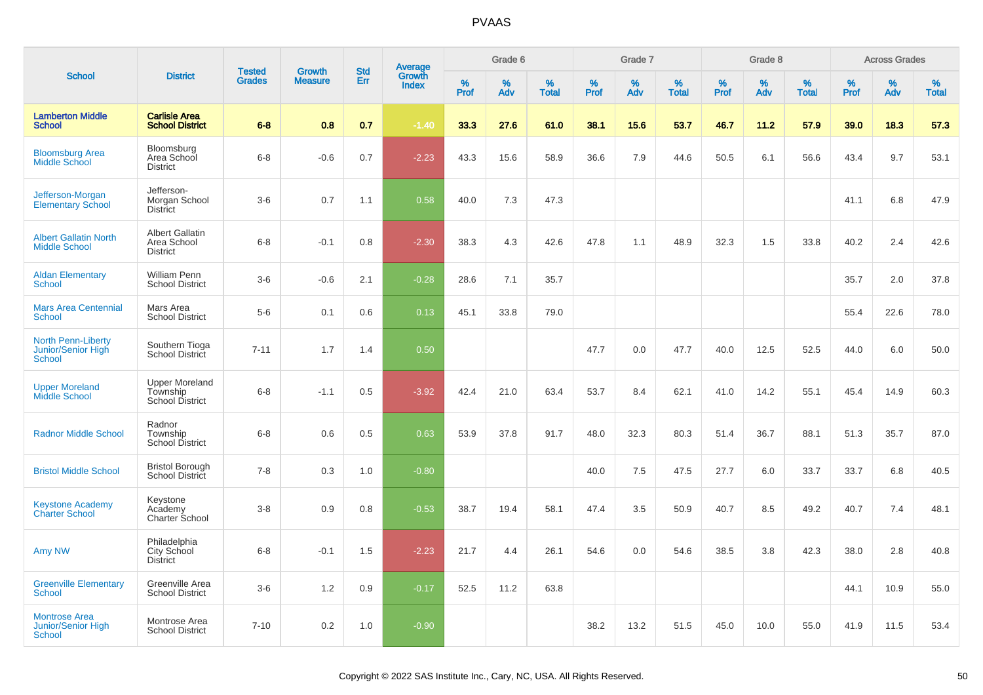|                                                                    |                                                             |                                |                                 | <b>Std</b> |                                          |                  | Grade 6  |                   |           | Grade 7  |                   |              | Grade 8  |                   |           | <b>Across Grades</b> |                   |
|--------------------------------------------------------------------|-------------------------------------------------------------|--------------------------------|---------------------------------|------------|------------------------------------------|------------------|----------|-------------------|-----------|----------|-------------------|--------------|----------|-------------------|-----------|----------------------|-------------------|
| <b>School</b>                                                      | <b>District</b>                                             | <b>Tested</b><br><b>Grades</b> | <b>Growth</b><br><b>Measure</b> | Err        | <b>Average</b><br>Growth<br><b>Index</b> | %<br><b>Prof</b> | %<br>Adv | %<br><b>Total</b> | %<br>Prof | %<br>Adv | %<br><b>Total</b> | $\%$<br>Prof | %<br>Adv | %<br><b>Total</b> | %<br>Prof | %<br>Adv             | %<br><b>Total</b> |
| <b>Lamberton Middle</b><br><b>School</b>                           | <b>Carlisle Area</b><br><b>School District</b>              | $6 - 8$                        | 0.8                             | 0.7        | $-1.40$                                  | 33.3             | 27.6     | 61.0              | 38.1      | 15.6     | 53.7              | 46.7         | 11.2     | 57.9              | 39.0      | 18.3                 | 57.3              |
| <b>Bloomsburg Area</b><br><b>Middle School</b>                     | Bloomsburg<br>Area School<br><b>District</b>                | $6 - 8$                        | $-0.6$                          | 0.7        | $-2.23$                                  | 43.3             | 15.6     | 58.9              | 36.6      | 7.9      | 44.6              | 50.5         | 6.1      | 56.6              | 43.4      | 9.7                  | 53.1              |
| Jefferson-Morgan<br><b>Elementary School</b>                       | Jefferson-<br>Morgan School<br><b>District</b>              | $3-6$                          | 0.7                             | 1.1        | 0.58                                     | 40.0             | 7.3      | 47.3              |           |          |                   |              |          |                   | 41.1      | 6.8                  | 47.9              |
| <b>Albert Gallatin North</b><br><b>Middle School</b>               | <b>Albert Gallatin</b><br>Area School<br><b>District</b>    | $6 - 8$                        | $-0.1$                          | 0.8        | $-2.30$                                  | 38.3             | 4.3      | 42.6              | 47.8      | 1.1      | 48.9              | 32.3         | 1.5      | 33.8              | 40.2      | 2.4                  | 42.6              |
| <b>Aldan Elementary</b><br><b>School</b>                           | <b>William Penn</b><br><b>School District</b>               | $3-6$                          | $-0.6$                          | 2.1        | $-0.28$                                  | 28.6             | 7.1      | 35.7              |           |          |                   |              |          |                   | 35.7      | 2.0                  | 37.8              |
| <b>Mars Area Centennial</b><br><b>School</b>                       | Mars Area<br><b>School District</b>                         | $5-6$                          | 0.1                             | 0.6        | 0.13                                     | 45.1             | 33.8     | 79.0              |           |          |                   |              |          |                   | 55.4      | 22.6                 | 78.0              |
| <b>North Penn-Liberty</b><br>Junior/Senior High<br><b>School</b>   | Southern Tioga<br>School District                           | $7 - 11$                       | 1.7                             | 1.4        | 0.50                                     |                  |          |                   | 47.7      | 0.0      | 47.7              | 40.0         | 12.5     | 52.5              | 44.0      | 6.0                  | 50.0              |
| <b>Upper Moreland</b><br>Middle School                             | <b>Upper Moreland</b><br>Township<br><b>School District</b> | $6 - 8$                        | $-1.1$                          | 0.5        | $-3.92$                                  | 42.4             | 21.0     | 63.4              | 53.7      | 8.4      | 62.1              | 41.0         | 14.2     | 55.1              | 45.4      | 14.9                 | 60.3              |
| <b>Radnor Middle School</b>                                        | Radnor<br>Township<br>School District                       | $6 - 8$                        | 0.6                             | 0.5        | 0.63                                     | 53.9             | 37.8     | 91.7              | 48.0      | 32.3     | 80.3              | 51.4         | 36.7     | 88.1              | 51.3      | 35.7                 | 87.0              |
| <b>Bristol Middle School</b>                                       | <b>Bristol Borough</b><br><b>School District</b>            | $7 - 8$                        | 0.3                             | 1.0        | $-0.80$                                  |                  |          |                   | 40.0      | 7.5      | 47.5              | 27.7         | 6.0      | 33.7              | 33.7      | 6.8                  | 40.5              |
| <b>Keystone Academy</b><br><b>Charter School</b>                   | Keystone<br>Academy<br>Charter School                       | $3 - 8$                        | 0.9                             | 0.8        | $-0.53$                                  | 38.7             | 19.4     | 58.1              | 47.4      | 3.5      | 50.9              | 40.7         | 8.5      | 49.2              | 40.7      | 7.4                  | 48.1              |
| Amy NW                                                             | Philadelphia<br>City School<br><b>District</b>              | $6 - 8$                        | $-0.1$                          | 1.5        | $-2.23$                                  | 21.7             | 4.4      | 26.1              | 54.6      | 0.0      | 54.6              | 38.5         | 3.8      | 42.3              | 38.0      | 2.8                  | 40.8              |
| <b>Greenville Elementary</b><br>School                             | Greenville Area<br><b>School District</b>                   | $3-6$                          | 1.2                             | 0.9        | $-0.17$                                  | 52.5             | 11.2     | 63.8              |           |          |                   |              |          |                   | 44.1      | 10.9                 | 55.0              |
| <b>Montrose Area</b><br><b>Junior/Senior High</b><br><b>School</b> | Montrose Area<br><b>School District</b>                     | $7 - 10$                       | 0.2                             | 1.0        | $-0.90$                                  |                  |          |                   | 38.2      | 13.2     | 51.5              | 45.0         | 10.0     | 55.0              | 41.9      | 11.5                 | 53.4              |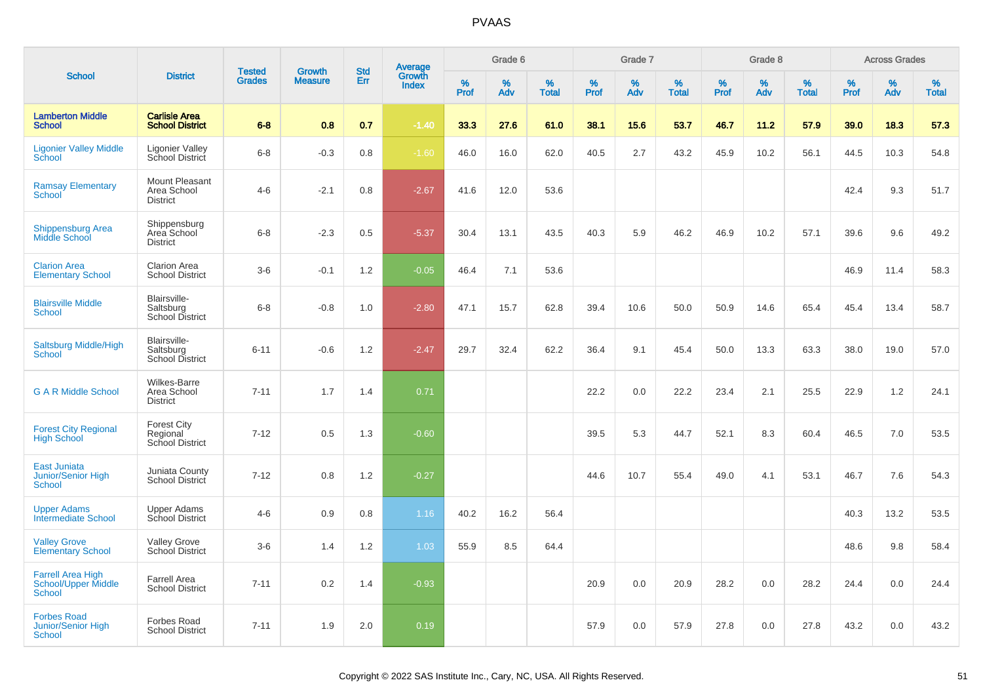|                                                                         |                                                       | <b>Tested</b> | <b>Growth</b>  | <b>Std</b> |                                   |           | Grade 6  |                   |           | Grade 7  |                   |              | Grade 8  |                   |              | <b>Across Grades</b> |                   |
|-------------------------------------------------------------------------|-------------------------------------------------------|---------------|----------------|------------|-----------------------------------|-----------|----------|-------------------|-----------|----------|-------------------|--------------|----------|-------------------|--------------|----------------------|-------------------|
| <b>School</b>                                                           | <b>District</b>                                       | <b>Grades</b> | <b>Measure</b> | Err        | Average<br>Growth<br><b>Index</b> | %<br>Prof | %<br>Adv | %<br><b>Total</b> | %<br>Prof | %<br>Adv | %<br><b>Total</b> | $\%$<br>Prof | %<br>Adv | %<br><b>Total</b> | $\%$<br>Prof | %<br>Adv             | %<br><b>Total</b> |
| <b>Lamberton Middle</b><br><b>School</b>                                | <b>Carlisle Area</b><br><b>School District</b>        | $6 - 8$       | 0.8            | 0.7        | $-1.40$                           | 33.3      | 27.6     | 61.0              | 38.1      | 15.6     | 53.7              | 46.7         | 11.2     | 57.9              | 39.0         | 18.3                 | 57.3              |
| <b>Ligonier Valley Middle</b><br>School                                 | Ligonier Valley<br>School District                    | $6 - 8$       | $-0.3$         | 0.8        | $-1.60$                           | 46.0      | 16.0     | 62.0              | 40.5      | 2.7      | 43.2              | 45.9         | 10.2     | 56.1              | 44.5         | 10.3                 | 54.8              |
| <b>Ramsay Elementary</b><br><b>School</b>                               | Mount Pleasant<br>Area School<br><b>District</b>      | $4 - 6$       | $-2.1$         | 0.8        | $-2.67$                           | 41.6      | 12.0     | 53.6              |           |          |                   |              |          |                   | 42.4         | 9.3                  | 51.7              |
| <b>Shippensburg Area</b><br><b>Middle School</b>                        | Shippensburg<br>Area School<br><b>District</b>        | $6 - 8$       | $-2.3$         | 0.5        | $-5.37$                           | 30.4      | 13.1     | 43.5              | 40.3      | 5.9      | 46.2              | 46.9         | 10.2     | 57.1              | 39.6         | 9.6                  | 49.2              |
| <b>Clarion Area</b><br><b>Elementary School</b>                         | <b>Clarion Area</b><br><b>School District</b>         | $3-6$         | $-0.1$         | 1.2        | $-0.05$                           | 46.4      | 7.1      | 53.6              |           |          |                   |              |          |                   | 46.9         | 11.4                 | 58.3              |
| <b>Blairsville Middle</b><br><b>School</b>                              | Blairsville-<br>Saltsburg<br><b>School District</b>   | $6 - 8$       | $-0.8$         | 1.0        | $-2.80$                           | 47.1      | 15.7     | 62.8              | 39.4      | 10.6     | 50.0              | 50.9         | 14.6     | 65.4              | 45.4         | 13.4                 | 58.7              |
| Saltsburg Middle/High<br><b>School</b>                                  | Blairsville-<br>Saltsburg<br><b>School District</b>   | $6 - 11$      | $-0.6$         | 1.2        | $-2.47$                           | 29.7      | 32.4     | 62.2              | 36.4      | 9.1      | 45.4              | 50.0         | 13.3     | 63.3              | 38.0         | 19.0                 | 57.0              |
| <b>G A R Middle School</b>                                              | <b>Wilkes-Barre</b><br>Area School<br><b>District</b> | $7 - 11$      | 1.7            | 1.4        | 0.71                              |           |          |                   | 22.2      | 0.0      | 22.2              | 23.4         | 2.1      | 25.5              | 22.9         | 1.2                  | 24.1              |
| <b>Forest City Regional</b><br><b>High School</b>                       | <b>Forest City</b><br>Regional<br>School District     | $7 - 12$      | 0.5            | 1.3        | $-0.60$                           |           |          |                   | 39.5      | 5.3      | 44.7              | 52.1         | 8.3      | 60.4              | 46.5         | 7.0                  | 53.5              |
| East Juniata<br>Junior/Senior High<br><b>School</b>                     | Juniata County<br>School District                     | $7 - 12$      | 0.8            | 1.2        | $-0.27$                           |           |          |                   | 44.6      | 10.7     | 55.4              | 49.0         | 4.1      | 53.1              | 46.7         | 7.6                  | 54.3              |
| <b>Upper Adams</b><br><b>Intermediate School</b>                        | <b>Upper Adams</b><br>School District                 | $4-6$         | 0.9            | 0.8        | 1.16                              | 40.2      | 16.2     | 56.4              |           |          |                   |              |          |                   | 40.3         | 13.2                 | 53.5              |
| <b>Valley Grove</b><br><b>Elementary School</b>                         | <b>Valley Grove</b><br>School District                | $3-6$         | 1.4            | 1.2        | 1.03                              | 55.9      | 8.5      | 64.4              |           |          |                   |              |          |                   | 48.6         | 9.8                  | 58.4              |
| <b>Farrell Area High</b><br><b>School/Upper Middle</b><br><b>School</b> | <b>Farrell Area</b><br><b>School District</b>         | $7 - 11$      | 0.2            | 1.4        | $-0.93$                           |           |          |                   | 20.9      | 0.0      | 20.9              | 28.2         | 0.0      | 28.2              | 24.4         | 0.0                  | 24.4              |
| <b>Forbes Road</b><br>Junior/Senior High<br><b>School</b>               | <b>Forbes Road</b><br><b>School District</b>          | $7 - 11$      | 1.9            | 2.0        | 0.19                              |           |          |                   | 57.9      | 0.0      | 57.9              | 27.8         | 0.0      | 27.8              | 43.2         | 0.0                  | 43.2              |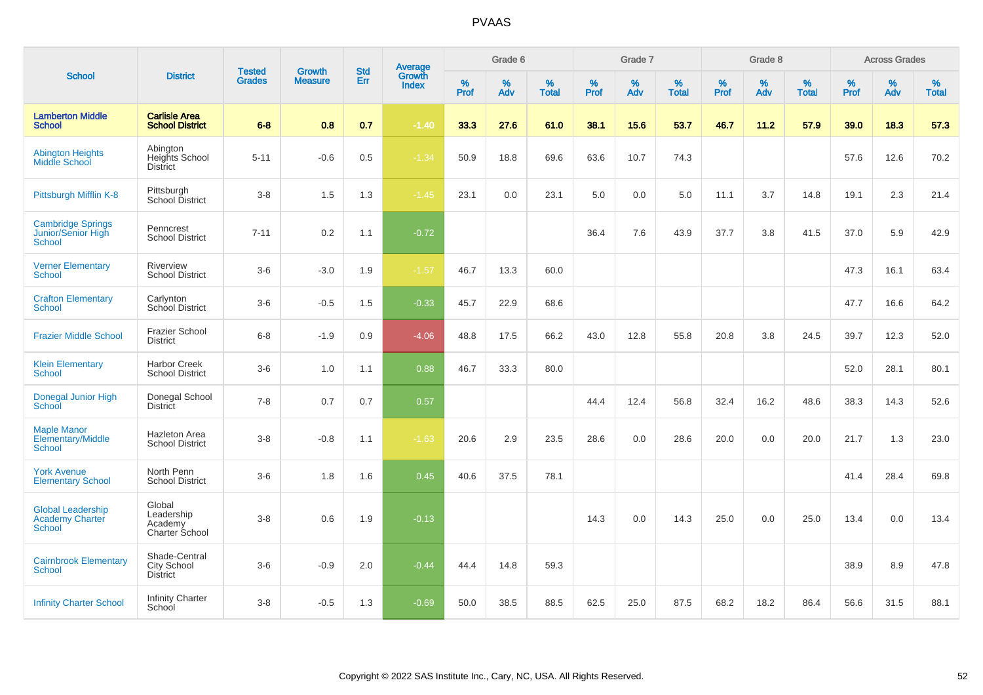|                                                                     |                                                   |                                |                                 |                   |                                          |                  | Grade 6  |                   |           | Grade 7  |                   |           | Grade 8  |                   |           | <b>Across Grades</b> |                   |
|---------------------------------------------------------------------|---------------------------------------------------|--------------------------------|---------------------------------|-------------------|------------------------------------------|------------------|----------|-------------------|-----------|----------|-------------------|-----------|----------|-------------------|-----------|----------------------|-------------------|
| <b>School</b>                                                       | <b>District</b>                                   | <b>Tested</b><br><b>Grades</b> | <b>Growth</b><br><b>Measure</b> | <b>Std</b><br>Err | <b>Average</b><br>Growth<br><b>Index</b> | %<br><b>Prof</b> | %<br>Adv | %<br><b>Total</b> | %<br>Prof | %<br>Adv | %<br><b>Total</b> | %<br>Prof | %<br>Adv | %<br><b>Total</b> | %<br>Prof | $\%$<br>Adv          | %<br><b>Total</b> |
| <b>Lamberton Middle</b><br><b>School</b>                            | <b>Carlisle Area</b><br><b>School District</b>    | $6 - 8$                        | 0.8                             | 0.7               | $-1.40$                                  | 33.3             | 27.6     | 61.0              | 38.1      | 15.6     | 53.7              | 46.7      | 11.2     | 57.9              | 39.0      | 18.3                 | 57.3              |
| <b>Abington Heights</b><br>Middle School                            | Abington<br>Heights School<br><b>District</b>     | $5 - 11$                       | $-0.6$                          | 0.5               | $-1.34$                                  | 50.9             | 18.8     | 69.6              | 63.6      | 10.7     | 74.3              |           |          |                   | 57.6      | 12.6                 | 70.2              |
| Pittsburgh Mifflin K-8                                              | Pittsburgh<br>School District                     | $3 - 8$                        | 1.5                             | 1.3               | $-1.45$                                  | 23.1             | 0.0      | 23.1              | 5.0       | 0.0      | 5.0               | 11.1      | 3.7      | 14.8              | 19.1      | 2.3                  | 21.4              |
| <b>Cambridge Springs</b><br>Junior/Senior High<br><b>School</b>     | Penncrest<br><b>School District</b>               | $7 - 11$                       | 0.2                             | 1.1               | $-0.72$                                  |                  |          |                   | 36.4      | 7.6      | 43.9              | 37.7      | 3.8      | 41.5              | 37.0      | 5.9                  | 42.9              |
| <b>Verner Elementary</b><br><b>School</b>                           | Riverview<br><b>School District</b>               | $3-6$                          | $-3.0$                          | 1.9               | $-1.57$                                  | 46.7             | 13.3     | 60.0              |           |          |                   |           |          |                   | 47.3      | 16.1                 | 63.4              |
| <b>Crafton Elementary</b><br><b>School</b>                          | Carlynton<br>School District                      | $3-6$                          | $-0.5$                          | 1.5               | $-0.33$                                  | 45.7             | 22.9     | 68.6              |           |          |                   |           |          |                   | 47.7      | 16.6                 | 64.2              |
| <b>Frazier Middle School</b>                                        | <b>Frazier School</b><br><b>District</b>          | $6 - 8$                        | $-1.9$                          | 0.9               | $-4.06$                                  | 48.8             | 17.5     | 66.2              | 43.0      | 12.8     | 55.8              | 20.8      | 3.8      | 24.5              | 39.7      | 12.3                 | 52.0              |
| <b>Klein Elementary</b><br><b>School</b>                            | <b>Harbor Creek</b><br><b>School District</b>     | $3-6$                          | 1.0                             | 1.1               | 0.88                                     | 46.7             | 33.3     | 80.0              |           |          |                   |           |          |                   | 52.0      | 28.1                 | 80.1              |
| Donegal Junior High<br>School                                       | Donegal School<br><b>District</b>                 | $7 - 8$                        | 0.7                             | 0.7               | 0.57                                     |                  |          |                   | 44.4      | 12.4     | 56.8              | 32.4      | 16.2     | 48.6              | 38.3      | 14.3                 | 52.6              |
| <b>Maple Manor</b><br>Elementary/Middle<br><b>School</b>            | <b>Hazleton Area</b><br><b>School District</b>    | $3-8$                          | $-0.8$                          | 1.1               | $-1.63$                                  | 20.6             | 2.9      | 23.5              | 28.6      | 0.0      | 28.6              | 20.0      | 0.0      | 20.0              | 21.7      | 1.3                  | 23.0              |
| <b>York Avenue</b><br><b>Elementary School</b>                      | North Penn<br><b>School District</b>              | $3-6$                          | 1.8                             | 1.6               | 0.45                                     | 40.6             | 37.5     | 78.1              |           |          |                   |           |          |                   | 41.4      | 28.4                 | 69.8              |
| <b>Global Leadership</b><br><b>Academy Charter</b><br><b>School</b> | Global<br>Leadership<br>Academy<br>Charter School | $3 - 8$                        | 0.6                             | 1.9               | $-0.13$                                  |                  |          |                   | 14.3      | 0.0      | 14.3              | 25.0      | 0.0      | 25.0              | 13.4      | 0.0                  | 13.4              |
| <b>Cairnbrook Elementary</b><br><b>School</b>                       | Shade-Central<br>City School<br>District          | $3-6$                          | $-0.9$                          | 2.0               | $-0.44$                                  | 44.4             | 14.8     | 59.3              |           |          |                   |           |          |                   | 38.9      | 8.9                  | 47.8              |
| <b>Infinity Charter School</b>                                      | <b>Infinity Charter</b><br>School                 | $3-8$                          | $-0.5$                          | 1.3               | $-0.69$                                  | 50.0             | 38.5     | 88.5              | 62.5      | 25.0     | 87.5              | 68.2      | 18.2     | 86.4              | 56.6      | 31.5                 | 88.1              |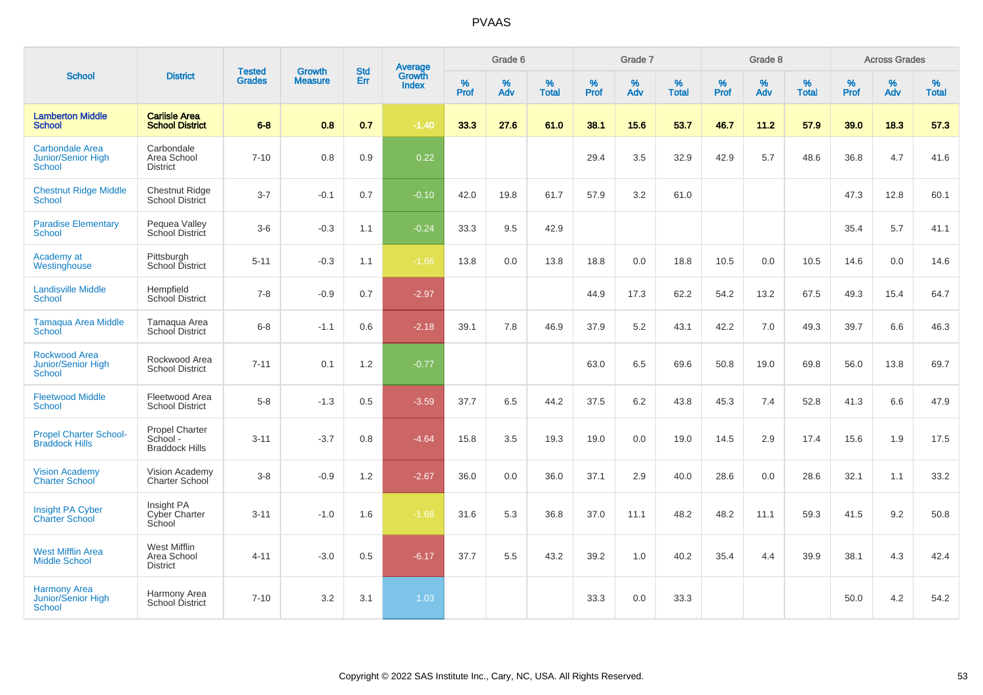|                                                             |                                                     |                                |                                 |                   |                                          |           | Grade 6  |                   |           | Grade 7  |                   |           | Grade 8     |                   |           | <b>Across Grades</b> |                   |
|-------------------------------------------------------------|-----------------------------------------------------|--------------------------------|---------------------------------|-------------------|------------------------------------------|-----------|----------|-------------------|-----------|----------|-------------------|-----------|-------------|-------------------|-----------|----------------------|-------------------|
| <b>School</b>                                               | <b>District</b>                                     | <b>Tested</b><br><b>Grades</b> | <b>Growth</b><br><b>Measure</b> | <b>Std</b><br>Err | <b>Average</b><br>Growth<br><b>Index</b> | %<br>Prof | %<br>Adv | %<br><b>Total</b> | %<br>Prof | %<br>Adv | %<br><b>Total</b> | %<br>Prof | $\%$<br>Adv | %<br><b>Total</b> | %<br>Prof | $\%$<br>Adv          | %<br><b>Total</b> |
| <b>Lamberton Middle</b><br><b>School</b>                    | <b>Carlisle Area</b><br><b>School District</b>      | $6 - 8$                        | 0.8                             | 0.7               | $-1.40$                                  | 33.3      | 27.6     | 61.0              | 38.1      | 15.6     | 53.7              | 46.7      | 11.2        | 57.9              | 39.0      | 18.3                 | 57.3              |
| <b>Carbondale Area</b><br>Junior/Senior High<br>School      | Carbondale<br>Area School<br><b>District</b>        | $7 - 10$                       | 0.8                             | 0.9               | 0.22                                     |           |          |                   | 29.4      | 3.5      | 32.9              | 42.9      | 5.7         | 48.6              | 36.8      | 4.7                  | 41.6              |
| <b>Chestnut Ridge Middle</b><br><b>School</b>               | <b>Chestnut Ridge</b><br>School District            | $3 - 7$                        | $-0.1$                          | 0.7               | $-0.10$                                  | 42.0      | 19.8     | 61.7              | 57.9      | 3.2      | 61.0              |           |             |                   | 47.3      | 12.8                 | 60.1              |
| <b>Paradise Elementary</b><br>School                        | Pequea Valley<br>School District                    | $3-6$                          | $-0.3$                          | 1.1               | $-0.24$                                  | 33.3      | 9.5      | 42.9              |           |          |                   |           |             |                   | 35.4      | 5.7                  | 41.1              |
| Academy at<br>Westinghouse                                  | Pittsburgh<br>School District                       | $5 - 11$                       | $-0.3$                          | 1.1               | $-1.66$                                  | 13.8      | 0.0      | 13.8              | 18.8      | 0.0      | 18.8              | 10.5      | 0.0         | 10.5              | 14.6      | 0.0                  | 14.6              |
| <b>Landisville Middle</b><br>School                         | Hempfield<br><b>School District</b>                 | $7 - 8$                        | $-0.9$                          | 0.7               | $-2.97$                                  |           |          |                   | 44.9      | 17.3     | 62.2              | 54.2      | 13.2        | 67.5              | 49.3      | 15.4                 | 64.7              |
| <b>Tamagua Area Middle</b><br>School                        | Tamagua Area<br><b>School District</b>              | $6 - 8$                        | $-1.1$                          | 0.6               | $-2.18$                                  | 39.1      | 7.8      | 46.9              | 37.9      | 5.2      | 43.1              | 42.2      | 7.0         | 49.3              | 39.7      | 6.6                  | 46.3              |
| <b>Rockwood Area</b><br><b>Junior/Senior High</b><br>School | Rockwood Area<br><b>School District</b>             | $7 - 11$                       | 0.1                             | 1.2               | $-0.77$                                  |           |          |                   | 63.0      | 6.5      | 69.6              | 50.8      | 19.0        | 69.8              | 56.0      | 13.8                 | 69.7              |
| <b>Fleetwood Middle</b><br>School                           | Fleetwood Area<br><b>School District</b>            | $5-8$                          | $-1.3$                          | 0.5               | $-3.59$                                  | 37.7      | 6.5      | 44.2              | 37.5      | 6.2      | 43.8              | 45.3      | 7.4         | 52.8              | 41.3      | 6.6                  | 47.9              |
| <b>Propel Charter School-</b><br><b>Braddock Hills</b>      | Propel Charter<br>School -<br><b>Braddock Hills</b> | $3 - 11$                       | $-3.7$                          | 0.8               | $-4.64$                                  | 15.8      | 3.5      | 19.3              | 19.0      | 0.0      | 19.0              | 14.5      | 2.9         | 17.4              | 15.6      | 1.9                  | 17.5              |
| <b>Vision Academy</b><br><b>Charter School</b>              | Vision Academy<br>Charter School                    | $3-8$                          | $-0.9$                          | 1.2               | $-2.67$                                  | 36.0      | 0.0      | 36.0              | 37.1      | 2.9      | 40.0              | 28.6      | 0.0         | 28.6              | 32.1      | 1.1                  | 33.2              |
| Insight PA Cyber<br><b>Charter School</b>                   | Insight PA<br>Cyber Charter<br>School               | $3 - 11$                       | $-1.0$                          | 1.6               | $-1.68$                                  | 31.6      | 5.3      | 36.8              | 37.0      | 11.1     | 48.2              | 48.2      | 11.1        | 59.3              | 41.5      | 9.2                  | 50.8              |
| <b>West Mifflin Area</b><br><b>Middle School</b>            | West Mifflin<br>Area School<br><b>District</b>      | $4 - 11$                       | $-3.0$                          | 0.5               | $-6.17$                                  | 37.7      | 5.5      | 43.2              | 39.2      | 1.0      | 40.2              | 35.4      | 4.4         | 39.9              | 38.1      | 4.3                  | 42.4              |
| <b>Harmony Area</b><br>Junior/Senior High<br>School         | Harmony Area<br>School District                     | $7 - 10$                       | 3.2                             | 3.1               | 1.03                                     |           |          |                   | 33.3      | 0.0      | 33.3              |           |             |                   | 50.0      | 4.2                  | 54.2              |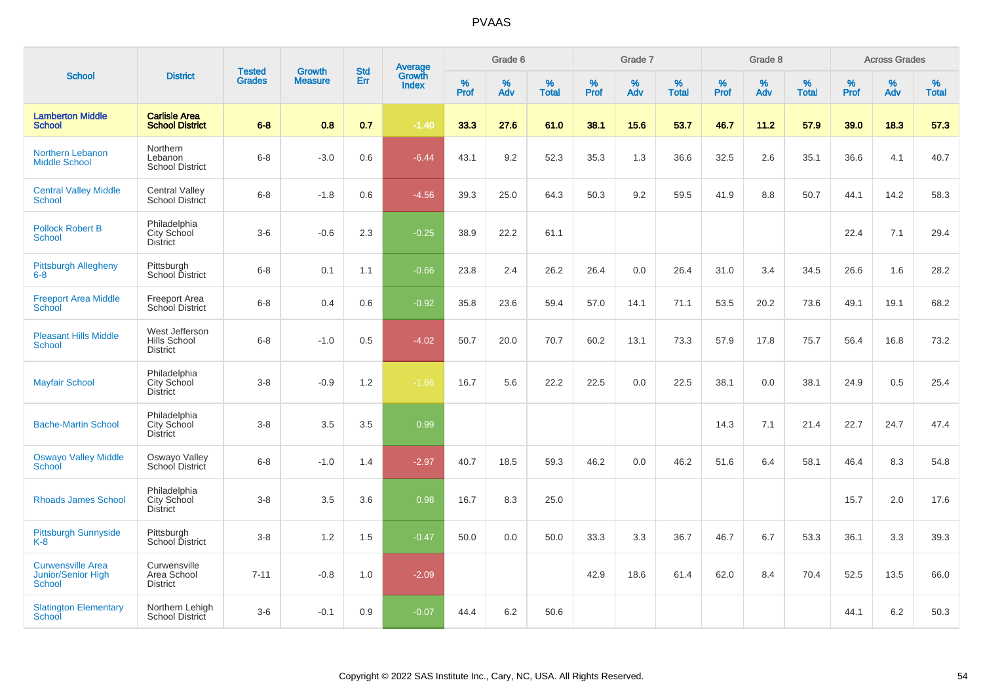|                                                                        |                                                   |                                |                          | <b>Std</b> |                                          |           | Grade 6     |                   |           | Grade 7  |                   |           | Grade 8  |                   |           | <b>Across Grades</b> |                   |
|------------------------------------------------------------------------|---------------------------------------------------|--------------------------------|--------------------------|------------|------------------------------------------|-----------|-------------|-------------------|-----------|----------|-------------------|-----------|----------|-------------------|-----------|----------------------|-------------------|
| <b>School</b>                                                          | <b>District</b>                                   | <b>Tested</b><br><b>Grades</b> | Growth<br><b>Measure</b> | Err        | <b>Average</b><br>Growth<br><b>Index</b> | %<br>Prof | $\%$<br>Adv | %<br><b>Total</b> | %<br>Prof | %<br>Adv | %<br><b>Total</b> | %<br>Prof | %<br>Adv | %<br><b>Total</b> | %<br>Prof | %<br>Adv             | %<br><b>Total</b> |
| <b>Lamberton Middle</b><br><b>School</b>                               | <b>Carlisle Area</b><br><b>School District</b>    | $6 - 8$                        | 0.8                      | 0.7        | $-1.40$                                  | 33.3      | 27.6        | 61.0              | 38.1      | 15.6     | 53.7              | 46.7      | 11.2     | 57.9              | 39.0      | 18.3                 | 57.3              |
| Northern Lebanon<br><b>Middle School</b>                               | Northern<br>Lebanon<br><b>School District</b>     | $6 - 8$                        | $-3.0$                   | 0.6        | $-6.44$                                  | 43.1      | 9.2         | 52.3              | 35.3      | 1.3      | 36.6              | 32.5      | 2.6      | 35.1              | 36.6      | 4.1                  | 40.7              |
| <b>Central Valley Middle</b><br><b>School</b>                          | <b>Central Valley</b><br><b>School District</b>   | $6 - 8$                        | $-1.8$                   | 0.6        | $-4.56$                                  | 39.3      | 25.0        | 64.3              | 50.3      | 9.2      | 59.5              | 41.9      | 8.8      | 50.7              | 44.1      | 14.2                 | 58.3              |
| <b>Pollock Robert B</b><br><b>School</b>                               | Philadelphia<br>City School<br><b>District</b>    | $3-6$                          | $-0.6$                   | 2.3        | $-0.25$                                  | 38.9      | 22.2        | 61.1              |           |          |                   |           |          |                   | 22.4      | 7.1                  | 29.4              |
| <b>Pittsburgh Allegheny</b><br>$6 - 8$                                 | Pittsburgh<br>School District                     | $6 - 8$                        | 0.1                      | 1.1        | $-0.66$                                  | 23.8      | 2.4         | 26.2              | 26.4      | 0.0      | 26.4              | 31.0      | 3.4      | 34.5              | 26.6      | 1.6                  | 28.2              |
| <b>Freeport Area Middle</b><br><b>School</b>                           | Freeport Area<br>School District                  | $6 - 8$                        | 0.4                      | 0.6        | $-0.92$                                  | 35.8      | 23.6        | 59.4              | 57.0      | 14.1     | 71.1              | 53.5      | 20.2     | 73.6              | 49.1      | 19.1                 | 68.2              |
| <b>Pleasant Hills Middle</b><br><b>School</b>                          | West Jefferson<br>Hills School<br><b>District</b> | $6 - 8$                        | $-1.0$                   | 0.5        | $-4.02$                                  | 50.7      | 20.0        | 70.7              | 60.2      | 13.1     | 73.3              | 57.9      | 17.8     | 75.7              | 56.4      | 16.8                 | 73.2              |
| <b>Mayfair School</b>                                                  | Philadelphia<br>City School<br><b>District</b>    | $3-8$                          | $-0.9$                   | 1.2        | $-1.66$                                  | 16.7      | 5.6         | 22.2              | 22.5      | 0.0      | 22.5              | 38.1      | 0.0      | 38.1              | 24.9      | 0.5                  | 25.4              |
| <b>Bache-Martin School</b>                                             | Philadelphia<br>City School<br>District           | $3-8$                          | 3.5                      | 3.5        | 0.99                                     |           |             |                   |           |          |                   | 14.3      | 7.1      | 21.4              | 22.7      | 24.7                 | 47.4              |
| <b>Oswayo Valley Middle</b><br>School                                  | Oswayo Valley<br>School District                  | $6 - 8$                        | $-1.0$                   | 1.4        | $-2.97$                                  | 40.7      | 18.5        | 59.3              | 46.2      | 0.0      | 46.2              | 51.6      | 6.4      | 58.1              | 46.4      | 8.3                  | 54.8              |
| <b>Rhoads James School</b>                                             | Philadelphia<br>City School<br>District           | $3-8$                          | 3.5                      | 3.6        | 0.98                                     | 16.7      | 8.3         | 25.0              |           |          |                   |           |          |                   | 15.7      | 2.0                  | 17.6              |
| Pittsburgh Sunnyside<br>$K-8$                                          | Pittsburgh<br>School District                     | $3 - 8$                        | 1.2                      | 1.5        | $-0.47$                                  | 50.0      | 0.0         | 50.0              | 33.3      | 3.3      | 36.7              | 46.7      | 6.7      | 53.3              | 36.1      | 3.3                  | 39.3              |
| <b>Curwensville Area</b><br><b>Junior/Senior High</b><br><b>School</b> | Curwensville<br>Area School<br><b>District</b>    | $7 - 11$                       | $-0.8$                   | 1.0        | $-2.09$                                  |           |             |                   | 42.9      | 18.6     | 61.4              | 62.0      | 8.4      | 70.4              | 52.5      | 13.5                 | 66.0              |
| <b>Slatington Elementary</b><br>School                                 | Northern Lehigh<br>School District                | $3-6$                          | $-0.1$                   | 0.9        | $-0.07$                                  | 44.4      | 6.2         | 50.6              |           |          |                   |           |          |                   | 44.1      | 6.2                  | 50.3              |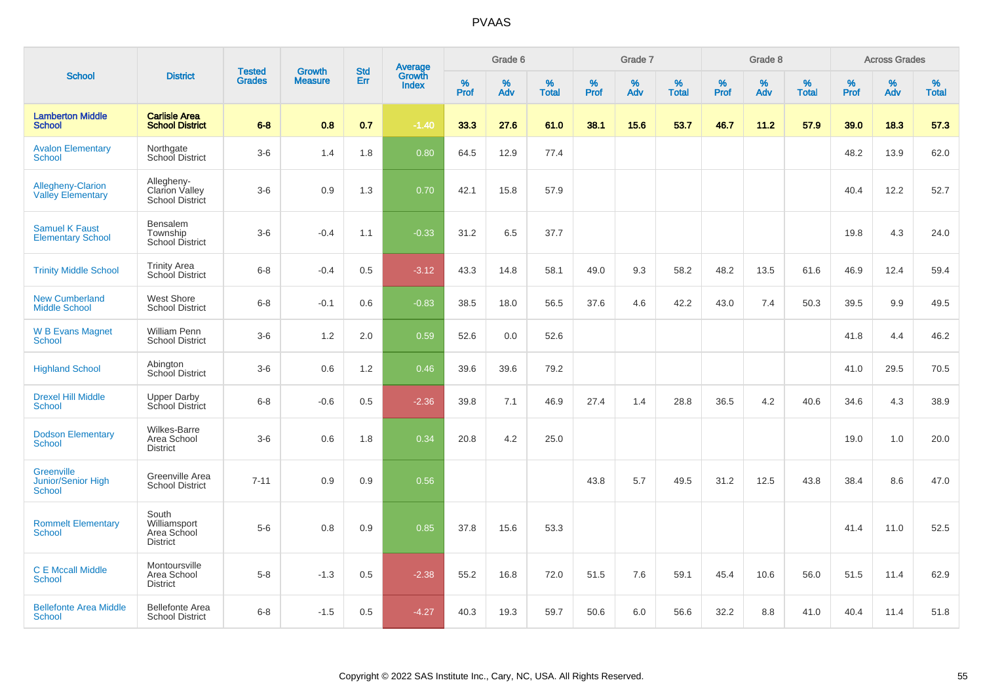|                                                          |                                                         |                                |                                 |                   |                                          |           | Grade 6     |                   |           | Grade 7  |                   |           | Grade 8  |                   |           | <b>Across Grades</b> |                   |
|----------------------------------------------------------|---------------------------------------------------------|--------------------------------|---------------------------------|-------------------|------------------------------------------|-----------|-------------|-------------------|-----------|----------|-------------------|-----------|----------|-------------------|-----------|----------------------|-------------------|
| <b>School</b>                                            | <b>District</b>                                         | <b>Tested</b><br><b>Grades</b> | <b>Growth</b><br><b>Measure</b> | <b>Std</b><br>Err | <b>Average</b><br>Growth<br><b>Index</b> | %<br>Prof | $\%$<br>Adv | %<br><b>Total</b> | %<br>Prof | %<br>Adv | %<br><b>Total</b> | %<br>Prof | %<br>Adv | %<br><b>Total</b> | %<br>Prof | $\%$<br>Adv          | %<br><b>Total</b> |
| <b>Lamberton Middle</b><br><b>School</b>                 | <b>Carlisle Area</b><br><b>School District</b>          | $6 - 8$                        | 0.8                             | 0.7               | $-1.40$                                  | 33.3      | 27.6        | 61.0              | 38.1      | 15.6     | 53.7              | 46.7      | 11.2     | 57.9              | 39.0      | 18.3                 | 57.3              |
| <b>Avalon Elementary</b><br><b>School</b>                | Northgate<br>School District                            | $3-6$                          | 1.4                             | 1.8               | 0.80                                     | 64.5      | 12.9        | 77.4              |           |          |                   |           |          |                   | 48.2      | 13.9                 | 62.0              |
| <b>Allegheny-Clarion</b><br><b>Valley Elementary</b>     | Allegheny-<br>Clarion Valley<br><b>School District</b>  | $3-6$                          | 0.9                             | 1.3               | 0.70                                     | 42.1      | 15.8        | 57.9              |           |          |                   |           |          |                   | 40.4      | 12.2                 | 52.7              |
| <b>Samuel K Faust</b><br><b>Elementary School</b>        | Bensalem<br>Township<br><b>School District</b>          | $3-6$                          | $-0.4$                          | 1.1               | $-0.33$                                  | 31.2      | 6.5         | 37.7              |           |          |                   |           |          |                   | 19.8      | 4.3                  | 24.0              |
| <b>Trinity Middle School</b>                             | <b>Trinity Area</b><br><b>School District</b>           | $6 - 8$                        | $-0.4$                          | 0.5               | $-3.12$                                  | 43.3      | 14.8        | 58.1              | 49.0      | 9.3      | 58.2              | 48.2      | 13.5     | 61.6              | 46.9      | 12.4                 | 59.4              |
| <b>New Cumberland</b><br><b>Middle School</b>            | <b>West Shore</b><br><b>School District</b>             | $6 - 8$                        | $-0.1$                          | 0.6               | $-0.83$                                  | 38.5      | 18.0        | 56.5              | 37.6      | 4.6      | 42.2              | 43.0      | 7.4      | 50.3              | 39.5      | 9.9                  | 49.5              |
| <b>W B Evans Magnet</b><br><b>School</b>                 | <b>William Penn</b><br><b>School District</b>           | $3-6$                          | 1.2                             | 2.0               | 0.59                                     | 52.6      | 0.0         | 52.6              |           |          |                   |           |          |                   | 41.8      | 4.4                  | 46.2              |
| <b>Highland School</b>                                   | Abington<br>School District                             | $3-6$                          | 0.6                             | 1.2               | 0.46                                     | 39.6      | 39.6        | 79.2              |           |          |                   |           |          |                   | 41.0      | 29.5                 | 70.5              |
| <b>Drexel Hill Middle</b><br>School                      | <b>Upper Darby</b><br>School District                   | $6 - 8$                        | $-0.6$                          | 0.5               | $-2.36$                                  | 39.8      | 7.1         | 46.9              | 27.4      | 1.4      | 28.8              | 36.5      | 4.2      | 40.6              | 34.6      | 4.3                  | 38.9              |
| <b>Dodson Elementary</b><br><b>School</b>                | Wilkes-Barre<br>Area School<br><b>District</b>          | $3-6$                          | 0.6                             | 1.8               | 0.34                                     | 20.8      | 4.2         | 25.0              |           |          |                   |           |          |                   | 19.0      | 1.0                  | 20.0              |
| <b>Greenville</b><br>Junior/Senior High<br><b>School</b> | Greenville Area<br><b>School District</b>               | $7 - 11$                       | 0.9                             | 0.9               | 0.56                                     |           |             |                   | 43.8      | 5.7      | 49.5              | 31.2      | 12.5     | 43.8              | 38.4      | 8.6                  | 47.0              |
| <b>Rommelt Elementary</b><br><b>School</b>               | South<br>Williamsport<br>Area School<br><b>District</b> | $5-6$                          | 0.8                             | 0.9               | 0.85                                     | 37.8      | 15.6        | 53.3              |           |          |                   |           |          |                   | 41.4      | 11.0                 | 52.5              |
| <b>C E Mccall Middle</b><br><b>School</b>                | Montoursville<br>Area School<br><b>District</b>         | $5-8$                          | $-1.3$                          | 0.5               | $-2.38$                                  | 55.2      | 16.8        | 72.0              | 51.5      | 7.6      | 59.1              | 45.4      | 10.6     | 56.0              | 51.5      | 11.4                 | 62.9              |
| <b>Bellefonte Area Middle</b><br>School                  | <b>Bellefonte Area</b><br><b>School District</b>        | $6-8$                          | $-1.5$                          | 0.5               | $-4.27$                                  | 40.3      | 19.3        | 59.7              | 50.6      | 6.0      | 56.6              | 32.2      | 8.8      | 41.0              | 40.4      | 11.4                 | 51.8              |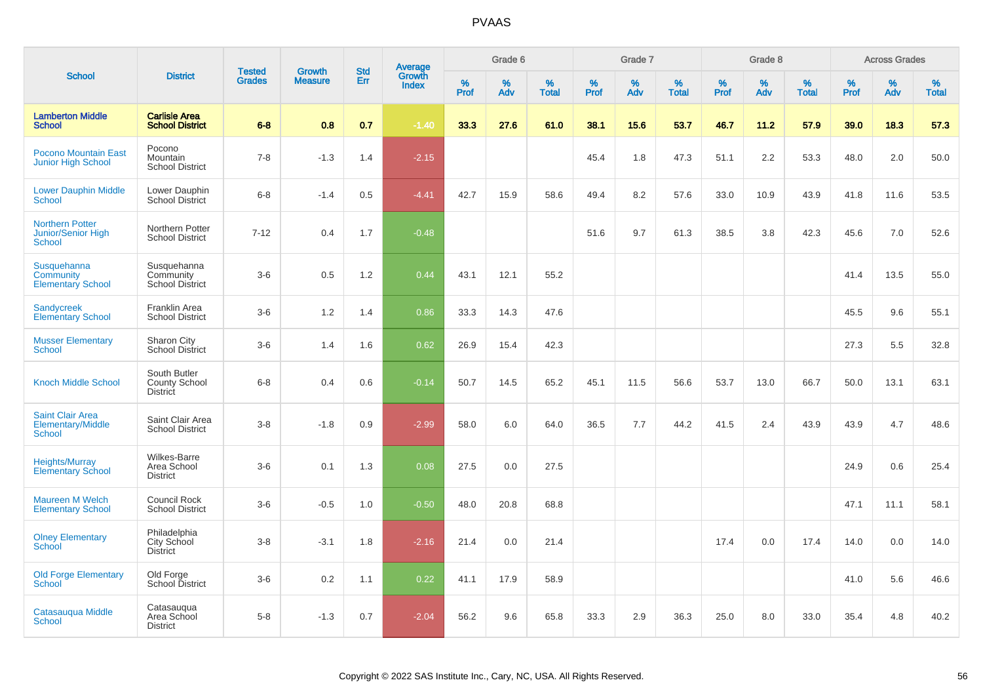|                                                                      |                                                         |                                |                                 |                   |                                          |                     | Grade 6     |                   |           | Grade 7     |                   |           | Grade 8  |                   |              | <b>Across Grades</b> |                   |
|----------------------------------------------------------------------|---------------------------------------------------------|--------------------------------|---------------------------------|-------------------|------------------------------------------|---------------------|-------------|-------------------|-----------|-------------|-------------------|-----------|----------|-------------------|--------------|----------------------|-------------------|
| <b>School</b>                                                        | <b>District</b>                                         | <b>Tested</b><br><b>Grades</b> | <b>Growth</b><br><b>Measure</b> | <b>Std</b><br>Err | <b>Average</b><br>Growth<br><b>Index</b> | $\%$<br><b>Prof</b> | $\%$<br>Adv | %<br><b>Total</b> | %<br>Prof | $\%$<br>Adv | %<br><b>Total</b> | %<br>Prof | %<br>Adv | %<br><b>Total</b> | $\%$<br>Prof | $\%$<br>Adv          | %<br><b>Total</b> |
| <b>Lamberton Middle</b><br><b>School</b>                             | <b>Carlisle Area</b><br><b>School District</b>          | $6 - 8$                        | 0.8                             | 0.7               | $-1.40$                                  | 33.3                | 27.6        | 61.0              | 38.1      | 15.6        | 53.7              | 46.7      | 11.2     | 57.9              | 39.0         | 18.3                 | 57.3              |
| <b>Pocono Mountain East</b><br><b>Junior High School</b>             | Pocono<br>Mountain<br><b>School District</b>            | $7 - 8$                        | $-1.3$                          | 1.4               | $-2.15$                                  |                     |             |                   | 45.4      | 1.8         | 47.3              | 51.1      | 2.2      | 53.3              | 48.0         | 2.0                  | 50.0              |
| <b>Lower Dauphin Middle</b><br>School                                | Lower Dauphin<br><b>School District</b>                 | $6 - 8$                        | $-1.4$                          | 0.5               | $-4.41$                                  | 42.7                | 15.9        | 58.6              | 49.4      | 8.2         | 57.6              | 33.0      | 10.9     | 43.9              | 41.8         | 11.6                 | 53.5              |
| <b>Northern Potter</b><br><b>Junior/Senior High</b><br><b>School</b> | Northern Potter<br><b>School District</b>               | $7 - 12$                       | 0.4                             | 1.7               | $-0.48$                                  |                     |             |                   | 51.6      | 9.7         | 61.3              | 38.5      | 3.8      | 42.3              | 45.6         | 7.0                  | 52.6              |
| Susquehanna<br>Community<br><b>Elementary School</b>                 | Susquehanna<br>Community<br><b>School District</b>      | $3-6$                          | 0.5                             | 1.2               | 0.44                                     | 43.1                | 12.1        | 55.2              |           |             |                   |           |          |                   | 41.4         | 13.5                 | 55.0              |
| <b>Sandycreek</b><br><b>Elementary School</b>                        | Franklin Area<br><b>School District</b>                 | $3-6$                          | 1.2                             | 1.4               | 0.86                                     | 33.3                | 14.3        | 47.6              |           |             |                   |           |          |                   | 45.5         | 9.6                  | 55.1              |
| <b>Musser Elementary</b><br><b>School</b>                            | Sharon City<br><b>School District</b>                   | $3-6$                          | 1.4                             | 1.6               | 0.62                                     | 26.9                | 15.4        | 42.3              |           |             |                   |           |          |                   | 27.3         | 5.5                  | 32.8              |
| <b>Knoch Middle School</b>                                           | South Butler<br><b>County School</b><br><b>District</b> | $6 - 8$                        | 0.4                             | 0.6               | $-0.14$                                  | 50.7                | 14.5        | 65.2              | 45.1      | 11.5        | 56.6              | 53.7      | 13.0     | 66.7              | 50.0         | 13.1                 | 63.1              |
| <b>Saint Clair Area</b><br>Elementary/Middle<br>School               | Saint Clair Area<br><b>School District</b>              | $3 - 8$                        | $-1.8$                          | 0.9               | $-2.99$                                  | 58.0                | $6.0\,$     | 64.0              | 36.5      | 7.7         | 44.2              | 41.5      | 2.4      | 43.9              | 43.9         | 4.7                  | 48.6              |
| <b>Heights/Murray</b><br><b>Elementary School</b>                    | <b>Wilkes-Barre</b><br>Area School<br><b>District</b>   | $3-6$                          | 0.1                             | 1.3               | 0.08                                     | 27.5                | 0.0         | 27.5              |           |             |                   |           |          |                   | 24.9         | 0.6                  | 25.4              |
| <b>Maureen M Welch</b><br><b>Elementary School</b>                   | Council Rock<br><b>School District</b>                  | $3-6$                          | $-0.5$                          | 1.0               | $-0.50$                                  | 48.0                | 20.8        | 68.8              |           |             |                   |           |          |                   | 47.1         | 11.1                 | 58.1              |
| <b>Olney Elementary</b><br>School                                    | Philadelphia<br><b>City School</b><br><b>District</b>   | $3 - 8$                        | $-3.1$                          | 1.8               | $-2.16$                                  | 21.4                | 0.0         | 21.4              |           |             |                   | 17.4      | 0.0      | 17.4              | 14.0         | 0.0                  | 14.0              |
| <b>Old Forge Elementary</b><br>School                                | Old Forge<br>School District                            | $3-6$                          | 0.2                             | 1.1               | 0.22                                     | 41.1                | 17.9        | 58.9              |           |             |                   |           |          |                   | 41.0         | 5.6                  | 46.6              |
| Catasauqua Middle<br>School                                          | Catasauqua<br>Area School<br><b>District</b>            | $5-8$                          | $-1.3$                          | 0.7               | $-2.04$                                  | 56.2                | 9.6         | 65.8              | 33.3      | 2.9         | 36.3              | 25.0      | 8.0      | 33.0              | 35.4         | 4.8                  | 40.2              |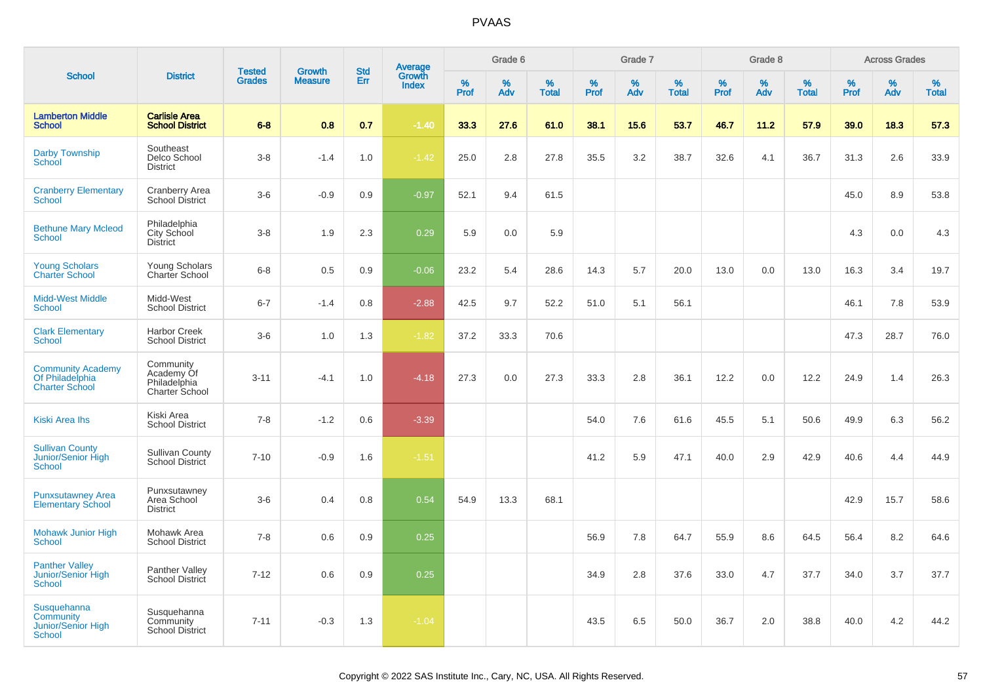|                                                                      |                                                           |                                |                                 | <b>Std</b> |                                          |           | Grade 6  |                   |           | Grade 7  |                   |           | Grade 8  |                   |           | <b>Across Grades</b> |                   |
|----------------------------------------------------------------------|-----------------------------------------------------------|--------------------------------|---------------------------------|------------|------------------------------------------|-----------|----------|-------------------|-----------|----------|-------------------|-----------|----------|-------------------|-----------|----------------------|-------------------|
| <b>School</b>                                                        | <b>District</b>                                           | <b>Tested</b><br><b>Grades</b> | <b>Growth</b><br><b>Measure</b> | Err        | <b>Average</b><br>Growth<br><b>Index</b> | %<br>Prof | %<br>Adv | %<br><b>Total</b> | %<br>Prof | %<br>Adv | %<br><b>Total</b> | %<br>Prof | %<br>Adv | %<br><b>Total</b> | %<br>Prof | %<br>Adv             | %<br><b>Total</b> |
| <b>Lamberton Middle</b><br><b>School</b>                             | <b>Carlisle Area</b><br><b>School District</b>            | $6 - 8$                        | 0.8                             | 0.7        | $-1.40$                                  | 33.3      | 27.6     | 61.0              | 38.1      | 15.6     | 53.7              | 46.7      | 11.2     | 57.9              | 39.0      | 18.3                 | 57.3              |
| <b>Darby Township</b><br>School                                      | Southeast<br>Delco School<br><b>District</b>              | $3 - 8$                        | $-1.4$                          | 1.0        | $-1.42$                                  | 25.0      | 2.8      | 27.8              | 35.5      | 3.2      | 38.7              | 32.6      | 4.1      | 36.7              | 31.3      | 2.6                  | 33.9              |
| <b>Cranberry Elementary</b><br>School                                | <b>Cranberry Area</b><br><b>School District</b>           | $3-6$                          | $-0.9$                          | 0.9        | $-0.97$                                  | 52.1      | 9.4      | 61.5              |           |          |                   |           |          |                   | 45.0      | 8.9                  | 53.8              |
| <b>Bethune Mary Mcleod</b><br>School                                 | Philadelphia<br>City School<br><b>District</b>            | $3-8$                          | 1.9                             | 2.3        | 0.29                                     | 5.9       | 0.0      | 5.9               |           |          |                   |           |          |                   | 4.3       | 0.0                  | 4.3               |
| <b>Young Scholars</b><br><b>Charter School</b>                       | Young Scholars<br>Charter School                          | $6 - 8$                        | 0.5                             | 0.9        | $-0.06$                                  | 23.2      | 5.4      | 28.6              | 14.3      | 5.7      | 20.0              | 13.0      | 0.0      | 13.0              | 16.3      | 3.4                  | 19.7              |
| <b>Midd-West Middle</b><br><b>School</b>                             | Midd-West<br><b>School District</b>                       | $6 - 7$                        | $-1.4$                          | 0.8        | $-2.88$                                  | 42.5      | 9.7      | 52.2              | 51.0      | 5.1      | 56.1              |           |          |                   | 46.1      | 7.8                  | 53.9              |
| <b>Clark Elementary</b><br><b>School</b>                             | <b>Harbor Creek</b><br><b>School District</b>             | $3-6$                          | 1.0                             | 1.3        | $-1.82$                                  | 37.2      | 33.3     | 70.6              |           |          |                   |           |          |                   | 47.3      | 28.7                 | 76.0              |
| <b>Community Academy</b><br>Of Philadelphia<br><b>Charter School</b> | Community<br>Academy Of<br>Philadelphia<br>Charter School | $3 - 11$                       | $-4.1$                          | 1.0        | $-4.18$                                  | 27.3      | 0.0      | 27.3              | 33.3      | 2.8      | 36.1              | 12.2      | 0.0      | 12.2              | 24.9      | 1.4                  | 26.3              |
| <b>Kiski Area Ihs</b>                                                | Kiski Area<br><b>School District</b>                      | $7 - 8$                        | $-1.2$                          | 0.6        | $-3.39$                                  |           |          |                   | 54.0      | 7.6      | 61.6              | 45.5      | 5.1      | 50.6              | 49.9      | 6.3                  | 56.2              |
| <b>Sullivan County</b><br>Junior/Senior High<br><b>School</b>        | <b>Sullivan County</b><br>School District                 | $7 - 10$                       | $-0.9$                          | 1.6        | $-1.51$                                  |           |          |                   | 41.2      | 5.9      | 47.1              | 40.0      | 2.9      | 42.9              | 40.6      | 4.4                  | 44.9              |
| <b>Punxsutawney Area</b><br><b>Elementary School</b>                 | Punxsutawney<br>Area School<br><b>District</b>            | $3-6$                          | 0.4                             | 0.8        | 0.54                                     | 54.9      | 13.3     | 68.1              |           |          |                   |           |          |                   | 42.9      | 15.7                 | 58.6              |
| <b>Mohawk Junior High</b><br><b>School</b>                           | Mohawk Area<br><b>School District</b>                     | $7 - 8$                        | 0.6                             | 0.9        | 0.25                                     |           |          |                   | 56.9      | 7.8      | 64.7              | 55.9      | 8.6      | 64.5              | 56.4      | 8.2                  | 64.6              |
| <b>Panther Valley</b><br>Junior/Senior High<br>School                | Panther Valley<br><b>School District</b>                  | $7 - 12$                       | 0.6                             | 0.9        | 0.25                                     |           |          |                   | 34.9      | 2.8      | 37.6              | 33.0      | 4.7      | 37.7              | 34.0      | 3.7                  | 37.7              |
| Susquehanna<br>Community<br>Junior/Senior High<br><b>School</b>      | Susquehanna<br>Community<br><b>School District</b>        | $7 - 11$                       | $-0.3$                          | 1.3        | $-1.04$                                  |           |          |                   | 43.5      | 6.5      | 50.0              | 36.7      | 2.0      | 38.8              | 40.0      | 4.2                  | 44.2              |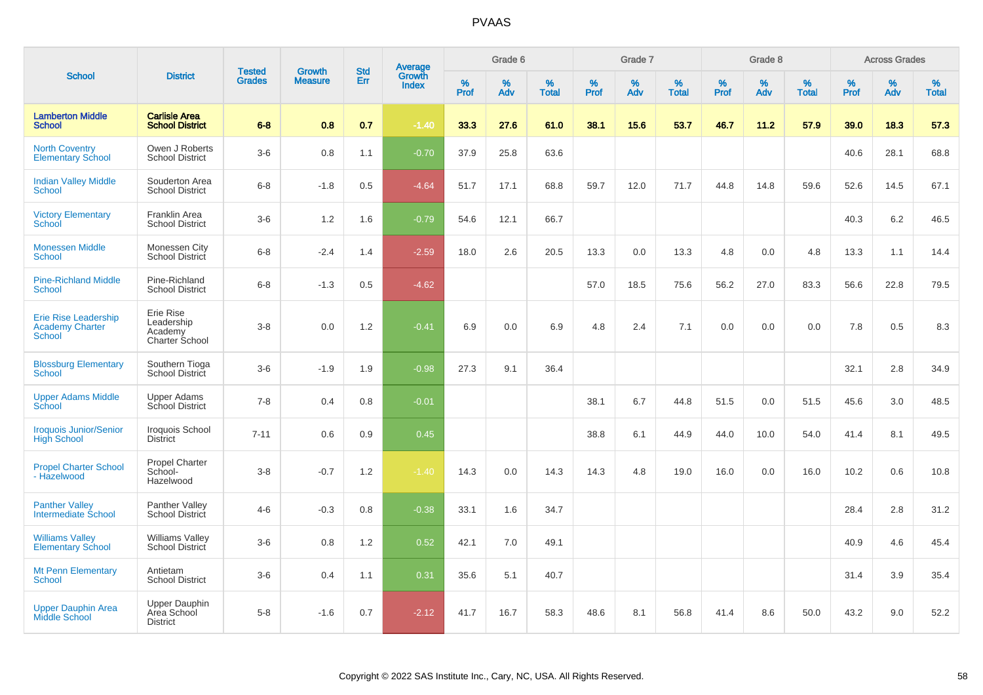|                                                                 |                                                        | <b>Tested</b> | <b>Growth</b>  | <b>Std</b> | <b>Average</b><br>Growth |                  | Grade 6     |                   |              | Grade 7     |                   |                     | Grade 8  |                   |                  | <b>Across Grades</b> |                   |
|-----------------------------------------------------------------|--------------------------------------------------------|---------------|----------------|------------|--------------------------|------------------|-------------|-------------------|--------------|-------------|-------------------|---------------------|----------|-------------------|------------------|----------------------|-------------------|
| <b>School</b>                                                   | <b>District</b>                                        | <b>Grades</b> | <b>Measure</b> | Err        | <b>Index</b>             | %<br><b>Prof</b> | $\%$<br>Adv | %<br><b>Total</b> | $\%$<br>Prof | $\%$<br>Adv | %<br><b>Total</b> | $\%$<br><b>Prof</b> | %<br>Adv | %<br><b>Total</b> | %<br><b>Prof</b> | $\%$<br>Adv          | %<br><b>Total</b> |
| <b>Lamberton Middle</b><br><b>School</b>                        | <b>Carlisle Area</b><br><b>School District</b>         | $6 - 8$       | 0.8            | 0.7        | $-1.40$                  | 33.3             | 27.6        | 61.0              | 38.1         | 15.6        | 53.7              | 46.7                | 11.2     | 57.9              | 39.0             | 18.3                 | 57.3              |
| <b>North Coventry</b><br><b>Elementary School</b>               | Owen J Roberts<br><b>School District</b>               | $3-6$         | 0.8            | 1.1        | $-0.70$                  | 37.9             | 25.8        | 63.6              |              |             |                   |                     |          |                   | 40.6             | 28.1                 | 68.8              |
| <b>Indian Valley Middle</b><br>School                           | Souderton Area<br><b>School District</b>               | $6 - 8$       | $-1.8$         | 0.5        | $-4.64$                  | 51.7             | 17.1        | 68.8              | 59.7         | 12.0        | 71.7              | 44.8                | 14.8     | 59.6              | 52.6             | 14.5                 | 67.1              |
| <b>Victory Elementary</b><br>School                             | Franklin Area<br><b>School District</b>                | $3-6$         | 1.2            | 1.6        | $-0.79$                  | 54.6             | 12.1        | 66.7              |              |             |                   |                     |          |                   | 40.3             | 6.2                  | 46.5              |
| <b>Monessen Middle</b><br>School                                | Monessen City<br><b>School District</b>                | $6 - 8$       | $-2.4$         | 1.4        | $-2.59$                  | 18.0             | 2.6         | 20.5              | 13.3         | 0.0         | 13.3              | 4.8                 | 0.0      | 4.8               | 13.3             | 1.1                  | 14.4              |
| <b>Pine-Richland Middle</b><br><b>School</b>                    | Pine-Richland<br><b>School District</b>                | $6-8$         | $-1.3$         | 0.5        | $-4.62$                  |                  |             |                   | 57.0         | 18.5        | 75.6              | 56.2                | 27.0     | 83.3              | 56.6             | 22.8                 | 79.5              |
| <b>Erie Rise Leadership</b><br><b>Academy Charter</b><br>School | Erie Rise<br>Leadership<br>Academy<br>Charter School   | $3-8$         | 0.0            | 1.2        | $-0.41$                  | 6.9              | 0.0         | 6.9               | 4.8          | 2.4         | 7.1               | 0.0                 | 0.0      | 0.0               | 7.8              | 0.5                  | 8.3               |
| <b>Blossburg Elementary</b><br><b>School</b>                    | Southern Tioga<br>School District                      | $3-6$         | $-1.9$         | 1.9        | $-0.98$                  | 27.3             | 9.1         | 36.4              |              |             |                   |                     |          |                   | 32.1             | 2.8                  | 34.9              |
| <b>Upper Adams Middle</b><br>School                             | <b>Upper Adams</b><br>School District                  | $7 - 8$       | 0.4            | 0.8        | $-0.01$                  |                  |             |                   | 38.1         | 6.7         | 44.8              | 51.5                | 0.0      | 51.5              | 45.6             | 3.0                  | 48.5              |
| <b>Iroquois Junior/Senior</b><br><b>High School</b>             | Iroquois School<br><b>District</b>                     | $7 - 11$      | 0.6            | 0.9        | 0.45                     |                  |             |                   | 38.8         | 6.1         | 44.9              | 44.0                | 10.0     | 54.0              | 41.4             | 8.1                  | 49.5              |
| <b>Propel Charter School</b><br>- Hazelwood                     | <b>Propel Charter</b><br>School-<br>Hazelwood          | $3-8$         | $-0.7$         | 1.2        | $-1.40$                  | 14.3             | 0.0         | 14.3              | 14.3         | 4.8         | 19.0              | 16.0                | 0.0      | 16.0              | 10.2             | 0.6                  | 10.8              |
| <b>Panther Valley</b><br>Intermediate School                    | Panther Valley<br>School District                      | $4 - 6$       | $-0.3$         | 0.8        | $-0.38$                  | 33.1             | 1.6         | 34.7              |              |             |                   |                     |          |                   | 28.4             | 2.8                  | 31.2              |
| <b>Williams Valley</b><br><b>Elementary School</b>              | <b>Williams Valley</b><br><b>School District</b>       | $3-6$         | 0.8            | 1.2        | 0.52                     | 42.1             | 7.0         | 49.1              |              |             |                   |                     |          |                   | 40.9             | 4.6                  | 45.4              |
| <b>Mt Penn Elementary</b><br>School                             | Antietam<br><b>School District</b>                     | $3-6$         | 0.4            | 1.1        | 0.31                     | 35.6             | 5.1         | 40.7              |              |             |                   |                     |          |                   | 31.4             | 3.9                  | 35.4              |
| <b>Upper Dauphin Area</b><br><b>Middle School</b>               | <b>Upper Dauphin</b><br>Area School<br><b>District</b> | $5 - 8$       | $-1.6$         | 0.7        | $-2.12$                  | 41.7             | 16.7        | 58.3              | 48.6         | 8.1         | 56.8              | 41.4                | 8.6      | 50.0              | 43.2             | 9.0                  | 52.2              |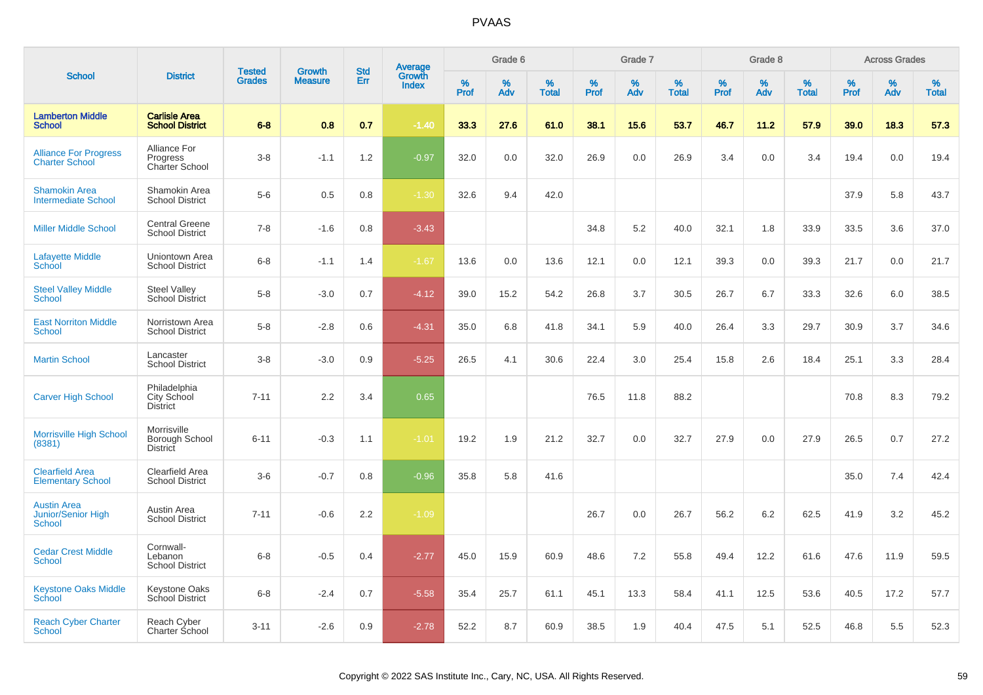|                                                                  |                                                   |                                |                                 |                   |                                          |                  | Grade 6  |                   |           | Grade 7     |                   |           | Grade 8  |                   |           | <b>Across Grades</b> |                   |
|------------------------------------------------------------------|---------------------------------------------------|--------------------------------|---------------------------------|-------------------|------------------------------------------|------------------|----------|-------------------|-----------|-------------|-------------------|-----------|----------|-------------------|-----------|----------------------|-------------------|
| <b>School</b>                                                    | <b>District</b>                                   | <b>Tested</b><br><b>Grades</b> | <b>Growth</b><br><b>Measure</b> | <b>Std</b><br>Err | <b>Average</b><br>Growth<br><b>Index</b> | %<br><b>Prof</b> | %<br>Adv | %<br><b>Total</b> | %<br>Prof | $\%$<br>Adv | %<br><b>Total</b> | %<br>Prof | %<br>Adv | %<br><b>Total</b> | %<br>Prof | $\%$<br>Adv          | %<br><b>Total</b> |
| <b>Lamberton Middle</b><br><b>School</b>                         | <b>Carlisle Area</b><br><b>School District</b>    | $6 - 8$                        | 0.8                             | 0.7               | $-1.40$                                  | 33.3             | 27.6     | 61.0              | 38.1      | 15.6        | 53.7              | 46.7      | 11.2     | 57.9              | 39.0      | 18.3                 | 57.3              |
| <b>Alliance For Progress</b><br><b>Charter School</b>            | Alliance For<br>Progress<br><b>Charter School</b> | $3 - 8$                        | $-1.1$                          | 1.2               | $-0.97$                                  | 32.0             | 0.0      | 32.0              | 26.9      | 0.0         | 26.9              | 3.4       | 0.0      | 3.4               | 19.4      | 0.0                  | 19.4              |
| <b>Shamokin Area</b><br><b>Intermediate School</b>               | Shamokin Area<br><b>School District</b>           | $5-6$                          | 0.5                             | 0.8               | $-1.30$                                  | 32.6             | 9.4      | 42.0              |           |             |                   |           |          |                   | 37.9      | 5.8                  | 43.7              |
| <b>Miller Middle School</b>                                      | <b>Central Greene</b><br><b>School District</b>   | $7 - 8$                        | $-1.6$                          | 0.8               | $-3.43$                                  |                  |          |                   | 34.8      | 5.2         | 40.0              | 32.1      | 1.8      | 33.9              | 33.5      | 3.6                  | 37.0              |
| <b>Lafayette Middle</b><br>School                                | Uniontown Area<br><b>School District</b>          | $6 - 8$                        | $-1.1$                          | 1.4               | $-1.67$                                  | 13.6             | 0.0      | 13.6              | 12.1      | 0.0         | 12.1              | 39.3      | 0.0      | 39.3              | 21.7      | 0.0                  | 21.7              |
| <b>Steel Valley Middle</b><br><b>School</b>                      | <b>Steel Valley</b><br><b>School District</b>     | $5-8$                          | $-3.0$                          | 0.7               | $-4.12$                                  | 39.0             | 15.2     | 54.2              | 26.8      | 3.7         | 30.5              | 26.7      | 6.7      | 33.3              | 32.6      | 6.0                  | 38.5              |
| <b>East Norriton Middle</b><br><b>School</b>                     | Norristown Area<br><b>School District</b>         | $5-8$                          | $-2.8$                          | 0.6               | $-4.31$                                  | 35.0             | 6.8      | 41.8              | 34.1      | 5.9         | 40.0              | 26.4      | 3.3      | 29.7              | 30.9      | 3.7                  | 34.6              |
| <b>Martin School</b>                                             | Lancaster<br><b>School District</b>               | $3 - 8$                        | $-3.0$                          | 0.9               | $-5.25$                                  | 26.5             | 4.1      | 30.6              | 22.4      | 3.0         | 25.4              | 15.8      | 2.6      | 18.4              | 25.1      | 3.3                  | 28.4              |
| <b>Carver High School</b>                                        | Philadelphia<br>City School<br><b>District</b>    | $7 - 11$                       | 2.2                             | 3.4               | 0.65                                     |                  |          |                   | 76.5      | 11.8        | 88.2              |           |          |                   | 70.8      | 8.3                  | 79.2              |
| <b>Morrisville High School</b><br>(8381)                         | Morrisville<br>Borough School<br>District         | $6 - 11$                       | $-0.3$                          | 1.1               | $-1.01$                                  | 19.2             | 1.9      | 21.2              | 32.7      | 0.0         | 32.7              | 27.9      | 0.0      | 27.9              | 26.5      | 0.7                  | 27.2              |
| <b>Clearfield Area</b><br><b>Elementary School</b>               | Clearfield Area<br><b>School District</b>         | $3-6$                          | $-0.7$                          | 0.8               | $-0.96$                                  | 35.8             | 5.8      | 41.6              |           |             |                   |           |          |                   | 35.0      | 7.4                  | 42.4              |
| <b>Austin Area</b><br><b>Junior/Senior High</b><br><b>School</b> | Austin Area<br><b>School District</b>             | $7 - 11$                       | $-0.6$                          | 2.2               | $-1.09$                                  |                  |          |                   | 26.7      | 0.0         | 26.7              | 56.2      | 6.2      | 62.5              | 41.9      | 3.2                  | 45.2              |
| <b>Cedar Crest Middle</b><br><b>School</b>                       | Cornwall-<br>Lebanon<br><b>School District</b>    | $6 - 8$                        | $-0.5$                          | 0.4               | $-2.77$                                  | 45.0             | 15.9     | 60.9              | 48.6      | 7.2         | 55.8              | 49.4      | 12.2     | 61.6              | 47.6      | 11.9                 | 59.5              |
| <b>Keystone Oaks Middle</b><br>School                            | <b>Keystone Oaks</b><br>School District           | $6 - 8$                        | $-2.4$                          | 0.7               | $-5.58$                                  | 35.4             | 25.7     | 61.1              | 45.1      | 13.3        | 58.4              | 41.1      | 12.5     | 53.6              | 40.5      | 17.2                 | 57.7              |
| <b>Reach Cyber Charter</b><br><b>School</b>                      | Reach Cyber<br>Charter School                     | $3 - 11$                       | $-2.6$                          | 0.9               | $-2.78$                                  | 52.2             | 8.7      | 60.9              | 38.5      | 1.9         | 40.4              | 47.5      | 5.1      | 52.5              | 46.8      | 5.5                  | 52.3              |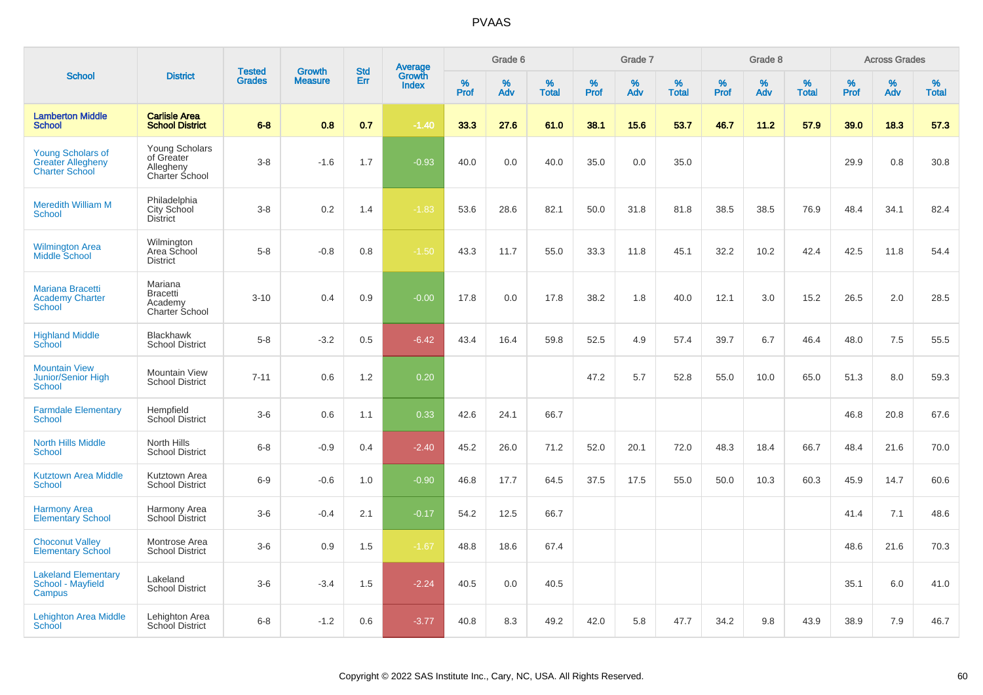|                                                                               |                                                                    | <b>Tested</b> | <b>Growth</b>  | <b>Std</b> |                                   |                  | Grade 6     |                   |           | Grade 7  |                   |              | Grade 8  |                   |              | <b>Across Grades</b> |                   |
|-------------------------------------------------------------------------------|--------------------------------------------------------------------|---------------|----------------|------------|-----------------------------------|------------------|-------------|-------------------|-----------|----------|-------------------|--------------|----------|-------------------|--------------|----------------------|-------------------|
| <b>School</b>                                                                 | <b>District</b>                                                    | <b>Grades</b> | <b>Measure</b> | Err        | Average<br>Growth<br><b>Index</b> | %<br><b>Prof</b> | $\%$<br>Adv | %<br><b>Total</b> | %<br>Prof | %<br>Adv | %<br><b>Total</b> | $\%$<br>Prof | %<br>Adv | %<br><b>Total</b> | $\%$<br>Prof | $\%$<br>Adv          | %<br><b>Total</b> |
| <b>Lamberton Middle</b><br><b>School</b>                                      | <b>Carlisle Area</b><br><b>School District</b>                     | $6 - 8$       | 0.8            | 0.7        | $-1.40$                           | 33.3             | 27.6        | 61.0              | 38.1      | 15.6     | 53.7              | 46.7         | 11.2     | 57.9              | 39.0         | 18.3                 | 57.3              |
| <b>Young Scholars of</b><br><b>Greater Allegheny</b><br><b>Charter School</b> | <b>Young Scholars</b><br>of Greater<br>Allegheny<br>Charter School | $3 - 8$       | $-1.6$         | 1.7        | $-0.93$                           | 40.0             | 0.0         | 40.0              | 35.0      | 0.0      | 35.0              |              |          |                   | 29.9         | 0.8                  | 30.8              |
| <b>Meredith William M</b><br><b>School</b>                                    | Philadelphia<br>City School<br><b>District</b>                     | $3 - 8$       | 0.2            | 1.4        | $-1.83$                           | 53.6             | 28.6        | 82.1              | 50.0      | 31.8     | 81.8              | 38.5         | 38.5     | 76.9              | 48.4         | 34.1                 | 82.4              |
| <b>Wilmington Area</b><br>Middle School                                       | Wilmington<br>Area School<br><b>District</b>                       | $5-8$         | $-0.8$         | 0.8        | $-1.50$                           | 43.3             | 11.7        | 55.0              | 33.3      | 11.8     | 45.1              | 32.2         | 10.2     | 42.4              | 42.5         | 11.8                 | 54.4              |
| Mariana Bracetti<br><b>Academy Charter</b><br>School                          | Mariana<br><b>Bracetti</b><br>Academy<br>Charter School            | $3 - 10$      | 0.4            | 0.9        | $-0.00$                           | 17.8             | 0.0         | 17.8              | 38.2      | 1.8      | 40.0              | 12.1         | 3.0      | 15.2              | 26.5         | 2.0                  | 28.5              |
| <b>Highland Middle</b><br>School                                              | <b>Blackhawk</b><br><b>School District</b>                         | $5-8$         | $-3.2$         | 0.5        | $-6.42$                           | 43.4             | 16.4        | 59.8              | 52.5      | 4.9      | 57.4              | 39.7         | 6.7      | 46.4              | 48.0         | 7.5                  | 55.5              |
| <b>Mountain View</b><br>Junior/Senior High<br><b>School</b>                   | <b>Mountain View</b><br><b>School District</b>                     | $7 - 11$      | 0.6            | 1.2        | 0.20                              |                  |             |                   | 47.2      | 5.7      | 52.8              | 55.0         | 10.0     | 65.0              | 51.3         | 8.0                  | 59.3              |
| <b>Farmdale Elementary</b><br>School                                          | Hempfield<br><b>School District</b>                                | $3-6$         | 0.6            | 1.1        | 0.33                              | 42.6             | 24.1        | 66.7              |           |          |                   |              |          |                   | 46.8         | 20.8                 | 67.6              |
| <b>North Hills Middle</b><br><b>School</b>                                    | North Hills<br><b>School District</b>                              | $6 - 8$       | $-0.9$         | 0.4        | $-2.40$                           | 45.2             | 26.0        | 71.2              | 52.0      | 20.1     | 72.0              | 48.3         | 18.4     | 66.7              | 48.4         | 21.6                 | 70.0              |
| <b>Kutztown Area Middle</b><br>School                                         | Kutztown Area<br><b>School District</b>                            | $6-9$         | $-0.6$         | 1.0        | $-0.90$                           | 46.8             | 17.7        | 64.5              | 37.5      | 17.5     | 55.0              | 50.0         | 10.3     | 60.3              | 45.9         | 14.7                 | 60.6              |
| <b>Harmony Area</b><br><b>Elementary School</b>                               | Harmony Area<br>School District                                    | $3-6$         | $-0.4$         | 2.1        | $-0.17$                           | 54.2             | 12.5        | 66.7              |           |          |                   |              |          |                   | 41.4         | 7.1                  | 48.6              |
| <b>Choconut Valley</b><br><b>Elementary School</b>                            | Montrose Area<br><b>School District</b>                            | $3-6$         | 0.9            | 1.5        | $-1.67$                           | 48.8             | 18.6        | 67.4              |           |          |                   |              |          |                   | 48.6         | 21.6                 | 70.3              |
| <b>Lakeland Elementary</b><br>School - Mayfield<br>Campus                     | Lakeland<br><b>School District</b>                                 | $3-6$         | $-3.4$         | 1.5        | $-2.24$                           | 40.5             | 0.0         | 40.5              |           |          |                   |              |          |                   | 35.1         | 6.0                  | 41.0              |
| <b>Lehighton Area Middle</b><br>School                                        | Lehighton Area<br>School District                                  | $6 - 8$       | $-1.2$         | 0.6        | $-3.77$                           | 40.8             | 8.3         | 49.2              | 42.0      | 5.8      | 47.7              | 34.2         | 9.8      | 43.9              | 38.9         | 7.9                  | 46.7              |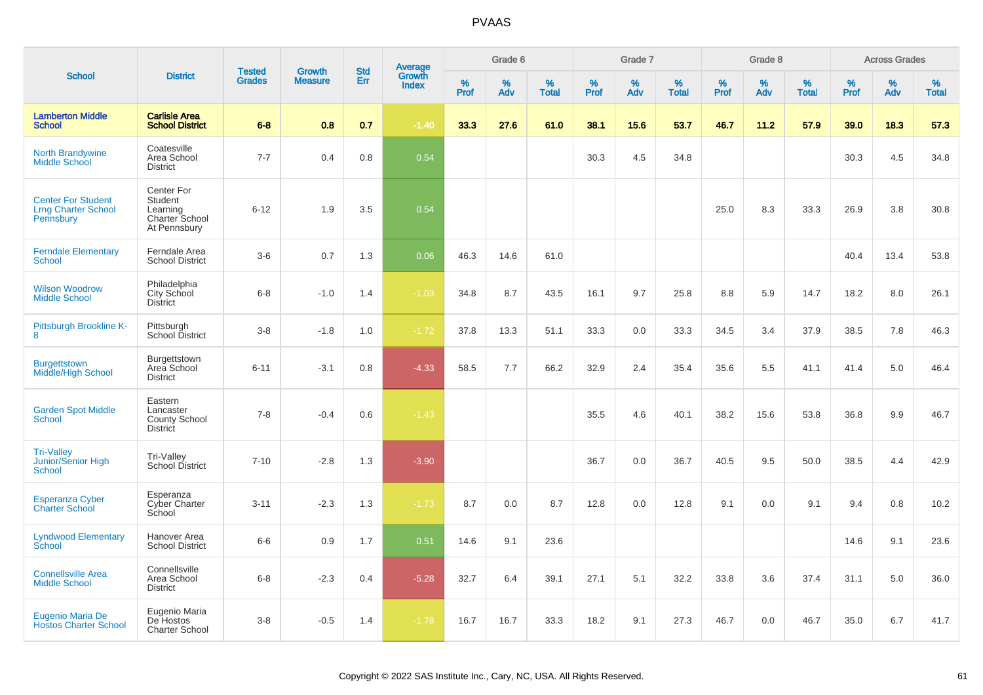|                                                                      |                                                                            |                                |                          |                   |                                          |                  | Grade 6  |                   |              | Grade 7  |                   |           | Grade 8  |                   |           | <b>Across Grades</b> |                   |
|----------------------------------------------------------------------|----------------------------------------------------------------------------|--------------------------------|--------------------------|-------------------|------------------------------------------|------------------|----------|-------------------|--------------|----------|-------------------|-----------|----------|-------------------|-----------|----------------------|-------------------|
| <b>School</b>                                                        | <b>District</b>                                                            | <b>Tested</b><br><b>Grades</b> | Growth<br><b>Measure</b> | <b>Std</b><br>Err | <b>Average</b><br>Growth<br><b>Index</b> | %<br><b>Prof</b> | %<br>Adv | %<br><b>Total</b> | $\%$<br>Prof | %<br>Adv | %<br><b>Total</b> | %<br>Prof | %<br>Adv | %<br><b>Total</b> | %<br>Prof | $\%$<br>Adv          | %<br><b>Total</b> |
| <b>Lamberton Middle</b><br><b>School</b>                             | <b>Carlisle Area</b><br><b>School District</b>                             | $6 - 8$                        | 0.8                      | 0.7               | $-1.40$                                  | 33.3             | 27.6     | 61.0              | 38.1         | 15.6     | 53.7              | 46.7      | 11.2     | 57.9              | 39.0      | 18.3                 | 57.3              |
| North Brandywine<br><b>Middle School</b>                             | Coatesville<br>Area School<br><b>District</b>                              | $7 - 7$                        | 0.4                      | 0.8               | 0.54                                     |                  |          |                   | 30.3         | 4.5      | 34.8              |           |          |                   | 30.3      | 4.5                  | 34.8              |
| <b>Center For Student</b><br><b>Lrng Charter School</b><br>Pennsbury | Center For<br>Student<br>Learning<br><b>Charter School</b><br>At Pennsbury | $6 - 12$                       | 1.9                      | 3.5               | 0.54                                     |                  |          |                   |              |          |                   | 25.0      | 8.3      | 33.3              | 26.9      | 3.8                  | 30.8              |
| <b>Ferndale Elementary</b><br>School                                 | Ferndale Area<br><b>School District</b>                                    | $3-6$                          | 0.7                      | 1.3               | 0.06                                     | 46.3             | 14.6     | 61.0              |              |          |                   |           |          |                   | 40.4      | 13.4                 | 53.8              |
| <b>Wilson Woodrow</b><br><b>Middle School</b>                        | Philadelphia<br>City School<br><b>District</b>                             | $6 - 8$                        | $-1.0$                   | 1.4               | $-1.03$                                  | 34.8             | 8.7      | 43.5              | 16.1         | 9.7      | 25.8              | 8.8       | 5.9      | 14.7              | 18.2      | 8.0                  | 26.1              |
| Pittsburgh Brookline K-<br>8                                         | Pittsburgh<br>School District                                              | $3 - 8$                        | $-1.8$                   | 1.0               | $-1.72$                                  | 37.8             | 13.3     | 51.1              | 33.3         | 0.0      | 33.3              | 34.5      | 3.4      | 37.9              | 38.5      | 7.8                  | 46.3              |
| <b>Burgettstown</b><br><b>Middle/High School</b>                     | Burgettstown<br>Area School<br><b>District</b>                             | $6 - 11$                       | $-3.1$                   | 0.8               | $-4.33$                                  | 58.5             | 7.7      | 66.2              | 32.9         | 2.4      | 35.4              | 35.6      | 5.5      | 41.1              | 41.4      | 5.0                  | 46.4              |
| <b>Garden Spot Middle</b><br>School                                  | Eastern<br>Lancaster<br>County School<br><b>District</b>                   | $7 - 8$                        | $-0.4$                   | 0.6               | $-1.43$                                  |                  |          |                   | 35.5         | 4.6      | 40.1              | 38.2      | 15.6     | 53.8              | 36.8      | 9.9                  | 46.7              |
| <b>Tri-Valley</b><br><b>Junior/Senior High</b><br><b>School</b>      | Tri-Valley<br>School District                                              | $7 - 10$                       | $-2.8$                   | 1.3               | $-3.90$                                  |                  |          |                   | 36.7         | 0.0      | 36.7              | 40.5      | 9.5      | 50.0              | 38.5      | 4.4                  | 42.9              |
| <b>Esperanza Cyber</b><br>Charter School                             | Esperanza<br>Cyber Charter<br>School                                       | $3 - 11$                       | $-2.3$                   | 1.3               | $-1.73$                                  | 8.7              | 0.0      | 8.7               | 12.8         | 0.0      | 12.8              | 9.1       | 0.0      | 9.1               | 9.4       | 0.8                  | 10.2              |
| <b>Lyndwood Elementary</b><br>School                                 | Hanover Area<br><b>School District</b>                                     | $6-6$                          | 0.9                      | 1.7               | 0.51                                     | 14.6             | 9.1      | 23.6              |              |          |                   |           |          |                   | 14.6      | 9.1                  | 23.6              |
| <b>Connellsville Area</b><br><b>Middle School</b>                    | Connellsville<br>Area School<br><b>District</b>                            | $6-8$                          | $-2.3$                   | 0.4               | $-5.28$                                  | 32.7             | 6.4      | 39.1              | 27.1         | 5.1      | 32.2              | 33.8      | 3.6      | 37.4              | 31.1      | 5.0                  | 36.0              |
| <b>Eugenio Maria De</b><br><b>Hostos Charter School</b>              | Eugenio Maria<br>De Hostos<br><b>Charter School</b>                        | $3 - 8$                        | $-0.5$                   | 1.4               | $-1.78$                                  | 16.7             | 16.7     | 33.3              | 18.2         | 9.1      | 27.3              | 46.7      | 0.0      | 46.7              | 35.0      | 6.7                  | 41.7              |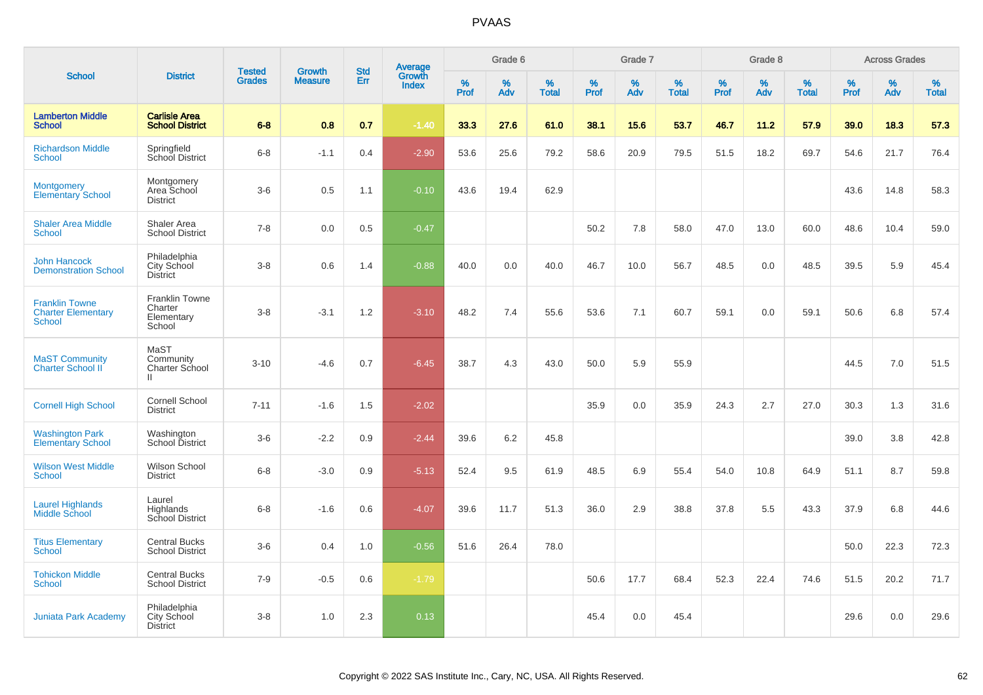|                                                                     |                                                          | <b>Tested</b> | <b>Growth</b>  | <b>Std</b> |                                          |           | Grade 6  |                   |              | Grade 7  |                   |              | Grade 8  |                   |              | <b>Across Grades</b> |                   |
|---------------------------------------------------------------------|----------------------------------------------------------|---------------|----------------|------------|------------------------------------------|-----------|----------|-------------------|--------------|----------|-------------------|--------------|----------|-------------------|--------------|----------------------|-------------------|
| <b>School</b>                                                       | <b>District</b>                                          | <b>Grades</b> | <b>Measure</b> | Err        | <b>Average</b><br>Growth<br><b>Index</b> | %<br>Prof | %<br>Adv | %<br><b>Total</b> | $\%$<br>Prof | %<br>Adv | %<br><b>Total</b> | $\%$<br>Prof | %<br>Adv | %<br><b>Total</b> | $\%$<br>Prof | %<br>Adv             | %<br><b>Total</b> |
| <b>Lamberton Middle</b><br><b>School</b>                            | <b>Carlisle Area</b><br><b>School District</b>           | $6 - 8$       | 0.8            | 0.7        | $-1.40$                                  | 33.3      | 27.6     | 61.0              | 38.1         | 15.6     | 53.7              | 46.7         | 11.2     | 57.9              | 39.0         | 18.3                 | 57.3              |
| <b>Richardson Middle</b><br><b>School</b>                           | Springfield<br>School District                           | $6 - 8$       | $-1.1$         | 0.4        | $-2.90$                                  | 53.6      | 25.6     | 79.2              | 58.6         | 20.9     | 79.5              | 51.5         | 18.2     | 69.7              | 54.6         | 21.7                 | 76.4              |
| <b>Montgomery</b><br>Elementary School                              | Montgomery<br>Area School<br><b>District</b>             | $3-6$         | 0.5            | 1.1        | $-0.10$                                  | 43.6      | 19.4     | 62.9              |              |          |                   |              |          |                   | 43.6         | 14.8                 | 58.3              |
| <b>Shaler Area Middle</b><br><b>School</b>                          | Shaler Area<br><b>School District</b>                    | $7 - 8$       | 0.0            | 0.5        | $-0.47$                                  |           |          |                   | 50.2         | 7.8      | 58.0              | 47.0         | 13.0     | 60.0              | 48.6         | 10.4                 | 59.0              |
| <b>John Hancock</b><br><b>Demonstration School</b>                  | Philadelphia<br>City School<br><b>District</b>           | $3-8$         | 0.6            | 1.4        | $-0.88$                                  | 40.0      | 0.0      | 40.0              | 46.7         | 10.0     | 56.7              | 48.5         | 0.0      | 48.5              | 39.5         | 5.9                  | 45.4              |
| <b>Franklin Towne</b><br><b>Charter Elementary</b><br><b>School</b> | <b>Franklin Towne</b><br>Charter<br>Elementary<br>School | $3-8$         | $-3.1$         | 1.2        | $-3.10$                                  | 48.2      | 7.4      | 55.6              | 53.6         | 7.1      | 60.7              | 59.1         | 0.0      | 59.1              | 50.6         | 6.8                  | 57.4              |
| <b>MaST Community</b><br><b>Charter School II</b>                   | MaST<br>Community<br>Charter School<br>$\mathbf{H}$      | $3 - 10$      | $-4.6$         | 0.7        | $-6.45$                                  | 38.7      | 4.3      | 43.0              | 50.0         | 5.9      | 55.9              |              |          |                   | 44.5         | 7.0                  | 51.5              |
| <b>Cornell High School</b>                                          | <b>Cornell School</b><br><b>District</b>                 | $7 - 11$      | $-1.6$         | 1.5        | $-2.02$                                  |           |          |                   | 35.9         | 0.0      | 35.9              | 24.3         | 2.7      | 27.0              | 30.3         | 1.3                  | 31.6              |
| <b>Washington Park</b><br><b>Elementary School</b>                  | Washington<br>School District                            | $3-6$         | $-2.2$         | 0.9        | $-2.44$                                  | 39.6      | 6.2      | 45.8              |              |          |                   |              |          |                   | 39.0         | 3.8                  | 42.8              |
| <b>Wilson West Middle</b><br><b>School</b>                          | Wilson School<br><b>District</b>                         | $6 - 8$       | $-3.0$         | 0.9        | $-5.13$                                  | 52.4      | 9.5      | 61.9              | 48.5         | 6.9      | 55.4              | 54.0         | 10.8     | 64.9              | 51.1         | 8.7                  | 59.8              |
| <b>Laurel Highlands</b><br>Middle School                            | Laurel<br>Highlands<br>School District                   | $6 - 8$       | $-1.6$         | 0.6        | $-4.07$                                  | 39.6      | 11.7     | 51.3              | 36.0         | 2.9      | 38.8              | 37.8         | 5.5      | 43.3              | 37.9         | 6.8                  | 44.6              |
| <b>Titus Elementary</b><br><b>School</b>                            | <b>Central Bucks</b><br><b>School District</b>           | $3-6$         | 0.4            | 1.0        | $-0.56$                                  | 51.6      | 26.4     | 78.0              |              |          |                   |              |          |                   | 50.0         | 22.3                 | 72.3              |
| <b>Tohickon Middle</b><br><b>School</b>                             | <b>Central Bucks</b><br><b>School District</b>           | $7-9$         | $-0.5$         | 0.6        | $-1.79$                                  |           |          |                   | 50.6         | 17.7     | 68.4              | 52.3         | 22.4     | 74.6              | 51.5         | 20.2                 | 71.7              |
| <b>Juniata Park Academy</b>                                         | Philadelphia<br>City School<br><b>District</b>           | $3-8$         | 1.0            | 2.3        | 0.13                                     |           |          |                   | 45.4         | 0.0      | 45.4              |              |          |                   | 29.6         | 0.0                  | 29.6              |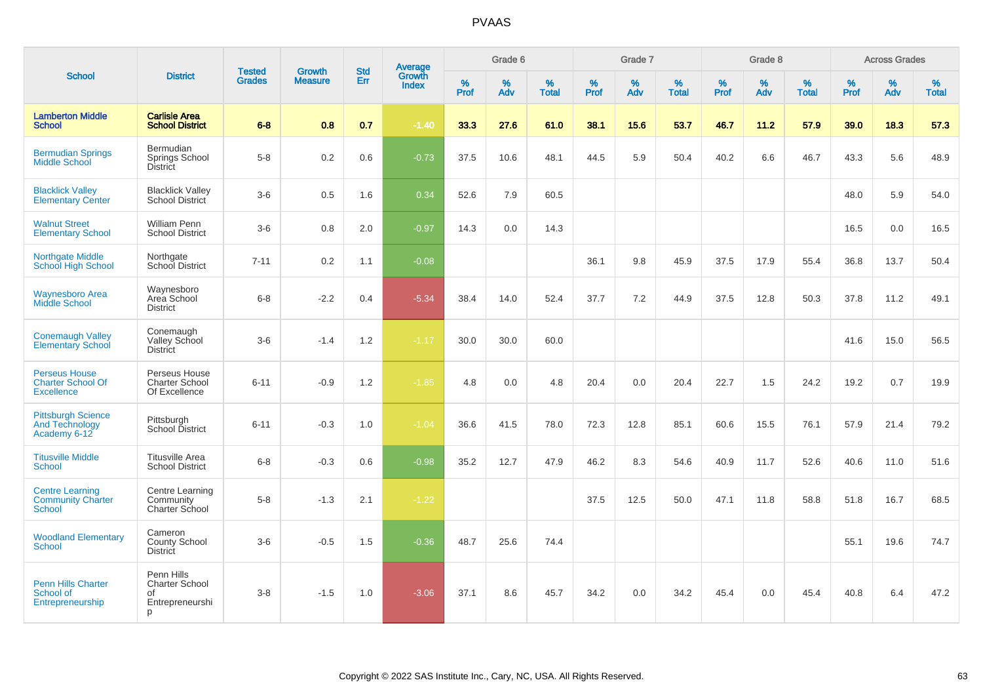| <b>School</b>                                                         |                                                                   |                                | <b>Growth</b>  | <b>Std</b> | <b>Average</b><br>Growth |                  | Grade 6  |                   |           | Grade 7  |                   |           | Grade 8  |                   |           | <b>Across Grades</b> |                   |
|-----------------------------------------------------------------------|-------------------------------------------------------------------|--------------------------------|----------------|------------|--------------------------|------------------|----------|-------------------|-----------|----------|-------------------|-----------|----------|-------------------|-----------|----------------------|-------------------|
|                                                                       | <b>District</b>                                                   | <b>Tested</b><br><b>Grades</b> | <b>Measure</b> | Err        | <b>Index</b>             | %<br><b>Prof</b> | %<br>Adv | %<br><b>Total</b> | %<br>Prof | %<br>Adv | %<br><b>Total</b> | %<br>Prof | %<br>Adv | %<br><b>Total</b> | %<br>Prof | $\%$<br>Adv          | %<br><b>Total</b> |
| <b>Lamberton Middle</b><br><b>School</b>                              | <b>Carlisle Area</b><br><b>School District</b>                    | $6-8$                          | 0.8            | 0.7        | $-1.40$                  | 33.3             | 27.6     | 61.0              | 38.1      | 15.6     | 53.7              | 46.7      | 11.2     | 57.9              | 39.0      | 18.3                 | 57.3              |
| <b>Bermudian Springs</b><br>Middle School                             | <b>Bermudian</b><br>Springs School<br><b>District</b>             | $5 - 8$                        | 0.2            | 0.6        | $-0.73$                  | 37.5             | 10.6     | 48.1              | 44.5      | 5.9      | 50.4              | 40.2      | 6.6      | 46.7              | 43.3      | 5.6                  | 48.9              |
| <b>Blacklick Valley</b><br><b>Elementary Center</b>                   | <b>Blacklick Valley</b><br>School District                        | $3-6$                          | 0.5            | 1.6        | 0.34                     | 52.6             | 7.9      | 60.5              |           |          |                   |           |          |                   | 48.0      | 5.9                  | 54.0              |
| <b>Walnut Street</b><br><b>Elementary School</b>                      | <b>William Penn</b><br><b>School District</b>                     | $3-6$                          | 0.8            | 2.0        | $-0.97$                  | 14.3             | 0.0      | 14.3              |           |          |                   |           |          |                   | 16.5      | 0.0                  | 16.5              |
| <b>Northgate Middle</b><br><b>School High School</b>                  | Northgate<br>School District                                      | $7 - 11$                       | 0.2            | 1.1        | $-0.08$                  |                  |          |                   | 36.1      | 9.8      | 45.9              | 37.5      | 17.9     | 55.4              | 36.8      | 13.7                 | 50.4              |
| <b>Waynesboro Area</b><br><b>Middle School</b>                        | Waynesboro<br>Area School<br><b>District</b>                      | $6 - 8$                        | $-2.2$         | 0.4        | $-5.34$                  | 38.4             | 14.0     | 52.4              | 37.7      | 7.2      | 44.9              | 37.5      | 12.8     | 50.3              | 37.8      | 11.2                 | 49.1              |
| <b>Conemaugh Valley</b><br><b>Elementary School</b>                   | Conemaugh<br>Valley School<br><b>District</b>                     | $3-6$                          | $-1.4$         | 1.2        | $-1.17$                  | 30.0             | 30.0     | 60.0              |           |          |                   |           |          |                   | 41.6      | 15.0                 | 56.5              |
| <b>Perseus House</b><br><b>Charter School Of</b><br><b>Excellence</b> | Perseus House<br>Charter School<br>Of Excellence                  | $6 - 11$                       | $-0.9$         | 1.2        | $-1.85$                  | 4.8              | 0.0      | 4.8               | 20.4      | 0.0      | 20.4              | 22.7      | 1.5      | 24.2              | 19.2      | 0.7                  | 19.9              |
| <b>Pittsburgh Science</b><br><b>And Technology</b><br>Academy 6-12    | Pittsburgh<br>School District                                     | $6 - 11$                       | $-0.3$         | 1.0        | $-1.04$                  | 36.6             | 41.5     | 78.0              | 72.3      | 12.8     | 85.1              | 60.6      | 15.5     | 76.1              | 57.9      | 21.4                 | 79.2              |
| <b>Titusville Middle</b><br><b>School</b>                             | <b>Titusville Area</b><br><b>School District</b>                  | $6 - 8$                        | $-0.3$         | 0.6        | $-0.98$                  | 35.2             | 12.7     | 47.9              | 46.2      | 8.3      | 54.6              | 40.9      | 11.7     | 52.6              | 40.6      | 11.0                 | 51.6              |
| <b>Centre Learning</b><br><b>Community Charter</b><br><b>School</b>   | Centre Learning<br>Community<br>Charter School                    | $5-8$                          | $-1.3$         | 2.1        | $-1.22$                  |                  |          |                   | 37.5      | 12.5     | 50.0              | 47.1      | 11.8     | 58.8              | 51.8      | 16.7                 | 68.5              |
| <b>Woodland Elementary</b><br><b>School</b>                           | Cameron<br>County School<br><b>District</b>                       | $3-6$                          | $-0.5$         | 1.5        | $-0.36$                  | 48.7             | 25.6     | 74.4              |           |          |                   |           |          |                   | 55.1      | 19.6                 | 74.7              |
| <b>Penn Hills Charter</b><br>School of<br>Entrepreneurship            | Penn Hills<br><b>Charter School</b><br>οf<br>Entrepreneurshi<br>p | $3-8$                          | $-1.5$         | 1.0        | $-3.06$                  | 37.1             | 8.6      | 45.7              | 34.2      | 0.0      | 34.2              | 45.4      | 0.0      | 45.4              | 40.8      | 6.4                  | 47.2              |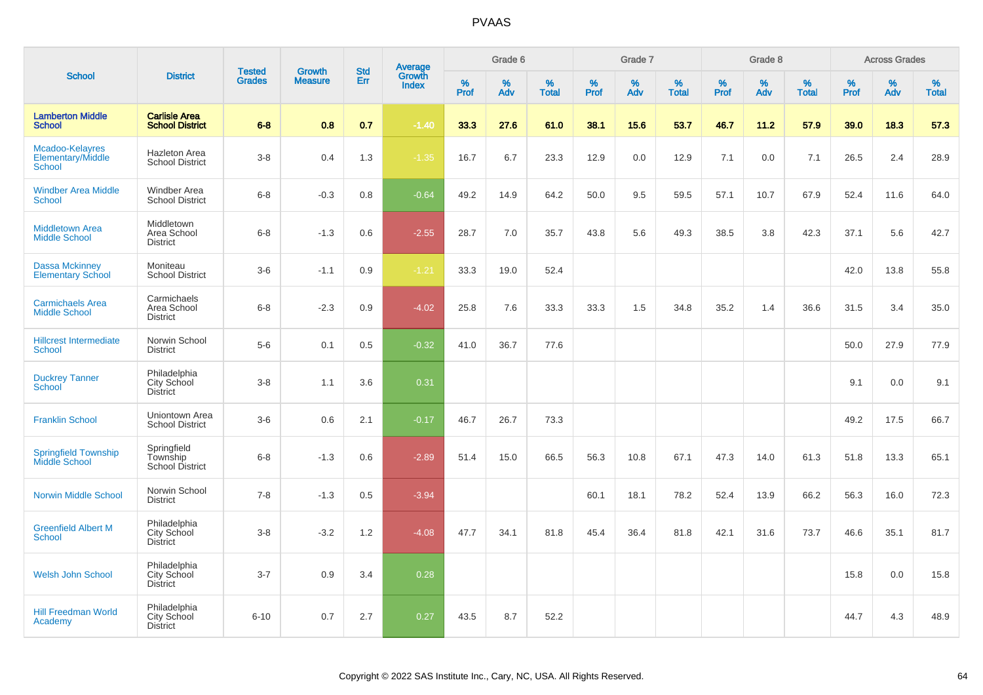|                                                       |                                                | <b>Tested</b> | <b>Growth</b>  | <b>Std</b> |                                          |                  | Grade 6     |                   |           | Grade 7     |                   |           | Grade 8  |                   |              | <b>Across Grades</b> |                   |
|-------------------------------------------------------|------------------------------------------------|---------------|----------------|------------|------------------------------------------|------------------|-------------|-------------------|-----------|-------------|-------------------|-----------|----------|-------------------|--------------|----------------------|-------------------|
| <b>School</b>                                         | <b>District</b>                                | <b>Grades</b> | <b>Measure</b> | Err        | <b>Average</b><br>Growth<br><b>Index</b> | %<br><b>Prof</b> | $\%$<br>Adv | %<br><b>Total</b> | %<br>Prof | $\%$<br>Adv | %<br><b>Total</b> | %<br>Prof | %<br>Adv | %<br><b>Total</b> | $\%$<br>Prof | $\%$<br>Adv          | %<br><b>Total</b> |
| <b>Lamberton Middle</b><br><b>School</b>              | <b>Carlisle Area</b><br><b>School District</b> | $6 - 8$       | 0.8            | 0.7        | $-1.40$                                  | 33.3             | 27.6        | 61.0              | 38.1      | 15.6        | 53.7              | 46.7      | 11.2     | 57.9              | 39.0         | 18.3                 | 57.3              |
| Mcadoo-Kelayres<br>Elementary/Middle<br><b>School</b> | <b>Hazleton Area</b><br><b>School District</b> | $3-8$         | 0.4            | 1.3        | $-1.35$                                  | 16.7             | 6.7         | 23.3              | 12.9      | 0.0         | 12.9              | 7.1       | 0.0      | 7.1               | 26.5         | 2.4                  | 28.9              |
| <b>Windber Area Middle</b><br><b>School</b>           | <b>Windber Area</b><br><b>School District</b>  | $6 - 8$       | $-0.3$         | 0.8        | $-0.64$                                  | 49.2             | 14.9        | 64.2              | 50.0      | 9.5         | 59.5              | 57.1      | 10.7     | 67.9              | 52.4         | 11.6                 | 64.0              |
| <b>Middletown Area</b><br><b>Middle School</b>        | Middletown<br>Area School<br><b>District</b>   | $6 - 8$       | $-1.3$         | 0.6        | $-2.55$                                  | 28.7             | 7.0         | 35.7              | 43.8      | 5.6         | 49.3              | 38.5      | 3.8      | 42.3              | 37.1         | 5.6                  | 42.7              |
| <b>Dassa Mckinney</b><br><b>Elementary School</b>     | Moniteau<br><b>School District</b>             | $3-6$         | $-1.1$         | 0.9        | $-1.21$                                  | 33.3             | 19.0        | 52.4              |           |             |                   |           |          |                   | 42.0         | 13.8                 | 55.8              |
| <b>Carmichaels Area</b><br><b>Middle School</b>       | Carmichaels<br>Area School<br><b>District</b>  | $6 - 8$       | $-2.3$         | 0.9        | $-4.02$                                  | 25.8             | 7.6         | 33.3              | 33.3      | 1.5         | 34.8              | 35.2      | 1.4      | 36.6              | 31.5         | 3.4                  | 35.0              |
| <b>Hillcrest Intermediate</b><br><b>School</b>        | Norwin School<br><b>District</b>               | $5-6$         | 0.1            | 0.5        | $-0.32$                                  | 41.0             | 36.7        | 77.6              |           |             |                   |           |          |                   | 50.0         | 27.9                 | 77.9              |
| <b>Duckrey Tanner</b><br><b>School</b>                | Philadelphia<br>City School<br><b>District</b> | $3 - 8$       | 1.1            | 3.6        | 0.31                                     |                  |             |                   |           |             |                   |           |          |                   | 9.1          | 0.0                  | 9.1               |
| <b>Franklin School</b>                                | Uniontown Area<br><b>School District</b>       | $3-6$         | 0.6            | 2.1        | $-0.17$                                  | 46.7             | 26.7        | 73.3              |           |             |                   |           |          |                   | 49.2         | 17.5                 | 66.7              |
| <b>Springfield Township</b><br><b>Middle School</b>   | Springfield<br>Township<br>School District     | $6 - 8$       | $-1.3$         | 0.6        | $-2.89$                                  | 51.4             | 15.0        | 66.5              | 56.3      | 10.8        | 67.1              | 47.3      | 14.0     | 61.3              | 51.8         | 13.3                 | 65.1              |
| <b>Norwin Middle School</b>                           | Norwin School<br><b>District</b>               | $7 - 8$       | $-1.3$         | 0.5        | $-3.94$                                  |                  |             |                   | 60.1      | 18.1        | 78.2              | 52.4      | 13.9     | 66.2              | 56.3         | 16.0                 | 72.3              |
| <b>Greenfield Albert M</b><br><b>School</b>           | Philadelphia<br>City School<br><b>District</b> | $3 - 8$       | $-3.2$         | 1.2        | $-4.08$                                  | 47.7             | 34.1        | 81.8              | 45.4      | 36.4        | 81.8              | 42.1      | 31.6     | 73.7              | 46.6         | 35.1                 | 81.7              |
| <b>Welsh John School</b>                              | Philadelphia<br>City School<br><b>District</b> | $3 - 7$       | 0.9            | 3.4        | 0.28                                     |                  |             |                   |           |             |                   |           |          |                   | 15.8         | 0.0                  | 15.8              |
| <b>Hill Freedman World</b><br>Academy                 | Philadelphia<br>City School<br><b>District</b> | $6 - 10$      | 0.7            | 2.7        | 0.27                                     | 43.5             | 8.7         | 52.2              |           |             |                   |           |          |                   | 44.7         | 4.3                  | 48.9              |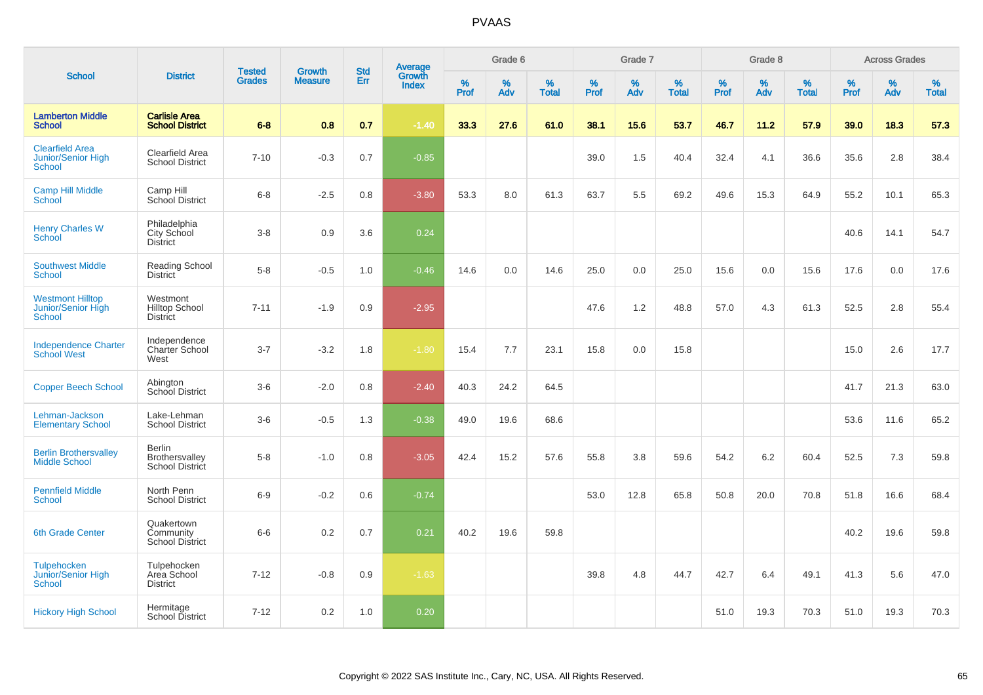|                                                                |                                                      |                                |                          | <b>Std</b> |                                          |           | Grade 6  |                   |           | Grade 7  |                   |           | Grade 8  |                   |              | <b>Across Grades</b> |                   |
|----------------------------------------------------------------|------------------------------------------------------|--------------------------------|--------------------------|------------|------------------------------------------|-----------|----------|-------------------|-----------|----------|-------------------|-----------|----------|-------------------|--------------|----------------------|-------------------|
| <b>School</b>                                                  | <b>District</b>                                      | <b>Tested</b><br><b>Grades</b> | Growth<br><b>Measure</b> | Err        | <b>Average</b><br>Growth<br><b>Index</b> | %<br>Prof | %<br>Adv | %<br><b>Total</b> | %<br>Prof | %<br>Adv | %<br><b>Total</b> | %<br>Prof | %<br>Adv | %<br><b>Total</b> | $\%$<br>Prof | %<br>Adv             | %<br><b>Total</b> |
| <b>Lamberton Middle</b><br><b>School</b>                       | <b>Carlisle Area</b><br><b>School District</b>       | $6 - 8$                        | 0.8                      | 0.7        | $-1.40$                                  | 33.3      | 27.6     | 61.0              | 38.1      | 15.6     | 53.7              | 46.7      | 11.2     | 57.9              | 39.0         | 18.3                 | 57.3              |
| <b>Clearfield Area</b><br>Junior/Senior High<br><b>School</b>  | Clearfield Area<br><b>School District</b>            | $7 - 10$                       | $-0.3$                   | 0.7        | $-0.85$                                  |           |          |                   | 39.0      | 1.5      | 40.4              | 32.4      | 4.1      | 36.6              | 35.6         | 2.8                  | 38.4              |
| <b>Camp Hill Middle</b><br>School                              | Camp Hill<br><b>School District</b>                  | $6 - 8$                        | $-2.5$                   | 0.8        | $-3.80$                                  | 53.3      | 8.0      | 61.3              | 63.7      | 5.5      | 69.2              | 49.6      | 15.3     | 64.9              | 55.2         | 10.1                 | 65.3              |
| <b>Henry Charles W</b><br>School                               | Philadelphia<br>City School<br><b>District</b>       | $3-8$                          | 0.9                      | 3.6        | 0.24                                     |           |          |                   |           |          |                   |           |          |                   | 40.6         | 14.1                 | 54.7              |
| <b>Southwest Middle</b><br><b>School</b>                       | <b>Reading School</b><br><b>District</b>             | $5 - 8$                        | $-0.5$                   | 1.0        | $-0.46$                                  | 14.6      | 0.0      | 14.6              | 25.0      | 0.0      | 25.0              | 15.6      | 0.0      | 15.6              | 17.6         | 0.0                  | 17.6              |
| <b>Westmont Hilltop</b><br>Junior/Senior High<br><b>School</b> | Westmont<br><b>Hilltop School</b><br><b>District</b> | $7 - 11$                       | $-1.9$                   | 0.9        | $-2.95$                                  |           |          |                   | 47.6      | 1.2      | 48.8              | 57.0      | 4.3      | 61.3              | 52.5         | 2.8                  | 55.4              |
| <b>Independence Charter</b><br><b>School West</b>              | Independence<br><b>Charter School</b><br>West        | $3 - 7$                        | $-3.2$                   | 1.8        | $-1.80$                                  | 15.4      | 7.7      | 23.1              | 15.8      | 0.0      | 15.8              |           |          |                   | 15.0         | 2.6                  | 17.7              |
| <b>Copper Beech School</b>                                     | Abington<br>School District                          | $3-6$                          | $-2.0$                   | 0.8        | $-2.40$                                  | 40.3      | 24.2     | 64.5              |           |          |                   |           |          |                   | 41.7         | 21.3                 | 63.0              |
| Lehman-Jackson<br><b>Elementary School</b>                     | Lake-Lehman<br><b>School District</b>                | $3-6$                          | $-0.5$                   | 1.3        | $-0.38$                                  | 49.0      | 19.6     | 68.6              |           |          |                   |           |          |                   | 53.6         | 11.6                 | 65.2              |
| <b>Berlin Brothersvalley</b><br><b>Middle School</b>           | <b>Berlin</b><br>Brothersvalley<br>School District   | $5-8$                          | $-1.0$                   | 0.8        | $-3.05$                                  | 42.4      | 15.2     | 57.6              | 55.8      | 3.8      | 59.6              | 54.2      | 6.2      | 60.4              | 52.5         | 7.3                  | 59.8              |
| <b>Pennfield Middle</b><br><b>School</b>                       | North Penn<br><b>School District</b>                 | $6 - 9$                        | $-0.2$                   | 0.6        | $-0.74$                                  |           |          |                   | 53.0      | 12.8     | 65.8              | 50.8      | 20.0     | 70.8              | 51.8         | 16.6                 | 68.4              |
| 6th Grade Center                                               | Quakertown<br>Community<br><b>School District</b>    | $6 - 6$                        | 0.2                      | 0.7        | 0.21                                     | 40.2      | 19.6     | 59.8              |           |          |                   |           |          |                   | 40.2         | 19.6                 | 59.8              |
| Tulpehocken<br>Junior/Senior High<br>School                    | Tulpehocken<br>Area School<br><b>District</b>        | $7 - 12$                       | $-0.8$                   | 0.9        | $-1.63$                                  |           |          |                   | 39.8      | 4.8      | 44.7              | 42.7      | 6.4      | 49.1              | 41.3         | 5.6                  | 47.0              |
| <b>Hickory High School</b>                                     | Hermitage<br>School District                         | $7 - 12$                       | 0.2                      | 1.0        | 0.20                                     |           |          |                   |           |          |                   | 51.0      | 19.3     | 70.3              | 51.0         | 19.3                 | 70.3              |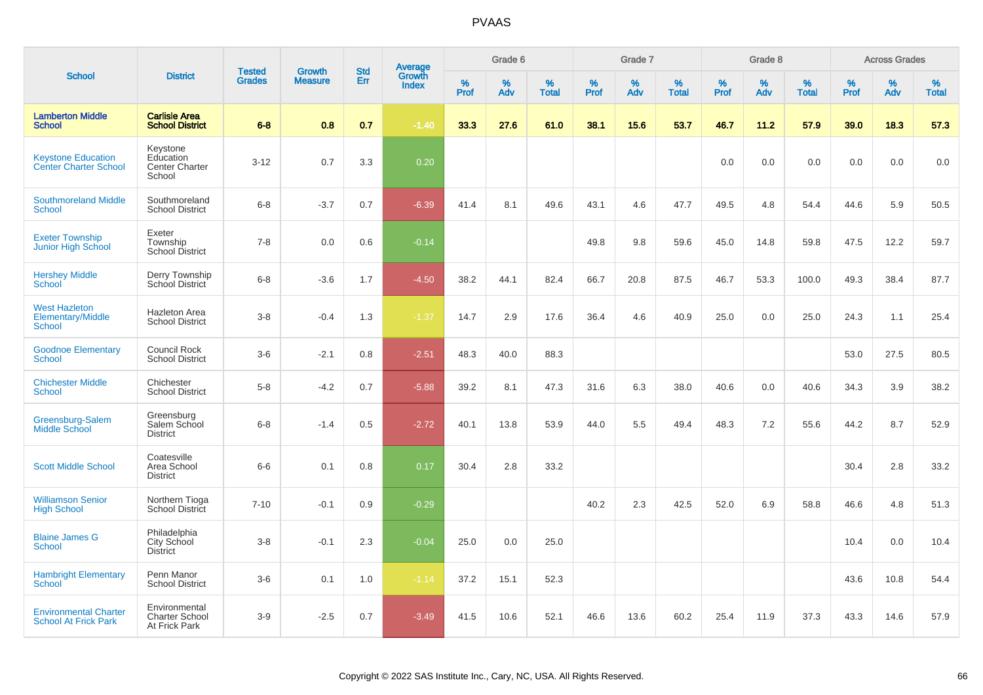| <b>School</b>                                               |                                                          | <b>Tested</b> | <b>Growth</b>  | <b>Std</b> |                                          |           | Grade 6  |                   |                  | Grade 7  |                   |           | Grade 8  |                   |              | <b>Across Grades</b> |                   |
|-------------------------------------------------------------|----------------------------------------------------------|---------------|----------------|------------|------------------------------------------|-----------|----------|-------------------|------------------|----------|-------------------|-----------|----------|-------------------|--------------|----------------------|-------------------|
|                                                             | <b>District</b>                                          | <b>Grades</b> | <b>Measure</b> | Err        | <b>Average</b><br>Growth<br><b>Index</b> | %<br>Prof | %<br>Adv | %<br><b>Total</b> | %<br><b>Prof</b> | %<br>Adv | %<br><b>Total</b> | %<br>Prof | %<br>Adv | %<br><b>Total</b> | $\%$<br>Prof | $\%$<br>Adv          | %<br><b>Total</b> |
| <b>Lamberton Middle</b><br><b>School</b>                    | <b>Carlisle Area</b><br><b>School District</b>           | $6 - 8$       | 0.8            | 0.7        | $-1.40$                                  | 33.3      | 27.6     | 61.0              | 38.1             | 15.6     | 53.7              | 46.7      | 11.2     | 57.9              | 39.0         | 18.3                 | 57.3              |
| <b>Keystone Education</b><br><b>Center Charter School</b>   | Keystone<br>Education<br><b>Center Charter</b><br>School | $3 - 12$      | 0.7            | 3.3        | 0.20                                     |           |          |                   |                  |          |                   | 0.0       | 0.0      | 0.0               | 0.0          | 0.0                  | 0.0               |
| <b>Southmoreland Middle</b><br><b>School</b>                | Southmoreland<br><b>School District</b>                  | $6 - 8$       | $-3.7$         | 0.7        | $-6.39$                                  | 41.4      | 8.1      | 49.6              | 43.1             | 4.6      | 47.7              | 49.5      | 4.8      | 54.4              | 44.6         | 5.9                  | 50.5              |
| <b>Exeter Township</b><br><b>Junior High School</b>         | Exeter<br>Township<br><b>School District</b>             | $7 - 8$       | 0.0            | 0.6        | $-0.14$                                  |           |          |                   | 49.8             | 9.8      | 59.6              | 45.0      | 14.8     | 59.8              | 47.5         | 12.2                 | 59.7              |
| <b>Hershey Middle</b><br><b>School</b>                      | Derry Township<br>School District                        | $6 - 8$       | $-3.6$         | 1.7        | $-4.50$                                  | 38.2      | 44.1     | 82.4              | 66.7             | 20.8     | 87.5              | 46.7      | 53.3     | 100.0             | 49.3         | 38.4                 | 87.7              |
| <b>West Hazleton</b><br>Elementary/Middle<br><b>School</b>  | Hazleton Area<br><b>School District</b>                  | $3-8$         | $-0.4$         | 1.3        | $-1.37$                                  | 14.7      | 2.9      | 17.6              | 36.4             | 4.6      | 40.9              | 25.0      | 0.0      | 25.0              | 24.3         | 1.1                  | 25.4              |
| <b>Goodnoe Elementary</b><br><b>School</b>                  | Council Rock<br><b>School District</b>                   | $3-6$         | $-2.1$         | 0.8        | $-2.51$                                  | 48.3      | 40.0     | 88.3              |                  |          |                   |           |          |                   | 53.0         | 27.5                 | 80.5              |
| <b>Chichester Middle</b><br><b>School</b>                   | Chichester<br><b>School District</b>                     | $5-8$         | $-4.2$         | 0.7        | $-5.88$                                  | 39.2      | 8.1      | 47.3              | 31.6             | 6.3      | 38.0              | 40.6      | 0.0      | 40.6              | 34.3         | 3.9                  | 38.2              |
| Greensburg-Salem<br>Middle School                           | Greensburg<br>Salem School<br><b>District</b>            | $6 - 8$       | $-1.4$         | 0.5        | $-2.72$                                  | 40.1      | 13.8     | 53.9              | 44.0             | 5.5      | 49.4              | 48.3      | 7.2      | 55.6              | 44.2         | 8.7                  | 52.9              |
| <b>Scott Middle School</b>                                  | Coatesville<br>Area School<br>District                   | $6-6$         | 0.1            | 0.8        | 0.17                                     | 30.4      | 2.8      | 33.2              |                  |          |                   |           |          |                   | 30.4         | 2.8                  | 33.2              |
| <b>Williamson Senior</b><br><b>High School</b>              | Northern Tioga<br><b>School District</b>                 | $7 - 10$      | $-0.1$         | 0.9        | $-0.29$                                  |           |          |                   | 40.2             | 2.3      | 42.5              | 52.0      | 6.9      | 58.8              | 46.6         | 4.8                  | 51.3              |
| <b>Blaine James G</b><br><b>School</b>                      | Philadelphia<br>City School<br><b>District</b>           | $3-8$         | $-0.1$         | 2.3        | $-0.04$                                  | 25.0      | 0.0      | 25.0              |                  |          |                   |           |          |                   | 10.4         | 0.0                  | 10.4              |
| <b>Hambright Elementary</b><br><b>School</b>                | Penn Manor<br><b>School District</b>                     | $3-6$         | 0.1            | 1.0        | $-1.14$                                  | 37.2      | 15.1     | 52.3              |                  |          |                   |           |          |                   | 43.6         | 10.8                 | 54.4              |
| <b>Environmental Charter</b><br><b>School At Frick Park</b> | Environmental<br><b>Charter School</b><br>At Frick Park  | $3-9$         | $-2.5$         | 0.7        | $-3.49$                                  | 41.5      | 10.6     | 52.1              | 46.6             | 13.6     | 60.2              | 25.4      | 11.9     | 37.3              | 43.3         | 14.6                 | 57.9              |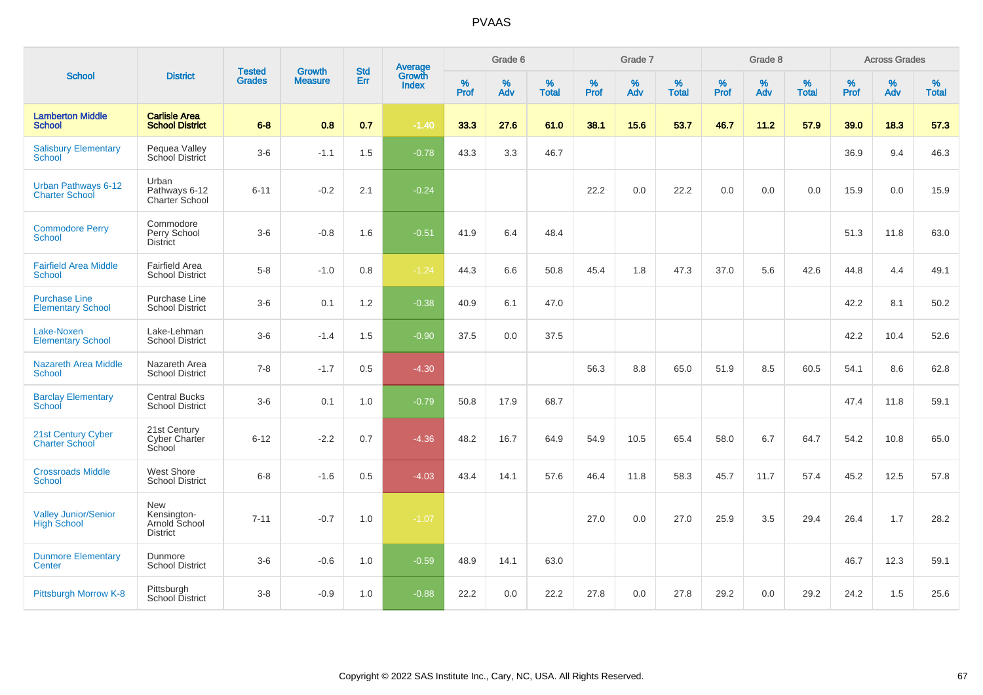| <b>School</b>                                       |                                                               |                                |                                 |                   |                                          |                     | Grade 6     |                   |                     | Grade 7  |                   |                     | Grade 8  |                   |              | <b>Across Grades</b> |                   |
|-----------------------------------------------------|---------------------------------------------------------------|--------------------------------|---------------------------------|-------------------|------------------------------------------|---------------------|-------------|-------------------|---------------------|----------|-------------------|---------------------|----------|-------------------|--------------|----------------------|-------------------|
|                                                     | <b>District</b>                                               | <b>Tested</b><br><b>Grades</b> | <b>Growth</b><br><b>Measure</b> | <b>Std</b><br>Err | <b>Average</b><br>Growth<br><b>Index</b> | $\%$<br><b>Prof</b> | $\%$<br>Adv | %<br><b>Total</b> | $\%$<br><b>Prof</b> | %<br>Adv | %<br><b>Total</b> | $\%$<br><b>Prof</b> | %<br>Adv | %<br><b>Total</b> | $\%$<br>Prof | $\%$<br>Adv          | %<br><b>Total</b> |
| <b>Lamberton Middle</b><br><b>School</b>            | <b>Carlisle Area</b><br><b>School District</b>                | $6 - 8$                        | 0.8                             | 0.7               | $-1.40$                                  | 33.3                | 27.6        | 61.0              | 38.1                | 15.6     | 53.7              | 46.7                | 11.2     | 57.9              | 39.0         | 18.3                 | 57.3              |
| <b>Salisbury Elementary</b><br><b>School</b>        | Pequea Valley<br>School District                              | $3-6$                          | $-1.1$                          | 1.5               | $-0.78$                                  | 43.3                | 3.3         | 46.7              |                     |          |                   |                     |          |                   | 36.9         | 9.4                  | 46.3              |
| <b>Urban Pathways 6-12</b><br><b>Charter School</b> | Urban<br>Pathways 6-12<br>Charter School                      | $6 - 11$                       | $-0.2$                          | 2.1               | $-0.24$                                  |                     |             |                   | 22.2                | 0.0      | 22.2              | 0.0                 | 0.0      | 0.0               | 15.9         | 0.0                  | 15.9              |
| <b>Commodore Perry</b><br><b>School</b>             | Commodore<br>Perry School<br><b>District</b>                  | $3-6$                          | $-0.8$                          | 1.6               | $-0.51$                                  | 41.9                | 6.4         | 48.4              |                     |          |                   |                     |          |                   | 51.3         | 11.8                 | 63.0              |
| <b>Fairfield Area Middle</b><br><b>School</b>       | <b>Fairfield Area</b><br><b>School District</b>               | $5-8$                          | $-1.0$                          | 0.8               | $-1.24$                                  | 44.3                | 6.6         | 50.8              | 45.4                | 1.8      | 47.3              | 37.0                | 5.6      | 42.6              | 44.8         | 4.4                  | 49.1              |
| <b>Purchase Line</b><br><b>Elementary School</b>    | Purchase Line<br>School District                              | $3-6$                          | 0.1                             | 1.2               | $-0.38$                                  | 40.9                | 6.1         | 47.0              |                     |          |                   |                     |          |                   | 42.2         | 8.1                  | 50.2              |
| Lake-Noxen<br><b>Elementary School</b>              | Lake-Lehman<br><b>School District</b>                         | $3-6$                          | $-1.4$                          | 1.5               | $-0.90$                                  | 37.5                | 0.0         | 37.5              |                     |          |                   |                     |          |                   | 42.2         | 10.4                 | 52.6              |
| <b>Nazareth Area Middle</b><br><b>School</b>        | Nazareth Area<br><b>School District</b>                       | $7 - 8$                        | $-1.7$                          | 0.5               | $-4.30$                                  |                     |             |                   | 56.3                | 8.8      | 65.0              | 51.9                | 8.5      | 60.5              | 54.1         | 8.6                  | 62.8              |
| <b>Barclay Elementary</b><br>School                 | <b>Central Bucks</b><br><b>School District</b>                | $3-6$                          | 0.1                             | 1.0               | $-0.79$                                  | 50.8                | 17.9        | 68.7              |                     |          |                   |                     |          |                   | 47.4         | 11.8                 | 59.1              |
| 21st Century Cyber<br><b>Charter School</b>         | 21st Century<br>Cyber Charter<br>School                       | $6 - 12$                       | $-2.2$                          | 0.7               | $-4.36$                                  | 48.2                | 16.7        | 64.9              | 54.9                | 10.5     | 65.4              | 58.0                | 6.7      | 64.7              | 54.2         | 10.8                 | 65.0              |
| <b>Crossroads Middle</b><br><b>School</b>           | <b>West Shore</b><br><b>School District</b>                   | $6-8$                          | $-1.6$                          | 0.5               | $-4.03$                                  | 43.4                | 14.1        | 57.6              | 46.4                | 11.8     | 58.3              | 45.7                | 11.7     | 57.4              | 45.2         | 12.5                 | 57.8              |
| <b>Valley Junior/Senior</b><br><b>High School</b>   | <b>New</b><br>Kensington-<br>Arnold School<br><b>District</b> | $7 - 11$                       | $-0.7$                          | 1.0               | $-1.07$                                  |                     |             |                   | 27.0                | 0.0      | 27.0              | 25.9                | 3.5      | 29.4              | 26.4         | 1.7                  | 28.2              |
| <b>Dunmore Elementary</b><br>Center                 | Dunmore<br>School District                                    | $3-6$                          | $-0.6$                          | 1.0               | $-0.59$                                  | 48.9                | 14.1        | 63.0              |                     |          |                   |                     |          |                   | 46.7         | 12.3                 | 59.1              |
| Pittsburgh Morrow K-8                               | Pittsburgh<br>School District                                 | $3 - 8$                        | $-0.9$                          | 1.0               | $-0.88$                                  | 22.2                | 0.0         | 22.2              | 27.8                | 0.0      | 27.8              | 29.2                | 0.0      | 29.2              | 24.2         | 1.5                  | 25.6              |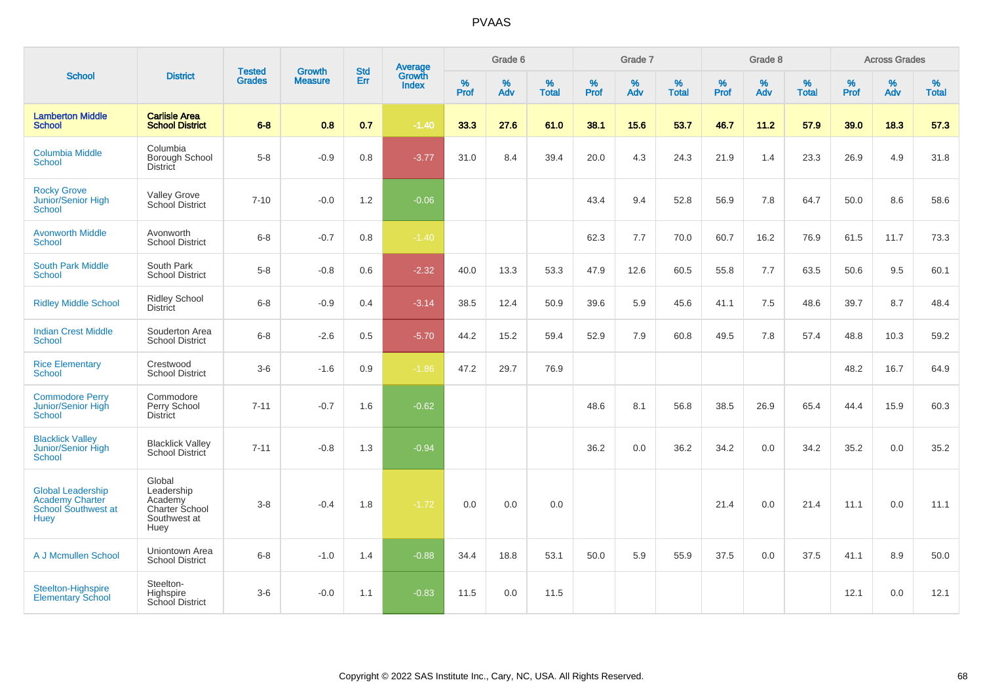| <b>School</b>                                                                            |                                                                           |                                |                                 | <b>Std</b> |                                          |                  | Grade 6  |                   |           | Grade 7  |                   |           | Grade 8  |                   |              | <b>Across Grades</b> |                   |
|------------------------------------------------------------------------------------------|---------------------------------------------------------------------------|--------------------------------|---------------------------------|------------|------------------------------------------|------------------|----------|-------------------|-----------|----------|-------------------|-----------|----------|-------------------|--------------|----------------------|-------------------|
|                                                                                          | <b>District</b>                                                           | <b>Tested</b><br><b>Grades</b> | <b>Growth</b><br><b>Measure</b> | Err        | <b>Average</b><br>Growth<br><b>Index</b> | %<br><b>Prof</b> | %<br>Adv | %<br><b>Total</b> | %<br>Prof | %<br>Adv | %<br><b>Total</b> | %<br>Prof | %<br>Adv | %<br><b>Total</b> | $\%$<br>Prof | %<br>Adv             | %<br><b>Total</b> |
| <b>Lamberton Middle</b><br><b>School</b>                                                 | <b>Carlisle Area</b><br><b>School District</b>                            | $6 - 8$                        | 0.8                             | 0.7        | $-1.40$                                  | 33.3             | 27.6     | 61.0              | 38.1      | 15.6     | 53.7              | 46.7      | 11.2     | 57.9              | 39.0         | 18.3                 | 57.3              |
| <b>Columbia Middle</b><br><b>School</b>                                                  | Columbia<br>Borough School<br>District                                    | $5-8$                          | $-0.9$                          | 0.8        | $-3.77$                                  | 31.0             | 8.4      | 39.4              | 20.0      | 4.3      | 24.3              | 21.9      | 1.4      | 23.3              | 26.9         | 4.9                  | 31.8              |
| <b>Rocky Grove</b><br>Junior/Senior High<br>School                                       | <b>Valley Grove</b><br>School District                                    | $7 - 10$                       | $-0.0$                          | 1.2        | $-0.06$                                  |                  |          |                   | 43.4      | 9.4      | 52.8              | 56.9      | 7.8      | 64.7              | 50.0         | 8.6                  | 58.6              |
| <b>Avonworth Middle</b><br><b>School</b>                                                 | Avonworth<br><b>School District</b>                                       | $6 - 8$                        | $-0.7$                          | 0.8        | $-1.40$                                  |                  |          |                   | 62.3      | 7.7      | 70.0              | 60.7      | 16.2     | 76.9              | 61.5         | 11.7                 | 73.3              |
| <b>South Park Middle</b><br><b>School</b>                                                | South Park<br><b>School District</b>                                      | $5-8$                          | $-0.8$                          | 0.6        | $-2.32$                                  | 40.0             | 13.3     | 53.3              | 47.9      | 12.6     | 60.5              | 55.8      | 7.7      | 63.5              | 50.6         | 9.5                  | 60.1              |
| <b>Ridley Middle School</b>                                                              | <b>Ridley School</b><br><b>District</b>                                   | $6 - 8$                        | $-0.9$                          | 0.4        | $-3.14$                                  | 38.5             | 12.4     | 50.9              | 39.6      | 5.9      | 45.6              | 41.1      | 7.5      | 48.6              | 39.7         | 8.7                  | 48.4              |
| <b>Indian Crest Middle</b><br><b>School</b>                                              | Souderton Area<br><b>School District</b>                                  | $6 - 8$                        | $-2.6$                          | 0.5        | $-5.70$                                  | 44.2             | 15.2     | 59.4              | 52.9      | 7.9      | 60.8              | 49.5      | 7.8      | 57.4              | 48.8         | 10.3                 | 59.2              |
| <b>Rice Elementary</b><br><b>School</b>                                                  | Crestwood<br><b>School District</b>                                       | $3-6$                          | $-1.6$                          | 0.9        | $-1.86$                                  | 47.2             | 29.7     | 76.9              |           |          |                   |           |          |                   | 48.2         | 16.7                 | 64.9              |
| <b>Commodore Perry</b><br>Junior/Senior High<br><b>School</b>                            | Commodore<br>Perry School<br><b>District</b>                              | $7 - 11$                       | $-0.7$                          | 1.6        | $-0.62$                                  |                  |          |                   | 48.6      | 8.1      | 56.8              | 38.5      | 26.9     | 65.4              | 44.4         | 15.9                 | 60.3              |
| <b>Blacklick Valley</b><br>Junior/Senior High<br>School                                  | <b>Blacklick Valley</b><br>School District                                | $7 - 11$                       | $-0.8$                          | 1.3        | $-0.94$                                  |                  |          |                   | 36.2      | 0.0      | 36.2              | 34.2      | 0.0      | 34.2              | 35.2         | 0.0                  | 35.2              |
| <b>Global Leadership</b><br><b>Academy Charter</b><br>School Southwest at<br><b>Huey</b> | Global<br>Leadership<br>Academy<br>Charter School<br>Southwest at<br>Huey | $3-8$                          | $-0.4$                          | 1.8        | $-1.72$                                  | 0.0              | 0.0      | 0.0               |           |          |                   | 21.4      | 0.0      | 21.4              | 11.1         | 0.0                  | 11.1              |
| A J Mcmullen School                                                                      | Uniontown Area<br><b>School District</b>                                  | $6 - 8$                        | $-1.0$                          | 1.4        | $-0.88$                                  | 34.4             | 18.8     | 53.1              | 50.0      | 5.9      | 55.9              | 37.5      | 0.0      | 37.5              | 41.1         | 8.9                  | 50.0              |
| Steelton-Highspire<br><b>Elementary School</b>                                           | Steelton-<br>Highspire<br>School District                                 | $3-6$                          | $-0.0$                          | 1.1        | $-0.83$                                  | 11.5             | 0.0      | 11.5              |           |          |                   |           |          |                   | 12.1         | 0.0                  | 12.1              |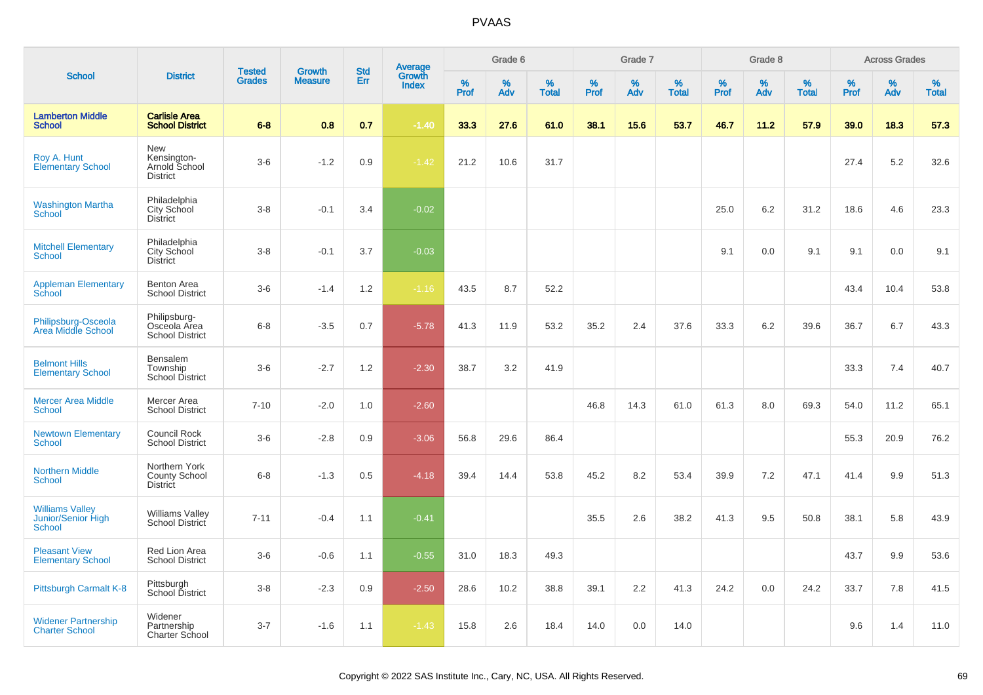|                                                               |                                                          |                                |                                 |                   |                                          |                  | Grade 6  |                   |           | Grade 7  |                   |           | Grade 8  |                   |              | <b>Across Grades</b> |                   |
|---------------------------------------------------------------|----------------------------------------------------------|--------------------------------|---------------------------------|-------------------|------------------------------------------|------------------|----------|-------------------|-----------|----------|-------------------|-----------|----------|-------------------|--------------|----------------------|-------------------|
| <b>School</b>                                                 | <b>District</b>                                          | <b>Tested</b><br><b>Grades</b> | <b>Growth</b><br><b>Measure</b> | <b>Std</b><br>Err | <b>Average</b><br>Growth<br><b>Index</b> | %<br><b>Prof</b> | %<br>Adv | %<br><b>Total</b> | %<br>Prof | %<br>Adv | %<br><b>Total</b> | %<br>Prof | %<br>Adv | %<br><b>Total</b> | $\%$<br>Prof | %<br>Adv             | %<br><b>Total</b> |
| <b>Lamberton Middle</b><br><b>School</b>                      | <b>Carlisle Area</b><br><b>School District</b>           | $6 - 8$                        | 0.8                             | 0.7               | $-1.40$                                  | 33.3             | 27.6     | 61.0              | 38.1      | 15.6     | 53.7              | 46.7      | 11.2     | 57.9              | 39.0         | 18.3                 | 57.3              |
| Roy A. Hunt<br><b>Elementary School</b>                       | New<br>Kensington-<br>Arnold School<br><b>District</b>   | $3-6$                          | $-1.2$                          | 0.9               | $-1.42$                                  | 21.2             | 10.6     | 31.7              |           |          |                   |           |          |                   | 27.4         | 5.2                  | 32.6              |
| <b>Washington Martha</b><br><b>School</b>                     | Philadelphia<br>City School<br>District                  | $3 - 8$                        | $-0.1$                          | 3.4               | $-0.02$                                  |                  |          |                   |           |          |                   | 25.0      | 6.2      | 31.2              | 18.6         | 4.6                  | 23.3              |
| <b>Mitchell Elementary</b><br><b>School</b>                   | Philadelphia<br>City School<br><b>District</b>           | $3 - 8$                        | $-0.1$                          | 3.7               | $-0.03$                                  |                  |          |                   |           |          |                   | 9.1       | 0.0      | 9.1               | 9.1          | 0.0                  | 9.1               |
| <b>Appleman Elementary</b><br>School                          | Benton Area<br><b>School District</b>                    | $3-6$                          | $-1.4$                          | 1.2               | $-1.16$                                  | 43.5             | 8.7      | 52.2              |           |          |                   |           |          |                   | 43.4         | 10.4                 | 53.8              |
| Philipsburg-Osceola<br>Area Middle School                     | Philipsburg-<br>Osceola Area<br><b>School District</b>   | $6 - 8$                        | $-3.5$                          | 0.7               | $-5.78$                                  | 41.3             | 11.9     | 53.2              | 35.2      | 2.4      | 37.6              | 33.3      | 6.2      | 39.6              | 36.7         | 6.7                  | 43.3              |
| <b>Belmont Hills</b><br><b>Elementary School</b>              | <b>Bensalem</b><br>Township<br><b>School District</b>    | $3-6$                          | $-2.7$                          | 1.2               | $-2.30$                                  | 38.7             | 3.2      | 41.9              |           |          |                   |           |          |                   | 33.3         | 7.4                  | 40.7              |
| <b>Mercer Area Middle</b><br><b>School</b>                    | Mercer Area<br><b>School District</b>                    | $7 - 10$                       | $-2.0$                          | 1.0               | $-2.60$                                  |                  |          |                   | 46.8      | 14.3     | 61.0              | 61.3      | 8.0      | 69.3              | 54.0         | 11.2                 | 65.1              |
| <b>Newtown Elementary</b><br><b>School</b>                    | Council Rock<br><b>School District</b>                   | $3-6$                          | $-2.8$                          | 0.9               | $-3.06$                                  | 56.8             | 29.6     | 86.4              |           |          |                   |           |          |                   | 55.3         | 20.9                 | 76.2              |
| <b>Northern Middle</b><br><b>School</b>                       | Northern York<br><b>County School</b><br><b>District</b> | $6 - 8$                        | $-1.3$                          | 0.5               | $-4.18$                                  | 39.4             | 14.4     | 53.8              | 45.2      | 8.2      | 53.4              | 39.9      | 7.2      | 47.1              | 41.4         | 9.9                  | 51.3              |
| <b>Williams Valley</b><br>Junior/Senior High<br><b>School</b> | <b>Williams Valley</b><br>School District                | $7 - 11$                       | $-0.4$                          | 1.1               | $-0.41$                                  |                  |          |                   | 35.5      | 2.6      | 38.2              | 41.3      | 9.5      | 50.8              | 38.1         | 5.8                  | 43.9              |
| <b>Pleasant View</b><br><b>Elementary School</b>              | Red Lion Area<br><b>School District</b>                  | $3-6$                          | $-0.6$                          | 1.1               | $-0.55$                                  | 31.0             | 18.3     | 49.3              |           |          |                   |           |          |                   | 43.7         | 9.9                  | 53.6              |
| Pittsburgh Carmalt K-8                                        | Pittsburgh<br>School District                            | $3 - 8$                        | $-2.3$                          | 0.9               | $-2.50$                                  | 28.6             | 10.2     | 38.8              | 39.1      | 2.2      | 41.3              | 24.2      | 0.0      | 24.2              | 33.7         | 7.8                  | 41.5              |
| <b>Widener Partnership</b><br><b>Charter School</b>           | Widener<br>Partnership<br><b>Charter School</b>          | $3 - 7$                        | $-1.6$                          | 1.1               | $-1.43$                                  | 15.8             | 2.6      | 18.4              | 14.0      | 0.0      | 14.0              |           |          |                   | 9.6          | 1.4                  | 11.0              |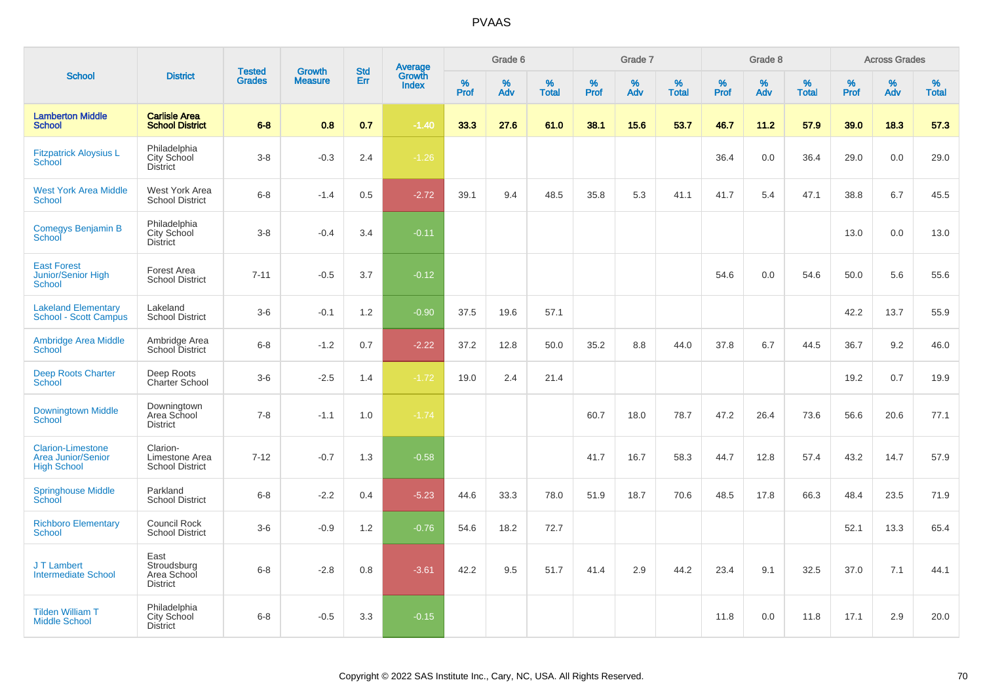|                                                                             |                                                       |                                |                                 | <b>Std</b> |                                          |                  | Grade 6  |                   |           | Grade 7     |                      |           | Grade 8  |                   |              | <b>Across Grades</b> |                   |
|-----------------------------------------------------------------------------|-------------------------------------------------------|--------------------------------|---------------------------------|------------|------------------------------------------|------------------|----------|-------------------|-----------|-------------|----------------------|-----------|----------|-------------------|--------------|----------------------|-------------------|
| <b>School</b>                                                               | <b>District</b>                                       | <b>Tested</b><br><b>Grades</b> | <b>Growth</b><br><b>Measure</b> | <b>Err</b> | <b>Average</b><br>Growth<br><b>Index</b> | %<br><b>Prof</b> | %<br>Adv | %<br><b>Total</b> | %<br>Prof | $\%$<br>Adv | $\%$<br><b>Total</b> | %<br>Prof | %<br>Adv | %<br><b>Total</b> | $\%$<br>Prof | $\%$<br>Adv          | %<br><b>Total</b> |
| <b>Lamberton Middle</b><br><b>School</b>                                    | <b>Carlisle Area</b><br><b>School District</b>        | $6 - 8$                        | 0.8                             | 0.7        | $-1.40$                                  | 33.3             | 27.6     | 61.0              | 38.1      | 15.6        | 53.7                 | 46.7      | 11.2     | 57.9              | 39.0         | 18.3                 | 57.3              |
| <b>Fitzpatrick Aloysius L</b><br><b>School</b>                              | Philadelphia<br>City School<br><b>District</b>        | $3-8$                          | $-0.3$                          | 2.4        | $-1.26$                                  |                  |          |                   |           |             |                      | 36.4      | 0.0      | 36.4              | 29.0         | 0.0                  | 29.0              |
| <b>West York Area Middle</b><br><b>School</b>                               | West York Area<br><b>School District</b>              | $6 - 8$                        | $-1.4$                          | 0.5        | $-2.72$                                  | 39.1             | 9.4      | 48.5              | 35.8      | 5.3         | 41.1                 | 41.7      | 5.4      | 47.1              | 38.8         | 6.7                  | 45.5              |
| <b>Comegys Benjamin B</b><br>School                                         | Philadelphia<br>City School<br><b>District</b>        | $3 - 8$                        | $-0.4$                          | 3.4        | $-0.11$                                  |                  |          |                   |           |             |                      |           |          |                   | 13.0         | 0.0                  | 13.0              |
| <b>East Forest</b><br><b>Junior/Senior High</b><br><b>School</b>            | Forest Area<br><b>School District</b>                 | $7 - 11$                       | $-0.5$                          | 3.7        | $-0.12$                                  |                  |          |                   |           |             |                      | 54.6      | 0.0      | 54.6              | 50.0         | 5.6                  | 55.6              |
| <b>Lakeland Elementary</b><br><b>School - Scott Campus</b>                  | Lakeland<br><b>School District</b>                    | $3-6$                          | $-0.1$                          | 1.2        | $-0.90$                                  | 37.5             | 19.6     | 57.1              |           |             |                      |           |          |                   | 42.2         | 13.7                 | 55.9              |
| <b>Ambridge Area Middle</b><br><b>School</b>                                | Ambridge Area<br>School District                      | $6 - 8$                        | $-1.2$                          | 0.7        | $-2.22$                                  | 37.2             | 12.8     | 50.0              | 35.2      | 8.8         | 44.0                 | 37.8      | 6.7      | 44.5              | 36.7         | 9.2                  | 46.0              |
| <b>Deep Roots Charter</b><br>School                                         | Deep Roots<br><b>Charter School</b>                   | $3-6$                          | $-2.5$                          | 1.4        | $-1.72$                                  | 19.0             | 2.4      | 21.4              |           |             |                      |           |          |                   | 19.2         | 0.7                  | 19.9              |
| <b>Downingtown Middle</b><br><b>School</b>                                  | Downingtown<br>Area School<br><b>District</b>         | $7 - 8$                        | $-1.1$                          | 1.0        | $-1.74$                                  |                  |          |                   | 60.7      | 18.0        | 78.7                 | 47.2      | 26.4     | 73.6              | 56.6         | 20.6                 | 77.1              |
| <b>Clarion-Limestone</b><br><b>Area Junior/Senior</b><br><b>High School</b> | Clarion-<br>Limestone Area<br><b>School District</b>  | $7-12$                         | $-0.7$                          | 1.3        | $-0.58$                                  |                  |          |                   | 41.7      | 16.7        | 58.3                 | 44.7      | 12.8     | 57.4              | 43.2         | 14.7                 | 57.9              |
| <b>Springhouse Middle</b><br>School                                         | Parkland<br><b>School District</b>                    | $6 - 8$                        | $-2.2$                          | 0.4        | $-5.23$                                  | 44.6             | 33.3     | 78.0              | 51.9      | 18.7        | 70.6                 | 48.5      | 17.8     | 66.3              | 48.4         | 23.5                 | 71.9              |
| <b>Richboro Elementary</b><br><b>School</b>                                 | Council Rock<br><b>School District</b>                | $3-6$                          | $-0.9$                          | 1.2        | $-0.76$                                  | 54.6             | 18.2     | 72.7              |           |             |                      |           |          |                   | 52.1         | 13.3                 | 65.4              |
| J T Lambert<br><b>Intermediate School</b>                                   | East<br>Stroudsburg<br>Area School<br><b>District</b> | $6 - 8$                        | $-2.8$                          | 0.8        | $-3.61$                                  | 42.2             | 9.5      | 51.7              | 41.4      | 2.9         | 44.2                 | 23.4      | 9.1      | 32.5              | 37.0         | 7.1                  | 44.1              |
| <b>Tilden William T</b><br><b>Middle School</b>                             | Philadelphia<br>City School<br><b>District</b>        | $6 - 8$                        | $-0.5$                          | 3.3        | $-0.15$                                  |                  |          |                   |           |             |                      | 11.8      | 0.0      | 11.8              | 17.1         | 2.9                  | 20.0              |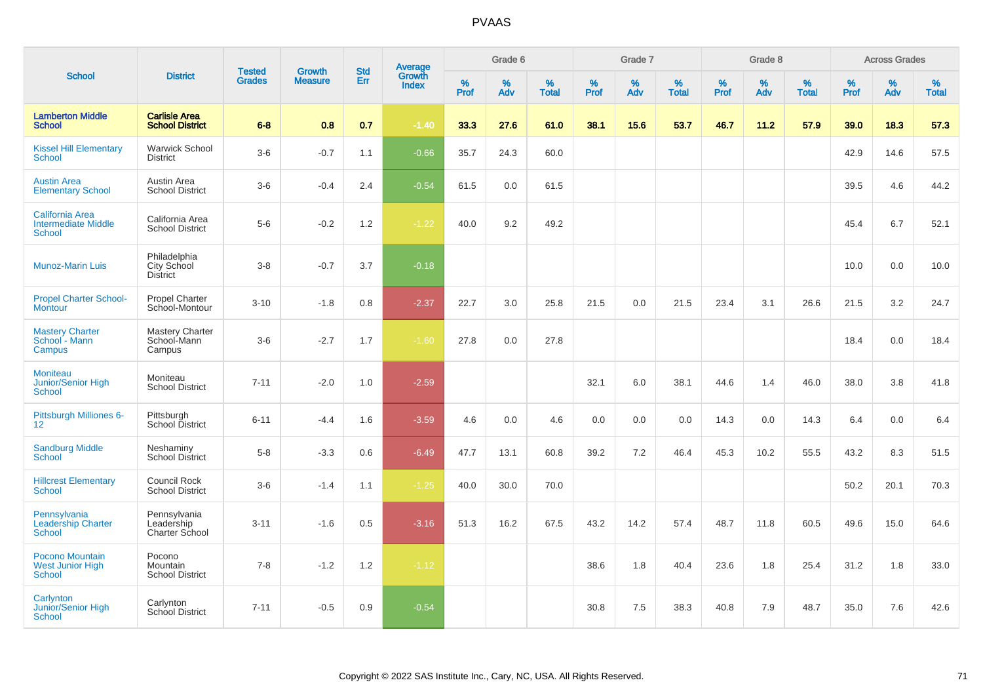| <b>School</b>                                                  |                                                |                                |                                 |                          |                                          |                     | Grade 6     |                   |              | Grade 7     |                   |              | Grade 8     |                   |              | <b>Across Grades</b> |                   |
|----------------------------------------------------------------|------------------------------------------------|--------------------------------|---------------------------------|--------------------------|------------------------------------------|---------------------|-------------|-------------------|--------------|-------------|-------------------|--------------|-------------|-------------------|--------------|----------------------|-------------------|
|                                                                | <b>District</b>                                | <b>Tested</b><br><b>Grades</b> | <b>Growth</b><br><b>Measure</b> | <b>Std</b><br><b>Err</b> | <b>Average</b><br>Growth<br><b>Index</b> | $\%$<br><b>Prof</b> | $\%$<br>Adv | %<br><b>Total</b> | $\%$<br>Prof | $\%$<br>Adv | %<br><b>Total</b> | $\%$<br>Prof | $\%$<br>Adv | %<br><b>Total</b> | $\%$<br>Prof | $\%$<br>Adv          | %<br><b>Total</b> |
| <b>Lamberton Middle</b><br><b>School</b>                       | <b>Carlisle Area</b><br><b>School District</b> | $6 - 8$                        | 0.8                             | 0.7                      | $-1.40$                                  | 33.3                | 27.6        | 61.0              | 38.1         | 15.6        | 53.7              | 46.7         | 11.2        | 57.9              | 39.0         | 18.3                 | 57.3              |
| <b>Kissel Hill Elementary</b><br>School                        | <b>Warwick School</b><br><b>District</b>       | $3-6$                          | $-0.7$                          | 1.1                      | $-0.66$                                  | 35.7                | 24.3        | 60.0              |              |             |                   |              |             |                   | 42.9         | 14.6                 | 57.5              |
| <b>Austin Area</b><br><b>Elementary School</b>                 | Austin Area<br><b>School District</b>          | $3-6$                          | $-0.4$                          | 2.4                      | $-0.54$                                  | 61.5                | 0.0         | 61.5              |              |             |                   |              |             |                   | 39.5         | 4.6                  | 44.2              |
| <b>California Area</b><br><b>Intermediate Middle</b><br>School | California Area<br><b>School District</b>      | $5-6$                          | $-0.2$                          | 1.2                      | $-1.22$                                  | 40.0                | 9.2         | 49.2              |              |             |                   |              |             |                   | 45.4         | 6.7                  | 52.1              |
| <b>Munoz-Marin Luis</b>                                        | Philadelphia<br>City School<br><b>District</b> | $3 - 8$                        | $-0.7$                          | 3.7                      | $-0.18$                                  |                     |             |                   |              |             |                   |              |             |                   | 10.0         | 0.0                  | 10.0              |
| <b>Propel Charter School-</b><br>Montour                       | Propel Charter<br>School-Montour               | $3 - 10$                       | $-1.8$                          | 0.8                      | $-2.37$                                  | 22.7                | 3.0         | 25.8              | 21.5         | 0.0         | 21.5              | 23.4         | 3.1         | 26.6              | 21.5         | 3.2                  | 24.7              |
| <b>Mastery Charter</b><br>School - Mann<br>Campus              | Mastery Charter<br>School-Mann<br>Campus       | $3-6$                          | $-2.7$                          | 1.7                      | $-1.60$                                  | 27.8                | 0.0         | 27.8              |              |             |                   |              |             |                   | 18.4         | 0.0                  | 18.4              |
| <b>Moniteau</b><br>Junior/Senior High<br><b>School</b>         | Moniteau<br><b>School District</b>             | $7 - 11$                       | $-2.0$                          | 1.0                      | $-2.59$                                  |                     |             |                   | 32.1         | 6.0         | 38.1              | 44.6         | 1.4         | 46.0              | 38.0         | 3.8                  | 41.8              |
| Pittsburgh Milliones 6-<br>12                                  | Pittsburgh<br>School District                  | $6 - 11$                       | $-4.4$                          | 1.6                      | $-3.59$                                  | 4.6                 | 0.0         | 4.6               | 0.0          | 0.0         | 0.0               | 14.3         | 0.0         | 14.3              | 6.4          | 0.0                  | 6.4               |
| <b>Sandburg Middle</b><br>School                               | Neshaminy<br><b>School District</b>            | $5-8$                          | $-3.3$                          | 0.6                      | $-6.49$                                  | 47.7                | 13.1        | 60.8              | 39.2         | 7.2         | 46.4              | 45.3         | 10.2        | 55.5              | 43.2         | 8.3                  | 51.5              |
| <b>Hillcrest Elementary</b><br>School                          | Council Rock<br><b>School District</b>         | $3-6$                          | $-1.4$                          | 1.1                      | $-1.25$                                  | 40.0                | 30.0        | 70.0              |              |             |                   |              |             |                   | 50.2         | 20.1                 | 70.3              |
| Pennsylvania<br><b>Leadership Charter</b><br>School            | Pennsylvania<br>Leadership<br>Charter School   | $3 - 11$                       | $-1.6$                          | 0.5                      | $-3.16$                                  | 51.3                | 16.2        | 67.5              | 43.2         | 14.2        | 57.4              | 48.7         | 11.8        | 60.5              | 49.6         | 15.0                 | 64.6              |
| Pocono Mountain<br><b>West Junior High</b><br>School           | Pocono<br>Mountain<br><b>School District</b>   | $7 - 8$                        | $-1.2$                          | 1.2                      | $-1.12$                                  |                     |             |                   | 38.6         | 1.8         | 40.4              | 23.6         | 1.8         | 25.4              | 31.2         | 1.8                  | 33.0              |
| Carlynton<br>Junior/Senior High<br>School                      | Carlynton<br><b>School District</b>            | $7 - 11$                       | $-0.5$                          | 0.9                      | $-0.54$                                  |                     |             |                   | 30.8         | 7.5         | 38.3              | 40.8         | 7.9         | 48.7              | 35.0         | 7.6                  | 42.6              |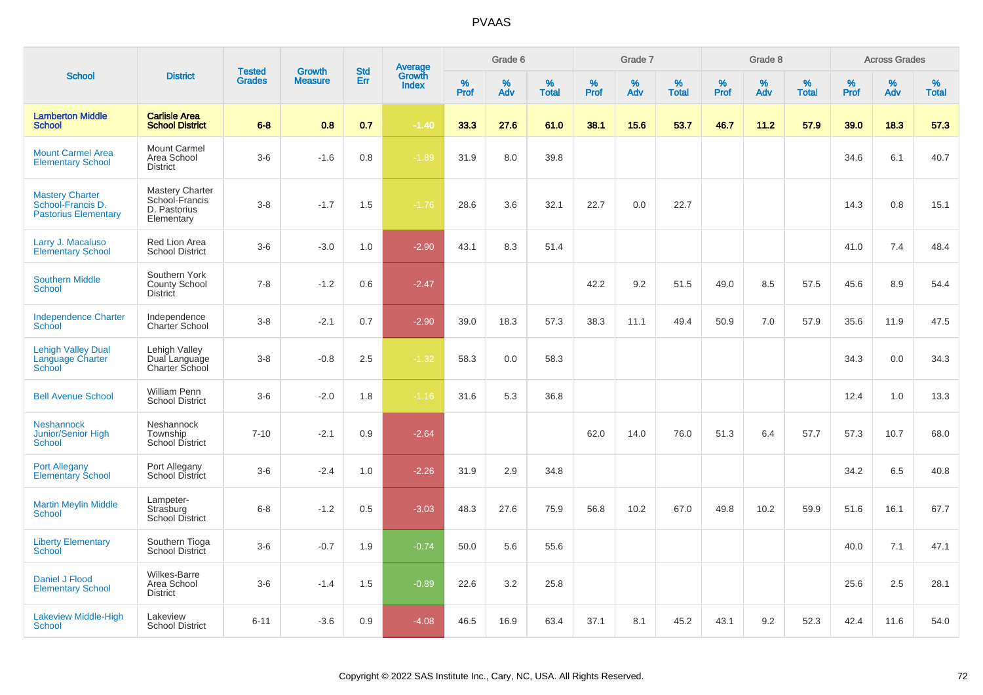|                                                                            |                                                                        |                                | <b>Growth</b>  |                   |                                          |                  | Grade 6     |                   |                     | Grade 7     |                   |              | Grade 8  |                   |                     | <b>Across Grades</b> |                   |
|----------------------------------------------------------------------------|------------------------------------------------------------------------|--------------------------------|----------------|-------------------|------------------------------------------|------------------|-------------|-------------------|---------------------|-------------|-------------------|--------------|----------|-------------------|---------------------|----------------------|-------------------|
| <b>School</b>                                                              | <b>District</b>                                                        | <b>Tested</b><br><b>Grades</b> | <b>Measure</b> | <b>Std</b><br>Err | <b>Average</b><br>Growth<br><b>Index</b> | %<br><b>Prof</b> | $\%$<br>Adv | %<br><b>Total</b> | $\%$<br><b>Prof</b> | $\%$<br>Adv | %<br><b>Total</b> | $\%$<br>Prof | %<br>Adv | %<br><b>Total</b> | $\%$<br><b>Prof</b> | $\%$<br>Adv          | %<br><b>Total</b> |
| <b>Lamberton Middle</b><br><b>School</b>                                   | <b>Carlisle Area</b><br><b>School District</b>                         | $6 - 8$                        | 0.8            | 0.7               | $-1.40$                                  | 33.3             | 27.6        | 61.0              | 38.1                | 15.6        | 53.7              | 46.7         | 11.2     | 57.9              | 39.0                | 18.3                 | 57.3              |
| <b>Mount Carmel Area</b><br><b>Elementary School</b>                       | <b>Mount Carmel</b><br>Area School<br><b>District</b>                  | $3-6$                          | $-1.6$         | 0.8               | $-1.89$                                  | 31.9             | 8.0         | 39.8              |                     |             |                   |              |          |                   | 34.6                | 6.1                  | 40.7              |
| <b>Mastery Charter</b><br>School-Francis D.<br><b>Pastorius Elementary</b> | <b>Mastery Charter</b><br>School-Francis<br>D. Pastorius<br>Elementary | $3 - 8$                        | $-1.7$         | 1.5               | $-1.76$                                  | 28.6             | 3.6         | 32.1              | 22.7                | 0.0         | 22.7              |              |          |                   | 14.3                | 0.8                  | 15.1              |
| Larry J. Macaluso<br><b>Elementary School</b>                              | Red Lion Area<br><b>School District</b>                                | $3-6$                          | $-3.0$         | 1.0               | $-2.90$                                  | 43.1             | 8.3         | 51.4              |                     |             |                   |              |          |                   | 41.0                | 7.4                  | 48.4              |
| <b>Southern Middle</b><br><b>School</b>                                    | Southern York<br><b>County School</b><br><b>District</b>               | $7 - 8$                        | $-1.2$         | 0.6               | $-2.47$                                  |                  |             |                   | 42.2                | 9.2         | 51.5              | 49.0         | 8.5      | 57.5              | 45.6                | 8.9                  | 54.4              |
| <b>Independence Charter</b><br>School                                      | Independence<br>Charter School                                         | $3 - 8$                        | $-2.1$         | 0.7               | $-2.90$                                  | 39.0             | 18.3        | 57.3              | 38.3                | 11.1        | 49.4              | 50.9         | 7.0      | 57.9              | 35.6                | 11.9                 | 47.5              |
| <b>Lehigh Valley Dual</b><br><b>Language Charter</b><br>School             | Lehigh Valley<br>Dual Language<br>Charter School                       | $3 - 8$                        | $-0.8$         | 2.5               | $-1.32$                                  | 58.3             | 0.0         | 58.3              |                     |             |                   |              |          |                   | 34.3                | 0.0                  | 34.3              |
| <b>Bell Avenue School</b>                                                  | <b>William Penn</b><br><b>School District</b>                          | $3-6$                          | $-2.0$         | 1.8               | $-1.16$                                  | 31.6             | 5.3         | 36.8              |                     |             |                   |              |          |                   | 12.4                | 1.0                  | 13.3              |
| Neshannock<br>Junior/Senior High<br><b>School</b>                          | Neshannock<br>Township<br>School District                              | $7 - 10$                       | $-2.1$         | 0.9               | $-2.64$                                  |                  |             |                   | 62.0                | 14.0        | 76.0              | 51.3         | 6.4      | 57.7              | 57.3                | 10.7                 | 68.0              |
| <b>Port Allegany</b><br><b>Elementary School</b>                           | Port Allegany<br>School District                                       | $3-6$                          | $-2.4$         | 1.0               | $-2.26$                                  | 31.9             | 2.9         | 34.8              |                     |             |                   |              |          |                   | 34.2                | 6.5                  | 40.8              |
| <b>Martin Meylin Middle</b><br>School                                      | Lampeter-<br>Strasburg<br><b>School District</b>                       | $6 - 8$                        | $-1.2$         | 0.5               | $-3.03$                                  | 48.3             | 27.6        | 75.9              | 56.8                | 10.2        | 67.0              | 49.8         | 10.2     | 59.9              | 51.6                | 16.1                 | 67.7              |
| <b>Liberty Elementary</b><br>School                                        | Southern Tioga<br>School District                                      | $3-6$                          | $-0.7$         | 1.9               | $-0.74$                                  | 50.0             | 5.6         | 55.6              |                     |             |                   |              |          |                   | 40.0                | 7.1                  | 47.1              |
| Daniel J Flood<br><b>Elementary School</b>                                 | <b>Wilkes-Barre</b><br>Area School<br><b>District</b>                  | $3-6$                          | $-1.4$         | 1.5               | $-0.89$                                  | 22.6             | 3.2         | 25.8              |                     |             |                   |              |          |                   | 25.6                | 2.5                  | 28.1              |
| <b>Lakeview Middle-High</b><br>School                                      | Lakeview<br><b>School District</b>                                     | $6 - 11$                       | $-3.6$         | 0.9               | $-4.08$                                  | 46.5             | 16.9        | 63.4              | 37.1                | 8.1         | 45.2              | 43.1         | 9.2      | 52.3              | 42.4                | 11.6                 | 54.0              |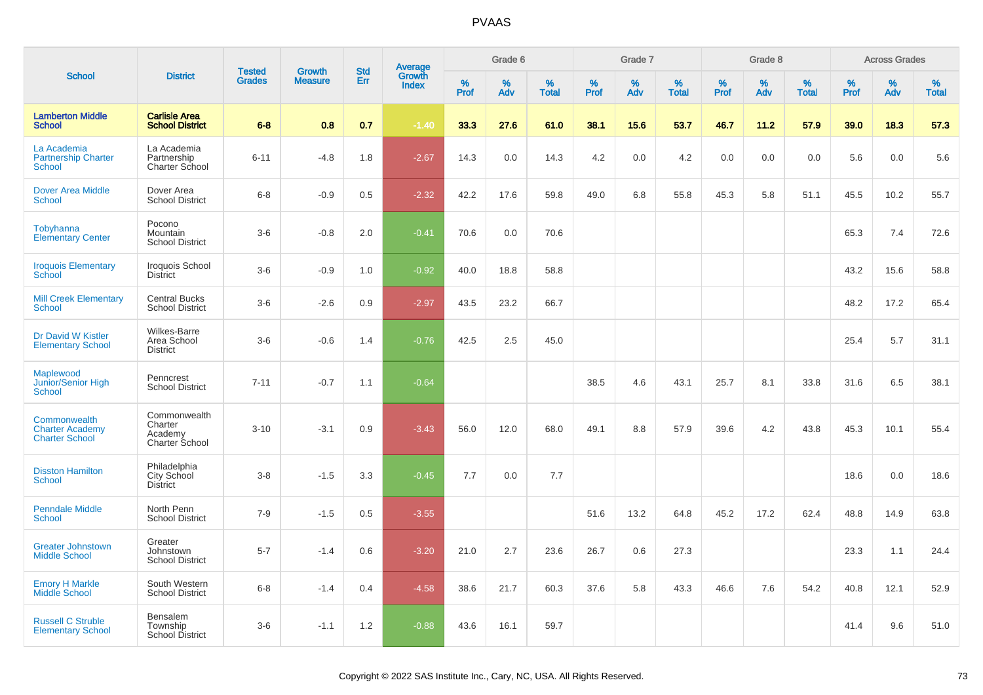|                                                                 |                                                       |                                |                                 |                   |                                          |                  | Grade 6     |                   |                     | Grade 7  |                      |           | Grade 8  |                   |              | <b>Across Grades</b> |                   |
|-----------------------------------------------------------------|-------------------------------------------------------|--------------------------------|---------------------------------|-------------------|------------------------------------------|------------------|-------------|-------------------|---------------------|----------|----------------------|-----------|----------|-------------------|--------------|----------------------|-------------------|
| <b>School</b>                                                   | <b>District</b>                                       | <b>Tested</b><br><b>Grades</b> | <b>Growth</b><br><b>Measure</b> | <b>Std</b><br>Err | <b>Average</b><br>Growth<br><b>Index</b> | %<br><b>Prof</b> | $\%$<br>Adv | %<br><b>Total</b> | $\%$<br><b>Prof</b> | %<br>Adv | $\%$<br><b>Total</b> | %<br>Prof | %<br>Adv | %<br><b>Total</b> | $\%$<br>Prof | %<br>Adv             | %<br><b>Total</b> |
| <b>Lamberton Middle</b><br><b>School</b>                        | <b>Carlisle Area</b><br><b>School District</b>        | $6 - 8$                        | 0.8                             | 0.7               | $-1.40$                                  | 33.3             | 27.6        | 61.0              | 38.1                | 15.6     | 53.7                 | 46.7      | 11.2     | 57.9              | 39.0         | 18.3                 | 57.3              |
| La Academia<br><b>Partnership Charter</b><br><b>School</b>      | La Academia<br>Partnership<br>Charter School          | $6 - 11$                       | $-4.8$                          | 1.8               | $-2.67$                                  | 14.3             | 0.0         | 14.3              | 4.2                 | 0.0      | 4.2                  | 0.0       | 0.0      | 0.0               | 5.6          | 0.0                  | 5.6               |
| <b>Dover Area Middle</b><br><b>School</b>                       | Dover Area<br><b>School District</b>                  | $6 - 8$                        | $-0.9$                          | 0.5               | $-2.32$                                  | 42.2             | 17.6        | 59.8              | 49.0                | 6.8      | 55.8                 | 45.3      | 5.8      | 51.1              | 45.5         | 10.2                 | 55.7              |
| <b>Tobyhanna</b><br><b>Elementary Center</b>                    | Pocono<br>Mountain<br><b>School District</b>          | $3-6$                          | $-0.8$                          | 2.0               | $-0.41$                                  | 70.6             | 0.0         | 70.6              |                     |          |                      |           |          |                   | 65.3         | 7.4                  | 72.6              |
| <b>Iroquois Elementary</b><br>School                            | Iroquois School<br><b>District</b>                    | $3-6$                          | $-0.9$                          | 1.0               | $-0.92$                                  | 40.0             | 18.8        | 58.8              |                     |          |                      |           |          |                   | 43.2         | 15.6                 | 58.8              |
| <b>Mill Creek Elementary</b><br><b>School</b>                   | <b>Central Bucks</b><br><b>School District</b>        | $3-6$                          | $-2.6$                          | 0.9               | $-2.97$                                  | 43.5             | 23.2        | 66.7              |                     |          |                      |           |          |                   | 48.2         | 17.2                 | 65.4              |
| Dr David W Kistler<br><b>Elementary School</b>                  | <b>Wilkes-Barre</b><br>Area School<br><b>District</b> | $3-6$                          | $-0.6$                          | 1.4               | $-0.76$                                  | 42.5             | 2.5         | 45.0              |                     |          |                      |           |          |                   | 25.4         | 5.7                  | 31.1              |
| Maplewood<br>Junior/Senior High<br>School                       | Penncrest<br><b>School District</b>                   | $7 - 11$                       | $-0.7$                          | 1.1               | $-0.64$                                  |                  |             |                   | 38.5                | 4.6      | 43.1                 | 25.7      | 8.1      | 33.8              | 31.6         | 6.5                  | 38.1              |
| Commonwealth<br><b>Charter Academy</b><br><b>Charter School</b> | Commonwealth<br>Charter<br>Academy<br>Charter School  | $3 - 10$                       | $-3.1$                          | 0.9               | $-3.43$                                  | 56.0             | 12.0        | 68.0              | 49.1                | 8.8      | 57.9                 | 39.6      | 4.2      | 43.8              | 45.3         | 10.1                 | 55.4              |
| <b>Disston Hamilton</b><br>School                               | Philadelphia<br>City School<br><b>District</b>        | $3 - 8$                        | $-1.5$                          | 3.3               | $-0.45$                                  | 7.7              | 0.0         | 7.7               |                     |          |                      |           |          |                   | 18.6         | 0.0                  | 18.6              |
| <b>Penndale Middle</b><br><b>School</b>                         | North Penn<br><b>School District</b>                  | $7 - 9$                        | $-1.5$                          | 0.5               | $-3.55$                                  |                  |             |                   | 51.6                | 13.2     | 64.8                 | 45.2      | 17.2     | 62.4              | 48.8         | 14.9                 | 63.8              |
| <b>Greater Johnstown</b><br><b>Middle School</b>                | Greater<br>Johnstown<br><b>School District</b>        | $5 - 7$                        | $-1.4$                          | 0.6               | $-3.20$                                  | 21.0             | 2.7         | 23.6              | 26.7                | 0.6      | 27.3                 |           |          |                   | 23.3         | 1.1                  | 24.4              |
| <b>Emory H Markle</b><br><b>Middle School</b>                   | South Western<br><b>School District</b>               | $6 - 8$                        | $-1.4$                          | 0.4               | $-4.58$                                  | 38.6             | 21.7        | 60.3              | 37.6                | 5.8      | 43.3                 | 46.6      | 7.6      | 54.2              | 40.8         | 12.1                 | 52.9              |
| <b>Russell C Struble</b><br><b>Elementary School</b>            | Bensalem<br>Township<br>School District               | $3-6$                          | $-1.1$                          | 1.2               | $-0.88$                                  | 43.6             | 16.1        | 59.7              |                     |          |                      |           |          |                   | 41.4         | 9.6                  | 51.0              |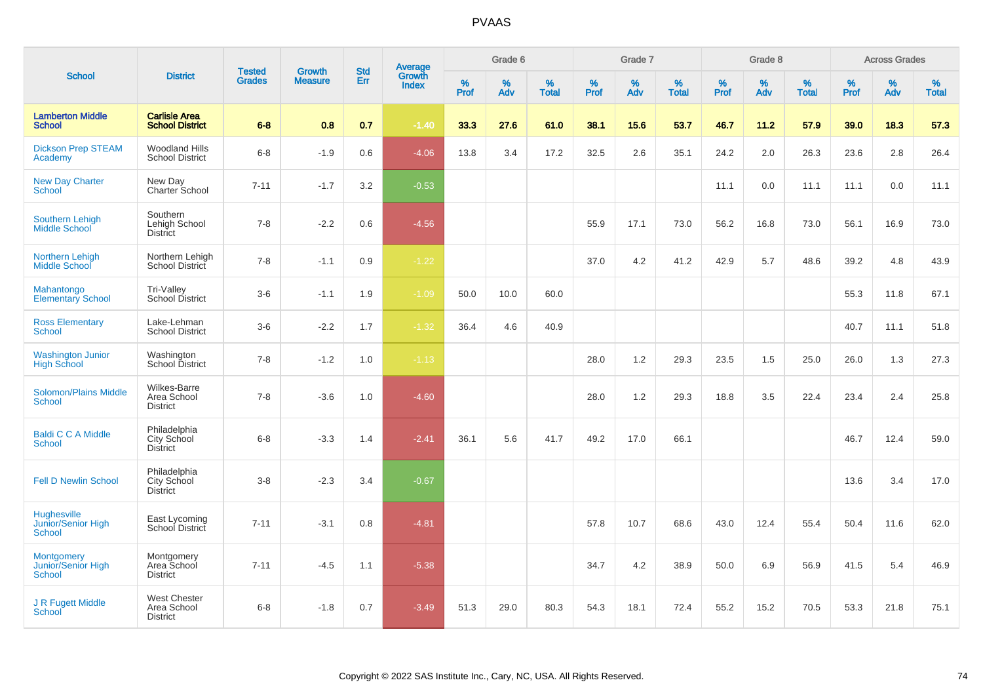| <b>School</b>                                             |                                                       |                                |                                 | <b>Std</b> |                                          |           | Grade 6     |                   |              | Grade 7     |                   |              | Grade 8  |                   |              | <b>Across Grades</b> |                   |
|-----------------------------------------------------------|-------------------------------------------------------|--------------------------------|---------------------------------|------------|------------------------------------------|-----------|-------------|-------------------|--------------|-------------|-------------------|--------------|----------|-------------------|--------------|----------------------|-------------------|
|                                                           | <b>District</b>                                       | <b>Tested</b><br><b>Grades</b> | <b>Growth</b><br><b>Measure</b> | Err        | <b>Average</b><br>Growth<br><b>Index</b> | %<br>Prof | $\%$<br>Adv | %<br><b>Total</b> | $\%$<br>Prof | $\%$<br>Adv | %<br><b>Total</b> | $\%$<br>Prof | %<br>Adv | %<br><b>Total</b> | $\%$<br>Prof | $\%$<br>Adv          | %<br><b>Total</b> |
| <b>Lamberton Middle</b><br><b>School</b>                  | <b>Carlisle Area</b><br><b>School District</b>        | $6 - 8$                        | 0.8                             | 0.7        | $-1.40$                                  | 33.3      | 27.6        | 61.0              | 38.1         | 15.6        | 53.7              | 46.7         | 11.2     | 57.9              | 39.0         | 18.3                 | 57.3              |
| <b>Dickson Prep STEAM</b><br>Academy                      | <b>Woodland Hills</b><br><b>School District</b>       | $6 - 8$                        | $-1.9$                          | 0.6        | $-4.06$                                  | 13.8      | 3.4         | 17.2              | 32.5         | 2.6         | 35.1              | 24.2         | 2.0      | 26.3              | 23.6         | 2.8                  | 26.4              |
| <b>New Day Charter</b><br><b>School</b>                   | New Day<br>Charter School                             | $7 - 11$                       | $-1.7$                          | 3.2        | $-0.53$                                  |           |             |                   |              |             |                   | 11.1         | 0.0      | 11.1              | 11.1         | 0.0                  | 11.1              |
| <b>Southern Lehigh</b><br>Middle School                   | Southern<br>Lehigh School<br><b>District</b>          | $7 - 8$                        | $-2.2$                          | 0.6        | $-4.56$                                  |           |             |                   | 55.9         | 17.1        | 73.0              | 56.2         | 16.8     | 73.0              | 56.1         | 16.9                 | 73.0              |
| Northern Lehigh<br><b>Middle School</b>                   | Northern Lehigh<br><b>School District</b>             | $7 - 8$                        | $-1.1$                          | 0.9        | $-1.22$                                  |           |             |                   | 37.0         | 4.2         | 41.2              | 42.9         | 5.7      | 48.6              | 39.2         | 4.8                  | 43.9              |
| Mahantongo<br><b>Elementary School</b>                    | Tri-Valley<br>School District                         | $3-6$                          | $-1.1$                          | 1.9        | $-1.09$                                  | 50.0      | 10.0        | 60.0              |              |             |                   |              |          |                   | 55.3         | 11.8                 | 67.1              |
| <b>Ross Elementary</b><br><b>School</b>                   | Lake-Lehman<br><b>School District</b>                 | $3-6$                          | $-2.2$                          | 1.7        | $-1.32$                                  | 36.4      | 4.6         | 40.9              |              |             |                   |              |          |                   | 40.7         | 11.1                 | 51.8              |
| <b>Washington Junior</b><br><b>High School</b>            | Washington<br><b>School District</b>                  | $7 - 8$                        | $-1.2$                          | 1.0        | $-1.13$                                  |           |             |                   | 28.0         | 1.2         | 29.3              | 23.5         | 1.5      | 25.0              | 26.0         | 1.3                  | 27.3              |
| <b>Solomon/Plains Middle</b><br>School                    | <b>Wilkes-Barre</b><br>Area School<br><b>District</b> | $7 - 8$                        | $-3.6$                          | 1.0        | $-4.60$                                  |           |             |                   | 28.0         | 1.2         | 29.3              | 18.8         | 3.5      | 22.4              | 23.4         | 2.4                  | 25.8              |
| <b>Baldi C C A Middle</b><br><b>School</b>                | Philadelphia<br>City School<br><b>District</b>        | $6 - 8$                        | $-3.3$                          | 1.4        | $-2.41$                                  | 36.1      | 5.6         | 41.7              | 49.2         | 17.0        | 66.1              |              |          |                   | 46.7         | 12.4                 | 59.0              |
| <b>Fell D Newlin School</b>                               | Philadelphia<br>City School<br><b>District</b>        | $3 - 8$                        | $-2.3$                          | 3.4        | $-0.67$                                  |           |             |                   |              |             |                   |              |          |                   | 13.6         | 3.4                  | 17.0              |
| <b>Hughesville</b><br>Junior/Senior High<br><b>School</b> | East Lycoming<br>School District                      | $7 - 11$                       | $-3.1$                          | 0.8        | $-4.81$                                  |           |             |                   | 57.8         | 10.7        | 68.6              | 43.0         | 12.4     | 55.4              | 50.4         | 11.6                 | 62.0              |
| <b>Montgomery</b><br>Junior/Senior High<br><b>School</b>  | Montgomery<br>Area School<br><b>District</b>          | $7 - 11$                       | $-4.5$                          | 1.1        | $-5.38$                                  |           |             |                   | 34.7         | 4.2         | 38.9              | 50.0         | 6.9      | 56.9              | 41.5         | 5.4                  | 46.9              |
| J R Fugett Middle<br>School                               | <b>West Chester</b><br>Area School<br><b>District</b> | $6 - 8$                        | $-1.8$                          | 0.7        | $-3.49$                                  | 51.3      | 29.0        | 80.3              | 54.3         | 18.1        | 72.4              | 55.2         | 15.2     | 70.5              | 53.3         | 21.8                 | 75.1              |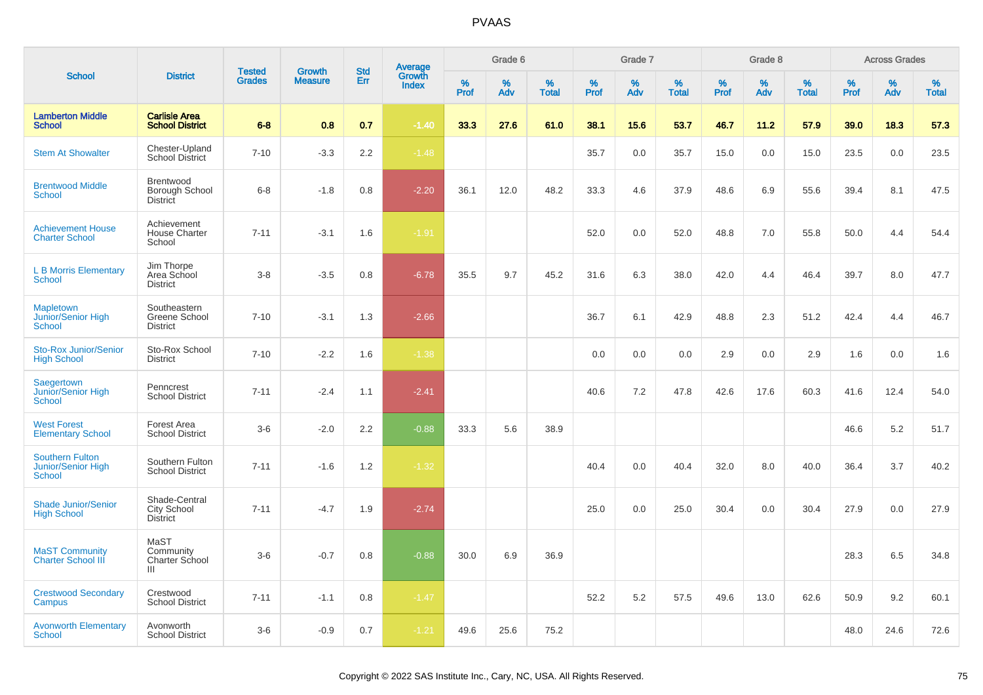|                                                               |                                                        |                                | <b>Growth</b>  | <b>Std</b> |                                          |                  | Grade 6     |                   |              | Grade 7  |                      |              | Grade 8  |                   |              | <b>Across Grades</b> |                   |
|---------------------------------------------------------------|--------------------------------------------------------|--------------------------------|----------------|------------|------------------------------------------|------------------|-------------|-------------------|--------------|----------|----------------------|--------------|----------|-------------------|--------------|----------------------|-------------------|
| <b>School</b>                                                 | <b>District</b>                                        | <b>Tested</b><br><b>Grades</b> | <b>Measure</b> | Err        | <b>Average</b><br>Growth<br><b>Index</b> | %<br><b>Prof</b> | $\%$<br>Adv | %<br><b>Total</b> | $\%$<br>Prof | %<br>Adv | $\%$<br><b>Total</b> | $\%$<br>Prof | %<br>Adv | %<br><b>Total</b> | $\%$<br>Prof | %<br>Adv             | %<br><b>Total</b> |
| <b>Lamberton Middle</b><br><b>School</b>                      | <b>Carlisle Area</b><br><b>School District</b>         | $6 - 8$                        | 0.8            | 0.7        | $-1.40$                                  | 33.3             | 27.6        | 61.0              | 38.1         | 15.6     | 53.7                 | 46.7         | 11.2     | 57.9              | 39.0         | 18.3                 | 57.3              |
| <b>Stem At Showalter</b>                                      | Chester-Upland<br><b>School District</b>               | $7 - 10$                       | $-3.3$         | 2.2        | $-1.48$                                  |                  |             |                   | 35.7         | 0.0      | 35.7                 | 15.0         | 0.0      | 15.0              | 23.5         | 0.0                  | 23.5              |
| <b>Brentwood Middle</b><br><b>School</b>                      | Brentwood<br><b>Borough School</b><br><b>District</b>  | $6 - 8$                        | $-1.8$         | 0.8        | $-2.20$                                  | 36.1             | 12.0        | 48.2              | 33.3         | 4.6      | 37.9                 | 48.6         | 6.9      | 55.6              | 39.4         | 8.1                  | 47.5              |
| <b>Achievement House</b><br><b>Charter School</b>             | Achievement<br><b>House Charter</b><br>School          | $7 - 11$                       | $-3.1$         | 1.6        | $-1.91$                                  |                  |             |                   | 52.0         | 0.0      | 52.0                 | 48.8         | 7.0      | 55.8              | 50.0         | 4.4                  | 54.4              |
| <b>L B Morris Elementary</b><br><b>School</b>                 | Jim Thorpe<br>Area School<br><b>District</b>           | $3 - 8$                        | $-3.5$         | 0.8        | $-6.78$                                  | 35.5             | 9.7         | 45.2              | 31.6         | 6.3      | 38.0                 | 42.0         | 4.4      | 46.4              | 39.7         | 8.0                  | 47.7              |
| <b>Mapletown</b><br>Junior/Senior High<br><b>School</b>       | Southeastern<br>Greene School<br><b>District</b>       | $7 - 10$                       | $-3.1$         | 1.3        | $-2.66$                                  |                  |             |                   | 36.7         | 6.1      | 42.9                 | 48.8         | 2.3      | 51.2              | 42.4         | 4.4                  | 46.7              |
| <b>Sto-Rox Junior/Senior</b><br><b>High School</b>            | Sto-Rox School<br><b>District</b>                      | $7 - 10$                       | $-2.2$         | 1.6        | $-1.38$                                  |                  |             |                   | 0.0          | 0.0      | 0.0                  | 2.9          | 0.0      | 2.9               | 1.6          | 0.0                  | 1.6               |
| Saegertown<br>Junior/Senior High<br>School                    | Penncrest<br><b>School District</b>                    | $7 - 11$                       | $-2.4$         | 1.1        | $-2.41$                                  |                  |             |                   | 40.6         | 7.2      | 47.8                 | 42.6         | 17.6     | 60.3              | 41.6         | 12.4                 | 54.0              |
| <b>West Forest</b><br><b>Elementary School</b>                | Forest Area<br><b>School District</b>                  | $3-6$                          | $-2.0$         | 2.2        | $-0.88$                                  | 33.3             | 5.6         | 38.9              |              |          |                      |              |          |                   | 46.6         | 5.2                  | 51.7              |
| <b>Southern Fulton</b><br>Junior/Senior High<br><b>School</b> | Southern Fulton<br><b>School District</b>              | $7 - 11$                       | $-1.6$         | 1.2        | $-1.32$                                  |                  |             |                   | 40.4         | 0.0      | 40.4                 | 32.0         | 8.0      | 40.0              | 36.4         | 3.7                  | 40.2              |
| <b>Shade Junior/Senior</b><br><b>High School</b>              | Shade-Central<br><b>City School</b><br><b>District</b> | $7 - 11$                       | $-4.7$         | 1.9        | $-2.74$                                  |                  |             |                   | 25.0         | 0.0      | 25.0                 | 30.4         | 0.0      | 30.4              | 27.9         | 0.0                  | 27.9              |
| <b>MaST Community</b><br><b>Charter School III</b>            | MaST<br>Community<br>Charter School<br>Ш               | $3-6$                          | $-0.7$         | 0.8        | $-0.88$                                  | 30.0             | 6.9         | 36.9              |              |          |                      |              |          |                   | 28.3         | 6.5                  | 34.8              |
| <b>Crestwood Secondary</b><br>Campus                          | Crestwood<br><b>School District</b>                    | $7 - 11$                       | $-1.1$         | 0.8        | $-1.47$                                  |                  |             |                   | 52.2         | 5.2      | 57.5                 | 49.6         | 13.0     | 62.6              | 50.9         | 9.2                  | 60.1              |
| <b>Avonworth Elementary</b><br><b>School</b>                  | Avonworth<br><b>School District</b>                    | $3-6$                          | $-0.9$         | 0.7        | $-1.21$                                  | 49.6             | 25.6        | 75.2              |              |          |                      |              |          |                   | 48.0         | 24.6                 | 72.6              |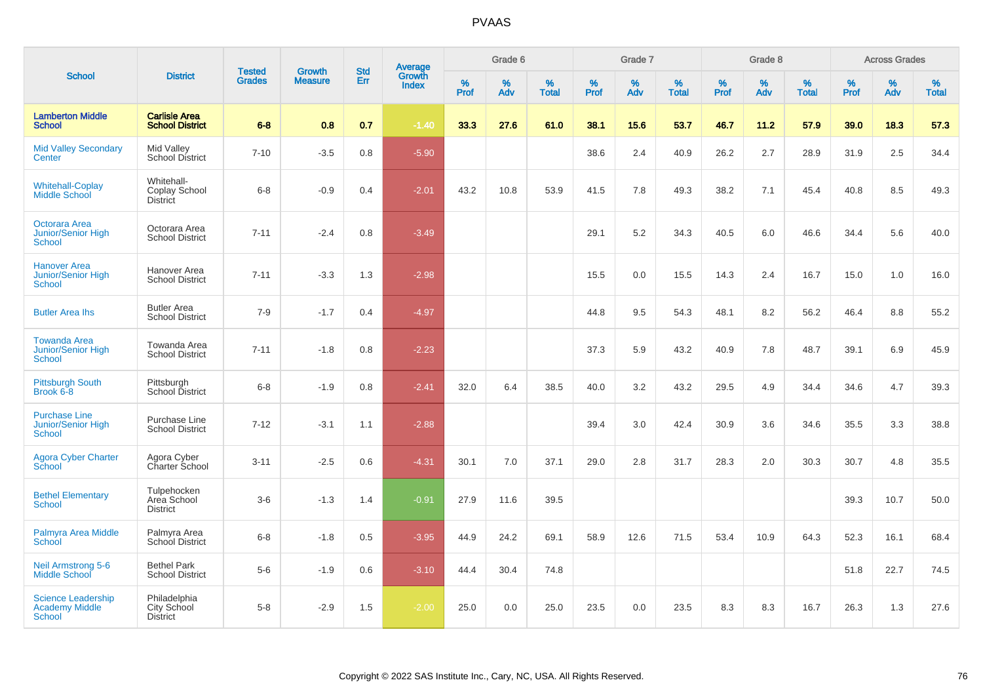|                                                                   |                                                       |                                |                                 | <b>Std</b> |                                   |           | Grade 6  |                   |           | Grade 7  |                   |           | Grade 8  |                   |              | <b>Across Grades</b> |                   |
|-------------------------------------------------------------------|-------------------------------------------------------|--------------------------------|---------------------------------|------------|-----------------------------------|-----------|----------|-------------------|-----------|----------|-------------------|-----------|----------|-------------------|--------------|----------------------|-------------------|
| <b>School</b>                                                     | <b>District</b>                                       | <b>Tested</b><br><b>Grades</b> | <b>Growth</b><br><b>Measure</b> | Err        | Average<br>Growth<br><b>Index</b> | %<br>Prof | %<br>Adv | %<br><b>Total</b> | %<br>Prof | %<br>Adv | %<br><b>Total</b> | %<br>Prof | %<br>Adv | %<br><b>Total</b> | $\%$<br>Prof | %<br>Adv             | %<br><b>Total</b> |
| <b>Lamberton Middle</b><br><b>School</b>                          | <b>Carlisle Area</b><br><b>School District</b>        | $6 - 8$                        | 0.8                             | 0.7        | $-1.40$                           | 33.3      | 27.6     | 61.0              | 38.1      | 15.6     | 53.7              | 46.7      | 11.2     | 57.9              | 39.0         | 18.3                 | 57.3              |
| <b>Mid Valley Secondary</b><br>Center                             | Mid Valley<br>School District                         | $7 - 10$                       | $-3.5$                          | 0.8        | $-5.90$                           |           |          |                   | 38.6      | 2.4      | 40.9              | 26.2      | 2.7      | 28.9              | 31.9         | 2.5                  | 34.4              |
| <b>Whitehall-Coplay</b><br><b>Middle School</b>                   | Whitehall-<br>Coplay School<br><b>District</b>        | $6 - 8$                        | $-0.9$                          | 0.4        | $-2.01$                           | 43.2      | 10.8     | 53.9              | 41.5      | 7.8      | 49.3              | 38.2      | 7.1      | 45.4              | 40.8         | 8.5                  | 49.3              |
| Octorara Area<br><b>Junior/Senior High</b><br>School              | Octorara Area<br><b>School District</b>               | $7 - 11$                       | $-2.4$                          | 0.8        | $-3.49$                           |           |          |                   | 29.1      | 5.2      | 34.3              | 40.5      | 6.0      | 46.6              | 34.4         | 5.6                  | 40.0              |
| <b>Hanover Area</b><br>Junior/Senior High<br><b>School</b>        | Hanover Area<br><b>School District</b>                | $7 - 11$                       | $-3.3$                          | 1.3        | $-2.98$                           |           |          |                   | 15.5      | 0.0      | 15.5              | 14.3      | 2.4      | 16.7              | 15.0         | 1.0                  | 16.0              |
| <b>Butler Area lhs</b>                                            | <b>Butler Area</b><br><b>School District</b>          | $7 - 9$                        | $-1.7$                          | 0.4        | $-4.97$                           |           |          |                   | 44.8      | 9.5      | 54.3              | 48.1      | 8.2      | 56.2              | 46.4         | 8.8                  | 55.2              |
| <b>Towanda Area</b><br><b>Junior/Senior High</b><br><b>School</b> | Towanda Area<br><b>School District</b>                | $7 - 11$                       | $-1.8$                          | 0.8        | $-2.23$                           |           |          |                   | 37.3      | 5.9      | 43.2              | 40.9      | 7.8      | 48.7              | 39.1         | 6.9                  | 45.9              |
| <b>Pittsburgh South</b><br>Brook 6-8                              | Pittsburgh<br>School District                         | $6 - 8$                        | $-1.9$                          | 0.8        | $-2.41$                           | 32.0      | 6.4      | 38.5              | 40.0      | 3.2      | 43.2              | 29.5      | 4.9      | 34.4              | 34.6         | 4.7                  | 39.3              |
| <b>Purchase Line</b><br>Junior/Senior High<br><b>School</b>       | Purchase Line<br><b>School District</b>               | $7 - 12$                       | $-3.1$                          | 1.1        | $-2.88$                           |           |          |                   | 39.4      | 3.0      | 42.4              | 30.9      | 3.6      | 34.6              | 35.5         | 3.3                  | 38.8              |
| <b>Agora Cyber Charter</b><br>School                              | Agora Cyber<br>Charter School                         | $3 - 11$                       | $-2.5$                          | 0.6        | $-4.31$                           | 30.1      | 7.0      | 37.1              | 29.0      | 2.8      | 31.7              | 28.3      | 2.0      | 30.3              | 30.7         | 4.8                  | 35.5              |
| <b>Bethel Elementary</b><br><b>School</b>                         | Tulpehocken<br>Area School<br><b>District</b>         | $3-6$                          | $-1.3$                          | 1.4        | $-0.91$                           | 27.9      | 11.6     | 39.5              |           |          |                   |           |          |                   | 39.3         | 10.7                 | 50.0              |
| <b>Palmyra Area Middle</b><br>School                              | Palmyra Area<br>School District                       | $6 - 8$                        | $-1.8$                          | 0.5        | $-3.95$                           | 44.9      | 24.2     | 69.1              | 58.9      | 12.6     | 71.5              | 53.4      | 10.9     | 64.3              | 52.3         | 16.1                 | 68.4              |
| <b>Neil Armstrong 5-6</b><br><b>Middle School</b>                 | <b>Bethel Park</b><br><b>School District</b>          | $5-6$                          | $-1.9$                          | 0.6        | $-3.10$                           | 44.4      | 30.4     | 74.8              |           |          |                   |           |          |                   | 51.8         | 22.7                 | 74.5              |
| <b>Science Leadership</b><br><b>Academy Middle</b><br>School      | Philadelphia<br><b>City School</b><br><b>District</b> | $5-8$                          | $-2.9$                          | 1.5        | $-2.00$                           | 25.0      | 0.0      | 25.0              | 23.5      | 0.0      | 23.5              | 8.3       | 8.3      | 16.7              | 26.3         | 1.3                  | 27.6              |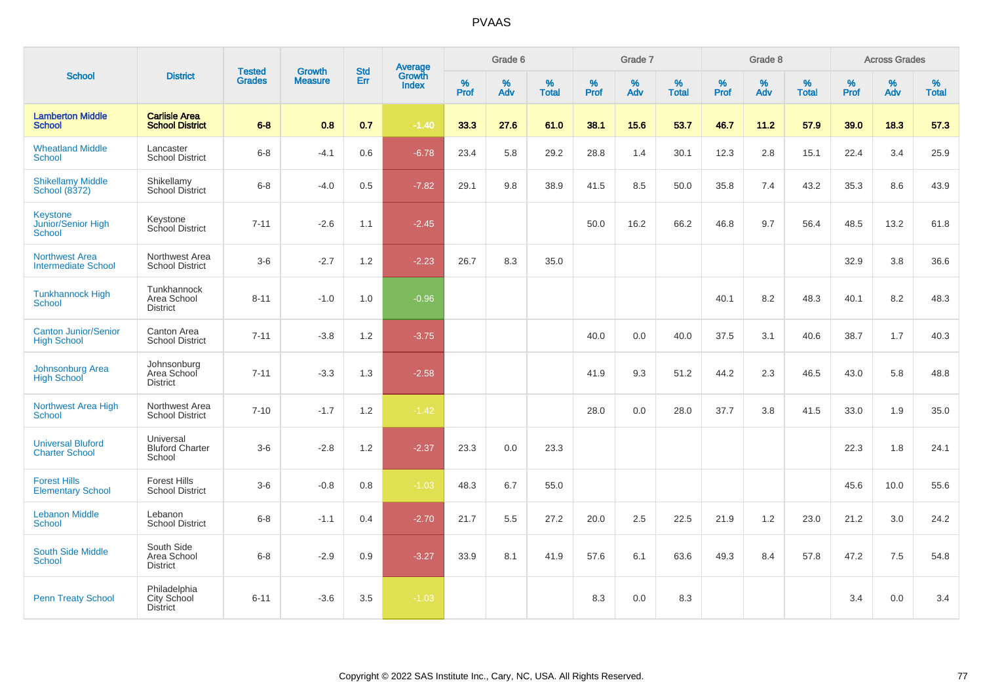| <b>School</b>                                       |                                                |                                |                                 |                   |                                          |           | Grade 6     |                   |           | Grade 7  |                   |           | Grade 8  |                   |              | <b>Across Grades</b> |                   |
|-----------------------------------------------------|------------------------------------------------|--------------------------------|---------------------------------|-------------------|------------------------------------------|-----------|-------------|-------------------|-----------|----------|-------------------|-----------|----------|-------------------|--------------|----------------------|-------------------|
|                                                     | <b>District</b>                                | <b>Tested</b><br><b>Grades</b> | <b>Growth</b><br><b>Measure</b> | <b>Std</b><br>Err | <b>Average</b><br>Growth<br><b>Index</b> | %<br>Prof | $\%$<br>Adv | %<br><b>Total</b> | %<br>Prof | %<br>Adv | %<br><b>Total</b> | %<br>Prof | %<br>Adv | %<br><b>Total</b> | $\%$<br>Prof | $\%$<br>Adv          | %<br><b>Total</b> |
| <b>Lamberton Middle</b><br><b>School</b>            | <b>Carlisle Area</b><br><b>School District</b> | $6 - 8$                        | 0.8                             | 0.7               | $-1.40$                                  | 33.3      | 27.6        | 61.0              | 38.1      | 15.6     | 53.7              | 46.7      | 11.2     | 57.9              | 39.0         | 18.3                 | 57.3              |
| <b>Wheatland Middle</b><br><b>School</b>            | Lancaster<br><b>School District</b>            | $6 - 8$                        | $-4.1$                          | 0.6               | $-6.78$                                  | 23.4      | 5.8         | 29.2              | 28.8      | 1.4      | 30.1              | 12.3      | 2.8      | 15.1              | 22.4         | 3.4                  | 25.9              |
| <b>Shikellamy Middle</b><br><b>School (8372)</b>    | Shikellamy<br><b>School District</b>           | $6 - 8$                        | $-4.0$                          | 0.5               | $-7.82$                                  | 29.1      | 9.8         | 38.9              | 41.5      | 8.5      | 50.0              | 35.8      | 7.4      | 43.2              | 35.3         | 8.6                  | 43.9              |
| <b>Keystone</b><br>Junior/Senior High<br>School     | Keystone<br>School District                    | $7 - 11$                       | $-2.6$                          | 1.1               | $-2.45$                                  |           |             |                   | 50.0      | 16.2     | 66.2              | 46.8      | 9.7      | 56.4              | 48.5         | 13.2                 | 61.8              |
| <b>Northwest Area</b><br><b>Intermediate School</b> | Northwest Area<br><b>School District</b>       | $3-6$                          | $-2.7$                          | 1.2               | $-2.23$                                  | 26.7      | 8.3         | 35.0              |           |          |                   |           |          |                   | 32.9         | 3.8                  | 36.6              |
| <b>Tunkhannock High</b><br><b>School</b>            | Tunkhannock<br>Area School<br><b>District</b>  | $8 - 11$                       | $-1.0$                          | 1.0               | $-0.96$                                  |           |             |                   |           |          |                   | 40.1      | 8.2      | 48.3              | 40.1         | 8.2                  | 48.3              |
| <b>Canton Junior/Senior</b><br><b>High School</b>   | Canton Area<br><b>School District</b>          | $7 - 11$                       | $-3.8$                          | 1.2               | $-3.75$                                  |           |             |                   | 40.0      | 0.0      | 40.0              | 37.5      | 3.1      | 40.6              | 38.7         | 1.7                  | 40.3              |
| <b>Johnsonburg Area</b><br><b>High School</b>       | Johnsonburg<br>Area School<br><b>District</b>  | $7 - 11$                       | $-3.3$                          | 1.3               | $-2.58$                                  |           |             |                   | 41.9      | 9.3      | 51.2              | 44.2      | 2.3      | 46.5              | 43.0         | 5.8                  | 48.8              |
| Northwest Area High<br><b>School</b>                | Northwest Area<br><b>School District</b>       | $7 - 10$                       | $-1.7$                          | 1.2               | $-1.42$                                  |           |             |                   | 28.0      | 0.0      | 28.0              | 37.7      | 3.8      | 41.5              | 33.0         | 1.9                  | 35.0              |
| <b>Universal Bluford</b><br><b>Charter School</b>   | Universal<br><b>Bluford Charter</b><br>School  | $3-6$                          | $-2.8$                          | $1.2$             | $-2.37$                                  | 23.3      | 0.0         | 23.3              |           |          |                   |           |          |                   | 22.3         | 1.8                  | 24.1              |
| <b>Forest Hills</b><br><b>Elementary School</b>     | <b>Forest Hills</b><br><b>School District</b>  | $3-6$                          | $-0.8$                          | 0.8               | $-1.03$                                  | 48.3      | 6.7         | 55.0              |           |          |                   |           |          |                   | 45.6         | 10.0                 | 55.6              |
| <b>Lebanon Middle</b><br>School                     | Lebanon<br><b>School District</b>              | $6 - 8$                        | $-1.1$                          | 0.4               | $-2.70$                                  | 21.7      | 5.5         | 27.2              | 20.0      | 2.5      | 22.5              | 21.9      | 1.2      | 23.0              | 21.2         | 3.0                  | 24.2              |
| <b>South Side Middle</b><br><b>School</b>           | South Side<br>Area School<br><b>District</b>   | $6 - 8$                        | $-2.9$                          | 0.9               | $-3.27$                                  | 33.9      | 8.1         | 41.9              | 57.6      | 6.1      | 63.6              | 49.3      | 8.4      | 57.8              | 47.2         | 7.5                  | 54.8              |
| <b>Penn Treaty School</b>                           | Philadelphia<br>City School<br><b>District</b> | $6 - 11$                       | $-3.6$                          | 3.5               | $-1.03$                                  |           |             |                   | 8.3       | 0.0      | 8.3               |           |          |                   | 3.4          | 0.0                  | 3.4               |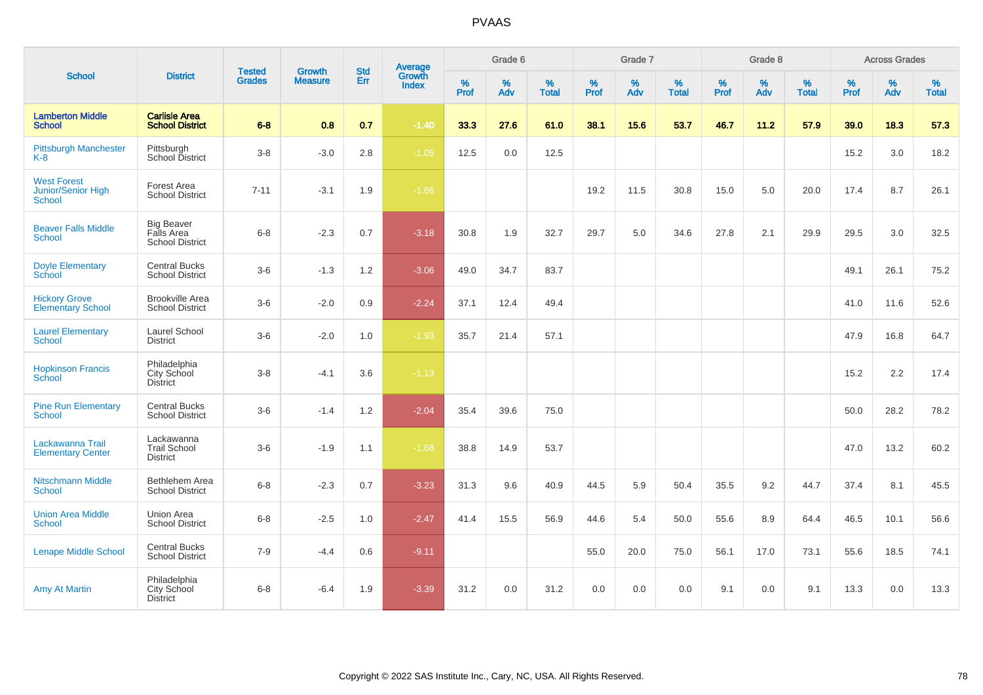|                                                           |                                                           | <b>Tested</b> | <b>Growth</b>  | <b>Std</b> | Average                |                  | Grade 6  |                   |           | Grade 7  |                   |              | Grade 8  |                   |              | <b>Across Grades</b> |                   |
|-----------------------------------------------------------|-----------------------------------------------------------|---------------|----------------|------------|------------------------|------------------|----------|-------------------|-----------|----------|-------------------|--------------|----------|-------------------|--------------|----------------------|-------------------|
| <b>School</b>                                             | <b>District</b>                                           | <b>Grades</b> | <b>Measure</b> | <b>Err</b> | Growth<br><b>Index</b> | %<br><b>Prof</b> | %<br>Adv | %<br><b>Total</b> | %<br>Prof | %<br>Adv | %<br><b>Total</b> | $\%$<br>Prof | %<br>Adv | %<br><b>Total</b> | $\%$<br>Prof | %<br>Adv             | %<br><b>Total</b> |
| <b>Lamberton Middle</b><br><b>School</b>                  | <b>Carlisle Area</b><br><b>School District</b>            | $6 - 8$       | 0.8            | 0.7        | $-1.40$                | 33.3             | 27.6     | 61.0              | 38.1      | 15.6     | 53.7              | 46.7         | 11.2     | 57.9              | 39.0         | 18.3                 | 57.3              |
| <b>Pittsburgh Manchester</b><br>$K-8$                     | Pittsburgh<br>School District                             | $3-8$         | $-3.0$         | 2.8        | $-1.05$                | 12.5             | 0.0      | 12.5              |           |          |                   |              |          |                   | 15.2         | 3.0                  | 18.2              |
| <b>West Forest</b><br>Junior/Senior High<br><b>School</b> | Forest Area<br><b>School District</b>                     | $7 - 11$      | $-3.1$         | 1.9        | $-1.66$                |                  |          |                   | 19.2      | 11.5     | 30.8              | 15.0         | 5.0      | 20.0              | 17.4         | 8.7                  | 26.1              |
| <b>Beaver Falls Middle</b><br>School                      | <b>Big Beaver</b><br>Falls Area<br><b>School District</b> | $6 - 8$       | $-2.3$         | 0.7        | $-3.18$                | 30.8             | 1.9      | 32.7              | 29.7      | 5.0      | 34.6              | 27.8         | 2.1      | 29.9              | 29.5         | 3.0                  | 32.5              |
| <b>Doyle Elementary</b><br>School                         | <b>Central Bucks</b><br><b>School District</b>            | $3-6$         | $-1.3$         | 1.2        | $-3.06$                | 49.0             | 34.7     | 83.7              |           |          |                   |              |          |                   | 49.1         | 26.1                 | 75.2              |
| <b>Hickory Grove</b><br><b>Elementary School</b>          | <b>Brookville Area</b><br>School District                 | $3-6$         | $-2.0$         | 0.9        | $-2.24$                | 37.1             | 12.4     | 49.4              |           |          |                   |              |          |                   | 41.0         | 11.6                 | 52.6              |
| <b>Laurel Elementary</b><br><b>School</b>                 | Laurel School<br><b>District</b>                          | $3-6$         | $-2.0$         | 1.0        | $-1.93$                | 35.7             | 21.4     | 57.1              |           |          |                   |              |          |                   | 47.9         | 16.8                 | 64.7              |
| <b>Hopkinson Francis</b><br><b>School</b>                 | Philadelphia<br>City School<br><b>District</b>            | $3-8$         | $-4.1$         | 3.6        | $-1.13$                |                  |          |                   |           |          |                   |              |          |                   | 15.2         | 2.2                  | 17.4              |
| <b>Pine Run Elementary</b><br><b>School</b>               | <b>Central Bucks</b><br><b>School District</b>            | $3-6$         | $-1.4$         | 1.2        | $-2.04$                | 35.4             | 39.6     | 75.0              |           |          |                   |              |          |                   | 50.0         | 28.2                 | 78.2              |
| Lackawanna Trail<br><b>Elementary Center</b>              | Lackawanna<br><b>Trail School</b><br><b>District</b>      | $3-6$         | $-1.9$         | 1.1        | $-1.68$                | 38.8             | 14.9     | 53.7              |           |          |                   |              |          |                   | 47.0         | 13.2                 | 60.2              |
| <b>Nitschmann Middle</b><br><b>School</b>                 | Bethlehem Area<br><b>School District</b>                  | $6-8$         | $-2.3$         | 0.7        | $-3.23$                | 31.3             | 9.6      | 40.9              | 44.5      | 5.9      | 50.4              | 35.5         | 9.2      | 44.7              | 37.4         | 8.1                  | 45.5              |
| <b>Union Area Middle</b><br><b>School</b>                 | <b>Union Area</b><br><b>School District</b>               | $6 - 8$       | $-2.5$         | 1.0        | $-2.47$                | 41.4             | 15.5     | 56.9              | 44.6      | 5.4      | 50.0              | 55.6         | 8.9      | 64.4              | 46.5         | 10.1                 | 56.6              |
| <b>Lenape Middle School</b>                               | <b>Central Bucks</b><br>School District                   | $7 - 9$       | $-4.4$         | 0.6        | $-9.11$                |                  |          |                   | 55.0      | 20.0     | 75.0              | 56.1         | 17.0     | 73.1              | 55.6         | 18.5                 | 74.1              |
| <b>Amy At Martin</b>                                      | Philadelphia<br>City School<br><b>District</b>            | $6 - 8$       | $-6.4$         | 1.9        | $-3.39$                | 31.2             | 0.0      | 31.2              | 0.0       | 0.0      | 0.0               | 9.1          | 0.0      | 9.1               | 13.3         | 0.0                  | 13.3              |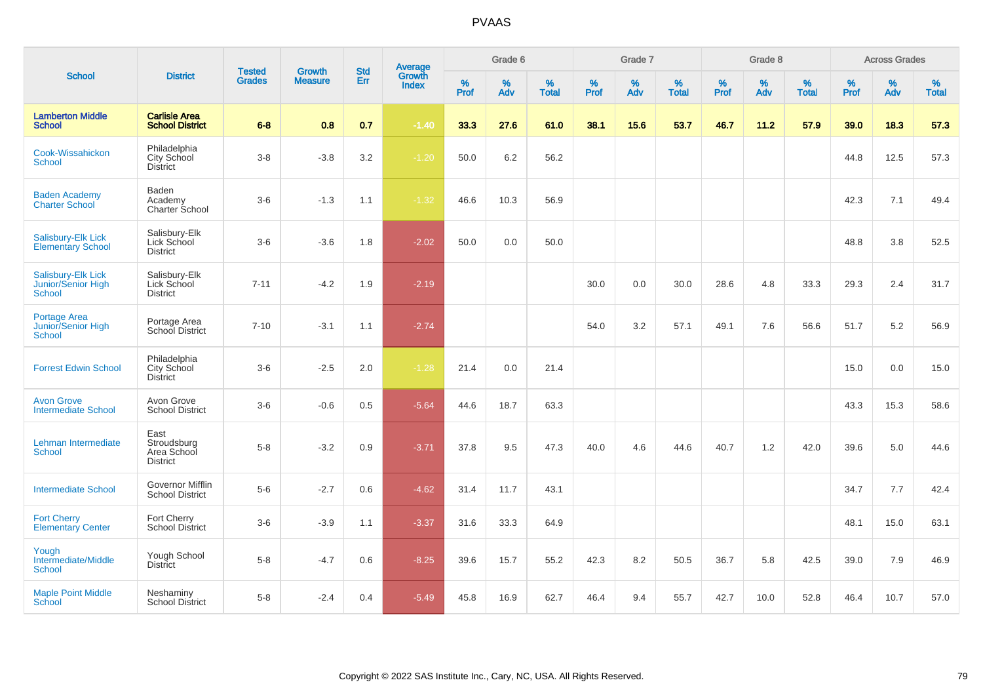|                                                                  |                                                       | <b>Tested</b> | <b>Growth</b>  | <b>Std</b> |                                          |                  | Grade 6     |                   |                     | Grade 7     |                   |                  | Grade 8  |                   |                  | <b>Across Grades</b> |                   |
|------------------------------------------------------------------|-------------------------------------------------------|---------------|----------------|------------|------------------------------------------|------------------|-------------|-------------------|---------------------|-------------|-------------------|------------------|----------|-------------------|------------------|----------------------|-------------------|
| <b>School</b>                                                    | <b>District</b>                                       | <b>Grades</b> | <b>Measure</b> | Err        | <b>Average</b><br>Growth<br><b>Index</b> | %<br><b>Prof</b> | $\%$<br>Adv | %<br><b>Total</b> | $\%$<br><b>Prof</b> | $\%$<br>Adv | %<br><b>Total</b> | %<br><b>Prof</b> | %<br>Adv | %<br><b>Total</b> | %<br><b>Prof</b> | %<br>Adv             | %<br><b>Total</b> |
| <b>Lamberton Middle</b><br><b>School</b>                         | <b>Carlisle Area</b><br><b>School District</b>        | $6 - 8$       | 0.8            | 0.7        | $-1.40$                                  | 33.3             | 27.6        | 61.0              | 38.1                | 15.6        | 53.7              | 46.7             | 11.2     | 57.9              | 39.0             | 18.3                 | 57.3              |
| Cook-Wissahickon<br>School                                       | Philadelphia<br>City School<br><b>District</b>        | $3 - 8$       | $-3.8$         | 3.2        | $-1.20$                                  | 50.0             | 6.2         | 56.2              |                     |             |                   |                  |          |                   | 44.8             | 12.5                 | 57.3              |
| <b>Baden Academy</b><br><b>Charter School</b>                    | Baden<br>Academy<br>Charter School                    | $3-6$         | $-1.3$         | 1.1        | $-1.32$                                  | 46.6             | 10.3        | 56.9              |                     |             |                   |                  |          |                   | 42.3             | 7.1                  | 49.4              |
| Salisbury-Elk Lick<br><b>Elementary School</b>                   | Salisbury-Elk<br>Lick School<br><b>District</b>       | $3-6$         | $-3.6$         | 1.8        | $-2.02$                                  | 50.0             | 0.0         | 50.0              |                     |             |                   |                  |          |                   | 48.8             | 3.8                  | 52.5              |
| Salisbury-Elk Lick<br><b>Junior/Senior High</b><br><b>School</b> | Salisbury-Elk<br>Lick School<br><b>District</b>       | $7 - 11$      | $-4.2$         | 1.9        | $-2.19$                                  |                  |             |                   | 30.0                | 0.0         | 30.0              | 28.6             | 4.8      | 33.3              | 29.3             | 2.4                  | 31.7              |
| <b>Portage Area</b><br>Junior/Senior High<br><b>School</b>       | Portage Area<br>School District                       | $7 - 10$      | $-3.1$         | 1.1        | $-2.74$                                  |                  |             |                   | 54.0                | 3.2         | 57.1              | 49.1             | 7.6      | 56.6              | 51.7             | 5.2                  | 56.9              |
| <b>Forrest Edwin School</b>                                      | Philadelphia<br>City School<br><b>District</b>        | $3-6$         | $-2.5$         | 2.0        | $-1.28$                                  | 21.4             | 0.0         | 21.4              |                     |             |                   |                  |          |                   | 15.0             | 0.0                  | 15.0              |
| <b>Avon Grove</b><br><b>Intermediate School</b>                  | Avon Grove<br><b>School District</b>                  | $3-6$         | $-0.6$         | 0.5        | $-5.64$                                  | 44.6             | 18.7        | 63.3              |                     |             |                   |                  |          |                   | 43.3             | 15.3                 | 58.6              |
| Lehman Intermediate<br><b>School</b>                             | East<br>Stroudsburg<br>Area School<br><b>District</b> | $5-8$         | $-3.2$         | 0.9        | $-3.71$                                  | 37.8             | 9.5         | 47.3              | 40.0                | 4.6         | 44.6              | 40.7             | 1.2      | 42.0              | 39.6             | 5.0                  | 44.6              |
| <b>Intermediate School</b>                                       | Governor Mifflin<br><b>School District</b>            | $5-6$         | $-2.7$         | 0.6        | $-4.62$                                  | 31.4             | 11.7        | 43.1              |                     |             |                   |                  |          |                   | 34.7             | 7.7                  | 42.4              |
| <b>Fort Cherry</b><br><b>Elementary Center</b>                   | Fort Cherry<br><b>School District</b>                 | $3-6$         | $-3.9$         | 1.1        | $-3.37$                                  | 31.6             | 33.3        | 64.9              |                     |             |                   |                  |          |                   | 48.1             | 15.0                 | 63.1              |
| Yough<br>Intermediate/Middle<br><b>School</b>                    | Yough School<br><b>District</b>                       | $5-8$         | $-4.7$         | 0.6        | $-8.25$                                  | 39.6             | 15.7        | 55.2              | 42.3                | 8.2         | 50.5              | 36.7             | 5.8      | 42.5              | 39.0             | 7.9                  | 46.9              |
| <b>Maple Point Middle</b><br>School                              | Neshaminy<br><b>School District</b>                   | $5-8$         | $-2.4$         | 0.4        | $-5.49$                                  | 45.8             | 16.9        | 62.7              | 46.4                | 9.4         | 55.7              | 42.7             | 10.0     | 52.8              | 46.4             | 10.7                 | 57.0              |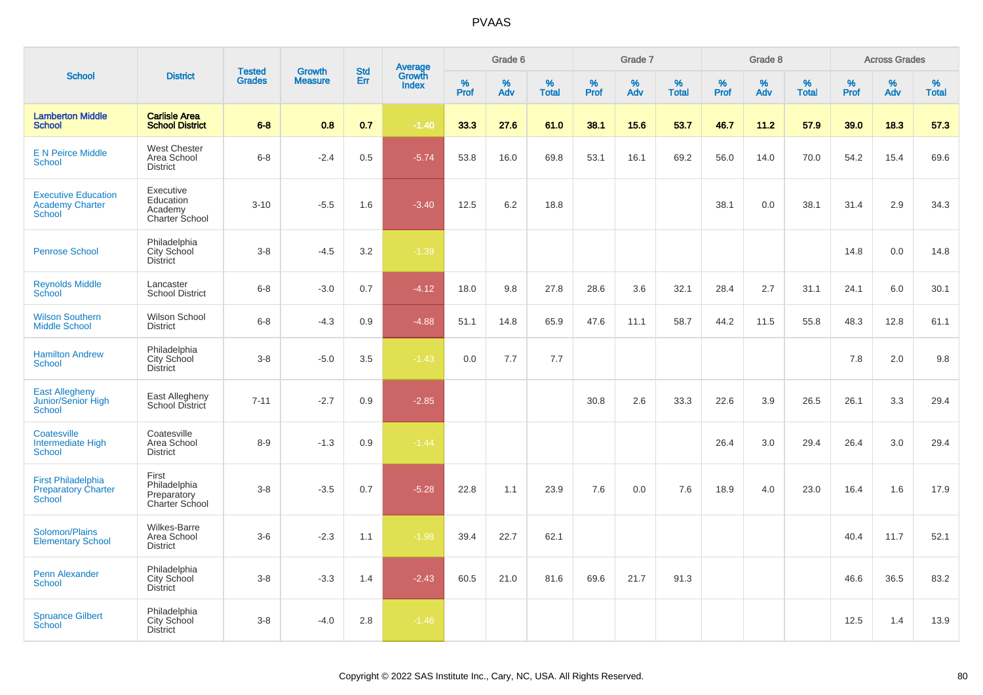|                                                                          |                                                        |                                |                                 | <b>Std</b> |                                   |                     | Grade 6     |                   |              | Grade 7  |                      |              | Grade 8  |                   |              | <b>Across Grades</b> |                   |
|--------------------------------------------------------------------------|--------------------------------------------------------|--------------------------------|---------------------------------|------------|-----------------------------------|---------------------|-------------|-------------------|--------------|----------|----------------------|--------------|----------|-------------------|--------------|----------------------|-------------------|
| <b>School</b>                                                            | <b>District</b>                                        | <b>Tested</b><br><b>Grades</b> | <b>Growth</b><br><b>Measure</b> | Err        | Average<br>Growth<br><b>Index</b> | $\%$<br><b>Prof</b> | $\%$<br>Adv | %<br><b>Total</b> | $\%$<br>Prof | %<br>Adv | $\%$<br><b>Total</b> | $\%$<br>Prof | %<br>Adv | %<br><b>Total</b> | $\%$<br>Prof | %<br>Adv             | %<br><b>Total</b> |
| <b>Lamberton Middle</b><br><b>School</b>                                 | <b>Carlisle Area</b><br><b>School District</b>         | $6 - 8$                        | 0.8                             | 0.7        | $-1.40$                           | 33.3                | 27.6        | 61.0              | 38.1         | 15.6     | 53.7                 | 46.7         | 11.2     | 57.9              | 39.0         | 18.3                 | 57.3              |
| <b>E N Peirce Middle</b><br><b>School</b>                                | <b>West Chester</b><br>Area School<br><b>District</b>  | $6 - 8$                        | $-2.4$                          | 0.5        | $-5.74$                           | 53.8                | 16.0        | 69.8              | 53.1         | 16.1     | 69.2                 | 56.0         | 14.0     | 70.0              | 54.2         | 15.4                 | 69.6              |
| <b>Executive Education</b><br><b>Academy Charter</b><br><b>School</b>    | Executive<br>Education<br>Academy<br>Charter School    | $3 - 10$                       | $-5.5$                          | 1.6        | $-3.40$                           | 12.5                | 6.2         | 18.8              |              |          |                      | 38.1         | 0.0      | 38.1              | 31.4         | 2.9                  | 34.3              |
| <b>Penrose School</b>                                                    | Philadelphia<br>City School<br><b>District</b>         | $3 - 8$                        | $-4.5$                          | 3.2        | $-1.39$                           |                     |             |                   |              |          |                      |              |          |                   | 14.8         | 0.0                  | 14.8              |
| <b>Reynolds Middle</b><br><b>School</b>                                  | Lancaster<br><b>School District</b>                    | $6 - 8$                        | $-3.0$                          | 0.7        | $-4.12$                           | 18.0                | 9.8         | 27.8              | 28.6         | 3.6      | 32.1                 | 28.4         | 2.7      | 31.1              | 24.1         | 6.0                  | 30.1              |
| <b>Wilson Southern</b><br><b>Middle School</b>                           | Wilson School<br><b>District</b>                       | $6 - 8$                        | $-4.3$                          | 0.9        | $-4.88$                           | 51.1                | 14.8        | 65.9              | 47.6         | 11.1     | 58.7                 | 44.2         | 11.5     | 55.8              | 48.3         | 12.8                 | 61.1              |
| <b>Hamilton Andrew</b><br><b>School</b>                                  | Philadelphia<br>City School<br><b>District</b>         | $3 - 8$                        | $-5.0$                          | 3.5        | $-1.43$                           | 0.0                 | 7.7         | 7.7               |              |          |                      |              |          |                   | 7.8          | 2.0                  | 9.8               |
| <b>East Allegheny</b><br>Junior/Senior High<br><b>School</b>             | East Allegheny<br>School District                      | $7 - 11$                       | $-2.7$                          | 0.9        | $-2.85$                           |                     |             |                   | 30.8         | 2.6      | 33.3                 | 22.6         | 3.9      | 26.5              | 26.1         | 3.3                  | 29.4              |
| Coatesville<br>Intermediate High<br><b>School</b>                        | Coatesville<br>Area School<br><b>District</b>          | $8 - 9$                        | $-1.3$                          | 0.9        | $-1.44$                           |                     |             |                   |              |          |                      | 26.4         | 3.0      | 29.4              | 26.4         | 3.0                  | 29.4              |
| <b>First Philadelphia</b><br><b>Preparatory Charter</b><br><b>School</b> | First<br>Philadelphia<br>Preparatory<br>Charter School | $3-8$                          | $-3.5$                          | 0.7        | $-5.28$                           | 22.8                | 1.1         | 23.9              | 7.6          | 0.0      | 7.6                  | 18.9         | 4.0      | 23.0              | 16.4         | 1.6                  | 17.9              |
| Solomon/Plains<br><b>Elementary School</b>                               | <b>Wilkes-Barre</b><br>Area School<br><b>District</b>  | $3-6$                          | $-2.3$                          | 1.1        | $-1.98$                           | 39.4                | 22.7        | 62.1              |              |          |                      |              |          |                   | 40.4         | 11.7                 | 52.1              |
| <b>Penn Alexander</b><br><b>School</b>                                   | Philadelphia<br>City School<br><b>District</b>         | $3-8$                          | $-3.3$                          | 1.4        | $-2.43$                           | 60.5                | 21.0        | 81.6              | 69.6         | 21.7     | 91.3                 |              |          |                   | 46.6         | 36.5                 | 83.2              |
| <b>Spruance Gilbert</b><br>School                                        | Philadelphia<br><b>City School</b><br><b>District</b>  | $3 - 8$                        | $-4.0$                          | 2.8        | $-1.46$                           |                     |             |                   |              |          |                      |              |          |                   | 12.5         | 1.4                  | 13.9              |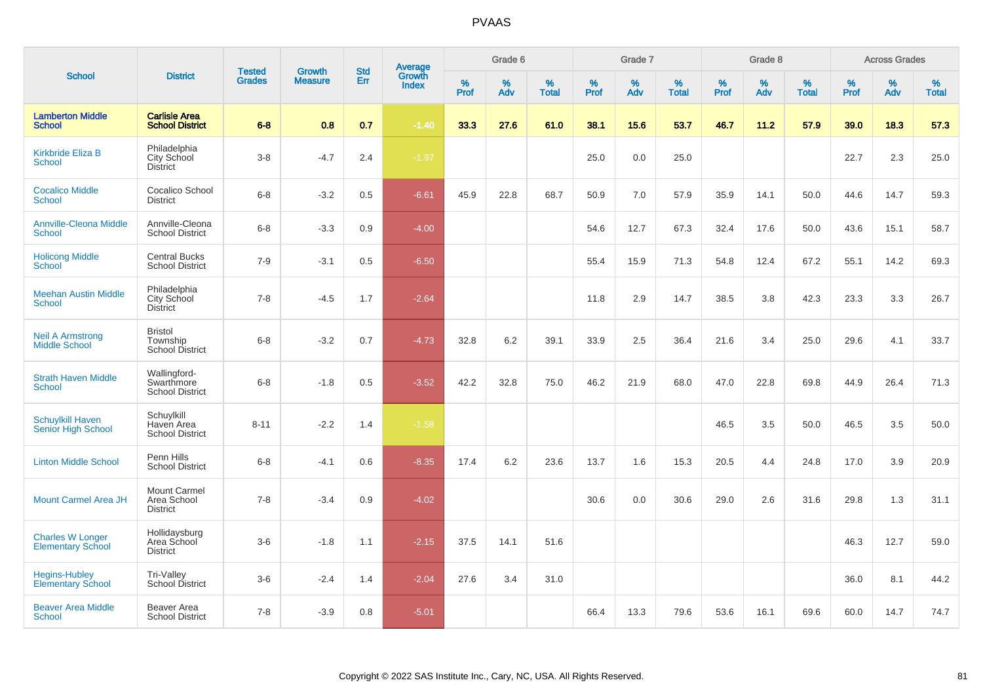|                                                      |                                                      |                                |                                 | <b>Std</b> |                                          |           | Grade 6     |                   |           | Grade 7  |                   |           | Grade 8     |                   |           | <b>Across Grades</b> |                   |
|------------------------------------------------------|------------------------------------------------------|--------------------------------|---------------------------------|------------|------------------------------------------|-----------|-------------|-------------------|-----------|----------|-------------------|-----------|-------------|-------------------|-----------|----------------------|-------------------|
| <b>School</b>                                        | <b>District</b>                                      | <b>Tested</b><br><b>Grades</b> | <b>Growth</b><br><b>Measure</b> | Err        | <b>Average</b><br>Growth<br><b>Index</b> | %<br>Prof | $\%$<br>Adv | %<br><b>Total</b> | %<br>Prof | %<br>Adv | %<br><b>Total</b> | %<br>Prof | $\%$<br>Adv | %<br><b>Total</b> | %<br>Prof | $\%$<br>Adv          | %<br><b>Total</b> |
| <b>Lamberton Middle</b><br><b>School</b>             | <b>Carlisle Area</b><br><b>School District</b>       | $6 - 8$                        | 0.8                             | 0.7        | $-1.40$                                  | 33.3      | 27.6        | 61.0              | 38.1      | 15.6     | 53.7              | 46.7      | 11.2        | 57.9              | 39.0      | 18.3                 | 57.3              |
| <b>Kirkbride Eliza B</b><br><b>School</b>            | Philadelphia<br>City School<br><b>District</b>       | $3-8$                          | $-4.7$                          | 2.4        | $-1.97$                                  |           |             |                   | 25.0      | 0.0      | 25.0              |           |             |                   | 22.7      | 2.3                  | 25.0              |
| <b>Cocalico Middle</b><br><b>School</b>              | Cocalico School<br><b>District</b>                   | $6-8$                          | $-3.2$                          | 0.5        | $-6.61$                                  | 45.9      | 22.8        | 68.7              | 50.9      | 7.0      | 57.9              | 35.9      | 14.1        | 50.0              | 44.6      | 14.7                 | 59.3              |
| <b>Annville-Cleona Middle</b><br><b>School</b>       | Annville-Cleona<br><b>School District</b>            | $6 - 8$                        | $-3.3$                          | 0.9        | $-4.00$                                  |           |             |                   | 54.6      | 12.7     | 67.3              | 32.4      | 17.6        | 50.0              | 43.6      | 15.1                 | 58.7              |
| <b>Holicong Middle</b><br><b>School</b>              | <b>Central Bucks</b><br><b>School District</b>       | $7 - 9$                        | $-3.1$                          | 0.5        | $-6.50$                                  |           |             |                   | 55.4      | 15.9     | 71.3              | 54.8      | 12.4        | 67.2              | 55.1      | 14.2                 | 69.3              |
| <b>Meehan Austin Middle</b><br><b>School</b>         | Philadelphia<br>City School<br><b>District</b>       | $7 - 8$                        | $-4.5$                          | 1.7        | $-2.64$                                  |           |             |                   | 11.8      | 2.9      | 14.7              | 38.5      | 3.8         | 42.3              | 23.3      | 3.3                  | 26.7              |
| <b>Neil A Armstrong</b><br><b>Middle School</b>      | <b>Bristol</b><br>Township<br><b>School District</b> | $6-8$                          | $-3.2$                          | 0.7        | $-4.73$                                  | 32.8      | 6.2         | 39.1              | 33.9      | 2.5      | 36.4              | 21.6      | 3.4         | 25.0              | 29.6      | 4.1                  | 33.7              |
| <b>Strath Haven Middle</b><br><b>School</b>          | Wallingford-<br>Swarthmore<br><b>School District</b> | $6 - 8$                        | $-1.8$                          | 0.5        | $-3.52$                                  | 42.2      | 32.8        | 75.0              | 46.2      | 21.9     | 68.0              | 47.0      | 22.8        | 69.8              | 44.9      | 26.4                 | 71.3              |
| <b>Schuylkill Haven</b><br><b>Senior High School</b> | Schuylkill<br>Haven Area<br><b>School District</b>   | $8 - 11$                       | $-2.2$                          | 1.4        | $-1.58$                                  |           |             |                   |           |          |                   | 46.5      | 3.5         | 50.0              | 46.5      | 3.5                  | 50.0              |
| <b>Linton Middle School</b>                          | Penn Hills<br><b>School District</b>                 | $6 - 8$                        | $-4.1$                          | 0.6        | $-8.35$                                  | 17.4      | 6.2         | 23.6              | 13.7      | 1.6      | 15.3              | 20.5      | 4.4         | 24.8              | 17.0      | 3.9                  | 20.9              |
| <b>Mount Carmel Area JH</b>                          | Mount Carmel<br>Area School<br><b>District</b>       | $7 - 8$                        | $-3.4$                          | 0.9        | $-4.02$                                  |           |             |                   | 30.6      | 0.0      | 30.6              | 29.0      | 2.6         | 31.6              | 29.8      | 1.3                  | 31.1              |
| <b>Charles W Longer</b><br><b>Elementary School</b>  | Hollidaysburg<br>Area School<br><b>District</b>      | $3-6$                          | $-1.8$                          | 1.1        | $-2.15$                                  | 37.5      | 14.1        | 51.6              |           |          |                   |           |             |                   | 46.3      | 12.7                 | 59.0              |
| <b>Hegins-Hubley</b><br><b>Elementary School</b>     | Tri-Valley<br>School District                        | $3-6$                          | $-2.4$                          | 1.4        | $-2.04$                                  | 27.6      | 3.4         | 31.0              |           |          |                   |           |             |                   | 36.0      | 8.1                  | 44.2              |
| <b>Beaver Area Middle</b><br><b>School</b>           | Beaver Area<br><b>School District</b>                | $7 - 8$                        | $-3.9$                          | 0.8        | $-5.01$                                  |           |             |                   | 66.4      | 13.3     | 79.6              | 53.6      | 16.1        | 69.6              | 60.0      | 14.7                 | 74.7              |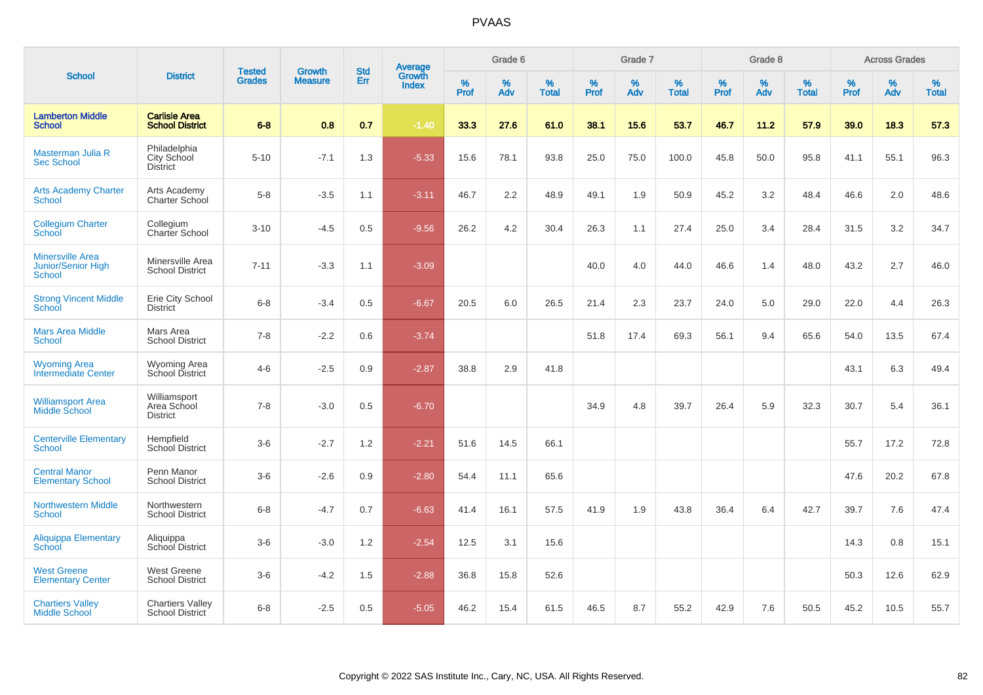|                                                         |                                                   |                                | <b>Growth</b>  | <b>Std</b> |                                          |                  | Grade 6     |                   |           | Grade 7     |                   |           | Grade 8  |                   |              | <b>Across Grades</b> |                      |
|---------------------------------------------------------|---------------------------------------------------|--------------------------------|----------------|------------|------------------------------------------|------------------|-------------|-------------------|-----------|-------------|-------------------|-----------|----------|-------------------|--------------|----------------------|----------------------|
| <b>School</b>                                           | <b>District</b>                                   | <b>Tested</b><br><b>Grades</b> | <b>Measure</b> | Err        | <b>Average</b><br>Growth<br><b>Index</b> | %<br><b>Prof</b> | $\%$<br>Adv | %<br><b>Total</b> | %<br>Prof | $\%$<br>Adv | %<br><b>Total</b> | %<br>Prof | %<br>Adv | %<br><b>Total</b> | $\%$<br>Prof | $\%$<br>Adv          | $\%$<br><b>Total</b> |
| <b>Lamberton Middle</b><br><b>School</b>                | <b>Carlisle Area</b><br><b>School District</b>    | $6 - 8$                        | 0.8            | 0.7        | $-1.40$                                  | 33.3             | 27.6        | 61.0              | 38.1      | 15.6        | 53.7              | 46.7      | 11.2     | 57.9              | 39.0         | 18.3                 | 57.3                 |
| Masterman Julia R<br><b>Sec School</b>                  | Philadelphia<br>City School<br>District           | $5 - 10$                       | $-7.1$         | 1.3        | $-5.33$                                  | 15.6             | 78.1        | 93.8              | 25.0      | 75.0        | 100.0             | 45.8      | 50.0     | 95.8              | 41.1         | 55.1                 | 96.3                 |
| <b>Arts Academy Charter</b><br><b>School</b>            | Arts Academy<br>Charter School                    | $5-8$                          | $-3.5$         | 1.1        | $-3.11$                                  | 46.7             | 2.2         | 48.9              | 49.1      | 1.9         | 50.9              | 45.2      | 3.2      | 48.4              | 46.6         | 2.0                  | 48.6                 |
| <b>Collegium Charter</b><br>School                      | Collegium<br>Charter School                       | $3 - 10$                       | $-4.5$         | 0.5        | $-9.56$                                  | 26.2             | 4.2         | 30.4              | 26.3      | 1.1         | 27.4              | 25.0      | 3.4      | 28.4              | 31.5         | 3.2                  | 34.7                 |
| <b>Minersville Area</b><br>Junior/Senior High<br>School | Minersville Area<br><b>School District</b>        | $7 - 11$                       | $-3.3$         | 1.1        | $-3.09$                                  |                  |             |                   | 40.0      | 4.0         | 44.0              | 46.6      | 1.4      | 48.0              | 43.2         | 2.7                  | 46.0                 |
| <b>Strong Vincent Middle</b><br>School                  | Erie City School<br><b>District</b>               | $6 - 8$                        | $-3.4$         | 0.5        | $-6.67$                                  | 20.5             | 6.0         | 26.5              | 21.4      | 2.3         | 23.7              | 24.0      | 5.0      | 29.0              | 22.0         | 4.4                  | 26.3                 |
| <b>Mars Area Middle</b><br><b>School</b>                | Mars Area<br><b>School District</b>               | $7 - 8$                        | $-2.2$         | 0.6        | $-3.74$                                  |                  |             |                   | 51.8      | 17.4        | 69.3              | 56.1      | 9.4      | 65.6              | 54.0         | 13.5                 | 67.4                 |
| <b>Wyoming Area</b><br><b>Intermediate Center</b>       | <b>Wyoming Area</b><br>School District            | $4 - 6$                        | $-2.5$         | 0.9        | $-2.87$                                  | 38.8             | 2.9         | 41.8              |           |             |                   |           |          |                   | 43.1         | 6.3                  | 49.4                 |
| <b>Williamsport Area</b><br><b>Middle School</b>        | Williamsport<br>Area School<br><b>District</b>    | $7 - 8$                        | $-3.0$         | 0.5        | $-6.70$                                  |                  |             |                   | 34.9      | 4.8         | 39.7              | 26.4      | 5.9      | 32.3              | 30.7         | 5.4                  | 36.1                 |
| <b>Centerville Elementary</b><br><b>School</b>          | Hempfield<br><b>School District</b>               | $3-6$                          | $-2.7$         | 1.2        | $-2.21$                                  | 51.6             | 14.5        | 66.1              |           |             |                   |           |          |                   | 55.7         | 17.2                 | 72.8                 |
| <b>Central Manor</b><br><b>Elementary School</b>        | Penn Manor<br><b>School District</b>              | $3-6$                          | $-2.6$         | 0.9        | $-2.80$                                  | 54.4             | 11.1        | 65.6              |           |             |                   |           |          |                   | 47.6         | 20.2                 | 67.8                 |
| <b>Northwestern Middle</b><br><b>School</b>             | Northwestern<br><b>School District</b>            | $6 - 8$                        | $-4.7$         | 0.7        | $-6.63$                                  | 41.4             | 16.1        | 57.5              | 41.9      | 1.9         | 43.8              | 36.4      | 6.4      | 42.7              | 39.7         | 7.6                  | 47.4                 |
| Aliquippa Elementary<br>School                          | Aliquippa<br>School District                      | $3-6$                          | $-3.0$         | 1.2        | $-2.54$                                  | 12.5             | 3.1         | 15.6              |           |             |                   |           |          |                   | 14.3         | 0.8                  | 15.1                 |
| <b>West Greene</b><br><b>Elementary Center</b>          | West Greene<br><b>School District</b>             | $3-6$                          | $-4.2$         | 1.5        | $-2.88$                                  | 36.8             | 15.8        | 52.6              |           |             |                   |           |          |                   | 50.3         | 12.6                 | 62.9                 |
| <b>Chartiers Valley</b><br><b>Middle School</b>         | <b>Chartiers Valley</b><br><b>School District</b> | $6 - 8$                        | $-2.5$         | 0.5        | $-5.05$                                  | 46.2             | 15.4        | 61.5              | 46.5      | 8.7         | 55.2              | 42.9      | 7.6      | 50.5              | 45.2         | 10.5                 | 55.7                 |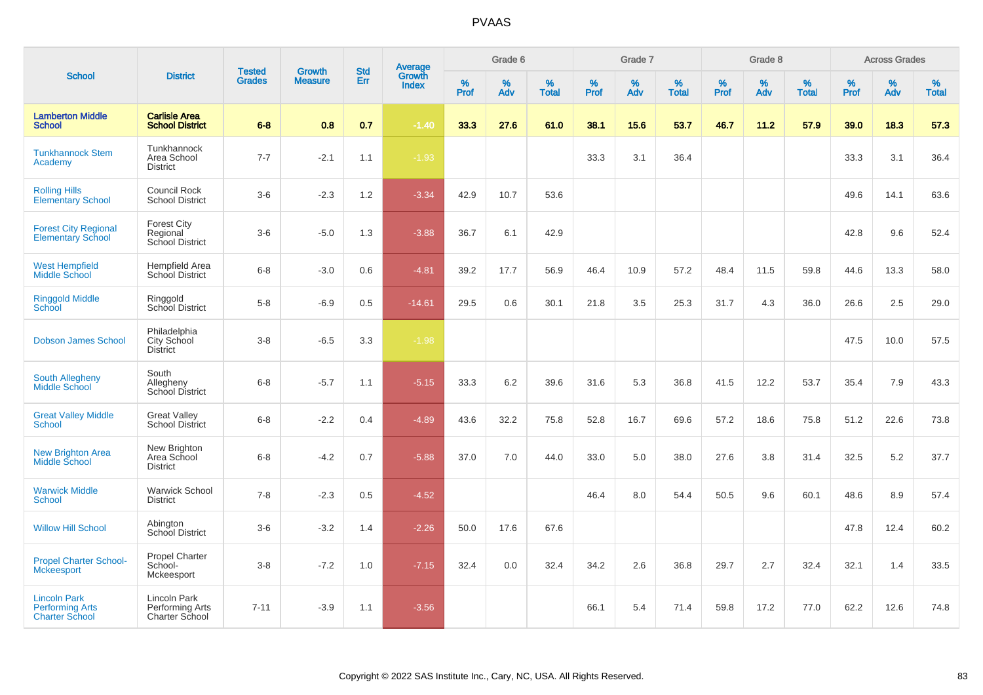|                                                                        |                                                   |                                |                                 | <b>Std</b> |                                          |           | Grade 6  |                   |           | Grade 7  |                   |           | Grade 8  |                   |           | <b>Across Grades</b> |                   |
|------------------------------------------------------------------------|---------------------------------------------------|--------------------------------|---------------------------------|------------|------------------------------------------|-----------|----------|-------------------|-----------|----------|-------------------|-----------|----------|-------------------|-----------|----------------------|-------------------|
| <b>School</b>                                                          | <b>District</b>                                   | <b>Tested</b><br><b>Grades</b> | <b>Growth</b><br><b>Measure</b> | <b>Err</b> | <b>Average</b><br>Growth<br><b>Index</b> | %<br>Prof | %<br>Adv | %<br><b>Total</b> | %<br>Prof | %<br>Adv | %<br><b>Total</b> | %<br>Prof | %<br>Adv | %<br><b>Total</b> | %<br>Prof | $\%$<br>Adv          | %<br><b>Total</b> |
| <b>Lamberton Middle</b><br><b>School</b>                               | <b>Carlisle Area</b><br><b>School District</b>    | $6 - 8$                        | 0.8                             | 0.7        | $-1.40$                                  | 33.3      | 27.6     | 61.0              | 38.1      | 15.6     | 53.7              | 46.7      | 11.2     | 57.9              | 39.0      | 18.3                 | 57.3              |
| <b>Tunkhannock Stem</b><br>Academy                                     | Tunkhannock<br>Area School<br><b>District</b>     | $7 - 7$                        | $-2.1$                          | 1.1        | $-1.93$                                  |           |          |                   | 33.3      | 3.1      | 36.4              |           |          |                   | 33.3      | 3.1                  | 36.4              |
| <b>Rolling Hills</b><br><b>Elementary School</b>                       | <b>Council Rock</b><br><b>School District</b>     | $3-6$                          | $-2.3$                          | 1.2        | $-3.34$                                  | 42.9      | 10.7     | 53.6              |           |          |                   |           |          |                   | 49.6      | 14.1                 | 63.6              |
| <b>Forest City Regional</b><br><b>Elementary School</b>                | Forest City<br>Regional<br>School District        | $3-6$                          | $-5.0$                          | 1.3        | $-3.88$                                  | 36.7      | 6.1      | 42.9              |           |          |                   |           |          |                   | 42.8      | 9.6                  | 52.4              |
| <b>West Hempfield</b><br><b>Middle School</b>                          | Hempfield Area<br><b>School District</b>          | $6 - 8$                        | $-3.0$                          | 0.6        | $-4.81$                                  | 39.2      | 17.7     | 56.9              | 46.4      | 10.9     | 57.2              | 48.4      | 11.5     | 59.8              | 44.6      | 13.3                 | 58.0              |
| <b>Ringgold Middle</b><br><b>School</b>                                | Ringgold<br>School District                       | $5-8$                          | $-6.9$                          | 0.5        | $-14.61$                                 | 29.5      | 0.6      | 30.1              | 21.8      | 3.5      | 25.3              | 31.7      | 4.3      | 36.0              | 26.6      | 2.5                  | 29.0              |
| <b>Dobson James School</b>                                             | Philadelphia<br>City School<br><b>District</b>    | $3-8$                          | $-6.5$                          | 3.3        | $-1.98$                                  |           |          |                   |           |          |                   |           |          |                   | 47.5      | 10.0                 | 57.5              |
| <b>South Allegheny</b><br><b>Middle School</b>                         | South<br>Allegheny<br>School District             | $6 - 8$                        | $-5.7$                          | 1.1        | $-5.15$                                  | 33.3      | 6.2      | 39.6              | 31.6      | 5.3      | 36.8              | 41.5      | 12.2     | 53.7              | 35.4      | 7.9                  | 43.3              |
| <b>Great Valley Middle</b><br><b>School</b>                            | <b>Great Valley</b><br><b>School District</b>     | $6 - 8$                        | $-2.2$                          | 0.4        | $-4.89$                                  | 43.6      | 32.2     | 75.8              | 52.8      | 16.7     | 69.6              | 57.2      | 18.6     | 75.8              | 51.2      | 22.6                 | 73.8              |
| New Brighton Area<br>Middle School                                     | New Brighton<br>Area School<br><b>District</b>    | $6-8$                          | $-4.2$                          | 0.7        | $-5.88$                                  | 37.0      | 7.0      | 44.0              | 33.0      | 5.0      | 38.0              | 27.6      | 3.8      | 31.4              | 32.5      | 5.2                  | 37.7              |
| <b>Warwick Middle</b><br><b>School</b>                                 | <b>Warwick School</b><br><b>District</b>          | $7 - 8$                        | $-2.3$                          | 0.5        | $-4.52$                                  |           |          |                   | 46.4      | 8.0      | 54.4              | 50.5      | 9.6      | 60.1              | 48.6      | 8.9                  | 57.4              |
| <b>Willow Hill School</b>                                              | Abington<br><b>School District</b>                | $3-6$                          | $-3.2$                          | 1.4        | $-2.26$                                  | 50.0      | 17.6     | 67.6              |           |          |                   |           |          |                   | 47.8      | 12.4                 | 60.2              |
| <b>Propel Charter School-</b><br>Mckeesport                            | Propel Charter<br>School-<br>Mckeesport           | $3-8$                          | $-7.2$                          | 1.0        | $-7.15$                                  | 32.4      | 0.0      | 32.4              | 34.2      | 2.6      | 36.8              | 29.7      | 2.7      | 32.4              | 32.1      | 1.4                  | 33.5              |
| <b>Lincoln Park</b><br><b>Performing Arts</b><br><b>Charter School</b> | Lincoln Park<br>Performing Arts<br>Charter School | $7 - 11$                       | $-3.9$                          | 1.1        | $-3.56$                                  |           |          |                   | 66.1      | 5.4      | 71.4              | 59.8      | 17.2     | 77.0              | 62.2      | 12.6                 | 74.8              |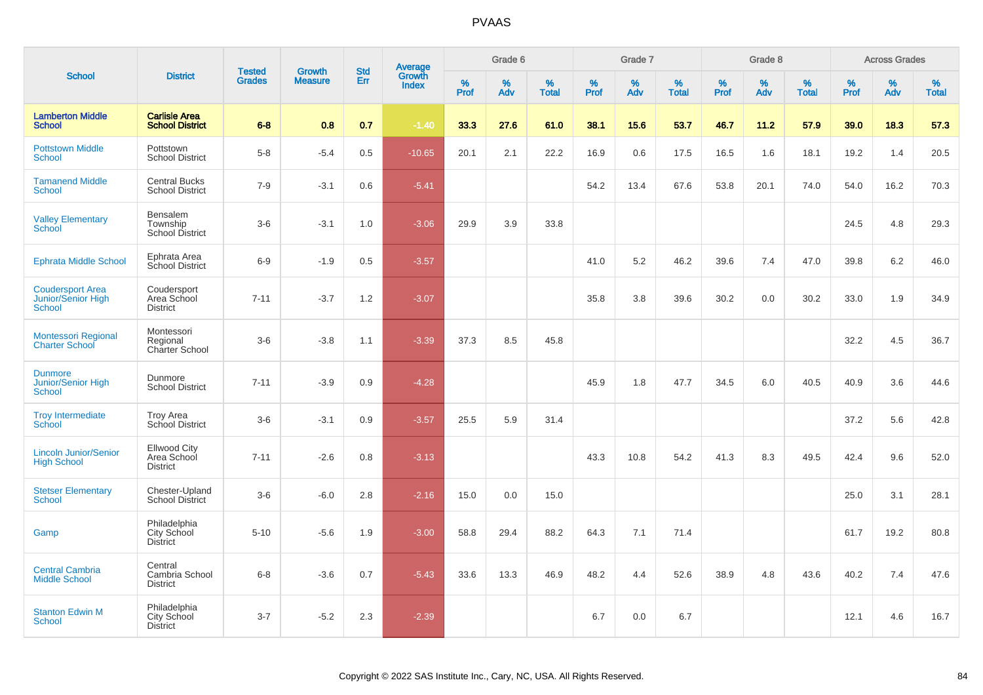| <b>School</b>                                                  |                                                       |                                |                                 | <b>Std</b> |                                   |              | Grade 6     |                   |              | Grade 7     |                   |              | Grade 8     |                   |              | <b>Across Grades</b> |                   |
|----------------------------------------------------------------|-------------------------------------------------------|--------------------------------|---------------------------------|------------|-----------------------------------|--------------|-------------|-------------------|--------------|-------------|-------------------|--------------|-------------|-------------------|--------------|----------------------|-------------------|
|                                                                | <b>District</b>                                       | <b>Tested</b><br><b>Grades</b> | <b>Growth</b><br><b>Measure</b> | Err        | Average<br>Growth<br><b>Index</b> | $\%$<br>Prof | $\%$<br>Adv | %<br><b>Total</b> | $\%$<br>Prof | $\%$<br>Adv | %<br><b>Total</b> | $\%$<br>Prof | $\%$<br>Adv | %<br><b>Total</b> | $\%$<br>Prof | $\%$<br>Adv          | %<br><b>Total</b> |
| <b>Lamberton Middle</b><br><b>School</b>                       | <b>Carlisle Area</b><br><b>School District</b>        | $6-8$                          | 0.8                             | 0.7        | $-1.40$                           | 33.3         | 27.6        | 61.0              | 38.1         | 15.6        | 53.7              | 46.7         | 11.2        | 57.9              | 39.0         | 18.3                 | 57.3              |
| <b>Pottstown Middle</b><br><b>School</b>                       | Pottstown<br><b>School District</b>                   | $5-8$                          | $-5.4$                          | 0.5        | $-10.65$                          | 20.1         | 2.1         | 22.2              | 16.9         | 0.6         | 17.5              | 16.5         | 1.6         | 18.1              | 19.2         | 1.4                  | 20.5              |
| <b>Tamanend Middle</b><br><b>School</b>                        | <b>Central Bucks</b><br><b>School District</b>        | $7 - 9$                        | $-3.1$                          | 0.6        | $-5.41$                           |              |             |                   | 54.2         | 13.4        | 67.6              | 53.8         | 20.1        | 74.0              | 54.0         | 16.2                 | 70.3              |
| <b>Valley Elementary</b><br>School                             | Bensalem<br>Township<br>School District               | $3-6$                          | $-3.1$                          | 1.0        | $-3.06$                           | 29.9         | 3.9         | 33.8              |              |             |                   |              |             |                   | 24.5         | 4.8                  | 29.3              |
| <b>Ephrata Middle School</b>                                   | Ephrata Area<br>School District                       | $6-9$                          | $-1.9$                          | 0.5        | $-3.57$                           |              |             |                   | 41.0         | 5.2         | 46.2              | 39.6         | 7.4         | 47.0              | 39.8         | 6.2                  | 46.0              |
| <b>Coudersport Area</b><br>Junior/Senior High<br><b>School</b> | Coudersport<br>Area School<br><b>District</b>         | $7 - 11$                       | $-3.7$                          | 1.2        | $-3.07$                           |              |             |                   | 35.8         | 3.8         | 39.6              | 30.2         | 0.0         | 30.2              | 33.0         | 1.9                  | 34.9              |
| Montessori Regional<br><b>Charter School</b>                   | Montessori<br>Regional<br>Charter School              | $3-6$                          | $-3.8$                          | 1.1        | $-3.39$                           | 37.3         | 8.5         | 45.8              |              |             |                   |              |             |                   | 32.2         | 4.5                  | 36.7              |
| <b>Dunmore</b><br><b>Junior/Senior High</b><br><b>School</b>   | Dunmore<br><b>School District</b>                     | $7 - 11$                       | $-3.9$                          | 0.9        | $-4.28$                           |              |             |                   | 45.9         | 1.8         | 47.7              | 34.5         | 6.0         | 40.5              | 40.9         | 3.6                  | 44.6              |
| <b>Troy Intermediate</b><br>School                             | Troy Area<br>School District                          | $3-6$                          | $-3.1$                          | 0.9        | $-3.57$                           | 25.5         | 5.9         | 31.4              |              |             |                   |              |             |                   | 37.2         | 5.6                  | 42.8              |
| <b>Lincoln Junior/Senior</b><br><b>High School</b>             | <b>Ellwood City</b><br>Area School<br><b>District</b> | $7 - 11$                       | $-2.6$                          | 0.8        | $-3.13$                           |              |             |                   | 43.3         | 10.8        | 54.2              | 41.3         | 8.3         | 49.5              | 42.4         | 9.6                  | 52.0              |
| <b>Stetser Elementary</b><br><b>School</b>                     | Chester-Upland<br>School District                     | $3-6$                          | $-6.0$                          | 2.8        | $-2.16$                           | 15.0         | 0.0         | 15.0              |              |             |                   |              |             |                   | 25.0         | 3.1                  | 28.1              |
| Gamp                                                           | Philadelphia<br>City School<br><b>District</b>        | $5 - 10$                       | $-5.6$                          | 1.9        | $-3.00$                           | 58.8         | 29.4        | 88.2              | 64.3         | 7.1         | 71.4              |              |             |                   | 61.7         | 19.2                 | 80.8              |
| <b>Central Cambria</b><br><b>Middle School</b>                 | Central<br>Cambria School<br><b>District</b>          | $6 - 8$                        | $-3.6$                          | 0.7        | $-5.43$                           | 33.6         | 13.3        | 46.9              | 48.2         | 4.4         | 52.6              | 38.9         | 4.8         | 43.6              | 40.2         | 7.4                  | 47.6              |
| <b>Stanton Edwin M</b><br><b>School</b>                        | Philadelphia<br>City School<br><b>District</b>        | $3 - 7$                        | $-5.2$                          | 2.3        | $-2.39$                           |              |             |                   | 6.7          | 0.0         | 6.7               |              |             |                   | 12.1         | 4.6                  | 16.7              |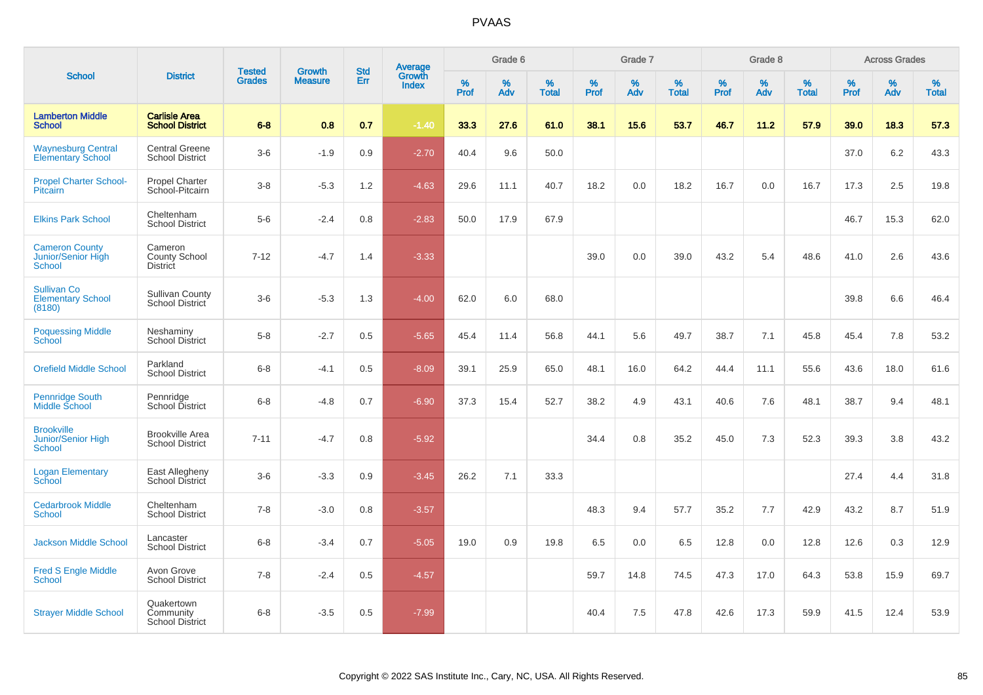|                                                              |                                                    |                                | <b>Growth</b>  | <b>Std</b> |              | Grade 6<br><b>Average</b><br>Growth |             |                   | Grade 7      |          |                   |                  | Grade 8  |                   | <b>Across Grades</b> |             |                   |
|--------------------------------------------------------------|----------------------------------------------------|--------------------------------|----------------|------------|--------------|-------------------------------------|-------------|-------------------|--------------|----------|-------------------|------------------|----------|-------------------|----------------------|-------------|-------------------|
| <b>School</b>                                                | <b>District</b>                                    | <b>Tested</b><br><b>Grades</b> | <b>Measure</b> | Err        | <b>Index</b> | %<br><b>Prof</b>                    | $\%$<br>Adv | %<br><b>Total</b> | $\%$<br>Prof | %<br>Adv | %<br><b>Total</b> | %<br><b>Prof</b> | %<br>Adv | %<br><b>Total</b> | $\%$<br><b>Prof</b>  | $\%$<br>Adv | %<br><b>Total</b> |
| <b>Lamberton Middle</b><br><b>School</b>                     | <b>Carlisle Area</b><br><b>School District</b>     | $6 - 8$                        | 0.8            | 0.7        | $-1.40$      | 33.3                                | 27.6        | 61.0              | 38.1         | 15.6     | 53.7              | 46.7             | 11.2     | 57.9              | 39.0                 | 18.3        | 57.3              |
| <b>Waynesburg Central</b><br><b>Elementary School</b>        | <b>Central Greene</b><br><b>School District</b>    | $3-6$                          | $-1.9$         | 0.9        | $-2.70$      | 40.4                                | 9.6         | 50.0              |              |          |                   |                  |          |                   | 37.0                 | 6.2         | 43.3              |
| <b>Propel Charter School-</b><br>Pitcairn                    | <b>Propel Charter</b><br>School-Pitcairn           | $3 - 8$                        | $-5.3$         | 1.2        | $-4.63$      | 29.6                                | 11.1        | 40.7              | 18.2         | 0.0      | 18.2              | 16.7             | 0.0      | 16.7              | 17.3                 | 2.5         | 19.8              |
| <b>Elkins Park School</b>                                    | Cheltenham<br><b>School District</b>               | $5-6$                          | $-2.4$         | 0.8        | $-2.83$      | 50.0                                | 17.9        | 67.9              |              |          |                   |                  |          |                   | 46.7                 | 15.3        | 62.0              |
| <b>Cameron County</b><br>Junior/Senior High<br><b>School</b> | Cameron<br><b>County School</b><br><b>District</b> | $7 - 12$                       | $-4.7$         | 1.4        | $-3.33$      |                                     |             |                   | 39.0         | 0.0      | 39.0              | 43.2             | 5.4      | 48.6              | 41.0                 | 2.6         | 43.6              |
| <b>Sullivan Co</b><br><b>Elementary School</b><br>(8180)     | <b>Sullivan County</b><br>School District          | $3-6$                          | $-5.3$         | 1.3        | $-4.00$      | 62.0                                | 6.0         | 68.0              |              |          |                   |                  |          |                   | 39.8                 | 6.6         | 46.4              |
| <b>Poquessing Middle</b><br>School                           | Neshaminy<br><b>School District</b>                | $5-8$                          | $-2.7$         | 0.5        | $-5.65$      | 45.4                                | 11.4        | 56.8              | 44.1         | 5.6      | 49.7              | 38.7             | 7.1      | 45.8              | 45.4                 | 7.8         | 53.2              |
| <b>Orefield Middle School</b>                                | Parkland<br><b>School District</b>                 | $6 - 8$                        | $-4.1$         | 0.5        | $-8.09$      | 39.1                                | 25.9        | 65.0              | 48.1         | 16.0     | 64.2              | 44.4             | 11.1     | 55.6              | 43.6                 | 18.0        | 61.6              |
| <b>Pennridge South</b><br>Middle School                      | Pennridge<br>School District                       | $6 - 8$                        | $-4.8$         | 0.7        | $-6.90$      | 37.3                                | 15.4        | 52.7              | 38.2         | 4.9      | 43.1              | 40.6             | 7.6      | 48.1              | 38.7                 | 9.4         | 48.1              |
| <b>Brookville</b><br>Junior/Senior High<br>School            | <b>Brookville Area</b><br><b>School District</b>   | $7 - 11$                       | $-4.7$         | 0.8        | $-5.92$      |                                     |             |                   | 34.4         | 0.8      | 35.2              | 45.0             | 7.3      | 52.3              | 39.3                 | 3.8         | 43.2              |
| <b>Logan Elementary</b><br>School                            | East Allegheny<br>School District                  | $3-6$                          | $-3.3$         | 0.9        | $-3.45$      | 26.2                                | 7.1         | 33.3              |              |          |                   |                  |          |                   | 27.4                 | 4.4         | 31.8              |
| <b>Cedarbrook Middle</b><br><b>School</b>                    | Cheltenham<br><b>School District</b>               | $7 - 8$                        | $-3.0$         | 0.8        | $-3.57$      |                                     |             |                   | 48.3         | 9.4      | 57.7              | 35.2             | 7.7      | 42.9              | 43.2                 | 8.7         | 51.9              |
| <b>Jackson Middle School</b>                                 | Lancaster<br><b>School District</b>                | $6 - 8$                        | $-3.4$         | 0.7        | $-5.05$      | 19.0                                | 0.9         | 19.8              | 6.5          | 0.0      | 6.5               | 12.8             | 0.0      | 12.8              | 12.6                 | 0.3         | 12.9              |
| <b>Fred S Engle Middle</b><br>School                         | Avon Grove<br><b>School District</b>               | $7 - 8$                        | $-2.4$         | 0.5        | $-4.57$      |                                     |             |                   | 59.7         | 14.8     | 74.5              | 47.3             | 17.0     | 64.3              | 53.8                 | 15.9        | 69.7              |
| <b>Strayer Middle School</b>                                 | Quakertown<br>Community<br><b>School District</b>  | $6 - 8$                        | $-3.5$         | 0.5        | $-7.99$      |                                     |             |                   | 40.4         | 7.5      | 47.8              | 42.6             | 17.3     | 59.9              | 41.5                 | 12.4        | 53.9              |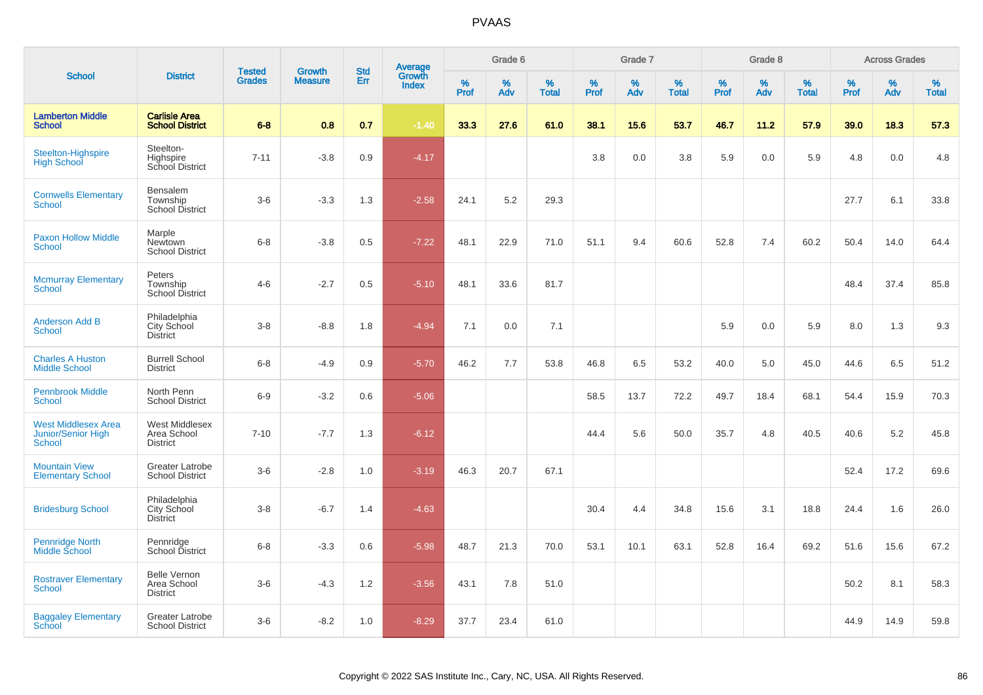|                                                                          |                                                       |                                | <b>Growth</b>  | <b>Std</b> |              | <b>Average</b><br>Growth |             | Grade 6              |              | Grade 7     |                      |              | Grade 8     |                      | <b>Across Grades</b> |             |                      |  |
|--------------------------------------------------------------------------|-------------------------------------------------------|--------------------------------|----------------|------------|--------------|--------------------------|-------------|----------------------|--------------|-------------|----------------------|--------------|-------------|----------------------|----------------------|-------------|----------------------|--|
| <b>School</b>                                                            | <b>District</b>                                       | <b>Tested</b><br><b>Grades</b> | <b>Measure</b> | Err        | <b>Index</b> | $\%$<br><b>Prof</b>      | $\%$<br>Adv | $\%$<br><b>Total</b> | $\%$<br>Prof | $\%$<br>Adv | $\%$<br><b>Total</b> | $\%$<br>Prof | $\%$<br>Adv | $\%$<br><b>Total</b> | $\%$<br><b>Prof</b>  | $\%$<br>Adv | $\%$<br><b>Total</b> |  |
| <b>Lamberton Middle</b><br><b>School</b>                                 | <b>Carlisle Area</b><br><b>School District</b>        | $6 - 8$                        | 0.8            | 0.7        | $-1.40$      | 33.3                     | 27.6        | 61.0                 | 38.1         | 15.6        | 53.7                 | 46.7         | 11.2        | 57.9                 | 39.0                 | 18.3        | 57.3                 |  |
| <b>Steelton-Highspire</b><br><b>High School</b>                          | Steelton-<br>Highspire<br>School District             | $7 - 11$                       | $-3.8$         | 0.9        | $-4.17$      |                          |             |                      | 3.8          | 0.0         | 3.8                  | 5.9          | 0.0         | 5.9                  | 4.8                  | 0.0         | 4.8                  |  |
| <b>Cornwells Elementary</b><br><b>School</b>                             | Bensalem<br>Township<br>School District               | $3-6$                          | $-3.3$         | 1.3        | $-2.58$      | 24.1                     | 5.2         | 29.3                 |              |             |                      |              |             |                      | 27.7                 | 6.1         | 33.8                 |  |
| <b>Paxon Hollow Middle</b><br><b>School</b>                              | Marple<br><b>Newtown</b><br><b>School District</b>    | $6-8$                          | $-3.8$         | 0.5        | $-7.22$      | 48.1                     | 22.9        | 71.0                 | 51.1         | 9.4         | 60.6                 | 52.8         | 7.4         | 60.2                 | 50.4                 | 14.0        | 64.4                 |  |
| <b>Mcmurray Elementary</b><br><b>School</b>                              | Peters<br>Township<br>School District                 | $4 - 6$                        | $-2.7$         | 0.5        | $-5.10$      | 48.1                     | 33.6        | 81.7                 |              |             |                      |              |             |                      | 48.4                 | 37.4        | 85.8                 |  |
| <b>Anderson Add B</b><br>School                                          | Philadelphia<br>City School<br><b>District</b>        | $3-8$                          | $-8.8$         | 1.8        | $-4.94$      | 7.1                      | 0.0         | 7.1                  |              |             |                      | 5.9          | 0.0         | 5.9                  | 8.0                  | 1.3         | 9.3                  |  |
| <b>Charles A Huston</b><br><b>Middle School</b>                          | <b>Burrell School</b><br><b>District</b>              | $6 - 8$                        | $-4.9$         | 0.9        | $-5.70$      | 46.2                     | 7.7         | 53.8                 | 46.8         | 6.5         | 53.2                 | 40.0         | 5.0         | 45.0                 | 44.6                 | 6.5         | 51.2                 |  |
| <b>Pennbrook Middle</b><br><b>School</b>                                 | North Penn<br><b>School District</b>                  | $6 - 9$                        | $-3.2$         | 0.6        | $-5.06$      |                          |             |                      | 58.5         | 13.7        | 72.2                 | 49.7         | 18.4        | 68.1                 | 54.4                 | 15.9        | 70.3                 |  |
| <b>West Middlesex Area</b><br><b>Junior/Senior High</b><br><b>School</b> | West Middlesex<br>Area School<br><b>District</b>      | $7 - 10$                       | $-7.7$         | 1.3        | $-6.12$      |                          |             |                      | 44.4         | 5.6         | 50.0                 | 35.7         | 4.8         | 40.5                 | 40.6                 | 5.2         | 45.8                 |  |
| <b>Mountain View</b><br><b>Elementary School</b>                         | <b>Greater Latrobe</b><br><b>School District</b>      | $3-6$                          | $-2.8$         | 1.0        | $-3.19$      | 46.3                     | 20.7        | 67.1                 |              |             |                      |              |             |                      | 52.4                 | 17.2        | 69.6                 |  |
| <b>Bridesburg School</b>                                                 | Philadelphia<br>City School<br><b>District</b>        | $3-8$                          | $-6.7$         | 1.4        | $-4.63$      |                          |             |                      | 30.4         | 4.4         | 34.8                 | 15.6         | 3.1         | 18.8                 | 24.4                 | 1.6         | 26.0                 |  |
| <b>Pennridge North</b><br>Middle School                                  | Pennridge<br>School District                          | $6 - 8$                        | $-3.3$         | 0.6        | $-5.98$      | 48.7                     | 21.3        | 70.0                 | 53.1         | 10.1        | 63.1                 | 52.8         | 16.4        | 69.2                 | 51.6                 | 15.6        | 67.2                 |  |
| <b>Rostraver Elementary</b><br><b>School</b>                             | <b>Belle Vernon</b><br>Area School<br><b>District</b> | $3-6$                          | $-4.3$         | 1.2        | $-3.56$      | 43.1                     | 7.8         | 51.0                 |              |             |                      |              |             |                      | 50.2                 | 8.1         | 58.3                 |  |
| <b>Baggaley Elementary</b><br>School                                     | <b>Greater Latrobe</b><br><b>School District</b>      | $3-6$                          | $-8.2$         | 1.0        | $-8.29$      | 37.7                     | 23.4        | 61.0                 |              |             |                      |              |             |                      | 44.9                 | 14.9        | 59.8                 |  |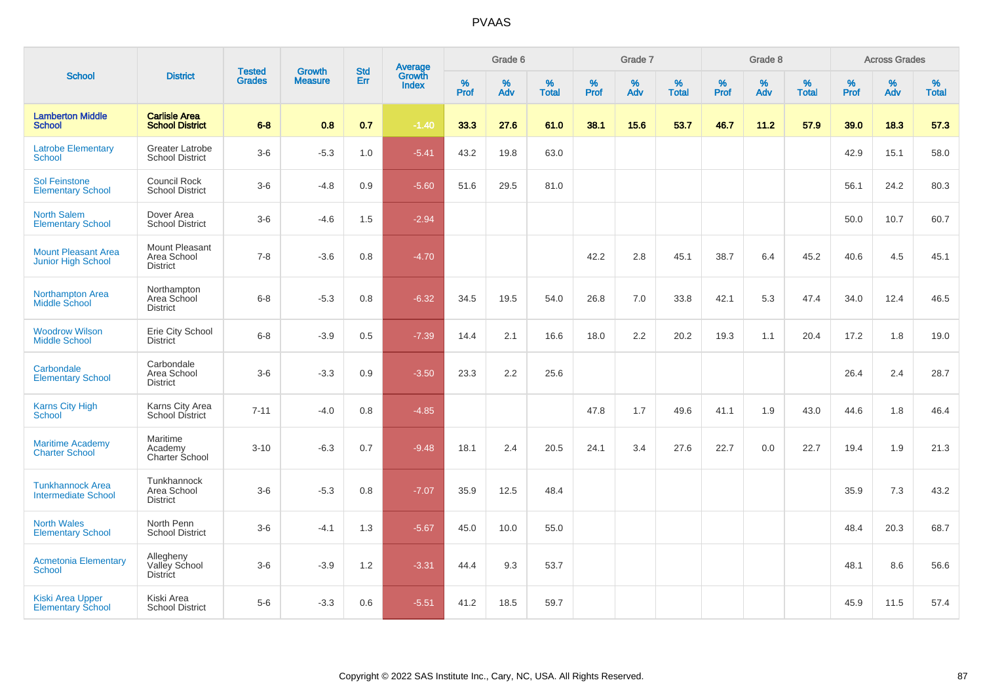|                                                       |                                                         |                                | <b>Growth</b>  |                   |                                          |                  | Grade 6     |                   |           | Grade 7  |                   |           | Grade 8  |                   |              | <b>Across Grades</b> |                   |
|-------------------------------------------------------|---------------------------------------------------------|--------------------------------|----------------|-------------------|------------------------------------------|------------------|-------------|-------------------|-----------|----------|-------------------|-----------|----------|-------------------|--------------|----------------------|-------------------|
| <b>School</b>                                         | <b>District</b>                                         | <b>Tested</b><br><b>Grades</b> | <b>Measure</b> | <b>Std</b><br>Err | <b>Average</b><br>Growth<br><b>Index</b> | %<br><b>Prof</b> | $\%$<br>Adv | %<br><b>Total</b> | %<br>Prof | %<br>Adv | %<br><b>Total</b> | %<br>Prof | %<br>Adv | %<br><b>Total</b> | $\%$<br>Prof | $\%$<br>Adv          | %<br><b>Total</b> |
| <b>Lamberton Middle</b><br><b>School</b>              | <b>Carlisle Area</b><br><b>School District</b>          | $6 - 8$                        | 0.8            | 0.7               | $-1.40$                                  | 33.3             | 27.6        | 61.0              | 38.1      | 15.6     | 53.7              | 46.7      | 11.2     | 57.9              | 39.0         | 18.3                 | 57.3              |
| <b>Latrobe Elementary</b><br><b>School</b>            | Greater Latrobe<br><b>School District</b>               | $3-6$                          | $-5.3$         | 1.0               | $-5.41$                                  | 43.2             | 19.8        | 63.0              |           |          |                   |           |          |                   | 42.9         | 15.1                 | 58.0              |
| <b>Sol Feinstone</b><br><b>Elementary School</b>      | Council Rock<br><b>School District</b>                  | $3-6$                          | $-4.8$         | 0.9               | $-5.60$                                  | 51.6             | 29.5        | 81.0              |           |          |                   |           |          |                   | 56.1         | 24.2                 | 80.3              |
| <b>North Salem</b><br><b>Elementary School</b>        | Dover Area<br><b>School District</b>                    | $3-6$                          | $-4.6$         | 1.5               | $-2.94$                                  |                  |             |                   |           |          |                   |           |          |                   | 50.0         | 10.7                 | 60.7              |
| <b>Mount Pleasant Area</b><br>Junior High School      | <b>Mount Pleasant</b><br>Area School<br><b>District</b> | $7 - 8$                        | $-3.6$         | 0.8               | $-4.70$                                  |                  |             |                   | 42.2      | 2.8      | 45.1              | 38.7      | 6.4      | 45.2              | 40.6         | 4.5                  | 45.1              |
| Northampton Area<br>Middle School                     | Northampton<br>Area School<br><b>District</b>           | $6 - 8$                        | $-5.3$         | 0.8               | $-6.32$                                  | 34.5             | 19.5        | 54.0              | 26.8      | 7.0      | 33.8              | 42.1      | 5.3      | 47.4              | 34.0         | 12.4                 | 46.5              |
| <b>Woodrow Wilson</b><br><b>Middle School</b>         | Erie City School<br><b>District</b>                     | $6 - 8$                        | $-3.9$         | 0.5               | $-7.39$                                  | 14.4             | 2.1         | 16.6              | 18.0      | 2.2      | 20.2              | 19.3      | 1.1      | 20.4              | 17.2         | 1.8                  | 19.0              |
| Carbondale<br><b>Elementary School</b>                | Carbondale<br>Area School<br><b>District</b>            | $3-6$                          | $-3.3$         | 0.9               | $-3.50$                                  | 23.3             | 2.2         | 25.6              |           |          |                   |           |          |                   | 26.4         | 2.4                  | 28.7              |
| <b>Karns City High</b><br>School                      | Karns City Area<br>School District                      | $7 - 11$                       | $-4.0$         | 0.8               | $-4.85$                                  |                  |             |                   | 47.8      | 1.7      | 49.6              | 41.1      | 1.9      | 43.0              | 44.6         | 1.8                  | 46.4              |
| <b>Maritime Academy</b><br><b>Charter School</b>      | Maritime<br>Academy<br>Charter School                   | $3 - 10$                       | $-6.3$         | 0.7               | $-9.48$                                  | 18.1             | 2.4         | 20.5              | 24.1      | 3.4      | 27.6              | 22.7      | 0.0      | 22.7              | 19.4         | 1.9                  | 21.3              |
| <b>Tunkhannock Area</b><br><b>Intermediate School</b> | Tunkhannock<br>Area School<br><b>District</b>           | $3-6$                          | $-5.3$         | 0.8               | $-7.07$                                  | 35.9             | 12.5        | 48.4              |           |          |                   |           |          |                   | 35.9         | 7.3                  | 43.2              |
| <b>North Wales</b><br><b>Elementary School</b>        | North Penn<br><b>School District</b>                    | $3-6$                          | $-4.1$         | 1.3               | $-5.67$                                  | 45.0             | 10.0        | 55.0              |           |          |                   |           |          |                   | 48.4         | 20.3                 | 68.7              |
| <b>Acmetonia Elementary</b><br><b>School</b>          | Allegheny<br>Valley School<br>District                  | $3-6$                          | $-3.9$         | $1.2$             | $-3.31$                                  | 44.4             | 9.3         | 53.7              |           |          |                   |           |          |                   | 48.1         | 8.6                  | 56.6              |
| <b>Kiski Area Upper</b><br><b>Elementary School</b>   | Kiski Area<br><b>School District</b>                    | $5-6$                          | $-3.3$         | 0.6               | $-5.51$                                  | 41.2             | 18.5        | 59.7              |           |          |                   |           |          |                   | 45.9         | 11.5                 | 57.4              |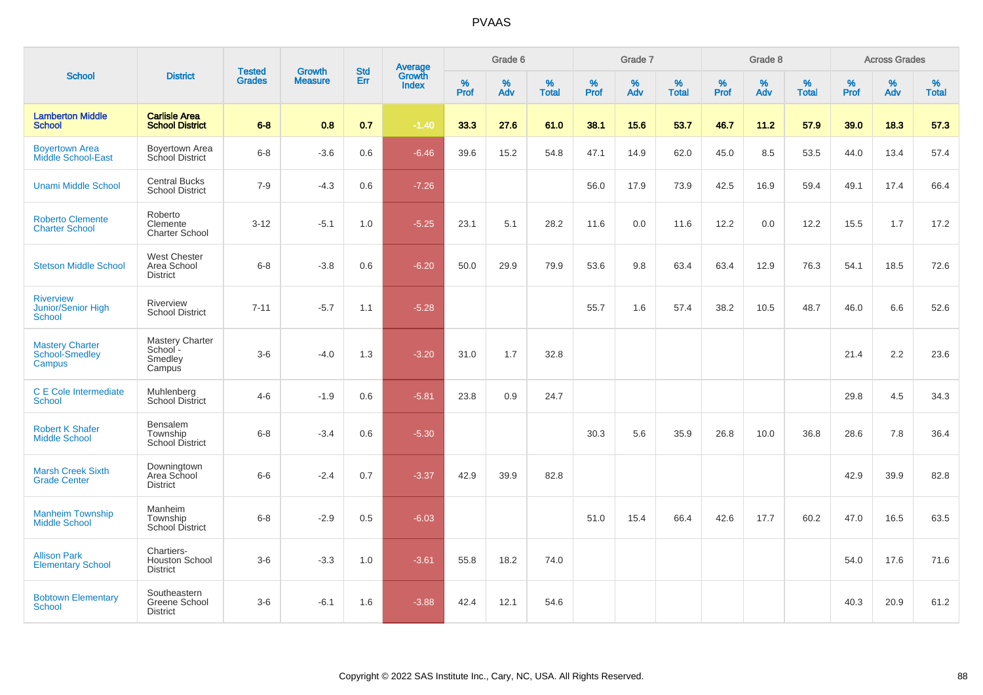|                                                         |                                                         |                                |                                 | <b>Std</b> |                                          |           | Grade 6  |                   |           | Grade 7  |                   |           | Grade 8  |                   | <b>Across Grades</b> |          |                   |  |
|---------------------------------------------------------|---------------------------------------------------------|--------------------------------|---------------------------------|------------|------------------------------------------|-----------|----------|-------------------|-----------|----------|-------------------|-----------|----------|-------------------|----------------------|----------|-------------------|--|
| <b>School</b>                                           | <b>District</b>                                         | <b>Tested</b><br><b>Grades</b> | <b>Growth</b><br><b>Measure</b> | Err        | <b>Average</b><br>Growth<br><b>Index</b> | %<br>Prof | %<br>Adv | %<br><b>Total</b> | %<br>Prof | %<br>Adv | %<br><b>Total</b> | %<br>Prof | %<br>Adv | %<br><b>Total</b> | %<br>Prof            | %<br>Adv | %<br><b>Total</b> |  |
| <b>Lamberton Middle</b><br><b>School</b>                | <b>Carlisle Area</b><br><b>School District</b>          | $6 - 8$                        | 0.8                             | 0.7        | $-1.40$                                  | 33.3      | 27.6     | 61.0              | 38.1      | 15.6     | 53.7              | 46.7      | 11.2     | 57.9              | 39.0                 | 18.3     | 57.3              |  |
| <b>Boyertown Area</b><br>Middle School-East             | Boyertown Area<br>School District                       | $6 - 8$                        | $-3.6$                          | 0.6        | $-6.46$                                  | 39.6      | 15.2     | 54.8              | 47.1      | 14.9     | 62.0              | 45.0      | 8.5      | 53.5              | 44.0                 | 13.4     | 57.4              |  |
| <b>Unami Middle School</b>                              | <b>Central Bucks</b><br><b>School District</b>          | $7 - 9$                        | $-4.3$                          | 0.6        | $-7.26$                                  |           |          |                   | 56.0      | 17.9     | 73.9              | 42.5      | 16.9     | 59.4              | 49.1                 | 17.4     | 66.4              |  |
| <b>Roberto Clemente</b><br><b>Charter School</b>        | Roberto<br>Clemente<br>Charter School                   | $3 - 12$                       | $-5.1$                          | 1.0        | $-5.25$                                  | 23.1      | 5.1      | 28.2              | 11.6      | 0.0      | 11.6              | 12.2      | 0.0      | 12.2              | 15.5                 | 1.7      | 17.2              |  |
| <b>Stetson Middle School</b>                            | <b>West Chester</b><br>Area School<br><b>District</b>   | $6 - 8$                        | $-3.8$                          | 0.6        | $-6.20$                                  | 50.0      | 29.9     | 79.9              | 53.6      | 9.8      | 63.4              | 63.4      | 12.9     | 76.3              | 54.1                 | 18.5     | 72.6              |  |
| <b>Riverview</b><br>Junior/Senior High<br><b>School</b> | Riverview<br><b>School District</b>                     | $7 - 11$                       | $-5.7$                          | 1.1        | $-5.28$                                  |           |          |                   | 55.7      | 1.6      | 57.4              | 38.2      | 10.5     | 48.7              | 46.0                 | 6.6      | 52.6              |  |
| <b>Mastery Charter</b><br>School-Smedley<br>Campus      | <b>Mastery Charter</b><br>School -<br>Smedley<br>Campus | $3-6$                          | $-4.0$                          | 1.3        | $-3.20$                                  | 31.0      | 1.7      | 32.8              |           |          |                   |           |          |                   | 21.4                 | 2.2      | 23.6              |  |
| C E Cole Intermediate<br><b>School</b>                  | Muhlenberg<br><b>School District</b>                    | $4 - 6$                        | $-1.9$                          | 0.6        | $-5.81$                                  | 23.8      | 0.9      | 24.7              |           |          |                   |           |          |                   | 29.8                 | 4.5      | 34.3              |  |
| <b>Robert K Shafer</b><br><b>Middle School</b>          | Bensalem<br>Township<br>School District                 | $6 - 8$                        | $-3.4$                          | 0.6        | $-5.30$                                  |           |          |                   | 30.3      | 5.6      | 35.9              | 26.8      | 10.0     | 36.8              | 28.6                 | 7.8      | 36.4              |  |
| <b>Marsh Creek Sixth</b><br><b>Grade Center</b>         | Downingtown<br>Area School<br><b>District</b>           | $6-6$                          | $-2.4$                          | 0.7        | $-3.37$                                  | 42.9      | 39.9     | 82.8              |           |          |                   |           |          |                   | 42.9                 | 39.9     | 82.8              |  |
| <b>Manheim Township</b><br><b>Middle School</b>         | Manheim<br>Township<br><b>School District</b>           | $6 - 8$                        | $-2.9$                          | 0.5        | $-6.03$                                  |           |          |                   | 51.0      | 15.4     | 66.4              | 42.6      | 17.7     | 60.2              | 47.0                 | 16.5     | 63.5              |  |
| <b>Allison Park</b><br><b>Elementary School</b>         | Chartiers-<br><b>Houston School</b><br><b>District</b>  | $3-6$                          | $-3.3$                          | 1.0        | $-3.61$                                  | 55.8      | 18.2     | 74.0              |           |          |                   |           |          |                   | 54.0                 | 17.6     | 71.6              |  |
| <b>Bobtown Elementary</b><br><b>School</b>              | Southeastern<br>Greene School<br><b>District</b>        | $3-6$                          | $-6.1$                          | 1.6        | $-3.88$                                  | 42.4      | 12.1     | 54.6              |           |          |                   |           |          |                   | 40.3                 | 20.9     | 61.2              |  |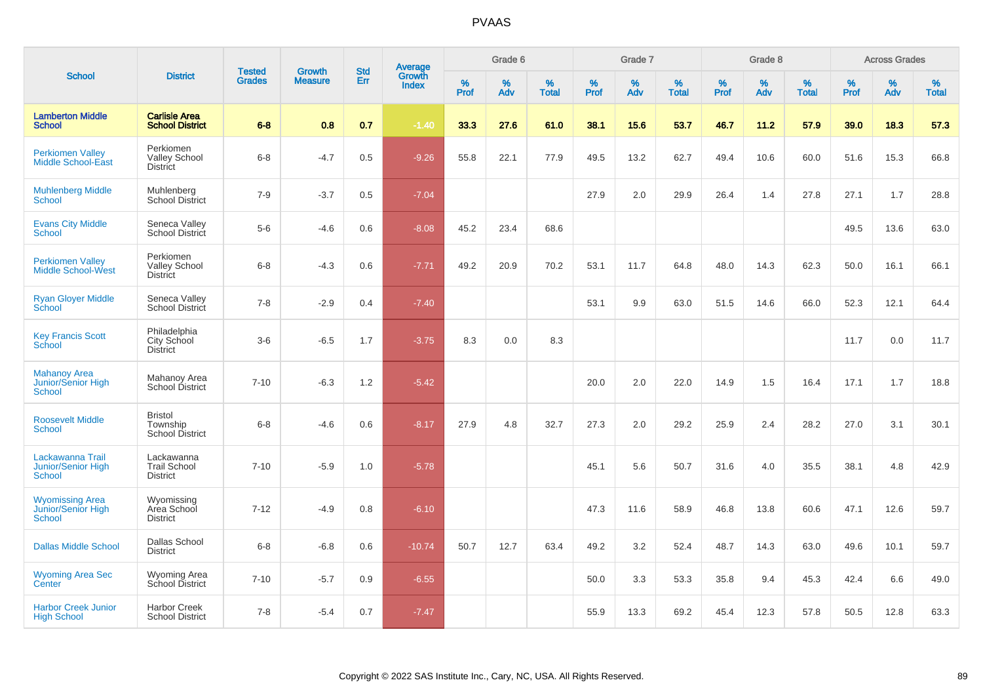|                                                                |                                                      |                                | <b>Growth</b>  | <b>Std</b> |                                          |                  | Grade 6  |                   |           | Grade 7  |                   |           | Grade 8  |                   | <b>Across Grades</b> |             |                   |
|----------------------------------------------------------------|------------------------------------------------------|--------------------------------|----------------|------------|------------------------------------------|------------------|----------|-------------------|-----------|----------|-------------------|-----------|----------|-------------------|----------------------|-------------|-------------------|
| <b>School</b>                                                  | <b>District</b>                                      | <b>Tested</b><br><b>Grades</b> | <b>Measure</b> | Err        | <b>Average</b><br>Growth<br><b>Index</b> | %<br><b>Prof</b> | %<br>Adv | %<br><b>Total</b> | %<br>Prof | %<br>Adv | %<br><b>Total</b> | %<br>Prof | %<br>Adv | %<br><b>Total</b> | %<br>Prof            | $\%$<br>Adv | %<br><b>Total</b> |
| <b>Lamberton Middle</b><br><b>School</b>                       | <b>Carlisle Area</b><br><b>School District</b>       | $6 - 8$                        | 0.8            | 0.7        | $-1.40$                                  | 33.3             | 27.6     | 61.0              | 38.1      | 15.6     | 53.7              | 46.7      | 11.2     | 57.9              | 39.0                 | 18.3        | 57.3              |
| <b>Perkiomen Valley</b><br><b>Middle School-East</b>           | Perkiomen<br><b>Valley School</b><br><b>District</b> | $6 - 8$                        | $-4.7$         | 0.5        | $-9.26$                                  | 55.8             | 22.1     | 77.9              | 49.5      | 13.2     | 62.7              | 49.4      | 10.6     | 60.0              | 51.6                 | 15.3        | 66.8              |
| <b>Muhlenberg Middle</b><br><b>School</b>                      | Muhlenberg<br><b>School District</b>                 | $7 - 9$                        | $-3.7$         | 0.5        | $-7.04$                                  |                  |          |                   | 27.9      | 2.0      | 29.9              | 26.4      | 1.4      | 27.8              | 27.1                 | 1.7         | 28.8              |
| <b>Evans City Middle</b><br><b>School</b>                      | Seneca Valley<br>School District                     | $5-6$                          | $-4.6$         | 0.6        | $-8.08$                                  | 45.2             | 23.4     | 68.6              |           |          |                   |           |          |                   | 49.5                 | 13.6        | 63.0              |
| <b>Perkiomen Valley</b><br><b>Middle School-West</b>           | Perkiomen<br><b>Valley School</b><br><b>District</b> | $6 - 8$                        | $-4.3$         | 0.6        | $-7.71$                                  | 49.2             | 20.9     | 70.2              | 53.1      | 11.7     | 64.8              | 48.0      | 14.3     | 62.3              | 50.0                 | 16.1        | 66.1              |
| <b>Ryan Gloyer Middle</b><br>School                            | Seneca Valley<br>School District                     | $7 - 8$                        | $-2.9$         | 0.4        | $-7.40$                                  |                  |          |                   | 53.1      | 9.9      | 63.0              | 51.5      | 14.6     | 66.0              | 52.3                 | 12.1        | 64.4              |
| <b>Key Francis Scott</b><br>School                             | Philadelphia<br>City School<br><b>District</b>       | $3-6$                          | $-6.5$         | 1.7        | $-3.75$                                  | 8.3              | 0.0      | 8.3               |           |          |                   |           |          |                   | 11.7                 | 0.0         | 11.7              |
| <b>Mahanoy Area</b><br>Junior/Senior High<br><b>School</b>     | Mahanoy Area<br>School District                      | $7 - 10$                       | $-6.3$         | 1.2        | $-5.42$                                  |                  |          |                   | 20.0      | 2.0      | 22.0              | 14.9      | 1.5      | 16.4              | 17.1                 | 1.7         | 18.8              |
| <b>Roosevelt Middle</b><br>School                              | <b>Bristol</b><br>Township<br>School District        | $6 - 8$                        | $-4.6$         | 0.6        | $-8.17$                                  | 27.9             | 4.8      | 32.7              | 27.3      | 2.0      | 29.2              | 25.9      | 2.4      | 28.2              | 27.0                 | 3.1         | 30.1              |
| Lackawanna Trail<br><b>Junior/Senior High</b><br><b>School</b> | Lackawanna<br><b>Trail School</b><br><b>District</b> | $7 - 10$                       | $-5.9$         | 1.0        | $-5.78$                                  |                  |          |                   | 45.1      | 5.6      | 50.7              | 31.6      | 4.0      | 35.5              | 38.1                 | 4.8         | 42.9              |
| <b>Wyomissing Area</b><br>Junior/Senior High<br><b>School</b>  | Wyomissing<br>Area School<br><b>District</b>         | $7 - 12$                       | $-4.9$         | 0.8        | $-6.10$                                  |                  |          |                   | 47.3      | 11.6     | 58.9              | 46.8      | 13.8     | 60.6              | 47.1                 | 12.6        | 59.7              |
| <b>Dallas Middle School</b>                                    | Dallas School<br><b>District</b>                     | $6 - 8$                        | $-6.8$         | 0.6        | $-10.74$                                 | 50.7             | 12.7     | 63.4              | 49.2      | 3.2      | 52.4              | 48.7      | 14.3     | 63.0              | 49.6                 | 10.1        | 59.7              |
| <b>Wyoming Area Sec</b><br>Center                              | <b>Wyoming Area</b><br>School District               | $7 - 10$                       | $-5.7$         | 0.9        | $-6.55$                                  |                  |          |                   | 50.0      | 3.3      | 53.3              | 35.8      | 9.4      | 45.3              | 42.4                 | 6.6         | 49.0              |
| <b>Harbor Creek Junior</b><br><b>High School</b>               | <b>Harbor Creek</b><br><b>School District</b>        | $7 - 8$                        | $-5.4$         | 0.7        | $-7.47$                                  |                  |          |                   | 55.9      | 13.3     | 69.2              | 45.4      | 12.3     | 57.8              | 50.5                 | 12.8        | 63.3              |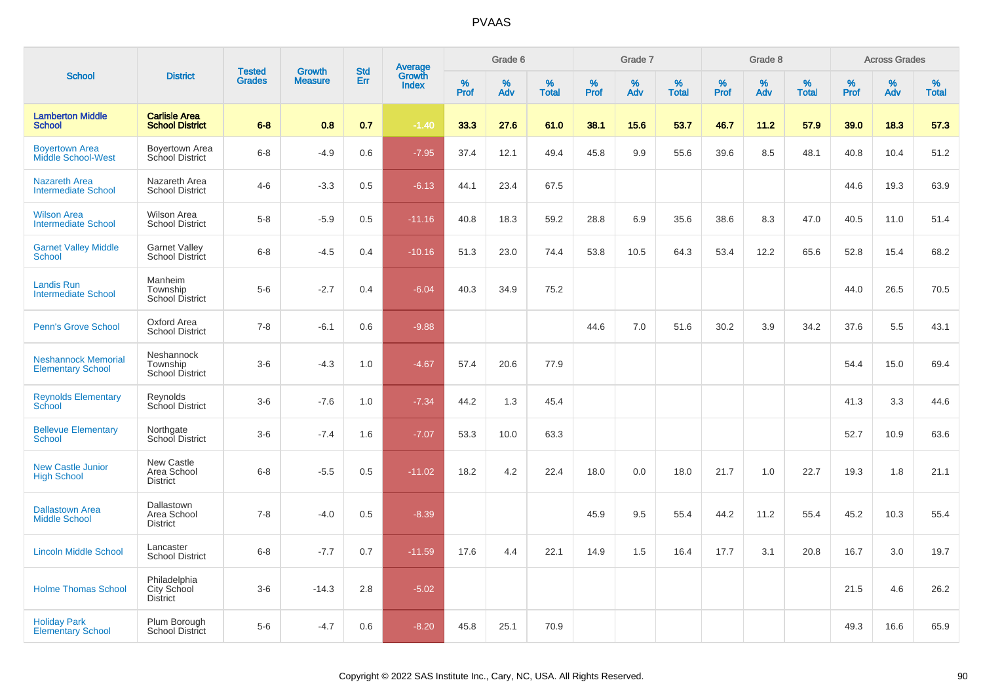|                                                        |                                                |                                | <b>Growth</b>  | <b>Std</b> | <b>Average</b><br>Growth |                  | Grade 6  |                   |           | Grade 7     |                   |           | Grade 8  |                   |           | <b>Across Grades</b> |                   |
|--------------------------------------------------------|------------------------------------------------|--------------------------------|----------------|------------|--------------------------|------------------|----------|-------------------|-----------|-------------|-------------------|-----------|----------|-------------------|-----------|----------------------|-------------------|
| <b>School</b>                                          | <b>District</b>                                | <b>Tested</b><br><b>Grades</b> | <b>Measure</b> | Err        | <b>Index</b>             | %<br><b>Prof</b> | %<br>Adv | %<br><b>Total</b> | %<br>Prof | $\%$<br>Adv | %<br><b>Total</b> | %<br>Prof | %<br>Adv | %<br><b>Total</b> | %<br>Prof | %<br>Adv             | %<br><b>Total</b> |
| <b>Lamberton Middle</b><br><b>School</b>               | <b>Carlisle Area</b><br><b>School District</b> | $6 - 8$                        | 0.8            | 0.7        | $-1.40$                  | 33.3             | 27.6     | 61.0              | 38.1      | 15.6        | 53.7              | 46.7      | 11.2     | 57.9              | 39.0      | 18.3                 | 57.3              |
| <b>Boyertown Area</b><br><b>Middle School-West</b>     | <b>Bovertown Area</b><br>School District       | $6 - 8$                        | $-4.9$         | 0.6        | $-7.95$                  | 37.4             | 12.1     | 49.4              | 45.8      | 9.9         | 55.6              | 39.6      | 8.5      | 48.1              | 40.8      | 10.4                 | 51.2              |
| <b>Nazareth Area</b><br><b>Intermediate School</b>     | Nazareth Area<br><b>School District</b>        | $4 - 6$                        | $-3.3$         | 0.5        | $-6.13$                  | 44.1             | 23.4     | 67.5              |           |             |                   |           |          |                   | 44.6      | 19.3                 | 63.9              |
| <b>Wilson Area</b><br><b>Intermediate School</b>       | <b>Wilson Area</b><br><b>School District</b>   | $5 - 8$                        | $-5.9$         | 0.5        | $-11.16$                 | 40.8             | 18.3     | 59.2              | 28.8      | 6.9         | 35.6              | 38.6      | 8.3      | 47.0              | 40.5      | 11.0                 | 51.4              |
| <b>Garnet Valley Middle</b><br><b>School</b>           | <b>Garnet Valley</b><br><b>School District</b> | $6 - 8$                        | $-4.5$         | 0.4        | $-10.16$                 | 51.3             | 23.0     | 74.4              | 53.8      | 10.5        | 64.3              | 53.4      | 12.2     | 65.6              | 52.8      | 15.4                 | 68.2              |
| <b>Landis Run</b><br><b>Intermediate School</b>        | Manheim<br>Township<br><b>School District</b>  | $5-6$                          | $-2.7$         | 0.4        | $-6.04$                  | 40.3             | 34.9     | 75.2              |           |             |                   |           |          |                   | 44.0      | 26.5                 | 70.5              |
| <b>Penn's Grove School</b>                             | Oxford Area<br><b>School District</b>          | $7 - 8$                        | $-6.1$         | 0.6        | $-9.88$                  |                  |          |                   | 44.6      | 7.0         | 51.6              | 30.2      | 3.9      | 34.2              | 37.6      | 5.5                  | 43.1              |
| <b>Neshannock Memorial</b><br><b>Elementary School</b> | Neshannock<br>Township<br>School District      | $3-6$                          | $-4.3$         | 1.0        | $-4.67$                  | 57.4             | 20.6     | 77.9              |           |             |                   |           |          |                   | 54.4      | 15.0                 | 69.4              |
| <b>Reynolds Elementary</b><br>School                   | Reynolds<br>School District                    | $3-6$                          | $-7.6$         | 1.0        | $-7.34$                  | 44.2             | 1.3      | 45.4              |           |             |                   |           |          |                   | 41.3      | 3.3                  | 44.6              |
| <b>Bellevue Elementary</b><br><b>School</b>            | Northgate<br>School District                   | $3-6$                          | $-7.4$         | 1.6        | $-7.07$                  | 53.3             | 10.0     | 63.3              |           |             |                   |           |          |                   | 52.7      | 10.9                 | 63.6              |
| <b>New Castle Junior</b><br><b>High School</b>         | New Castle<br>Area School<br><b>District</b>   | $6 - 8$                        | $-5.5$         | 0.5        | $-11.02$                 | 18.2             | 4.2      | 22.4              | 18.0      | 0.0         | 18.0              | 21.7      | 1.0      | 22.7              | 19.3      | 1.8                  | 21.1              |
| <b>Dallastown Area</b><br><b>Middle School</b>         | Dallastown<br>Area School<br><b>District</b>   | $7 - 8$                        | $-4.0$         | 0.5        | $-8.39$                  |                  |          |                   | 45.9      | 9.5         | 55.4              | 44.2      | 11.2     | 55.4              | 45.2      | 10.3                 | 55.4              |
| <b>Lincoln Middle School</b>                           | Lancaster<br><b>School District</b>            | $6 - 8$                        | $-7.7$         | 0.7        | $-11.59$                 | 17.6             | 4.4      | 22.1              | 14.9      | 1.5         | 16.4              | 17.7      | 3.1      | 20.8              | 16.7      | 3.0                  | 19.7              |
| <b>Holme Thomas School</b>                             | Philadelphia<br>City School<br><b>District</b> | $3-6$                          | $-14.3$        | 2.8        | $-5.02$                  |                  |          |                   |           |             |                   |           |          |                   | 21.5      | 4.6                  | 26.2              |
| <b>Holiday Park</b><br><b>Elementary School</b>        | Plum Borough<br>School District                | $5-6$                          | $-4.7$         | 0.6        | $-8.20$                  | 45.8             | 25.1     | 70.9              |           |             |                   |           |          |                   | 49.3      | 16.6                 | 65.9              |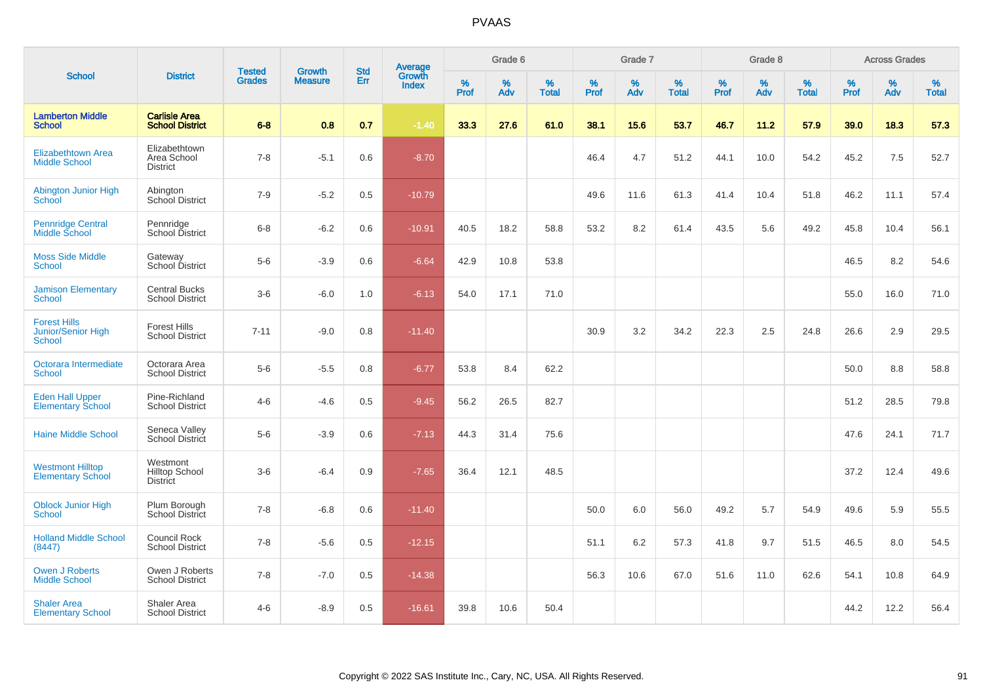|                                                     |                                                      |                                |                                 | <b>Std</b> |                                          |           | Grade 6  |                   |           | Grade 7  |                   |           | Grade 8  |                   |           | <b>Across Grades</b> |                   |
|-----------------------------------------------------|------------------------------------------------------|--------------------------------|---------------------------------|------------|------------------------------------------|-----------|----------|-------------------|-----------|----------|-------------------|-----------|----------|-------------------|-----------|----------------------|-------------------|
| <b>School</b>                                       | <b>District</b>                                      | <b>Tested</b><br><b>Grades</b> | <b>Growth</b><br><b>Measure</b> | Err        | <b>Average</b><br>Growth<br><b>Index</b> | %<br>Prof | %<br>Adv | %<br><b>Total</b> | %<br>Prof | %<br>Adv | %<br><b>Total</b> | %<br>Prof | %<br>Adv | %<br><b>Total</b> | %<br>Prof | %<br>Adv             | %<br><b>Total</b> |
| <b>Lamberton Middle</b><br><b>School</b>            | <b>Carlisle Area</b><br><b>School District</b>       | $6 - 8$                        | 0.8                             | 0.7        | $-1.40$                                  | 33.3      | 27.6     | 61.0              | 38.1      | 15.6     | 53.7              | 46.7      | 11.2     | 57.9              | 39.0      | 18.3                 | 57.3              |
| <b>Elizabethtown Area</b><br><b>Middle School</b>   | Elizabethtown<br>Area School<br><b>District</b>      | $7 - 8$                        | $-5.1$                          | 0.6        | $-8.70$                                  |           |          |                   | 46.4      | 4.7      | 51.2              | 44.1      | 10.0     | 54.2              | 45.2      | 7.5                  | 52.7              |
| <b>Abington Junior High</b><br><b>School</b>        | Abington<br>School District                          | $7 - 9$                        | $-5.2$                          | 0.5        | $-10.79$                                 |           |          |                   | 49.6      | 11.6     | 61.3              | 41.4      | 10.4     | 51.8              | 46.2      | 11.1                 | 57.4              |
| <b>Pennridge Central</b><br>Middle School           | Pennridge<br>School District                         | $6 - 8$                        | $-6.2$                          | 0.6        | $-10.91$                                 | 40.5      | 18.2     | 58.8              | 53.2      | 8.2      | 61.4              | 43.5      | 5.6      | 49.2              | 45.8      | 10.4                 | 56.1              |
| <b>Moss Side Middle</b><br><b>School</b>            | Gateway<br>School District                           | $5-6$                          | $-3.9$                          | 0.6        | $-6.64$                                  | 42.9      | 10.8     | 53.8              |           |          |                   |           |          |                   | 46.5      | 8.2                  | 54.6              |
| <b>Jamison Elementary</b><br><b>School</b>          | <b>Central Bucks</b><br><b>School District</b>       | $3-6$                          | $-6.0$                          | 1.0        | $-6.13$                                  | 54.0      | 17.1     | 71.0              |           |          |                   |           |          |                   | 55.0      | 16.0                 | 71.0              |
| <b>Forest Hills</b><br>Junior/Senior High<br>School | <b>Forest Hills</b><br><b>School District</b>        | $7 - 11$                       | $-9.0$                          | 0.8        | $-11.40$                                 |           |          |                   | 30.9      | 3.2      | 34.2              | 22.3      | 2.5      | 24.8              | 26.6      | 2.9                  | 29.5              |
| Octorara Intermediate<br><b>School</b>              | Octorara Area<br><b>School District</b>              | $5-6$                          | $-5.5$                          | 0.8        | $-6.77$                                  | 53.8      | 8.4      | 62.2              |           |          |                   |           |          |                   | 50.0      | 8.8                  | 58.8              |
| <b>Eden Hall Upper</b><br><b>Elementary School</b>  | Pine-Richland<br><b>School District</b>              | $4 - 6$                        | $-4.6$                          | 0.5        | $-9.45$                                  | 56.2      | 26.5     | 82.7              |           |          |                   |           |          |                   | 51.2      | 28.5                 | 79.8              |
| <b>Haine Middle School</b>                          | Seneca Valley<br>School District                     | $5-6$                          | $-3.9$                          | 0.6        | $-7.13$                                  | 44.3      | 31.4     | 75.6              |           |          |                   |           |          |                   | 47.6      | 24.1                 | 71.7              |
| <b>Westmont Hilltop</b><br><b>Elementary School</b> | Westmont<br><b>Hilltop School</b><br><b>District</b> | $3-6$                          | $-6.4$                          | 0.9        | $-7.65$                                  | 36.4      | 12.1     | 48.5              |           |          |                   |           |          |                   | 37.2      | 12.4                 | 49.6              |
| <b>Oblock Junior High</b><br><b>School</b>          | Plum Borough<br>School District                      | $7 - 8$                        | $-6.8$                          | 0.6        | $-11.40$                                 |           |          |                   | 50.0      | 6.0      | 56.0              | 49.2      | 5.7      | 54.9              | 49.6      | 5.9                  | 55.5              |
| <b>Holland Middle School</b><br>(8447)              | Council Rock<br><b>School District</b>               | $7 - 8$                        | $-5.6$                          | 0.5        | $-12.15$                                 |           |          |                   | 51.1      | 6.2      | 57.3              | 41.8      | 9.7      | 51.5              | 46.5      | 8.0                  | 54.5              |
| <b>Owen J Roberts</b><br><b>Middle School</b>       | Owen J Roberts<br><b>School District</b>             | $7 - 8$                        | $-7.0$                          | 0.5        | $-14.38$                                 |           |          |                   | 56.3      | 10.6     | 67.0              | 51.6      | 11.0     | 62.6              | 54.1      | 10.8                 | 64.9              |
| <b>Shaler Area</b><br><b>Elementary School</b>      | Shaler Area<br><b>School District</b>                | $4 - 6$                        | $-8.9$                          | 0.5        | $-16.61$                                 | 39.8      | 10.6     | 50.4              |           |          |                   |           |          |                   | 44.2      | 12.2                 | 56.4              |